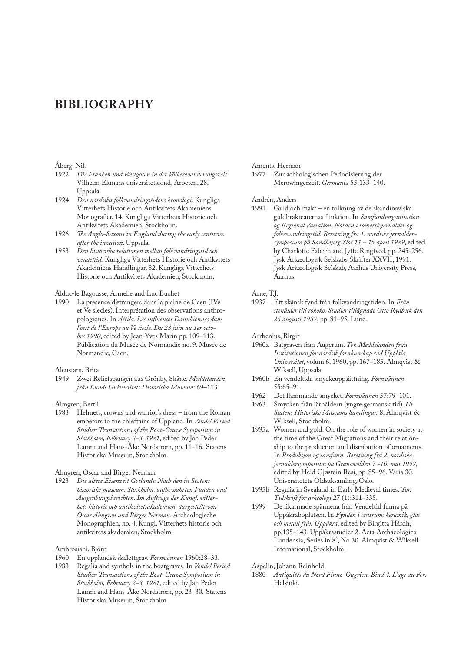### **BIBLIOGRAPHY**

# Åberg, Nils<br>1922 Die

- 1922 *Die Franken und Westgoten in der Völkerwanderungszeit*. Vilhelm Ekmans universitetsfond, Arbeten, 28, Uppsala.
- 1924 *Den nordiska folkvandringstidens kronologi*. Kungliga Vitterhets Historie och Antikvitets Akameniens Monografier, 14. Kungliga Vitterhets Historie och Antikvitets Akademien, Stockholm.
- 1926 *The Anglo-Saxons in England during the early centuries after the invasion*. Uppsala.
- 1953 *Den historiska relationen mellan folkvandringstid och vendeltid.* Kungliga Vitterhets Historie och Antikvitets Akademiens Handlingar, 82. Kungliga Vitterhets Historie och Antikvitets Akademien, Stockholm.

### Alduc-le Bagousse, Armelle and Luc Buchet

1990 La presence d'etrangers dans la plaine de Caen (IVe et Ve siecles). Interprétation des observations anthropologiques. In *Attila. Les influences Danubiennes dans l'oest de l'Europe au Ve siecle. Du 23 juin au 1er octobre 1990*, edited by Jean-Yves Marin pp. 109–113. Publication du Musée de Normandie no. 9. Musée de Normandie, Caen.

## Alenstam, Brita<br>1949 Zwei Re

1949 Zwei Reliefspangen aus Grönby, Skåne. *Meddelanden från Lunds Universitets Historiska Museum*: 69–113.

## Almgren, Bertil<br>1983 Helmets

Helmets, crowns and warrior's dress – from the Roman emperors to the chieftains of Uppland. In *Vendel Period Studies: Transactions of the Boat-Grave Symposium in Stockholm, February 2–3, 1981*, edited by Jan Peder Lamm and Hans-Åke Nordstrom, pp. 11–16*.* Statens Historiska Museum, Stockholm.

### Almgren, Oscar and Birger Nerman

1923 *Die ältere Eisenzeit Gotlands: Nach den in Statens historiske museum, Stockholm, aufbewahrten Funden und Ausgrabungsberichten*. *Im Auftrage der Kungl. vitterhets historie och antikvitetsakademien; dargestellt von Oscar Almgren und Birger Nerman*. Archäologische Monographien, no. 4, Kungl. Vitterhets historie och antikvitets akademien, Stockholm.

#### Ambrosiani, Björn

- 1960 En uppländsk skelettgrav. *Fornvännen* 1960:28–33.
- 1983 Regalia and symbols in the boatgraves. In *Vendel Period Studies: Transactions of the Boat-Grave Symposium in Stockholm, February 2–3, 1981*, edited by Jan Peder Lamm and Hans-Åke Nordstrom, pp. 23–30*.* Statens Historiska Museum, Stockholm.

# Aments, Herman<br>1977 Zur achäc

Zur achäologischen Periodisierung der Merowingerzeit. *Germania* 55:133–140.

### Andrén, Anders

1991 Guld och makt – en tolkning av de skandinaviska guldbrakteaternas funktion. In *Samfundsorganisation og Regional Variation. Norden i romersk jernalder og folkevandringstid. Beretning fra 1. nordiske jernaldersymposium på Sandbejerg Slot 11 – 15 april 1989*, edited by Charlotte Fabech and Jytte Ringtved, pp. 245-256. Jysk Arkæologisk Selskabs Skrifter XXVII, 1991. Jysk Arkæologisk Selskab, Aarhus University Press, Aarhus.

### Arne, T.J.

1937 Ett skånsk fynd från folkvandringstiden. In *Från stenålder till rokoko. Studier tillägnade Otto Rydbeck den 25 augusti 1937*, pp. 81–95. Lund.

Arrhenius, Birgit

- 1960a Båtgraven från Augerum. *Tor. Meddelanden från Institutionen för nordisk fornkunskap vid Upplala Universitet*, volum 6, 1960, pp. 167–185. Almqvist & Wiksell, Uppsala.
- 1960b En vendeltida smyckeuppsättning. *Fornvännen*  55:65–91.
- 1962 Det flammande smycket. *Fornvännen* 57:79–101.
- 1963 Smycken från järnåldern (yngre germansk tid). *Ur Statens Historiske Museums Samlingar.* 8. Almqvist & Wiksell, Stockholm.
- 1995a Women and gold. On the role of women in society at the time of the Great Migrations and their relationship to the production and distribution of ornaments. In *Produksjon og samfunn. Beretning fra 2. nordiske jernaldersymposium på Granavolden 7.-10. mai 1992*, edited by Heid Gjøstein Resi, pp. 85–96. Varia 30. Universitetets Oldsaksamling, Oslo.
- 1995b Regalia in Svealand in Early Medieval times. *Tor. Tidskrift för arkeologi* 27 (1):311–335.
- 1999 De likarmade spännena från Vendeltid funna på Uppåkraboplatsen. In *Fynden i centrum: keramik, glas och metall från Uppåkra*, edited by Birgitta Hårdh, pp.135–143. Uppåkrastudier 2. Acta Archaeologica Lundensia, Series in 8°, No 30. Almqvist & Wiksell International, Stockholm.

#### Aspelin, Johann Reinhold

1880 *Antiquités du Nord Finno-Ougrien. Bind 4. L'age du Fer*. Helsinki.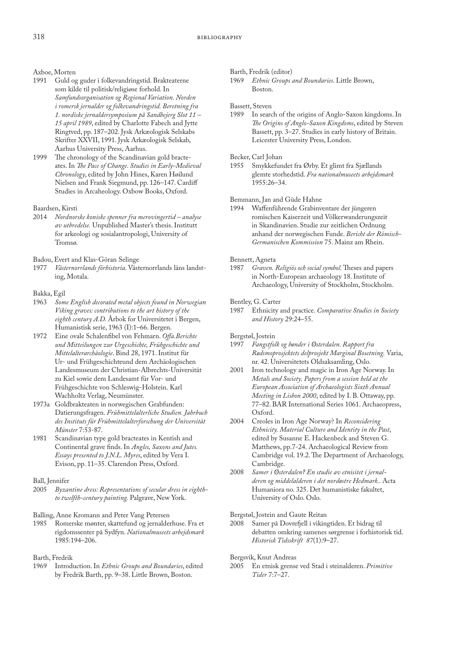### Axboe, Morten

- 1991 Guld og guder i folkevandringstid. Brakteaterne som kilde til politisk/religiøse forhold. In *Samfundsorganisation og Regional Variation. Norden i romersk jernalder og folkevandringstid. Beretning fra 1. nordiske jernaldersymposium på Sandbejerg Slot 11 – 15 april 1989*, edited by Charlotte Fabech and Jytte Ringtved, pp. 187–202. Jysk Arkæologisk Selskabs Skrifter XXVII, 1991. Jysk Arkæologisk Selskab, Aarhus University Press, Aarhus.
- 1999 The chronology of the Scandinavian gold bracteates. In *The Pace of Change. Studies in Early-Medieval Chronology*, edited by John Hines, Karen Høilund Nielsen and Frank Siegmund, pp. 126–147. Cardiff Studies in Arcaheology. Oxbow Books, Oxford.

### Baardsen, Kirsti

- 2014 *Nordnorske koniske spenner fra merovingertid analyse av utbredelse.* Unpublished Master's thesis. Institutt for arkeologi og sosialantropologi, University of Tromsø.
- Badou, Evert and Klas-Göran Selinge
- 1977 *Västernorrlands förhistoria*. Västernorrlands läns landsting, Motala.

### Bakka, Egil

- 1963 *Some English decorated metal objects found in Norwegian Viking graves: contributions to the art history of the eighth century A.D.* Årbok for Universitetet i Bergen, Humanistisk serie, 1963 (I):1–66. Bergen.
- 1972 Eine ovale Schalenfibel von Fehmarn. *Offa.Berichte und Mitteilungen zur Urgeschichte, Frühgeschichte und Mittelalterarchäologie*. Bind 28, 1971. Institut für Ur- und Frühgeschichteund dem Archäologischen Landesmuseum der Christian-Albrechts-Universität zu Kiel sowie dem Landesamt für Vor- und Frühgeschichte von Schleswig-Holstein. Karl Wachholtz Verlag, Neumünster.
- 1973a Goldbrakteaten in norwegischen Grabfunden: Datierungsfragen. *Frühmittelalterliche Studien. Jahrbuch des Instituts für Frühmittelalterforschung der Universität Münster* 7:53-87.
- 1981 Scandinavian type gold bracteates in Kentish and Continental grave finds. In *Angles, Saxons and Jutes. Essays presented to J.N.L. Myres*, edited by Vera I. Evison, pp. 11–35. Clarendon Press, Oxford.

### Ball, Jennifer<br>2005  $Bvza$

- Byzantine dress: Representations of secular dress in eighth*to twelfth-century painting.* Palgrave, New York.
- Balling, Anne Kromann and Peter Vang Petersen
- 1985 Romerske mønter, skattefund og jernalderhuse. Fra et rigdomssenter på Sydfyn. *Nationalmuseets arbejdsmark* 1985:194–206.
- Barth, Fredrik
- 1969 Introduction. In *Ethnic Groups and Boundaries*, edited by Fredrik Barth, pp. 9–38. Little Brown, Boston.

Barth, Fredrik (editor)

1969 *Ethnic Groups and Boundaries*. Little Brown, Boston.

### Bassett, Steven

1989 In search of the origins of Anglo-Saxon kingdoms. In *The Origins of Anglo-Saxon Kingdoms*, edited by Steven Bassett, pp. 3–27. Studies in early history of Britain. Leicester University Press, London.

Becker, Carl Johan

1955 Smykkefundet fra Ørby. Et glimt fra Sjællands glemte storhedstid. *Fra nationalmuseets arbejdsmark* 1955:26–34.

Bemmann, Jan and Güde Hahne

1994 Waffenführende Grabinventare der jüngeren romischen Kaiserzeit und Völkerwanderungszeit in Skandinavien. Studie zur zeitlichen Ordnung anhand der norwegischen Funde. *Bericht der Römisch-Germanischen Kommission* 75. Mainz am Rhein.

Bennett, Agneta<br>1987 Graven.

1987 *Graven. Religiös och social symbol.* Theses and papers in North-European archaeology 18. Institute of Archaeology, University of Stockholm, Stockholm.

### Bentley, G. Carter

1987 Ethnicity and practice. *Comparative Studies in Society and History* 29:24–55.

Bergstøl, Jostein

- 1997 *Fangstfolk og bønder i Østerdalen. Rapport fra Rødsmoprosjektets delprosjekt Marginal Bosetning.* Varia, nr. 42. Universitetets Oldsaksamling, Oslo.
- 2001 Iron technology and magic in Iron Age Norway. In *Metals and Society. Papers from a session held at the European Association of Archaeologists Sixth Annual Meeting in Lisbon 2000*, edited by I. B. Ottaway, pp. 77–82. BAR International Series 1061. Archaeopress, Oxford.
- 2004 Creoles in Iron Age Norway? In *Reconsidering Ethnicity. Material Culture and Identity in the Past*, edited by Susanne E. Hackenbeck and Steven G. Matthews, pp.7-24. Archaeological Review from Cambridge vol. 19.2. The Department of Archaeology, Cambridge.
- 2008 *Samer i Østerdalen? En studie av etnisitet i jernalderen og middelalderen i det nordøstre Hedmark..* Acta Humaniora no. 325. Det humanistiske fakultet, University of Oslo. Oslo.

Bergstøl, Jostein and Gaute Reitan

2008 Samer på Dovrefjell i vikingtiden. Et bidrag til debatten omkring samenes sørgrense i forhistorisk tid. *Historisk Tidsskrift 87*(1):9–27.

Bergsvik, Knut Andreas

2005 En etnisk grense ved Stad i steinalderen. *Primitive Tider* 7:7–27.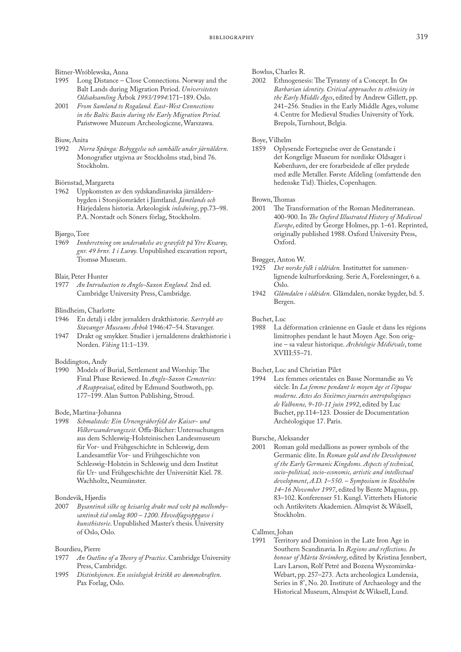### Bitner-Wróblewska, Anna

- 1995 Long Distance Close Connections. Norway and the Balt Lands during Migration Period. *Universitetets Oldsaksamling* Årbok *1993/1994*:171–189. Oslo.
- 2001 *From Samland to Rogaland. East-West Connections in the Baltic Basin during the Early Migration Period.*  Państwowe Muzeum Archeologiczne, Warszawa.

# Biuw, Anita<br>1992 Nor

1992 *Norra Spånga: Bebyggelse och samhälle under järnåldern*. [Monografier utgivna av Stockholms stad,](http://ask.bibsys.no/ask/action/show?pid=822098180&kid=biblio) bind 76. Stockholm.

# Biörnstad, Margareta

1962 Uppkomsten av den sydskandinaviska järnåldersbygden i Storsjöområdet i Jämtland. *Jämtlands och* Härjedalens historia. Arkeologisk *inledning*, pp.73–98. P.A. Norstadt och Söners förlag, Stockholm.

### Bjørgo, Tore

1969 *Innberetning om undersøkelse av gravfelt på Ytre Kvarøy, gnr. 49 brnr. 1 i Lurøy.* Unpublished excavation report, Tromsø Museum.

### Blair, Peter Hunter

1977 *An Introduction to Anglo-Saxon England.* 2nd ed. Cambridge University Press, Cambridge.

#### Blindheim, Charlotte

- 1946 En detalj i eldre jernalders drakthistorie. *Særtrykk av Stavanger Museums Årbok* 1946:47–54. Stavanger.
- 1947 Drakt og smykker. Studier i jernalderens drakthistorie i Norden. *Viking* 11:1–139.

#### Boddington, Andy

1990 Models of Burial, Settlement and Worship: The Final Phase Reviewed. In *Anglo-Saxon Cemeteries: A Reappraisal*, edited by Edmund Southwoth, pp. 177–199. Alan Sutton Publishing, Stroud.

#### Bode, Martina-Johanna

1998 *Schmalstede: Ein Urnengräberfeld der Kaiser- und Völkerwanderungszeit*. [Offa-Bücher: Untersuchungen](http://ask.bibsys.no/ask/action/show?pid=813139244&kid=biblio)  [aus dem Schleswig-Holsteinischen Landesmuseum](http://ask.bibsys.no/ask/action/show?pid=813139244&kid=biblio)  [für Vor- und Frühgeschichte in Schleswig, dem](http://ask.bibsys.no/ask/action/show?pid=813139244&kid=biblio)  [Landesamtfür Vor- und Frühgeschichte von](http://ask.bibsys.no/ask/action/show?pid=813139244&kid=biblio)  [Schleswig-Holstein in Schleswig und dem Institut](http://ask.bibsys.no/ask/action/show?pid=813139244&kid=biblio)  [für Ur- und Frühgeschichte der Universität Kiel](http://ask.bibsys.no/ask/action/show?pid=813139244&kid=biblio). 78. Wachholtz, Neumünster.

### Bondevik, Hjørdis

2007 *Bysantinsk silke og keisarleg drakt med vekt på mellombysantinsk tid omlag 800 – 1200. Hovedfagsoppgave i kunsthistorie*. Unpublished Master's thesis. University of Oslo, Oslo.

#### Bourdieu, Pierre

- 1977 *An Outline of a Theory of Practice*. Cambridge University Press, Cambridge.
- 1995 *Distinksjonen*. *En sosiologisk kritikk av dømmekraften*. Pax Forlag, Oslo.

### Bowlus, Charles R.

2002 Ethnogenesis: The Tyranny of a Concept. In *On Barbarian identity. Critical approaches to ethnicity in the Early Middle Ages*, edited by Andrew Gillett, pp. 241–256*.* Studies in the Early Middle Ages, volume 4. Centre for Medieval Studies University of York. Brepols, Turnhout, Belgia.

### Boye, Vilhelm

1859 Oplysende Fortegnelse over de Genstande i det Kongelige Museum for nordiske Oldsager i København, der ere forarbeidede af eller prydede med ædle Metaller. Første Afdeling (omfattende den hedenske Tid). Thieles, Copenhagen.

# Brown, Thomas

The Transformation of the Roman Mediterranean. 400*-*900. In *The Oxford Illustrated History of Medieval Europe*, edited by George Holmes, pp. 1–61. Reprinted, originally published 1988. Oxford University Press, Oxford.

### Brøgger, Anton W.<br>1925 – Det norske f

- Det norske folk i oldtiden. Instituttet for sammenlignende kulturforskning. Serie A, Forelesninger, 6 a. Oslo.
- 1942 *Glåmdalen i oldtiden.* Glåmdalen, norske bygder, bd. 5. Bergen.

### Buchet, Luc

1988 La déformation crânienne en Gaule et dans les régions limitrophes pendant le haut Moyen Age. Son origine – sa valeur historique. *Archéologie Médiévale*, tome XVIII:55–71.

# Buchet, Luc and Christian Pilet

Les femmes orientales en Basse Normandie au Ve siècle. In *La femme pendant le moyen âge et l'époque moderne. Actes des Sixièmes journées antropologiques de Valbonne, 9-10-11 juin 1992*, edited by Luc Buchet, pp.114–123*.* Dossier de Documentation Archéologique 17. Paris.

# Bursche, Aleksander

Roman gold medallions as power symbols of the Germanic élite. In *Roman gold and the Development of the Early Germanic Kingdoms. Aspects of technical, socio-political, socio-economic, artistic and intellectual development*, *A.D. 1*–*550. – Symposium in Stockholm 14*–*16 November 1997*, edited by Bente Magnus, pp. 83–102. Konferenser 51. Kungl. Vitterhets Historie och Antikvitets Akademien. Almqvist & Wiksell, Stockholm.

# Callmer, Johan<br>1991 Territo

Territory and Dominion in the Late Iron Age in Southern Scandinavia. In *Regions and reflections. In honour of Märta Strömberg*, edited by Kristina Jennbert, Lars Larson, Rolf Petré and Bozena Wyszomirska-Webart, pp. 257–273*.* Acta archeologica Lundensia, Series in 8°, No. 20. Institute of Archaeology and the Historical Museum, Almqvist & Wiksell, Lund.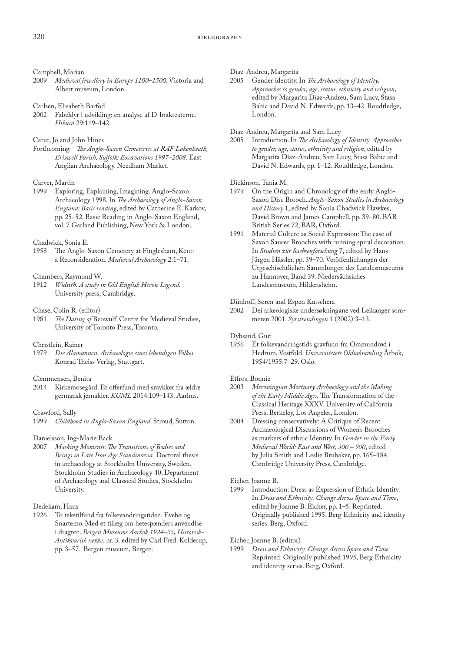# Campbell, Marian<br>2009 Medieval je

- 2009 *Medieval jewellery in Europe 1100*–*1500*. Victoria and Albert museum, London.
- Carlsen, Elisabeth Barfod
- 2002 Fabeldyr i udvikling: en analyse af D-brakteaterne. *Hikuin* 29:119–142.

### Carut, Jo and John Hines

Forthcoming *The Anglo-Saxon Cemeteries at RAF Lakenheath, Eriswell Parish, Suffolk: Excavations 1997–2008.* East Anglian Archaeology. Needham Market.

### Carver, Martin

1999 Exploring, Explaining, Imagining. Anglo-Saxon Archaeology 1998. In *The Archaeology of Anglo-Saxon England: Basic reading*, edited by Catherine E. Karkov, pp. 25–52. Basic Reading in Anglo-Saxon England, vol. 7*.*Garland Publishing, New York & London.

### Chadwick, Sonia E.

1958 The Anglo-Saxon Cemetery at Finglesham, Kent: a Reconsideration. *Medieval Archaeology* 2:1–71.

### Chambers, Raymond W.

1912 *Widsith. A study in Old English Heroic Legend.* University press, Cambridge.

### Chase, Colin R. (editor)

1981 *The Dating of* Beowulf. Centre for Medieval Studies, University of Toronto Press, Toronto.

### Christlein, Rainer

1979 *Die Alamannen. Archäeologie eines lebendigen Volkes.* Konrad Theiss Verlag, Stuttgart.

### Clemmensen, Benita

2014 Kirkemosegård. Et offerfund med smykker fra ældre germansk jernalder. *KUML* 2014:109–143. Aarhus.

### Crawford, Sally

1999 *Childhood in Anglo-Saxon England*. Stroud, Sutton.

### Danielsson, Ing-Marie Back

2007 *Masking Moments. The Transitions of Bodies and Beings in Late Iron Age Scandinavia.* Doctoral thesis in archaeology at Stockholm University, Sweden. Stockholm Studies in Archaeology 40, Department of Archaeology and Classical Studies, Stockholm University.

## Dedekam, Hans<br>1926 To teksti

To tekstilfund fra folkevandringstiden. Evebø og Snartemo. Med et tillæg om hetespænders anvendlse i dragten. *Bergen Museums Aarbok 1924*–*25, Historisk-Antikvarisk række,* nr. 3*,* edited by Carl Fred. Kolderup, pp. 3–57. Bergen museum, Bergen.

# Díaz-Andreu, Margarita

Gender identity. In *The Archaeology of Identity*. *Approaches to gender, age, status, ethnicity and religion*, edited by Margarita Díaz-Andreu, Sam Lucy, Stasa Babic and David N. Edwards, pp. 13–42. Roudtledge, London.

Díaz-Andreu, Margarita and Sam Lucy

2005 Introduction. In *The Archaeology of Identity. Approaches to gender, age, status, ethnicity and religion*, edited by Margarita Díaz-Andreu, Sam Lucy, Stasa Babic and David N. Edwards, pp. 1–12. Roudtledge, London.

# Dickinson, Tania M.<br>1979 On the Origi

- On the Origin and Chronology of the early Anglo-Saxon Disc Brooch. *Anglo-Saxon Studies in Archaeology and History* 1, edited by Sonia Chadwick Hawkes, David Brown and James Campbell, pp. 39–80. BAR British Series 72, BAR, Oxford.
- 1991 Material Culture as Social Expression: The case of Saxon Saucer Brooches with running spiral decoration. In *Studien zür Sachsenforschung* 7, edited by Hans-Jürgen Hässler, pp. 39–70. Veröffenlichungen der Urgeschischtlichen Sammlungen des Landesmuseums zu Hannover, Band 39. Niedersächsiches Landesmuseum, Hildensheim.

# Diinhoff, Søren and Espen Kutschera<br>2002 Dei arkeologiske undersøknin

2002 Dei arkeologiske undersøkningane ved Leikanger sommeren 2001. *Syrstrendingen* 1 (2002):3–13*.*

### Dybsand, Guri

1956 Et folkevandringstids gravfunn fra Ommundrød i Hedrum, Vestfold. *Universitetets Oldsaksamling* Årbok*,*  1954/1955:7–29. Oslo.

### Effros, Bonnie

- 2003 *Merovingian Mortuary Archaeology and the Making of the Early Middle Ages.* The Transformation of the Classical Heritage XXXV. University of California Press, Berkeley, Los Angeles, London.
- 2004 Dressing conservatively: A Critique of Recent Archaeological Discussions of Women's Brooches as markers of ethnic Identity. In *Gender in the Early Medieval World: East and West, 300 – 900*, edited by Julia Smith and Leslie Brubaker, pp. 165–184. Cambridge University Press, Cambridge.

# Eicher, Joanne B.

Introduction: Dress as Expression of Ethnic Identity. In *Dress and Ethnicity. Change Across Space and Time*, edited by Joanne B. Eicher, pp. 1–5. Reprinted. Originally published 1995, Berg Ethnicity and identity series. Berg, Oxford.

# Eicher, Joanne B. (editor)<br>1999 Dress and Ethnicia

Dress and Ethnicity. Change Across Space and Time. Reprinted. Originally published 1995, Berg Ethnicity and identity series. Berg, Oxford.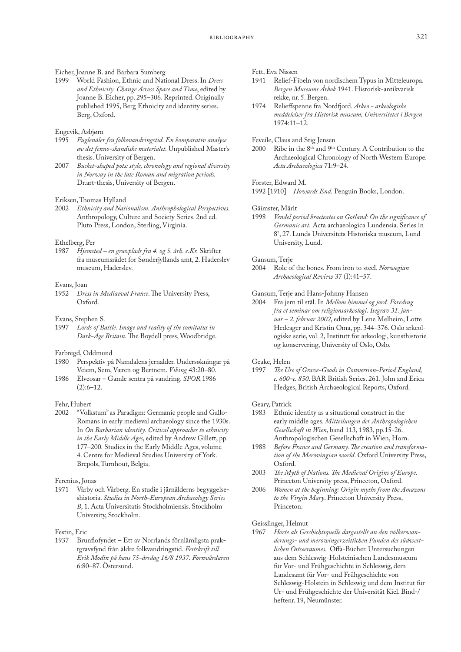# Eicher, Joanne B. and Barbara Sumberg

1999 World Fashion, Ethnic and National Dress. In *Dress and Ethnicity. Change Across Space and Time*, edited by Joanne B. Eicher, pp. 295–306. Reprinted. Originally published 1995, Berg Ethnicity and identity series. Berg, Oxford.

### Engevik, Asbjørn

- 1995 *Fuglenåler fra folkevandringstid. En komparativ analyse av det fenno-skandiske materialet.* Unpublished Master's thesis. University of Bergen.
- 2007 *Bucket-shaped pots: style, chronology and regional diversity in Norway in the late Roman and migration periods.* Dr.art-thesis, University of Bergen.

### Eriksen, Thomas Hylland

2002 *Ethnicity and Nationalism*. *Anthrophological Perspectives.* Anthropology, Culture and Society Series. 2nd ed. Pluto Press, London, Sterling, Virginia.

#### Ethelberg, Per

1987 *Hjemsted – en gravplads fra 4. og 5. årh. e.Kr.* Skrifter fra museumsrådet for Sønderjyllands amt, 2. Haderslev museum, Haderslev.

### Evans, Joan

1952 *Dress in Mediaeval France*. The University Press, Oxford.

### Evans, Stephen S.

1997 *Lords of Battle. Image and reality of the comitatus in Dark-Age Britain.* The Boydell press, Woodbridge.

# Farbregd, Oddmund<br>1980 Perspektiv på

- Perspektiv på Namdalens jernalder. Undersøkningar på Veiem, Sem, Væren og Bertnem. *Viking* 43:20–80.
- 1986 Elveosar Gamle sentra på vandring. *SPOR* 1986  $(2):6-12.$

# Fehr, Hubert<br>2002 "Volk

"Volkstum" as Paradigm: Germanic people and Gallo-Romans in early medieval archaeology since the 1930s. In *On Barbarian identity. Critical approaches to ethnicity in the Early Middle Ages*, edited by Andrew Gillett, pp. 177–200*.* Studies in the Early Middle Ages, volume 4. Centre for Medieval Studies University of York. Brepols, Turnhout, Belgia.

## Ferenius, Jonas

Vårby och Vårberg. En studie i järnålderns begyggelseshistoria. *Studies in North-European Archaeology Series B*, 1. Acta Universitatis Stockholmiensis. Stockholm University, Stockholm.

### Festin, Eric

1937 Brunflofyndet – Ett av Norrlands förnlämligsta praktgravsfynd från äldre folkvandringstid. *Festskrift till Erik Modin på hans 75-årsdag 16/8 1937. Fornvårdaren*  6:80–87. Östersund.

# Fett, Eva Nissen<br>1941 Relief-Fi

- Relief-Fibeln von nordischem Typus in Mitteleuropa. *Bergen Museums Årbok* 1941. Historisk-antikvarisk rekke, nr. 5. Bergen.
- 1974 Relieffspenne fra Nordfjord. *Arkeo arkeologiske meddelelser fra Historisk museum, Universitetet i Bergen*  1974:11–12.

## Feveile, Claus and Stig Jensen<br>2000 Ribe in the 8<sup>th</sup> and 9<sup>th</sup>

Ribe in the 8<sup>th</sup> and 9<sup>th</sup> Century. A Contribution to the Archaeological Chronology of North Western Europe. *Acta Archaeologica* 71:9–24.

### Forster, Edward M.

1992 [1910] *Howards End.* Penguin Books, London.

### Gäimster, Märit

1998 *Vendel period bracteates on Gotland: On the significance of Germanic art.* Acta archaeologica Lundensia. Series in 8°, 27. Lunds Universitets Historiska museum, Lund University, Lund.

### Gansum, Terje

2004 Role of the bones. From iron to steel. *Norwegian Archaeological Review* 37 (I):41–57.

# Gansum, Terje and Hans-Johnny Hansen<br>2004 Fra jern til stål. In Mellom himmel

2004 Fra jern til stål. In *Mellom himmel og jord. Foredrag fra et seminar om religionsarkeologi. Isegrav 31. januar – 2. februar 2002*, edited by Lene Melheim, Lotte Hedeager and Kristin Oma, pp. 344–376. Oslo arkeologiske serie, vol. 2, Institutt for arkeologi, kunsthistorie og konservering, University of Oslo, Oslo.

### Geake, Helen

1997 *The Use of Grave-Goods in Conversion-Period England, c. 600*–*c. 850*. BAR British Series. 261. John and Erica Hedges, British Archaeological Reports, Oxford.

# Geary, Patrick<br>1983 Ethnic

- Ethnic identity as a situational construct in the early middle ages. *Mitteilungen der Anthropologichen Gesellschaft in Wien*, band 113, 1983, pp.15-26. Anthropologischen Gesellschaft in Wien, Horn.
- 1988 *Before France and Germany. The creation and transformation of the Merovingian world*. Oxford University Press, Oxford.
- 2003 *The Myth of Nations. The Medieval Origins of Europe.*  Princeton University press, Princeton, Oxford.
- 2006 *Women at the beginning: Origin myths from the Amazons to the Virgin Mary*. Princeton University Press, Princeton.

## Geisslinger, Helmut<br>1967 Horte als Ges

1967 *Horte als Geschichtsquelle dargestellt an den völkerwanderungs- und merowingerzeitlichen Funden des südwestlichen Ostseeraumes*.  [Offa-Bücher. Untersuchungen](http://ask.bibsys.no/ask/action/show?pid=813139244&kid=biblio)  [aus dem Schleswig-Holsteinischen Landesmuseum](http://ask.bibsys.no/ask/action/show?pid=813139244&kid=biblio)  [für Vor- und Frühgeschichte in Schleswig, dem](http://ask.bibsys.no/ask/action/show?pid=813139244&kid=biblio)  [Landesamt für Vor- und Frühgeschichte von](http://ask.bibsys.no/ask/action/show?pid=813139244&kid=biblio)  [Schleswig-Holstein in Schleswig und dem Institut für](http://ask.bibsys.no/ask/action/show?pid=813139244&kid=biblio)  [Ur- und Frühgeschichte der Universität Kiel](http://ask.bibsys.no/ask/action/show?pid=813139244&kid=biblio). Bind-/ heftenr. 19, Neumünster.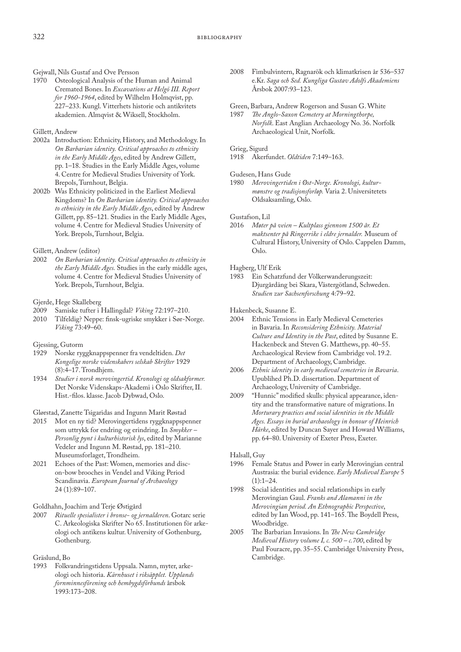Gejwall, Nils Gustaf and Ove Persson

1970 Osteological Analysis of the Human and Animal Cremated Bones. In *Excavations at Helgö III. Report for 1960-1964*, edited by Wilhelm Holmqvist, pp. 227–233. Kungl. Vitterhets historie och antikvitets akademien. Almqvist & Wiksell, Stockholm.

### Gillett, Andrew

- 2002a Introduction: Ethnicity, History, and Methodology. In *On Barbarian identity. Critical approaches to ethnicity in the Early Middle Ages*, edited by Andrew Gillett, pp. 1–18. Studies in the Early Middle Ages, volume 4. Centre for Medieval Studies University of York. Brepols, Turnhout, Belgia.
- 2002b Was Ethnicity politicized in the Earliest Medieval Kingdoms? In *On Barbarian identity. Critical approaches to ethnicity in the Early Middle Ages*, edited by Andrew Gillett, pp. 85–121*.* Studies in the Early Middle Ages, volume 4. Centre for Medieval Studies University of York. Brepols, Turnhout, Belgia.

### Gillett, Andrew (editor)

2002 *On Barbarian identity. Critical approaches to ethnicity in the Early Middle Ages.* Studies in the early middle ages, volume 4. Centre for Medieval Studies University of York. Brepols, Turnhout, Belgia.

# Gjerde, Hege Skalleberg

- 2009 Samiske tufter i Hallingdal? *Viking* 72:197–210.
- 2010 Tilfeldig? Neppe: finsk-ugriske smykker i Sør-Norge. *Viking* 73:49–60.

### Gjessing, Gutorm

- 1929 Norske ryggknappspenner fra vendeltiden. *Det Kongelige norske videnskabers selskab Skrifter* 1929 (8):4–17. Trondhjem.
- 1934 *Studier i norsk merovingertid. Kronologi og oldsakformer.*  Det Norske Videnskaps-Akademi i Oslo Skrifter, II. Hist.-filos. klasse. Jacob Dybwad, Oslo.

### Glørstad, Zanette Tsigaridas and Ingunn Marit Røstad

- 2015 Mot en ny tid? Merovingertidens ryggknappspenner som uttrykk for endring og erindring. In *Smykker – Personlig pynt i kulturhistorisk lys*, edited by Marianne Vedeler and Ingunn M. Røstad, pp. 181–210. Museumsforlaget, Trondheim.
- 2021 Echoes of the Past: Women, memories and discon-bow brooches in Vendel and Viking Period Scandinavia. *European Journal of Archaeology* 24 (1):89–107.

# Goldhahn, Joachim and Terje Østigård<br>2007 Rituelle spesialister i bronse- og je

2007 *Rituelle spesialister i bronse- og jernalderen*. Gotarc serie C. Arkeologiska Skrifter No 65. Institutionen för arkeologi och antikens kultur. University of Gothenburg, Gothenburg.

# Gräslund, Bo

Folkvandringstidens Uppsala. Namn, myter, arkeologi och historia. *Kärnhuset i riksäpplet. Upplands fornminnesförening och hembygdsförbunds* årsbok 1993:173–208.

2008 Fimbulvintern, Ragnarök och klimatkrisen år 536–537 e.Kr. *Saga och Sed. Kungliga Gustav Adolfs Akademiens*  Årsbok 2007:93–123.

# Green, Barbara, Andrew Rogerson and Susan G. White<br>1987 The Anglo-Saxon Cemetery at Morningthorpe,

1987 *The Anglo-Saxon Cemetery at Morningthorpe, Norfolk*. East Anglian Archaeology No. 36. Norfolk Archaeological Unit, Norfolk.

### Grieg, Sigurd

1918 Akerfundet. *Oldtiden* 7:149–163.

### Gudesen, Hans Gude

1980 *Merovingertiden i Øst-Norge. Kronologi, kulturmønstre og tradisjonsforløp.* Varia 2. Universitetets Oldsaksamling, Oslo.

### Gustafson, Lil

2016 *Møter på veien – Kultplass gjennom 1500 år. Et maktsenter på Ringerrike i eldre jernalder.* Museum of Cultural History, University of Oslo. Cappelen Damm, Oslo.

### Hagberg, Ulf Erik

1983 Ein Schatzfund der Völkerwanderungszeit: Djurgårdäng bei Skara, Västergötland, Schweden. *Studien zur Sachsenforschung* 4:79–92.

Hakenbeck, Susanne E.

- 2004 Ethnic Tensions in Early Medieval Cemeteries in Bavaria. In *Reconsidering Ethnicity. Material Culture and Identity in the Past*, edited by Susanne E. Hackenbeck and Steven G. Matthews, pp. 40–55. Archaeological Review from Cambridge vol. 19.2. Department of Archaeology, Cambridge.
- 2006 *Ethnic identity in early medieval cemeteries in Bavaria*. Upublihed Ph.D. dissertation. Department of Archaeology, University of Cambridge.
- 2009 "Hunnic" modified skulls: physical appearance, identity and the transformative nature of migrations. In *Morturary practices and social identities in the Middle Ages. Essays in burial archaeology in honour of Heinrich Härke*, edited by Duncan Sayer and Howard Williams, pp. 64–80. University of Exeter Press, Exeter.

# Halsall, Guy<br>1996 Fema

- Female Status and Power in early Merovingian central Austrasia: the burial evidence. *Early Medieval Europe* 5  $(1):1-24.$
- 1998 Social identities and social relationships in early Merovingian Gaul. *Franks and Alamanni in the Merovingian period. An Ethnographic Perspective*, edited by Ian Wood, pp. 141–165. The Boydell Press, Woodbridge.
- 2005 The Barbarian Invasions. In *The New Cambridge Medieval History volume I, c. 500 – c.700*, edited by Paul Fouracre, pp. 35–55. Cambridge University Press, Cambridge.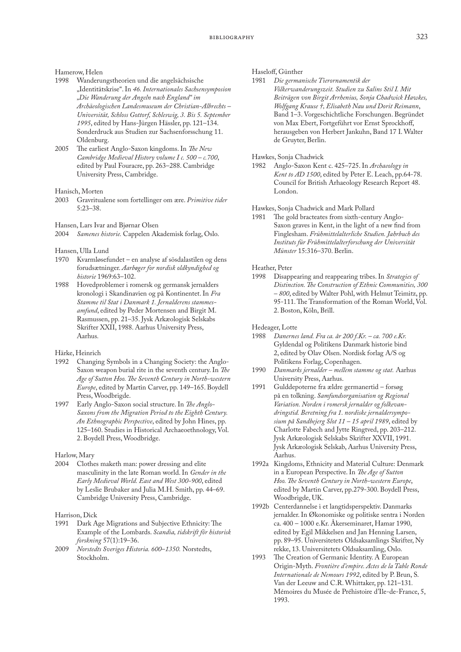# Hamerow, Helen

- Wanderungstheorien und die angelsächsische "Identitätskrise". In *46. Internationales Sachsensymposion "Die Wanderung der Angeln nach England" im Archäeologischen Landesmuseum der Christian-Albrechts – Universität, Schloss Gottorf, Schleswig, 3. Bis 5. September 1995*, edited by Hans-Jürgen Hässler, pp. 121–134. Sonderdruck aus Studien zur Sachsenforsschung 11. Oldenburg.
- 2005 The earliest Anglo-Saxon kingdoms. In *The New Cambridge Medieval History volume I c. 500 – c.700*, edited by Paul Fouracre, pp. 263–288. Cambridge University Press, Cambridge.

## Hanisch, Morten

2003 Gravritualene som fortellinger om ære. *Primitive tider* 5:23–38.

Hansen, Lars Ivar and Bjørnar Olsen

2004 *Samenes historie.* Cappelen Akademisk forlag, Oslo.

### Hansen, Ulla Lund

- 1970 Kvarmløsefundet en analyse af sösdalastilen og dens forudsætninger. *Aarbøger for nordisk oldkyndighed og historie* 1969:63–102.
- 1988 Hovedproblemer i romersk og germansk jernalders kronologi i Skandinavien og på Kontinentet. In *Fra Stamme til Stat i Danmark 1. Jernalderens stammesamfund*, edited by Peder Mortensen and Birgit M. Rasmussen, pp. 21–35. Jysk Arkæologisk Selskabs Skrifter XXII, 1988. Aarhus University Press, Aarhus*.*

### Härke, Heinrich

- 1992 Changing Symbols in a Changing Society: the Anglo-Saxon weapon burial rite in the seventh century. In *The Age of Sutton Hoo. The Seventh Century in North-western Europe*, edited by Martin Carver, pp. 149–165. Boydell Press, Woodbrigde.
- 1997 Early Anglo-Saxon social structure. In *The Anglo-Saxons from the Migration Period to the Eighth Century. An Ethnographic Perspective*, edited by John Hines, pp. 125–160. Studies in Historical Archaeoethnology, Vol. 2. Boydell Press, Woodbridge.

### Harlow, Mary

2004 Clothes maketh man: power dressing and elite masculinity in the late Roman world. In *Gender in the Early Medieval World. East and West 300-900*, edited by Leslie Brubaker and Julia M.H. Smith, pp. 44–69. Cambridge University Press, Cambridge.

### Harrison, Dick

- 1991 Dark Age Migrations and Subjective Ethnicity: The Example of the Lombards. *Scandia, tidskrift för historisk forskning* 57(1):19–36.
- 2009 *Norstedts Sveriges Historia. 600*–*1350.* Norstedts, Stockholm.

### Haseloff, Günther

1981 *Die germanische Tierornamentik der Völkerwanderungszeit. Studien zu Salins Stil I. Mit Beiträgen von Birgit Arrhenius, Sonja Chadwick Hawkes, Wolfgang Krause †, Elisabeth Nau und Dorit Reimann*, Band 1–3. Vorgeschichtliche Forschungen. Begründet von Max Ebert, Fortgeführt vor Ernst Sprockhoff, herausgeben von Herbert Jankuhn, Band 17 I. Walter de Gruyter, Berlin.

Hawkes, Sonja Chadwick 1982 Anglo-Saxon Kent c. 425–725. In *Archaeology in Kent to AD 1500*, edited by Peter E. Leach, pp.64-78. Council for British Arhaeology Research Report 48. London.

# Hawkes, Sonja Chadwick and Mark Pollard

The gold bracteates from sixth-century Anglo-Saxon graves in Kent, in the light of a new find from Finglesham. *Frühmittelalterliche Studien. Jahrbuch des Instituts für Frühmittelalterforschung der Universität Münster* 15:316–370. Berlin.

### Heather, Peter

1998 Disappearing and reappearing tribes. In *Strategies of Distinction. The Construction of Ethnic Communities, 300 – 800*, edited by Walter Pohl, with Helmut Teimitz, pp. 95-111. The Transformation of the Roman World, Vol. 2. Boston, Köln, Brill.

Hedeager, Lotte

- 1988 *Danernes land. Fra ca. år 200 f.Kr. ca. 700 e.Kr.* Gyldendal og Politikens Danmark historie bind 2, edited by Olav Olsen. Nordisk forlag A/S og Politikens Forlag, Copenhagen.
- 1990 *Danmarks jernalder mellem stamme og stat.* Aarhus University Press, Aarhus.
- 1991 Gulddepoterne fra ældre germanertid forsøg på en tolkning. *Samfundsorganisation og Regional Variation. Norden i romersk jernalder og folkevandringstid. Beretning fra 1. nordiske jernaldersymposium på Sandbejerg Slot 11 – 15 april 1989*, edited by Charlotte Fabech and Jytte Ringtved, pp. 203–212. Jysk Arkæologisk Selskabs Skrifter XXVII, 1991. Jysk Arkæologisk Selskab, Aarhus University Press, Aarhus.
- 1992a Kingdoms, Ethnicity and Material Culture: Denmark in a European Perspective. In *The Age of Sutton Hoo. The Seventh Century in North-western Europe*, edited by Martin Carver, pp.279-300. Boydell Press, Woodbrigde, UK.
- 1992b Centerdannelse i et langtidsperspektiv. Danmarks jernalder. In Økonomiske og politiske sentra i Norden ca. 400 – 1000 e.Kr. Åkerseminaret, Hamar 1990, edited by Egil Mikkelsen and Jan Henning Larsen, pp. 89–95. Universitetets Oldsaksamlings Skrifter, Ny rekke, 13. Universitetets Oldsaksamling, Oslo.
- 1993 The Creation of Germanic Identity. A European Origin-Myth. *Frontière d'empire. Actes de la Table Ronde Internationale de Nemours 1992*, edited by P. Brun, S. Van der Leeuw and C.R. Whittaker, pp. 121–131*.* Mémoires du Musée de Préhistoire d'Ile-de-France, 5, 1993.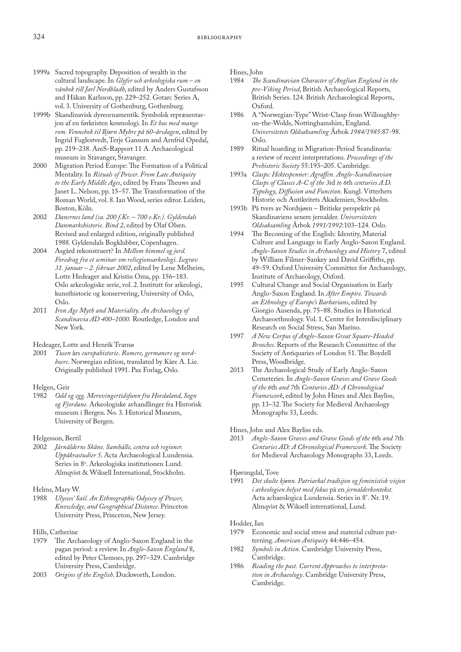- 1999a Sacred topography. Deposition of wealth in the cultural landscape. In *Glyfer och arkeologiska rum – en vänbok till Jarl Nordbladh*, edited by Anders Gustafsson and Håkan Karlsson, pp. 229–252. Gotarc Series A, vol. 3. University of Gothenburg, Gothenburg.
- 1999b Skandinavisk dyreornamentik. Symbolsk repræsentasjon af en førkristen kosmologi. In *Et hus med mange rom. Vennebok til Bjørn Myhre på 60-årsdagen*, edited by Ingrid Fuglestvedt, Terje Gansum and Arnfrid Opedal, pp. 219–238. AmS-Rapport 11 A. Archaeological museum in Stavanger, Stavanger.
- 2000 Migration Period Europe: The Formation of a Political Mentality. In *Rituals of Power. From Late Antiquity to the Early Middle Ages*, edited by Frans Theuws and Janet L. Nelson, pp. 15–57. The Transformation of the Roman World, vol. 8. Ian Wood, series editor. Leiden, Boston, Köln.
- 2002 *Danernes land (ca. 200 f.Kr. 700 e.Kr.). Gyldendals Danmarkshistorie. Bind 2*, edited by Olaf Olsen. Revised and enlarged edition, originally published 1988. Gyldendals Bogklubber, Copenhagen.
- 2004 Asgård rekonstruert? In *Mellom himmel og jord. Foredrag fra et seminar om reliegionsarkeologi. Isegrav 31. januar – 2. februar 2002*, edited by Lene Melheim, Lotte Hedeager and Kristin Oma, pp. 156–183. Oslo arkeologiske serie, vol. 2. Institutt for arkeologi, kunsthistorie og konservering, University of Oslo, Oslo.
- 2011 *Iron Age Myth and Materiality. An Archaeology of Scandinavia AD 400–1000.* Routledge, London and New York.

Hedeager, Lotte and Henrik Tvarnø

- 2001 *Tusen* års *europahistorie*. *Romere, germanere og nordboere*. Norwegian edition, translated by Kåre A. Lie. Originally published 1991. Pax Forlag, Oslo.
- Helgen, Geir
- 1982 *Odd og egg. Merovingertidsfunn fra Hordaland, Sogn og Fjordane.* Arkeologiske avhandlinger fra Historisk museum i Bergen. No. 3. Historical Museum, University of Bergen.
- Helgesson, Bertil
- 2002 *Järnålderns Skåne. Samhälle, centra och regioner. Uppåkrastudier 5*. Acta Archaeological Lundensia. Series in 8°. Arkeologiska institutionen Lund. Almqvist & Wiksell International, Stockholm.
- Helms, Mary W.<br>1988 *Ulysses' St*
- 1988 *Ulysses' Sail. An Ethnographic Odyssey of Power, Knowledge, and Geographical Distance.* Princeton University Press, Princeton, New Jersey.
- Hills, Catherine<br>1979 The Arc
- The Archaeology of Anglo-Saxon England in the pagan period: a review. In *Anglo-Saxon England* 8, edited by Peter Clemoes, pp. 297–329. Cambridge University Press, Cambridge.
- 2003 *Origins of the English*. Duckworth, London.

Hines, John

- 1984 *The Scandinavian Character of Anglian England in the pre-Viking Period*, British Archaeological Reports, British Series. 124. British Archaeological Reports, Oxford.
- 1986 A "Norwegian-Type" Wrist-Clasp from Willoughbyon-the-Wolds, Nottinghamshire, England. *Universitetets Oldsaksamling* Årbok *1984/1985*:87-98. Oslo.
- 1989 Ritual hoarding in Migration-Period Scandinavia: a review of recent interpretations. *Proceedings of the Prehistoric Society* 55:193–205. Cambridge.
- 1993a *Clasps: Hektespenner: Agraffen. Anglo-Scandinavian Clasps of Classes A-C of the 3*rd *to 6*th *centuries A.D. Typology, Diffusion and Function*. Kungl. Vitterhets Historie och Antikvitets Akademien, Stockholm.
- 1993b På tvers av Nordsjøen Britiske perspektiv på Skandinaviens senere jernalder. *Universitetets Oldsaksamling* Årbok *1991/1992*:103–124. Oslo.
- 1994 The Becoming of the English: Identity, Material Culture and Language in Early Anglo-Saxon England. *Anglo-Saxon Studies in Archaeology and History* 7, edited by William Filmer-Sankey and David Griffiths, pp. 49–59. Oxford University Committee for Archaeology, Institute of Archaeology, Oxford.
- 1995 Cultural Change and Social Organisation in Early Anglo-Saxon England. In *After Empire. Towards an Ethnology of Europe's Barbarians*, edited by Giorgio Ausenda, pp. 75–88. Studies in Historical Archaeoethnology. Vol. 1. Center for Interdisciplinary Research on Social Stress, San Marino.
- 1997 *A New Corpus of Anglo-Saxon Great Square-Headed Brooches*. Reports of the Research Committee of the Society of Antiquaries of London 51. The Boydell Press, Woodbridge.
- 2013 The Archaeological Study of Early Anglo-Saxon Cemeteries. In *Anglo-Saxon Graves and Grave Goods of the 6*th *and 7*th *Centuries AD: A Chronological Framework*, edited by John Hines and Alex Bayliss, pp. 13–32. The Society for Medieval Archaeology Monographs 33, Leeds.

Hines, John and Alex Bayliss eds.

2013 *Anglo-Saxon Graves and Grave Goods of the 6*th *and 7*th *Centuries AD: A Chronological Framework*. The Society for Medieval Archaeology Monographs 33, Leeds.

Hjørungdal, Tove<br>1991 Det skulte 1991 *Det skulte kjønn. Patriarkal tradisjon og feministisk visjon i arkeologien belyst med fokus* på en *jernalderkontekst.*  Acta achaeologica Lundensia. Series in 8°. Nr. 19. Almqvist & Wiksell international, Lund.

# Hodder, Ian

- Economic and social stress and material culture patterning. *American Antiquity* 44:446–454.
- 1982 *Symbols in Action*. Cambridge University Press, Cambridge.
- 1986 *Reading the past. Current Approaches to interpretation in Archaeology*. Cambridge University Press, Cambridge.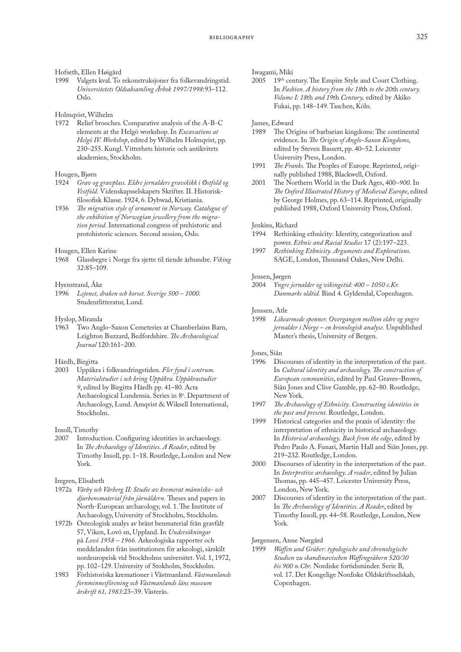Hofseth, Ellen Høigård

Valgets kval. To rekonstruksjoner fra folkevandringstid. *Universitetets Oldsaksamling Årbok 1997/1998*:93–112. Oslo.

Holmqvist, Wilhelm

1972 Relief brooches. Comparative analysis of the A-B-C elements at the Helgö workshop. In *Excavations at Helgö IV. Workshop*, edited by Wilhelm Holmqvist, pp. 230–255. Kungl. Vitterhets historie och antikvitets akademien, Stockholm.

## Hougen, Bjørn<br>1924 Grav og

- 1924 *Grav og gravplass. Eldre jernalders gravskikk i Østfold og Vestfold.* Videnskapsselskapets Skrifter. II. Historiskfilosofisk Klasse. 1924, 6. Dybwad, Kristiania.
- 1936 *The migration style of ornament in Norway. Catalogue of the exhibition of Norwegian jewellery from the migration period.* International congress of prehistoric and protohistoric sciences. Second session, Oslo.

# Hougen, Ellen Karine

1968 Glassbegre i Norge fra sjette til tiende århundre. *Viking*  32:85–109.

# Hyenstrand, Åke<br>1996 *Leionet, d*

Lejonet, draken och korset. Sverige 500 – 1000. Studentlitteratur, Lund.

Hyslop, Miranda

1963 Two Anglo-Saxon Cemeteries at Chamberlains Barn, Leighton Buzzard, Bedfordshire. *The Archaeological Journal* 120:161–200.

### Hårdh, Birgitta

2003 Uppåkra i folkvandringstiden. *Fler fynd i centrum. Materialstudier i och kring Uppåkra. Uppåkrastudier 9*, edited by Birgitta Hårdh pp. 41–80. Acta Archaeological Lundensia. Series in 8°. Department of Archaeology, Lund. Amqvist & Wiksell International, Stockholm.

Insoll, Timothy

2007 Introduction. Configuring identities in archaeology. In *The Archaeology of Identities. A Reader*, edited by Timothy Insoll, pp. 1–18. Routledge, London and New York.

Iregren, Elisabeth

1972a *Vårby och Vårberg II: Studie av kremerat människo- och djurbensmaterial från järnåldern.* [Theses and papers in](http://ask.bibsys.no/ask/action/show?pid=822156075&kid=biblio)  [North-European archaeology, vol. 1. The Institute of](http://ask.bibsys.no/ask/action/show?pid=822156075&kid=biblio)  [Archaeology, University of Stockholm,](http://ask.bibsys.no/ask/action/show?pid=822156075&kid=biblio) Stockholm.

- 1972b Osteologisk analys av bränt benmaterial från gravfält 57, Viken, Lovö sn, Uppland. In *Undersökningar* på *Lovö 1958 – 1966.* Arkeologiska rapporter och meddelanden från institutionen för arkeologi, särskilt nordeuropeisk vid Stockholms universitet. Vol. 1, 1972, pp. 102–129. University of Stokholm, Stockholm.
- 1983 Förhistoriska kremationer i Västmanland. *Västmanlands fornminnesförening och Västmanlands läns museum årskrift 61, 1983*:23–39. Västerås.

Iwagami, Miki

19th century. The Empire Style and Court Clothing. In *Fashion. A history from the 18*th *to the 20*th *century. Volume I: 18*th *and 19*th *Century,* edited by Akiko Fukai, pp. 148–149. Taschen, Köln.

## James, Edward

- The Origins of barbarian kingdoms: The continental evidence. In *The Origin of Anglo-Saxon Kingdoms*, edited by Steven Bassett, pp. 40–52. Leicester University Press, London.
- 1991 *The Franks.* The Peoples of Europe. Reprinted, originally published 1988, Blackwell, Oxford.
- 2001 The Northern World in the Dark Ages, 400*–900.* In *The Oxford Illustrated History of Medieval Europe*, edited by George Holmes, pp. 63–114. Reprinted, originally published 1988, Oxford University Press, Oxford.

#### Jenkins, Richard

- 1994 Rethinking ethnicity: Identity, categorization and power. *Ethnic and Racial Studies* 17 (2):197–223.
- 1997 *Rethinking Ethnicity. Arguments and Explorations*. SAGE, London, Thousand Oakes, New Delhi.

## Jensen, Jørgen<br>2004 Yngre

2004 *Yngre jernalder og vikingetid: 400 – 1050 e.Kr. Danmarks oldtid.* Bind 4. Gyldendal, Copenhagen.

#### Jenssen, Atle

1998 *Likearmede spenner. Overgangen mellom eldre og yngre jernalder i Norge – en kronologisk analyse.* Unpublished Master's thesis, University of Bergen.

Jones, Siân<br>1996 Dis

- Discourses of identity in the interpretation of the past. In *Cultural identity and archaeology. The construction of European communities*, edited by Paul Graves–Brown, Siân Jones and Clive Gamble, pp. 62–80. Routledge, New York.
- 1997 *The Archaeology of Ethnicity. Constructing identities in the past and present*. Routledge, London.
- 1999 Historical categories and the praxis of identity: the interpretation of ethnicity in historical archaeology. In *Historical archaeology. Back from the edge*, edited by Pedro Paulo A. Funari, Martin Hall and Siân Jones, pp. 219–232. Routledge, London.
- 2000 Discourses of identity in the interpretation of the past. In *Interpretive archaeology. A reader*, edited by Julian Thomas, pp. 445–457. Leicester University Press, London, New York.
- 2007 Discourses of identity in the interpretation of the past. In *The Archaeology of Identities. A Reader*, edited by Timothy Insoll, pp. 44–58. Routledge, London, New York.

Jørgensen, Anne Nørgård

1999 *Waffen und Gräber: typologische und chronologische Studien zu skandinavischen Waffengräbern 520/30 bis 900 n.Chr.* Nordiske fortidsminder. Serie B, vol. 17. Det Kongelige Nordiske Oldskriftsselskab, Copenhagen.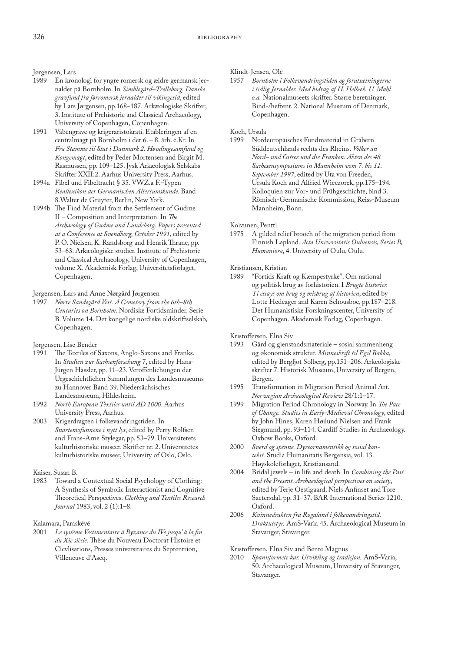Jørgensen, Lars

- En kronologi for yngre romersk og ældre germansk jernalder på Bornholm. In *Simblegård–Trelleborg. Danske gravfund fra førromersk jernalder til vikingetid*, edited by Lars Jørgensen, pp.168–187. Arkæologiske Skrifter, 3. Institute of Prehistoric and Classical Archaeology, University of Copenhagen, Copenhagen.
- 1991 Våbengrave og krigeraristokrati. Etableringen af en centralmagt på Bornholm i det 6. – 8. årh. e.Kr. In *Fra Stamme til Stat i Danmark 2. Høvdingesamfund og Kongemagt*, edited by Peder Mortensen and Birgit M. Rasmussen, pp. 109–125. Jysk Arkæologisk Selskabs Skrifter XXII:2. Aarhus University Press, Aarhus*.*
- 1994a Fibel und Fibeltracht § 35. VWZ.a F.–Typen *Reallexikon der Germanischen Altertumskunde*. Band 8.Walter de Gruyter, Berlin, New York.
- 1994b The Find Material from the Settlement of Gudme II – Composition and Interpretation. In *The Archaeology of Gudme and Lundeborg. Papers presented at a Conference at Svendborg, October 1991*, edited by P. O. Nielsen, K. Randsborg and Henrik Thrane, pp. 53–63. Arkæologiske studier. Institute of Prehistoric and Classical Archaeology, University of Copenhagen, volume X. Akademisk Forlag, Universitetsforlaget, Copenhagen.

Jørgensen, Lars and Anne Nørgård Jørgensen<br>1997 Nørre Sandegård Vest. A Cemetery from

1997 *Nørre Sandegård Vest. A Cemetery from the 6th–8th Centuries on Bornholm*. Nordiske Fortidsminder. Serie B. Volume 14. Det kongelige nordiske oldskriftselskab, Copenhagen.

Jørgensen, Lise Bender

- 1991 The Textiles of Saxons, Anglo-Saxons and Franks. In *Studien zur Sachsenforschung* 7, edited by Hans-Jürgen Hässler, pp. 11–23. Veröffenlichungen der Urgeschichtlichen Sammlungen des Landesmuseums zu Hannover Band 39. Niedersächsisches Landesmuseum, Hildesheim.
- 1992 *North European Textiles until AD 1000*. Aarhus University Press, Aarhus.
- 2003 Krigerdragten i folkevandringstiden. In *Snartemofunnene i nytt lys*, edited by Perry Rolfsen and Frans-Arne Stylegar, pp. 53–79. Universitetets kulturhistoriske museer. Skrifter nr. 2. Universitetes kulturhistoriske museer, University of Oslo, Oslo.

### Kaiser, Susan B.

Toward a Contextual Social Psychology of Clothing: A Synthesis of Symbolic Interactionist and Cognitive Theoretical Perspectives. *Clothing and Textiles Research Journal* 1983, vol. 2 (1):1–8.

# Kalamara, Paraskévé<br>2001 – Le système Ve.

Le système Vestimentaire à Byzance du IVe jusqu' à la fin *du Xie siècle.* Thèse du Nouveau Doctorat Histoire et Cicvlisations, Presses universitaires du Septentrion, Villeneuve d'Ascq.

Klindt-Jensen, Ole

1957 *Bornholm i Folkevandringstiden og forutsætningerne i tidlig Jernalder. Med bidrag af H. Helbæk, U. Møhl o.a.* Nationalmuseets skrifter. Større beretninger. Bind-/heftenr. 2. National Museum of Denmark, Copenhagen.

# Koch, Ursula

1999 Nordeuropäisches Fundmaterial in Gräbern Süddeutschlands rechts des Rheins. *Völker an Nord– und Ostsee und die Franken. Akten des 48. Sachesensymposiums in Mannheim vom 7. bis 11. September 1997*, edited by Uta von Freeden, Ursula Koch and Alfried Wieczorek, pp.175–194*.* Kolloquien zur Vor- und Frühgeschichte, bind 3. Römisch-Germanische Kommission, Reiss-Museum Mannheim, Bonn.

Koivunen, Pentti

1975 A gilded relief brooch of the migration period from Finnish Lapland. *Acta Universitatis Ouluensis, Series B, Humaniora*, 4. University of Oulu, Oulu.

# Kristiansen, Kristian<br>1989 Fortids Krat

1989 "Fortids Kraft og Kæmpestyrke". Om national og politisk brug av forhistorien. I *Brugte historier. Ti essays om brug og misbrug af historien*, edited by Lotte Hedeager and Karen Schousboe, pp.187–218. Det Humanistiske Forskningscenter, University of Copenhagen. Akademisk Forlag, Copenhagen.

Kristoffersen, Elna Siv

- 1993 Gård og gjenstandsmateriale sosial sammenheng og økonomisk struktur. *Minneskrift til Egil Bakka*, edited by Bergljot Solberg, pp.151–206. Arkeologiske skrifter 7. Historisk Museum, University of Bergen, Bergen.
- 1995 Transformation in Migration Period Animal Art. *Norwegian Archaeological Review* 28/1:1–17.
- 1999 Migration Period Chronology in Norway. In *The Pace of Change. Studies in Early-Medieval Chronology*, edited by John Hines, Karen Høilund Nielsen and Frank Siegmund, pp. 93–114. Cardiff Studies in Archaeology. Oxbow Books, Oxford.
- 2000 *Sverd og spenne. Dyreornamentikk og sosial kontekst.* Studia Humanitatis Bergensia, vol. 13. Høyskoleforlaget, Kristiansand.
- 2004 Bridal jewels in life and death. In *Combining the Past and the Present. Archaeological perspectives on society*, edited by Terje Oestigaard, Niels Anfinset and Tore Saetersdal, pp. 31–37. BAR International Series 1210. Oxford.
- 2006 *Kvinnedrakten fra Rogaland i folkevandringstid. Draktutstyr.* AmS-Varia 45. Archaeological Museum in Stavanger, Stavanger.

Kristoffersen, Elna Siv and Bente Magnus<br>2010 Spannformete kar. Utvikling og tradi

2010 *Spannformete kar. Utvikling og tradisjon.* AmS-Varia, 50. Archaeological Museum, University of Stavanger, Stavanger.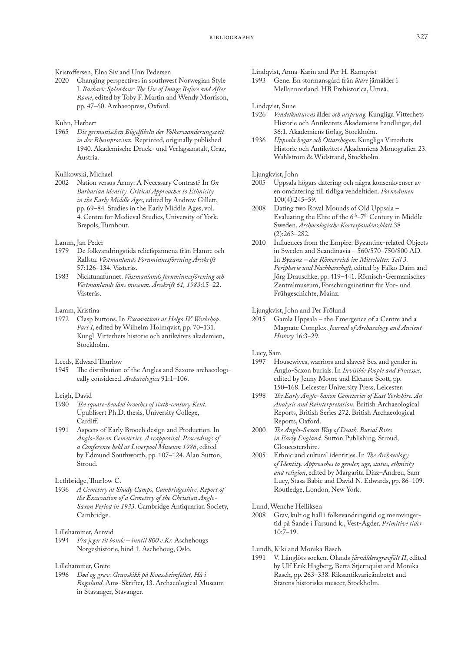# Kristoffersen, Elna Siv and Unn Pedersen<br>2020 Changing perspectives in southwe

Changing perspectives in southwest Norwegian Style I. *Barbaric Splendour: The Use of Image Before and After Rome*, edited by Toby F. Martin and Wendy Morrison, pp. 47–60. Archaeopress, Oxford.

### Kühn, Herbert

1965 *Die germanischen Bügelfibeln der Völkerwanderungszeit in der Rheinprovinz.* Reprinted, originally published 1940. Akademische Druck- und Verlagsanstalt, Graz, Austria.

### Kulikowski, Michael

2002 Nation versus Army: A Necessary Contrast? In *On Barbarian identity. Critical Approaches to Ethnicity in the Early Middle Ages*, edited by Andrew Gillett, pp. 69–84*.* Studies in the Early Middle Ages, vol. 4. Centre for Medieval Studies, University of York. Brepols, Turnhout.

### Lamm, Jan Peder

- 1979 De folkvandringstida reliefspännena från Hamre och Rallsta. *Västmanlands Fornminnesförening Årsskrift* 57:126–134. Västerås.
- 1983 Nicktunafunnet. *Västmanlands fornminnesförening och Västmanlands läns museum. Årsskrift 61, 1983*:15–22. Västerås.

#### Lamm, Kristina

1972 Clasp buttons. In *Excavations at Helgö IV. Workshop.*  Part I, edited by Wilhelm Holmqvist, pp. 70-131. Kungl. Vitterhets historie och antikvitets akademien, Stockholm.

Leeds, Edward Thurlow

1945 The distribution of the Angles and Saxons archaeologically considered. *Archaeologica* 91:1–106.

### Leigh, David

- 1980 *The square-headed brooches of sixth-century Kent.*  Upublisert Ph.D. thesis, University College, Cardiff.
- 1991 Aspects of Early Brooch design and Production. In *Anglo-Saxon Cemeteries. A reappraisal. Proceedings of a Conference held at Liverpool Museum 1986*, edited by Edmund Southworth, pp. 107–124. Alan Sutton, **Stroud.**

### Lethbridge, Thurlow C.

1936 *A Cemetery at Shudy Camps, Cambridgeshire. Report of the Excavation of a Cemetery of the Christian Anglo-Saxon Period in 1933.* Cambridge Antiquarian Society, Cambridge.

Lillehammer, Arnvid<br>1994 Fra jeger til bo

1994 *Fra jeger til bonde – inntil 800 e.Kr.* Aschehougs Norgeshistorie, bind 1. Aschehoug, Oslo.

### Lillehammer, Grete

1996 *Død og grav: Gravskikk på Kvassheimfeltet, Hå i Rogaland*. Ams-Skrifter, 13. Archaeological Museum in Stavanger, Stavanger.

# Lindqvist, Anna-Karin and Per H. Ramqvist<br>1993 Gene. En stormansgård från *äldre* jär

1993 Gene. En stormansgård från *äldre* järnålder i Mellannorrland. HB Prehistorica, Umeå.

### Lindqvist, Sune

- 1926 *Vendelkulturens* ålder *och ursprung.* Kungliga Vitterhets Historie och Antikvitets Akademiens handlingar, del 36:1. Akademiens förlag, Stockholm.
- 1936 *Uppsala högar och Ottarshögen*. Kungliga Vitterhets Historie och Antikvitets Akademiens Monografier, 23. Wahlström & Widstrand, Stockholm.

Ljungkvist, John<br>2005 Uppsala

- Uppsala högars datering och några konsenkvenser av en omdatering till tidliga vendeltiden. *Fornvännen* 100(4):245–59.
- 2008 Dating two Royal Mounds of Old Uppsala Evaluating the Elite of the  $6<sup>th</sup>-7<sup>th</sup>$  Century in Middle Sweden. *Archaeologische Korrespondenzblatt* 38 (2):263–282.
- 2010 Influences from the Empire: Byzantine-related Objects in Sweden and Scandinavia – 560/570–750/800 AD. In *Byzanz – das Römerreich im Mittelalter. Teil 3. Peripherie und Nachbarschaft*, edited by Falko Daim and Jörg Drauschke, pp. 419–441. Römisch-Germanisches Zentralmuseum, Forschungsinstitut für Vor- und Frühgeschichte, Mainz.

### Ljungkvist, John and Per Frölund

2015 Gamla Uppsala – the Emergence of a Centre and a Magnate Complex. *Journal of Archaeology and Ancient History* 16:3–29.

Lucy, Sam<br>1997 He

- Housewives, warriors and slaves? Sex and gender in Anglo-Saxon burials. In *Invisible People and Processes,*  edited by Jenny Moore and Eleanor Scott, pp. 150–168. Leicester University Press, Leicester.
- 1998 *The Early Anglo-Saxon Cemeteries of East Yorkshire. An Analysis and Reinterpretation.* British Archaeological Reports, British Series 272. British Archaeological Reports, Oxford.
- 2000 *The Anglo-Saxon Way of Death. Burial Rites in Early England.* Sutton Publishing, Stroud, Gloucestershire.
- 2005 Ethnic and cultural identities. In *The Archaeology of Identity. Approaches to gender, age, status, ethnicity and religion*, edited by Margarita Díaz–Andreu, Sam Lucy, Stasa Babic and David N. Edwards, pp. 86–109. Routledge, London, New York.

Lund, Wenche Helliksen<br>2008 – Gray kult og hall

- Grav, kult og hall i folkevandringstid og merovingertid på Sande i Farsund k., Vest-Agder. *Primitive tider*  10:7–19.
- Lundh, Kiki and Monika Rasch
- 1991 V. Långlöts socken. Ölands *järnåldersgravfält II*, edited by Ulf Erik Hagberg, Berta Stjernquist and Monika Rasch, pp. 263–338. Riksantikvarieämbetet and Statens historiska museer, Stockholm.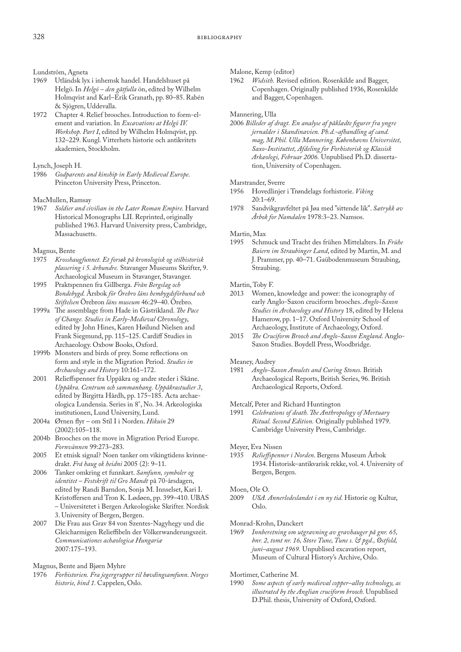Lundström, Agneta<br>1969 Utländsk lys

- 1969 Utländsk lyx i inhemsk handel. Handelshuset på Helgö. In *Helgö – den gåtfulla* ön, edited by Wilhelm Holmqvist and Karl–Erik Granath, pp. 80–85. Rabén & Sjögren, Uddevalla.
- 1972 Chapter 4. Relief brooches. Introduction to form-element and variation. In *Excavations at Helgö IV. Workshop. Part I*, edited by Wilhelm Holmqvist, pp. 132–229. Kungl. Vitterhets historie och antikvitets akademien, Stockholm.

# Lynch, Joseph H.<br>1986 Godbarent

1986 *Godparents and kinship in Early Medieval Europe.* Princeton University Press, Princeton.

# MacMullen, Ramsay<br>1967 Soldier and ci-

1967 *Soldier and civilian in the Later Roman Empire.* Harvard Historical Monographs LII. Reprinted, originally published 1963. Harvard University press, Cambridge, Massachusetts.

# Magnus, Bente<br>1975 Krossha

- 1975 *Krosshaugfunnet. Et forsøk på kronologisk og stilhistorisk plassering i 5. århundre.* Stavanger Museums Skrifter, 9. Archaeological Museum in Stavanger, Stavanger.
- 1995 Praktspennen fra Gillberga. *Från Bergslag och Bondebygd.* Årsbok *för Örebro läns hembygdsförbund och Stiftelsen* Örebron *läns museum* 46:29–40. Örebro.
- 1999a The assemblage from Hade in Gästrikland. *The Pace of Change. Studies in Early-Medieval Chronology*, edited by John Hines, Karen Høilund Nielsen and Frank Siegmund, pp. 115–125. Cardiff Studies in Archaeology. Oxbow Books, Oxford.
- 1999b Monsters and birds of prey. Some reflections on form and style in the Migration Period. *Studies in Archaeology and History* 10:161–172.
- 2001 Relieffspenner fra Uppåkra og andre steder i Skåne. *Uppåkra. Centrum och sammanhang. Uppåkrastudier 3*, edited by Birgitta Hårdh, pp. 175–185*.* Acta archaeologica Lundensia. Series in 8°, No. 34. Arkeologiska institutionen, Lund University, Lund.
- 2004a Ørnen flyr om Stil I i Norden. *Hikuin* 29 (2002):105–118.
- 2004b Brooches on the move in Migration Period Europe. *Fornvännen* 99:273–283.
- 2005 Et etnisk signal? Noen tanker om vikingtidens kvinnedrakt. *Frá haug ok heidni* 2005 (2): 9–11.
- 2006 Tanker omkring et funnkart. *Samfunn, symboler og identitet – Festskrift til Gro Mandt* på 70-årsdagen, edited by Randi Barndon, Sonja M. Innselset, Kari I. Kristoffersen and Tron K. Lødøen, pp. 399–410. UBAS – Universitetet i Bergen Arkeologiske Skrifter. Nordisk 3. University of Bergen, Bergen.
- 2007 Die Frau aus Grav 84 von Szentes-Nagyhegy und die Gleicharmigen Relieffibeln der Völkerwanderungszeit. *Communicationes achæologicæ Hungariæ* 2007:175–193.

### Magnus, Bente and Bjørn Myhre

1976 *Forhistorien. Fra jegergrupper til høvdingsamfunn. Norges historie, bind 1.* Cappelen, Oslo.

Malone, Kemp (editor)<br>1962 *Widsith*. Revise

Widsith. Revised edition. Rosenkilde and Bagger, Copenhagen. Originally published 1936, Rosenkilde and Bagger, Copenhagen.

### Mannering, Ulla

2006 *Billeder af dragt. En analyse af påklædte figurer fra yngre jernalder i Skandinavien. Ph.d.-afhandling af cand. mag, M.Phil. Ulla Mannering. Københavns Universitet, Saxo-Instituttet, Afdeling for Forhistorisk og Klassisk Arkæologi, Februar 2006.* Unpublised Ph.D. dissertation, University of Copenhagen.

### Marstrander, Sverre

- 1956 Hovedlinjer i Trøndelags forhistorie. *Viking*  20:1–69.
- 1978 Sandvikgravfeltet på Jøa med "sittende lik". *Sætrykk av Årbok for Namdalen* 1978:3–23. Namsos.

### Martin, Max

1995 Schmuck und Tracht des frühen Mittelalters. In *Frühe Baiern im Straubinger Land*, edited by Martin, M. and J. Prammer, pp. 40–71. Gaübodenmuseum Straubing, Straubing.

### Martin, Toby F.

- 2013 Women, knowledge and power: the iconography of early Anglo-Saxon cruciform brooches. *Anglo-Saxon Studies in Archaeology and History* 18, edited by Helena Hamerow, pp. 1–17. Oxford University School of Archaeology, Institute of Archaeology, Oxford.
- 2015 *The Cruciform Brooch and Anglo-Saxon England*. Anglo-Saxon Studies. Boydell Press, Woodbridge.

### Meaney, Audrey

1981 *Anglo-Saxon Amulets and Curing Stones.* British Archaeological Reports, British Series, 96. British Archaeological Reports, Oxford.

Metcalf, Peter and Richard Huntington<br>1991 Celebrations of death. The Anthrot

1991 *Celebrations of death. The Anthropology of Mortuary Ritual. Second Edition.* Originally published 1979. Cambridge University Press, Cambridge.

Meyer, Eva Nissen

1935 *Relieffspenner i Norden*. Bergens Museum Årbok 1934. Historisk–antikvarisk rekke, vol. 4. University of Bergen, Bergen.

### Moen, Ole O.<br>2009  $\frac{1}{18}$

2009 *USA. Annerledeslandet i en ny tid.* Historie og Kultur, Oslo.

# Monrad-Krohn, Danckert<br>1969 Innberetning om ut

1969 *Innberetning om utgravning av gravhauger på gnr. 65, bnr. 2, tomt nr. 16, Store Tune, Tune s. & pgd., Østfold, juni–august 1969.* Unpublised excavation report, Museum of Cultural History's Archive, Oslo.

## Mortimer, Catherine M.<br>1990 Some aspects of equ

Some aspects of early medieval copper-alloy technology, as *illustrated by the Anglian cruciform brooch.* Unpublised D.Phil. thesis, University of Oxford, Oxford.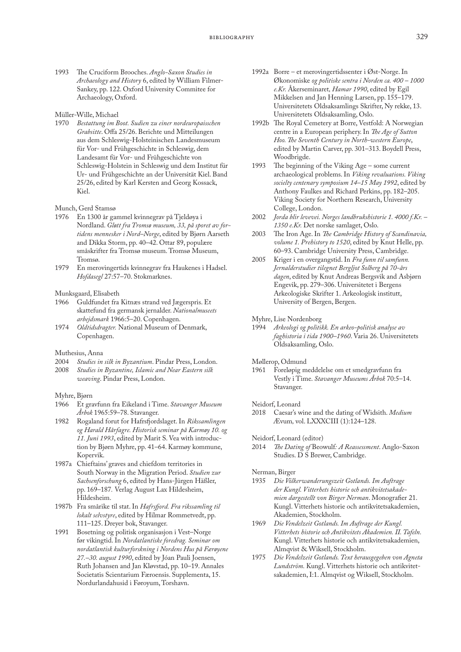1993 The Cruciform Brooches. *Anglo-Saxon Studies in Archaeology and History* 6, edited by William Filmer-Sankey, pp. 122. Oxford University Commitee for Archaeology, Oxford.

### Müller-Wille, Michael

1970 *Bestattung im Boot. Sudien zu einer nordeuropaisschen Grabsitte*. Offa 25/26. Berichte und Mitteilungen aus dem Schleswig-Holsteinischen Landesmuseum für Vor- und Frühgeschichte in Schleswig, dem Landesamt für Vor- und Frühgeschichte von Schleswig-Holstein in Schleswig und dem Institut für Ur- und Frühgeschichte an der Universität Kiel. Band 25/26, edited by Karl Kersten and Georg Kossack, Kiel.

### Munch, Gerd Stamsø

- 1976 En 1300 år gammel kvinnegrav på Tjeldøya i Nordland. *Gløtt fra Tromsø museum, 33, på sporet av fortidens mennesker i Nord–Norge*, edited by Bjørn Aarseth and Dikka Storm, pp. 40–42. Ottar 89, populære småskrifter fra Tromsø museum. Tromsø Museum, Tromsø.
- 1979 En merovingertids kvinnegrav fra Haukenes i Hadsel. *Hofdasegl* 27:57–70. Stokmarknes.

# Munksgaard, Elisabeth

- 1966 Guldfundet fra Kitnæs strand ved Jægerspris. Et skattefund fra germansk jernalder. *Nationalmuseets arbejdsmark* 1966:5–20. Copenhagen.
- 1974 *Oldtidsdragter.* National Museum of Denmark, Copenhagen.

# Muthesius, Anna<br>2004 Studies in

- Studies in silk in Byzantium. Pindar Press, London.
- 2008 *Studies in Byzantine, Islamic and Near Eastern silk weaving*. Pindar Press, London.

#### Myhre, Bjørn

- 1966 Et gravfunn fra Eikeland i Time. *Stavanger Museum Årbok* 1965:59–78. Stavanger.
- 1982 Rogaland forut for Hafrsfjordslaget. In *Rikssamlingen og Harald Hårfagre. Historisk seminar på Karmøy 10. og 11. Juni 1993*, edited by Marit S. Vea with introduction by Bjørn Myhre, pp. 41–64. Karmøy kommune, Kopervik.
- 1987a Chieftains' graves and chiefdom territories in South Norway in the Migration Period. *Studien zur Sachsenforschung* 6, edited by Hans-Jürgen Häßler, pp. 169–187*.* Verlag August Lax Hildesheim, Hildesheim.
- 1987b Fra smårike til stat. In *Hafrsfjord. Fra rikssamling til lokalt selvstyre*, edited by Hilmar Rommetvedt, pp. 111–125. Dreyer bok, Stavanger.
- 1991 Bosetning og politisk organisasjon i Vest–Norge før vikingtid. In *Nordatlantiske foredrag. Seminar om nordatlantisk kulturforskning i Nordens Hus på Færøyene 27.–30. august 1990*, edited by Jóan Pauli Joensen, Ruth Johansen and Jan Kløvstad, pp. 10–19. Annales Societatis Scientarium Færoensis. Supplementa, 15. Nordurlandahusid i Føroyum, Torshavn.
- 1992a Borre et merovingertidssenter i Øst-Norge. In Økonomiske *og politiske sentra i Norden ca. 400 – 1000 e.Kr.* Åkerseminaret*, Hamar 1990*, edited by Egil Mikkelsen and Jan Henning Larsen, pp. 155–179. Universitetets Oldsaksamlings Skrifter, Ny rekke, 13. Universitetets Oldsaksamling, Oslo.
- 1992b The Royal Cemetery at Borre, Vestfold: A Norwegian centre in a European periphery. In *The Age of Sutton Hoo. The Seventh Century in North-western Europe*, edited by Martin Carver, pp. 301–313. Boydell Press, Woodbrigde.
- 1993 The beginning of the Viking Age some current archaeological problems. In *Viking revaluations. Viking socielty centenary symposium 14–15 May 1992*, edited by Anthony Faulkes and Richard Perkins, pp. 182–205. Viking Society for Northern Research, University College, London.
- 2002 *Jorda blir levevei. Norges landbrukshistorie 1. 4000 f.Kr. 1350 e.Kr.* Det norske samlaget, Oslo.
- 2003 The Iron Age. In *The Cambridge History of Scandinavia, volume 1. Prehistory to 1520*, edited by Knut Helle, pp. 60–93. Cambridge University Press, Cambridge.
- 2005 Kriger i en overgangstid. In *Fra funn til samfunn. Jernalderstudier tilegnet Bergljot Solberg på 70-års dagen*, edited by Knut Andreas Bergsvik and Asbjørn Engevik, pp. 279–306. Universitetet i Bergens Arkeologiske Skrifter 1. Arkeologisk institutt, University of Bergen, Bergen.
- Myhre, Lise Nordenborg
- 1994 *Arkeologi og politikk. En arkeo-politisk analyse av faghistoria i tida 1900–1960*. Varia 26. Universitetets Oldsaksamling, Oslo.
- Møllerop, Odmund
- 1961 Foreløpig meddelelse om et smedgravfunn fra Vestly i Time. *Stavanger Museums Årbok* 70:5–14. Stavanger.
- Neidorf, Leonard<br>2018 Caesar's w
- Caesar's wine and the dating of Widsith. *Medium* Ævum*,* vol. LXXXCIII (1):124–128.
- Neidorf, Leonard (editor)
- 2014 *The Dating of* Beowulf*: A Reassessment*. Anglo-Saxon Studies. D S Brewer, Cambridge.

### Nerman, Birger

- 1935 *Die Völkerwanderungszeit Gotlands. Im Auftrage der Kungl. Vitterhets historie och antikvitetsakademien dargestellt von Birger Nerman*. Monografier 21. Kungl. Vitterhets historie och antikvitetsakademien, Akademien, Stockholm.
- 1969 *Die Vendelzeit Gotlands. Im Auftrage der Kungl. Vitterhets historie och Antikvitets Akademien. II. Tafeln.*  Kungl. Vitterhets historie och antikvitetsakademien, Almqvist & Wiksell, Stockholm.
- 1975 *Die Vendelzeit Gotlands. Text herausgegeben von Agneta Lundström.* Kungl. Vitterhets historie och antikvitetsakademien, I:1. Almqvist og Wiksell, Stockholm.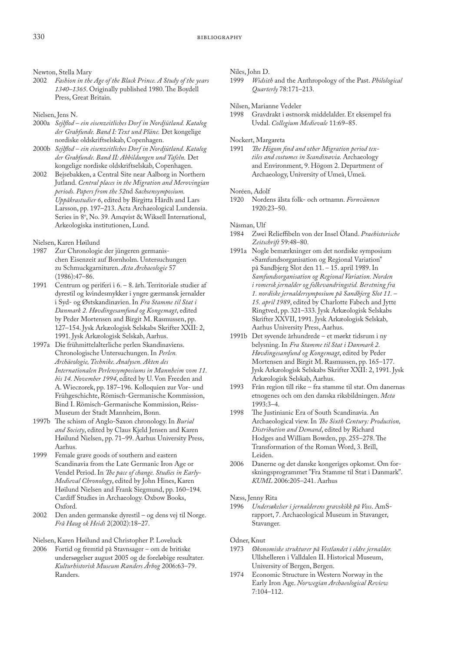Newton, Stella Mary

2002 *Fashion in the Age of the Black Prince. A Study of the years 1340–1365*. Originally published 1980. The Boydell Press, Great Britain.

### Nielsen, Jens N.

- 2000a *Sejlflod ein eisenzeitliches Dorf in Nordjütland. Katalog der Grabfunde. Band I: Text und Pläne.* Det kongelige nordiske oldskriftselskab, Copenhagen.
- 2000b *Sejlflod ein eisenzeitliches Dorf in Nordjütland. Katalog der Grabfunde. Band II: Abbildungen und Tafeln.* Det kongelige nordiske oldskriftselskab, Copenhagen.
- 2002 Bejsebakken, a Central Site near Aalborg in Northern Jutland. *Central places in the Migration and Merovingian periods. Papers from the 52*nd *Sachsensymposium. Uppåkrastudier 6*, edited by Birgitta Hårdh and Lars Larsson, pp. 197–213. Acta Archaeological Lundensia. Series in 8°, No. 39. Amqvist & Wiksell International, Arkeologiska institutionen, Lund.
- Nielsen, Karen Høilund
- 1987 Zur Chronologie der jüngeren germanischen Eisenzeit auf Bornholm. Untersuchungen zu Schmuckgarnituren. *Acta Archaeologie* 57 (1986):47–86.
- 1991 Centrum og periferi i 6. 8. årh. Territoriale studier af dyrestil og kvindesmykker i yngre gærmansk jernalder i Syd- og Østskandinavien. In *Fra Stamme til Stat i Danmark 2. Høvdingesamfund og Kongemagt*, edited by Peder Mortensen and Birgit M. Rasmussen, pp. 127–154. Jysk Arkæologisk Selskabs Skrifter XXII: 2, 1991. Jysk Arkæologisk Selskab, Aarhus.
- 1997a Die frühmittelalterliche perlen Skandinaviens. Chronologische Untersuchungen. In *Perlen. Archäeologie, Technike. Analysen. Akten des Internationalen Perlensymposiums in Mannheim vom 11. bis 14. November 1994*, edited by U. Von Freeden and A. Wieczorek, pp. 187–196. Kolloquien zur Vor- und Frühgeschichte, Römisch-Germanische Kommission, Bind I. Römisch-Germanische Kommission, Reiss-Museum der Stadt Mannheim, Bonn.
- 1997b The schism of Anglo-Saxon chronology. In *Burial and Society*, edited by Claus Kjeld Jensen and Karen Høilund Nielsen, pp. 71–99. Aarhus University Press, Aarhus.
- 1999 Female grave goods of southern and eastern Scandinavia from the Late Germanic Iron Age or Vendel Period. In *The pace of change. Studies in Early-Medieval Chronology*, edited by John Hines, Karen Høilund Nielsen and Frank Siegmund, pp. 160–194. Cardiff Studies in Archaeology. Oxbow Books, Oxford.
- 2002 Den anden germanske dyrestil og dens vej til Norge. *Frå Haug ok Heidi* 2(2002):18–27.

Nielsen, Karen Høilund and Christopher P. Loveluck

2006 Fortid og fremtid på Stavnsager – om de britiske undersøgelser august 2005 og de foreløbige resultater. *Kulturhistorisk Museum Randers Årbog* 2006:63–79. Randers.

### Niles, John D.

1999 *Widsith* and the Anthropology of the Past. *Philological Quarterly* 78:171–213.

Nilsen, Marianne Vedeler

1998 Gravdrakt i østnorsk middelalder. Et eksempel fra Uvdal. *Collegium Medievale* 11:69–85.

### Nockert, Margareta

1991 *The Högom find and other Migration period textiles and costumes in Scandinavia.* Archaeology and Environment, 9. Högom 2. Department of Archaeology, University of Umeå, Umeå.

### Noréen, Adolf

1920 Nordens älsta folk- och ortnamn. *Fornvännen* 1920:23–50.

Näsman, Ulf

- 1984 Zwei Relieffibeln von der Insel Öland. *Praehistorische Zeitschrift* 59:48–80.
- 1991a Nogle bemærkninger om det nordiske symposium «Samfundsorganisation og Regional Variation" på Sandbjerg Slot den 11. – 15. april 1989. In *Samfundsorganisation og Regional Variation. Norden i romersk jernalder og folkevandringstid. Beretning fra 1. nordiske jernaldersymposium på Sandbjerg Slot 11. – 15. april 1989*, edited by Charlotte Fabech and Jytte Ringtved, pp. 321–333. Jysk Arkæologisk Selskabs Skrifter XXVII, 1991. Jysk Arkæologisk Selskab, Aarhus University Press, Aarhus.
- 1991b Det syvende århundrede et mørkt tidsrum i ny belysning. In *Fra Stamme til Stat i Danmark 2. Høvdingesamfund og Kongemagt*, edited by Peder Mortensen and Birgit M. Rasmussen, pp. 165–177. Jysk Arkæologisk Selskabs Skrifter XXII: 2, 1991. Jysk Arkæologisk Selskab, Aarhus.
- 1993 Från region till rike fra stamme til stat. Om danernas etnogenes och om den danska riksbildningen. *Meta* 1993:3–4.
- 1998 The Justinianic Era of South Scandinavia. An Archaeological view. In *The Sixth Century: Production, Distribution and Demand*, edited by Richard Hodges and William Bowden, pp. 255–278. The Transformation of the Roman Word, 3. Brill, Leiden.
- 2006 Danerne og det danske kongeriges opkomst. Om forskningsprogrammet "Fra Stamme til Stat i Danmark". *KUML* 2006:205–241. Aarhus

# Næss, Jenny Rita<br>1996 *Undersøke*

1996 *Undersøkelser i jernalderens gravskikk på Voss*. AmSrapport, 7. Archaeological Museum in Stavanger, Stavanger.

### Odner, Knut

- 1973 *Økonomiske strukturer på Vestlandet i eldre jernalder.* Ullshelleren i Valldalen II. Historical Museum, University of Bergen, Bergen.
- 1974 Economic Structure in Western Norway in the Early Iron Age. *Norwegian Archaeological Review* 7:104–112.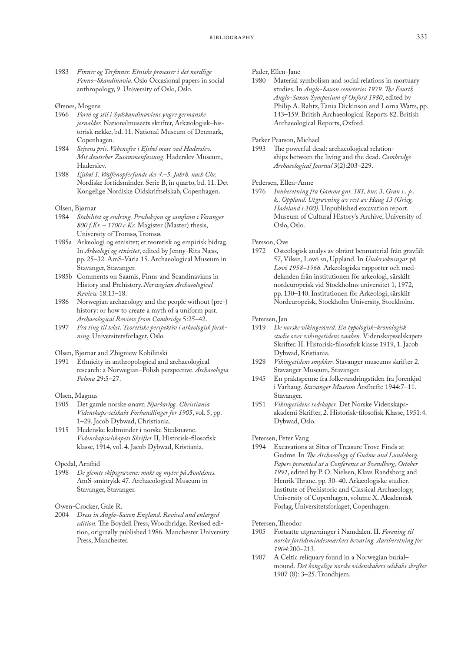1983 *Finner og Terfinner. Etniske prosesser i det nordlige Fenno–Skandinavia*. Oslo Occasional papers in social anthropology, 9. University of Oslo, Oslo.

### Ørsnes, Mogens

- 1966 *Form og stil i Sydskandinaviens yngre germanske jernalder.* Nationalmuseets skrifter, Arkæologisk–historisk række, bd. 11. National Museum of Denmark, Copenhagen.
- 1984 *Sejrens pris. Våbenofre i Ejsbøl mose ved Haderslev. Mit deutscher Zusammenfassung*. Haderslev Museum, Haderslev.
- 1988 *Ejsbøl 1. Waffenopferfunde des 4.–5. Jahrh. nach Chr.* Nordiske fortidsminder. Serie B, in quarto, bd. 11. Det Kongelige Nordiske Oldskriftselskab, Copenhagen.

#### Olsen, Bjørnar

- 1984 *Stabilitet og endring. Produksjon og samfunn i Varanger 800 f.Kr. – 1700 e.Kr.* Magister (Master) thesis, University of Tromsø, Tromsø.
- 1985a Arkeologi og etnisitet; et teoretisk og empirisk bidrag. In *Arkeologi og etnisitet*, edited by Jenny-Rita Næss, pp. 25–32. AmS-Varia 15. Archaeological Museum in Stavanger, Stavanger.
- 1985b Comments on Saamis, Finns and Scandinavians in History and Prehistory. *Norwegian Archaeological Review* 18:13–18.
- 1986 Norwegian archaeology and the people without (pre-) history: or how to create a myth of a uniform past. *Archaeological Review from Cambridge* 5:25–42.
- 1997 *Fra ting til tekst. Teoretiske perspektiv i arkeologisk forskning*. Universitetsforlaget, Oslo.

### Olsen, Bjørnar and Zbigniew Kobiliński

1991 Ethnicity in anthropological and archaeological research: a Norwegian–Polish perspective. *Archaeologia Polona* 29:5–27.

#### Olsen, Magnus

- 1905 Det gamle norske ønavn *Njarðarlǫg. Christiania Videnskaps-selskabs Forhandlinger for 1905*, vol. 5, pp. 1–29. Jacob Dybwad, Christiania.
- 1915 Hedenske kultminder i norske Stedsnavne. *Videnskapsselskapets Skrifter* II, Historisk-filosofisk klasse, 1914, vol. 4. Jacob Dybwad, Kristiania.

#### Opedal, Arnfrid

1998 *De glemte skipsgravene: makt og myter på Avaldsnes.* AmS-småtrykk 47. Archaeological Museum in Stavanger, Stavanger.

Owen-Crocker, Gale R.

2004 *Dress in Anglo-Saxon England. Revised and enlarged edition.* The Boydell Press, Woodbridge. Revised edition, originally published 1986. Manchester University Press, Manchester.

### Pader, Ellen-Jane

1980 Material symbolism and social relations in mortuary studies. In *Anglo-Saxon cemeteries 1979. The Fourth Anglo-Saxon Symposium of Oxford 1980*, edited by Philip A. Rahtz, Tania Dickinson and Lorna Watts, pp. 143–159. British Archaeological Reports 82. British Archaeological Reports, Oxford.

### Parker Pearson, Michael

1993 The powerful dead: archaeological relationships between the living and the dead. *Cambridge Archaeological Journal* 3(2):203–229.

# Pedersen, Ellen-Anne<br>1976 Innberetning fi

Innberetning fra Gamme gnr. 181, bnr. 3, Gran s., p., *k., Oppland. Utgravning av rest av Haug 13 (Grieg, Hadeland s.100).* Unpublished excavation report. Museum of Cultural History's Archive, University of Oslo, Oslo.

### Persson, Ove

1972 Osteologisk analys av obränt benmaterial från gravfält 57, Viken, Lovö sn, Uppland. In *Undersökningar* på *Lovö 1958–1966.* Arkeologiska rapporter och meddelanden från institutionen för arkeologi, särskilt nordeuropeisk vid Stockholms universitet 1, 1972, pp. 130–140. Institutionen för Arkeologi, särskilt Nordeuropeisk, Stockholm University, Stockholm.

# Petersen, Jan<br>1919 De no

- 1919 *De norske vikingesverd. En typologisk–kronologisk studie over vikingetidens vaaben.* Videnskapsselskapets Skrifter. II. Historisk-filosofisk klasse 1919, 1. Jacob Dybwad, Kristiania.
- 1928 *Vikingetidens smykker*. Stavanger museums skrifter 2. Stavanger Museum, Stavanger.
- 1945 En praktspenne fra folkevandringstiden fra Jorenkjøl i Varhaug. *Stavanger Museum* Årsfhefte 1944:7–11. Stavanger.
- 1951 *Vikingetidens redskaper.* Det Norske Videnskapsakademi Skrifter, 2. Historisk-filosofisk Klasse, 1951:4. Dybwad, Oslo.

#### Petersen, Peter Vang

1994 Excavations at Sites of Treasure Trove Finds at Gudme. In *The Archaeology of Gudme and Lundeborg. Papers presented at a Conference at Svendborg, October 1991*, edited by P. O. Nielsen, Klavs Randsborg and Henrik Thrane, pp. 30–40. Arkæologiske studier. Institute of Prehistoric and Classical Archaeology, University of Copenhagen, volume X. Akademisk Forlag, Universitetsforlaget, Copenhagen.

# Petersen, Theodor<br>1905 Fortsatte u

- 1905 Fortsatte utgravninger i Namdalen. II. *Forening til norske fortidsmindesmærkers bevaring. Aarsberetning for 1904:*200–213.
- 1907 A Celtic reliquary found in a Norwegian burial– mound. *Det kongelige norske videnskabers selskabs skrifter* 1907 (8): 3–25. Trondhjem.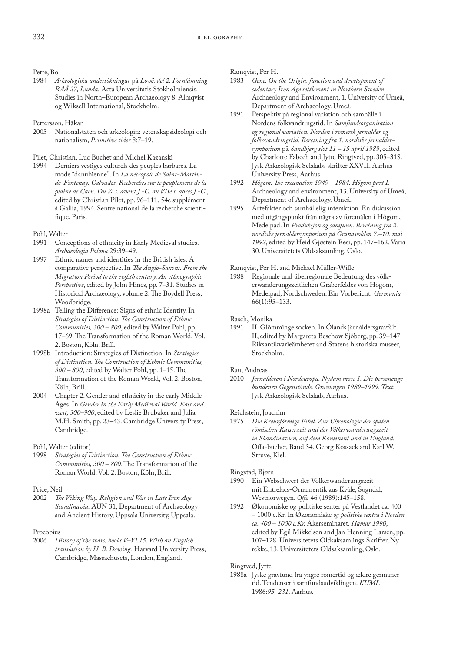# Petré, Bo<br>1984 A

1984 *Arkeologiska undersökningar* på *Lovö, del 2. Fornlämning RAÄ 27, Lunda.* Acta Universitatis Stokholmiensis. Studies in North–European Archaeology 8. Almqvist og Wiksell International, Stockholm.

# Pettersson, Håkan<br>2005 – Nationalst

Nationalstaten och arkeologin: vetenskapsideologi och nationalism, *Primitive tider* 8:7–19.

Pilet, Christian, Luc Buchet and Michel Kazanski

1994 Derniers vestiges culturels des peuples barbares. La mode "danubienne". In *La nécropole de Saint-Martinde-Fontenay. Calvados. Recherches sur le peuplement de la plaine de Caen. Du Ve s. avant J.-C. au VIIe s. après J.-C.*, edited by Christian Pilet, pp. 96–111. 54e supplément à Gallia, 1994. Sentre national de la recherche scientifique, Paris.

### Pohl, Walter

- 1991 Conceptions of ethnicity in Early Medieval studies. *Archaeologia Polona* 29:39–49.
- 1997 Ethnic names and identities in the British isles: A comparative perspective. In *The Anglo-Saxons. From the Migration Period to the eighth century. An ethnographic Perspective*, edited by John Hines, pp. 7–31. Studies in Historical Archaeology, volume 2. The Boydell Press, Woodbridge.
- 1998a Telling the Difference: Signs of ethnic Identity. In *Strategies of Distinction. The Construction of Ethnic Communities, 300 – 800*, edited by Walter Pohl, pp. 17–69. The Transformation of the Roman World, Vol. 2. Boston, Köln, Brill.
- 1998b Introduction: Strategies of Distinction. In *Strategies of Distinction. The Construction of Ethnic Communities, 300 – 800*, edited by Walter Pohl, pp. 1–15. The Transformation of the Roman World, Vol. 2. Boston, Köln, Brill.
- 2004 Chapter 2. Gender and ethnicity in the early Middle Ages. In *Gender in the Early Medieval World. East and west, 300–900*, edited by Leslie Brubaker and Julia M.H. Smith, pp. 23–43. Cambridge University Press, Cambridge.

Pohl, Walter (editor)

- 1998 *Strategies of Distinction. The Construction of Ethnic Communities, 300 – 800*. The Transformation of the Roman World, Vol. 2. Boston, Köln, Brill.
- Price, Neil<br>2002 The
- The Viking Way. Religion and War in Late Iron Age *Scandinavia.* AUN 31, Department of Archaeology and Ancient History, Uppsala University, Uppsala.

# Procopius<br>2006 H

2006 *History of the wars, books V–VI,15. With an English translation by H. B. Dewing.* Harvard University Press, Cambridge, Massachusets, London, England.

Ramqvist, Per H.<br>1983 Gene. On

- Gene. On the Origin, function and development of *sedentary Iron Age settlement in Northern Sweden.* Archaeology and Environment, 1. University of Umeå, Department of Archaeology. Umeå.
- 1991 Perspektiv på regional variation och samhälle i Nordens folkvandringstid. In *Samfundsorganisation og regional variation. Norden i romersk jernalder og folkevandringstid. Beretning fra 1. nordiske jernaldersymposium* på *Sandbjerg slot 11 – 15 april 1989*, edited by Charlotte Fabech and Jytte Ringtved, pp. 305–318. Jysk Arkæologisk Selskabs skrifter XXVII. Aarhus University Press, Aarhus.
- 1992 *Högom. The excavation 1949 1984. Högom part I.*  Archaeology and environment, 13. University of Umeå, Department of Archaeology. Umeå.
- 1995 Artefakter och samhällelig interaktion. En diskussion med utgångspunkt från några av föremålen i Högom, Medelpad. In *Produksjon og samfunn. Beretning fra 2. nordiske jernaldersymposium på Granavolden 7.–10. mai 1992*, edited by Heid Gjøstein Resi, pp. 147–162. Varia 30. Universitetets Oldsaksamling, Oslo.

### Ramqvist, Per H. and Michael Müller-Wille

1988 Regionale und überregionale Bedeutung des völkerwanderungszeitlichen Gräberfeldes von Högom, Medelpad, Nordschweden. Ein Vorbericht*. Germania* 66(1):95–133.

### Rasch, Monika

1991 II. Glömminge socken. In Ölands järnåldersgravfält II, edited by Margareta Beschow Sjöberg, pp. 39–147. Riksantikvarieämbetet and Statens historiska museer, Stockholm.

### Rau, Andreas

2010 *Jernalderen i Nordeuropa. Nydam mose 1. Die personengebundenen Gegenstände. Gravungen 1989–1999. Text.*  Jysk Arkæologisk Selskab, Aarhus.

### Reichstein, Joachim

1975 *Die Kreuzförmige Fibel. Zur Chronologie der späten römischen Kaiserzeit und der Völkerwanderungszeit in Skandinavien, auf dem Kontinent und in England.*  Offa-bücher, Band 34. Georg Kossack and Karl W. Struve, Kiel.

### Ringstad, Bjørn

- 1990 Ein Webschwert der Völkerwanderungszeit mit Entrelacs-Ornamentik aus Kvåle, Sogndal, Westnorwegen. *Offa* 46 (1989):145–158.
- 1992 Økonomiske og politiske senter på Vestlandet ca. 400 – 1000 e.Kr. In Økonomiske *og politiske sentra i Norden ca. 400 – 1000 e.Kr.* Åkerseminaret*, Hamar 1990*, edited by Egil Mikkelsen and Jan Henning Larsen, pp. 107–128. Universitetets Oldsaksamlings Skrifter, Ny rekke, 13. Universitetets Oldsaksamling, Oslo.

### Ringtved, Jytte

1988a Jyske gravfund fra yngre romertid og ældre germanertid. Tendenser i samfundsudviklingen. *KUML*  1986:*95–231*. Aarhus.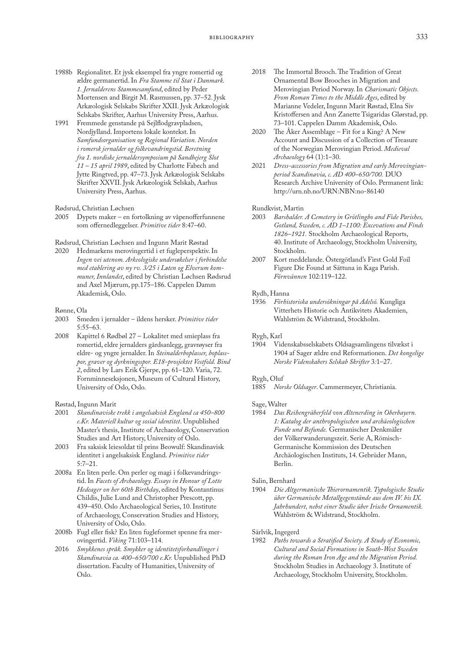- 1988b Regionalitet. Et jysk eksempel fra yngre romertid og ældre germanertid. In *Fra Stamme til Stat i Danmark. 1. Jernalderens Stammesamfund*, edited by Peder Mortensen and Birgit M. Rasmussen, pp. 37–52. Jysk Arkæologisk Selskabs Skrifter XXII. Jysk Arkæologisk Selskabs Skrifter, Aarhus University Press, Aarhus.
- 1991 Fremmede genstande på Sejlflodgravpladsen, Nordjylland. Importens lokale kontekst. In *Samfundsorganisation og Regional Variation. Norden i romersk jernalder og folkevandringstid. Beretning fra 1. nordiske jernaldersymposium på Sandbejerg Slot 11 – 15 april 1989*, edited by Charlotte Fabech and Jytte Ringtved, pp. 47–73. Jysk Arkæologisk Selskabs Skrifter XXVII. Jysk Arkæologisk Selskab, Aarhus University Press, Aarhus.

Rødsrud, Christian Løchsen

2005 Dypets maker – en fortolkning av våpenofferfunnene som offernedleggelser. *Primitive tider* 8:47–60.

Rødsrud, Christian Løchsen and Ingunn Marit Røstad

2020 Hedmarkens merovingertid i et fugleperspektiv. In *Ingen vei utenom. Arkeologiske undersøkelser i forbindelse med etablering av ny rv. 3/25 i Løten og Elverum kommuner, Innlandet*, edited by Christian Løchsen Rødsrud and Axel Mjærum, pp.175–186. Cappelen Damm Akademisk, Oslo.

Rønne, Ola

- 2003 Smeden i jernalder ildens hersker. *Primitive tider* 5:55–63.
- 2008 Kapittel 6 Rødbøl 27 Lokalitet med smieplass fra romertid, eldre jernalders gårdsanlegg, gravrøyser fra eldre- og yngre jernalder. In *Steinalderboplasser, boplasspor, graver og dyrkningsspor. E18-prosjektet Vestfold. Bind 2*, edited by Lars Erik Gjerpe, pp. 61–120. Varia, 72. Fornminneseksjonen, Museum of Cultural History, University of Oslo, Oslo.

Røstad, Ingunn Marit<br>2001 *Skandinaviske* 

- 2001 *Skandinaviske trekk i angelsaksisk England ca 450–800 e.Kr. Materiell kultur og sosial identitet*. Unpublished Master's thesis, Institute of Archaeology, Conservation Studies and Art History, University of Oslo.
- 2003 Fra saksisk leiesoldat til prins Beowulf: Skandinavisk identitet i angelsaksisk England. *Primitive tider* 5:7–21.
- 2008a En liten perle. Om perler og magi i folkevandringstid. In *Facets of Archaeology. Essays in Honour of Lotte Hedeager on her 60th Birthday*, edited by Kontantinus Childis, Julie Lund and Christopher Prescott, pp. 439–450. Oslo Archaeological Series, 10. Institute of Archaeology, Conservation Studies and History, University of Oslo, Oslo.
- 2008b Fugl eller fisk? En liten fugleformet spenne fra merovingertid. *Viking* 71:103–114.
- 2016 *Smykkenes språk. Smykker og identitetsforhandlinger i Skandinavia ca. 400–650/700 e.Kr.* Unpublished PhD dissertation. Faculty of Humanities, University of Oslo.
- 2018 The Immortal Brooch. The Tradition of Great Ornamental Bow Brooches in Migration and Merovingian Period Norway. In *Charismatic Objects. From Roman Times to the Middle Ages*, edited by Marianne Vedeler, Ingunn Marit Røstad, Elna Siv Kristoffersen and Ann Zanette Tsigaridas Glørstad, pp. 73–101. Cappelen Damm Akademisk, Oslo.
- 2020 The Åker Assemblage Fit for a King? A New Account and Discussion of a Collection of Treasure of the Norwegian Merovingian Period. *Medieval Archaeology* 64 (1):1–30.
- 2021 *Dress-accessories from Migration and early Merovingianperiod Scandinavia, c. AD 400–650/700.* DUO Research Archive University of Oslo. Permanent link: <http://urn.nb.no/URN:NBN:no-86140>

Rundkvist, Martin

- 2003 *Barshalder. A Cemetery in Grötlingbo and Fide Parishes, Gotland, Sweden, c. AD 1–1100: Excevations and Finds 1826–1921.* Stockholm Archaeological Reports, 40. Institute of Archaeology, Stockholm University, Stockholm.
- 2007 Kort meddelande. Östergötland's First Gold Foil Figure Die Found at Sättuna in Kaga Parish. *Förnvännen* 102:119–122.

#### Rydh, Hanna

1936 *Förhistoriska undersökningar på Adelsö.* Kungliga Vitterhets Historie och Antikvitets Akademien, Wahlström & Widstrand, Stockholm.

Rygh, Karl<br>1904 Vic

Videnskabsselskabets Oldsagsamlingens tilvækst i 1904 af Sager ældre end Reformationen. *Det kongelige Norske Videnskabers Selskab Skrifter* 3*:*1–27.

#### Rygh, Oluf

1885 *Norske Oldsager*. Cammermeyer, Christiania.

# Sage, Walter<br>1984 Das

1984 *Das Reihengräberfeld von Altenerding in Oberbayern. 1: Katalog der anthropologischen und archäeologischen Funde und Befunde.* Germanischer Denkmäler der Völkerwanderungszeit. Serie A, Römisch-Germanische Kommission des Deutschen Archäologischen Instituts, 14. Gebrüder Mann, Berlin.

# Salin, Bernhard<br>1904 *Die Alts*

1904 *Die Altgermanische Thierornamentik. Typologische Studie über Germanische Metallgegenstände aus dem IV. bis IX. Jahrhundert, nebst einer Studie über Irische Ornamentik.* Wahlström & Widstrand, Stockholm.

Särlvik, Ingegerd<br>1982 Paths tow

Paths towards a Stratified Society. A Study of Economic, *Cultural and Social Formations in South-West Sweden during the Roman Iron Age and the Migration Period.*  Stockholm Studies in Archaeology 3. Institute of Archaeology, Stockholm University, Stockholm.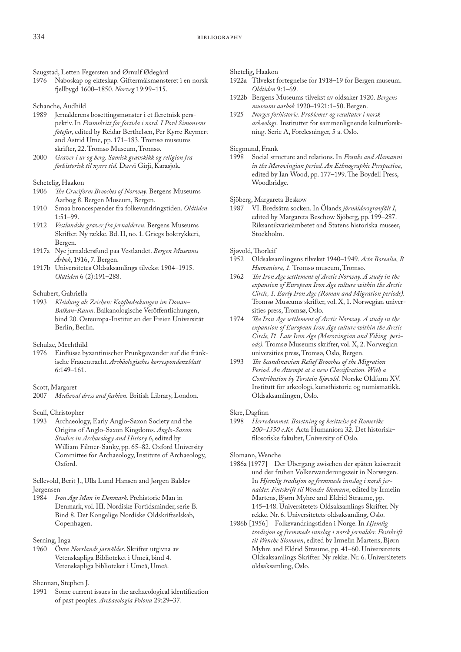Saugstad, Letten Fegersten and Ørnulf Ødegård

- Naboskap og ekteskap. Giftermålsmønsteret i en norsk fjellbygd 1600–1850. *Norveg* 19:99–115.
- Schanche, Audhild
- 1989 Jernalderens bosettingsmønster i et fleretnisk perspektiv. In *Framskritt for fortida i nord. I Povl Simonsens fotefar*, edited by Reidar Berthelsen, Per Kyrre Reymert and Astrid Utne, pp. 171–183*.* Tromsø museums skrifter, 22. Tromsø Museum, Tromsø.
- 2000 *Graver i ur og berg. Samisk gravskikk og religion fra forhistorisk til nyere tid.* Davvi Girji, Karasjok.

## Schetelig, Haakon<br>1906 The Crucifo

- The Cruciform Brooches of Norway. Bergens Museums Aarbog 8. Bergen Museum, Bergen.
- 1910 Smaa broncespænder fra folkevandringstiden. *Oldtiden* 1:51–99.
- 1912 *Vestlandske graver fra jernalderen*. Bergens Museums Skrifter. Ny række. Bd. II, no. 1. Griegs boktrykkeri, Bergen.
- 1917a Nye jernaldersfund paa Vestlandet. *Bergen Museums Årbok*, 1916, 7. Bergen.
- 1917b Universitetes Oldsaksamlings tilvekst 1904–1915. *Oldtiden* 6 (2):191–288.

### Schubert, Gabriella

- 1993 *Kleidung als Zeichen: Kopfbedeckungen im Donau– Balkan-Raum*. Balkanologische Veröffentlichungen, bind 20. [Osteuropa-Institut an der Freien Universität](http://ask.bibsys.no/ask/action/show?pid=874227909&kid=biblio)  [Berlin](http://ask.bibsys.no/ask/action/show?pid=874227909&kid=biblio), Berlin.
- Schulze, Mechthild
- 1976 Einflüsse byzantinischer Prunkgewänder auf die fränkische Frauentracht. *Archäologisches korrespondenzblatt*  6:149–161.
- Scott, Margaret
- 2007 *Medieval dress and fashion.* British Library, London.

### Scull, Christopher

1993 Archaeology, Early Anglo-Saxon Society and the Origins of Anglo-Saxon Kingdoms. *Anglo-Saxon Studies in Archaeology and History 6*, edited by William Filmer-Sanky, pp. 65–82. Oxford University Committee for Archaeology, Institute of Archaeology, Oxford.

Sellevold, Berit J., Ulla Lund Hansen and Jørgen Balslev Jørgensen<br>1984 In

1984 *Iron Age Man in Denmark*. Prehistoric Man in Denmark, vol. III. Nordiske Fortidsminder, serie B. Bind 8. Det Kongelige Nordiske Oldskriftselskab, Copenhagen.

### Serning, Inga

1960 Övre *Norrlands järnålder*. [Skrifter utgivna av](http://ask.bibsys.no/ask/action/show?pid=930083792&kid=biblio)  [Vetenskapliga Biblioteket i Umeå,](http://ask.bibsys.no/ask/action/show?pid=930083792&kid=biblio) bind 4. Vetenskapliga biblioteket i Umeå, Umeå.

## Shennan, Stephen J.<br>1991 Some curren

Some current issues in the archaeological identification of past peoples. *Archaeologia Polona* 29:29–37.

Shetelig, Haakon

- 1922a Tilvekst fortegnelse for 1918–19 for Bergen museum. *Oldtiden* 9:1–69.
- 1922b Bergens Museums tilvekst av oldsaker 1920. *Bergens museums aarbok* 1920–1921:1–50. Bergen.
- 1925 *Norges forhistorie. Problemer og resultater i norsk arkæologi.* Instituttet for sammenlignende kulturforskning. Serie A, Forelesninger, 5 a. Oslo.

# Siegmund, Frank<br>1998 Social stru

1998 Social structure and relations. In *Franks and Alamanni in the Merovingian period. An Ethnographic Perspective*, edited by Ian Wood, pp. 177–199. The Boydell Press, Woodbridge.

Sjöberg, Margareta Beskow

1987 VI. Bredsätra socken. In Ölands *järnåldersgravfält I*, edited by Margareta Beschow Sjöberg, pp. 199–287. Riksantikvarieämbetet and Statens historiska museer, Stockholm.

### Sjøvold, Thorleif

- 1952 Oldsaksamlingens tilvekst 1940–1949. *Acta Borealia, B Humaniora, 1.* Tromsø museum, Tromsø.
- 1962 *The Iron Age settlement of Arctic Norway. A study in the expansion of European Iron Age culture within the Arctic Circle, 1. Early Iron Age (Roman and Migration periods).* Tromsø Museums skrifter, vol. X, 1. Norwegian universities press, Tromsø, Oslo.
- 1974 *The Iron Age settlement of Arctic Norway. A study in the expansion of European Iron Age culture within the Arctic Circle, I1. Late Iron Age (Merovingian and Viking periods).* Tromsø Museums skrifter, vol. X, 2. Norwegian universities press, Tromsø, Oslo, Bergen.
- 1993 *The Scandinavian Relief Brooches of the Migration Period. An Attempt at a new Classification. With a Contribution by Torstein Sjøvold.* Norske Oldfunn XV. Institutt for arkeologi, kunsthistorie og numismatikk. Oldsaksamlingen, Oslo.

### Skre, Dagfinn

1998 *Herredømmet. Bosetning og besittelse på Romerike 200–1350 e.Kr.* Acta Humaniora 32. Det historisk– filosofiske fakultet, University of Oslo.

### Slomann, Wenche

- 1986a [1977] Der Übergang zwischen der späten kaiserzeit und der frühen Völkerwanderungszeit in Norwegen. In *Hjemlig tradisjon og fremmede innslag i norsk jernalder. Festskrift til Wenche Slomann*, edited by Irmelin Martens, Bjørn Myhre and Eldrid Straume, pp. 145–148. Universitetets Oldsaksamlings Skrifter. Ny rekke. Nr. 6. Universitetets oldsaksamling, Oslo.
- 1986b [1956] Folkevandringstiden i Norge. In *Hjemlig tradisjon og fremmede innslag i norsk jernalder. Festskrift til Wenche Slomann*, edited by Irmelin Martens, Bjørn Myhre and Eldrid Straume, pp. 41–60. Universitetets Oldsaksamlings Skrifter. Ny rekke. Nr. 6. Universitetets oldsaksamling, Oslo.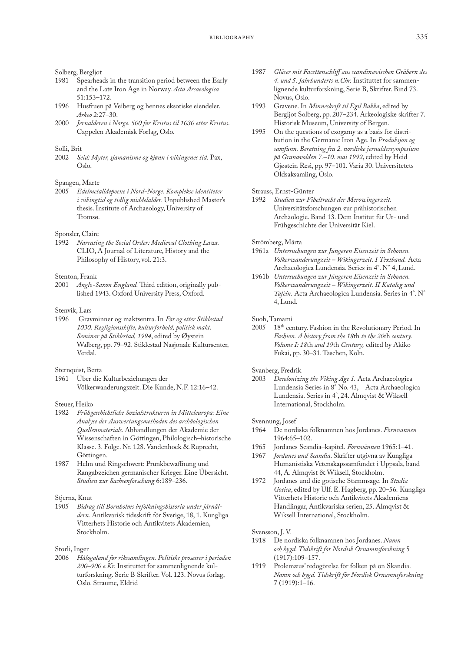#### Solberg, Bergljot

- 1981 Spearheads in the transition period between the Early and the Late Iron Age in Norway. *Acta Arcaeologica*  51:153–172.
- 1996 Husfruen på Veiberg og hennes eksotiske eiendeler. *Arkeo* 2:27–30.
- 2000 *Jernalderen i Norge. 500 før Kristus til 1030 etter Kristus*. Cappelen Akademisk Forlag, Oslo.

### Solli, Brit

2002 *Seid: Myter, sjamanisme og kjønn i vikingenes tid.* Pax, Oslo.

## Spangen, Marte<br>2005 Edelmete

2005 *Edelmetalldepoene i Nord-Norge. Komplekse identiteter i vikingtid og tidlig middelalder.* Unpublished Master's thesis. Institute of Archaeology, University of Tromsø.

### Sponsler, Claire

1992 *Narrating the Social Order: Medieval Clothing Laws.*  CLIO, A Journal of Literature, History and the Philosophy of History, vol. 21:3.

### Stenton, Frank

2001 *Anglo-Saxon England.* Third edition, originally published 1943. Oxford University Press, Oxford.

### Stenvik, Lars

1996 Gravminner og maktsentra. In *Før og etter Stiklestad 1030. Regligionsskifte, kulturforhold, politisk makt. Seminar på Stiklestad, 1994*, edited by Øystein Walberg, pp. 79–92. Stiklestad Nasjonale Kultursenter, Verdal.

### Sternquist, Berta<br>1961 – Über die

1961 Über die Kulturbeziehungen der Völkerwanderungszeit. Die Kunde, N.F. 12:16–42.

#### Steuer, Heiko

- 1982 *Frühgeschichtliche Sozialstrukturen in Mitteleuropa: Eine Analyse der Auswertungsmethoden des archäologischen Quellenmaterials*. [Abhandlungen der Akademie der](http://ask.bibsys.no/ask/action/show?pid=854229639&kid=biblio)  [Wissenschaften in Göttingen, Philologisch–historische](http://ask.bibsys.no/ask/action/show?pid=854229639&kid=biblio) [Klasse. 3. Folge](http://ask.bibsys.no/ask/action/show?pid=854229639&kid=biblio). Nr. 128. Vandenhoek & Ruprecht, Göttingen.
- 1987 Helm und Ringschwert: Prunkbewaffnung und Rangabzeichen germanischer Krieger. Eine Übersicht. *Studien zur Sachsenforschung* 6:189–236.

### Stjerna, Knut<br>1905 Bidra

1905 *Bidrag till Bornholms befolkningshistoria under järnåldern.* Antikvarisk tidsskrift för Sverige, 18, 1. Kungliga Vitterhets Historie och Antikvitets Akademien, Stockholm.

#### Storli, Inger

2006 *Hålogaland før rikssamlingen. Politiske prosesser i perioden 200–900 e.Kr.* Instituttet for sammenlignende kulturforskning. Serie B Skrifter. Vol. 123. Novus forlag, Oslo. Straume, Eldrid

- 1987 *Gläser mit Facettenschliff aus scandinavischen Gräbern des 4. und 5. Jahrhunderts n.Chr.* Instituttet for sammenlignende kulturforskning, Serie B, Skrifter. Bind 73. Novus, Oslo.
- 1993 Gravene. In *Minneskrift til Egil Bakka*, edited by Bergljot Solberg, pp. 207–234. Arkeologiske skrifter 7. Historisk Museum, University of Bergen.
- 1995 On the questions of exogamy as a basis for distribution in the Germanic Iron Age. In *Produksjon og samfunn. Beretning fra 2. nordiske jernaldersymposium på Granavolden 7.–10. mai 1992*, edited by Heid Gjøstein Resi, pp. 97–101. Varia 30. Universitetets Oldsaksamling, Oslo.

# Strauss, Ernst-Günter<br>1992 Studien zur Fil

Studien zur Fibeltracht der Merowingerzeit. Universitätsforschungen zur prähistorischen Archäologie. Band 13. Dem Institut für Ur- und Frühgeschichte der Universität Kiel.

#### Strömberg, Märta

- 1961a *Untersuchungen zur Jüngeren Eisenzeit in Schonen. Volkerwanderungzeit – Wikingerzeit. I Textband.* Acta Archaeologica Lundensia. Series in 4°. N° 4, Lund.
- 1961b *Untersuchungen zur Jüngeren Eisenzeit in Schonen. Volkerwanderungzeit – Wikingerzeit. II Katalog und Tafeln.* Acta Archaeologica Lundensia. Series in 4°. N° 4, Lund.

### Suoh, Tamami

2005 18th century. Fashion in the Revolutionary Period. In *Fashion. A history from the 18*th *to the 20*th *century. Volume I: 18*th *and 19*th *Century,* edited by Akiko Fukai, pp. 30–31. Taschen, Köln.

# Svanberg, Fredrik<br>2003 Decolonizii

2003 *Decolonizing the Viking Age 1.* Acta Archaeologica Lundensia Series in 8° No. 43, Acta Archaeologica Lundensia. Series in 4°, 24. Almqvist & Wiksell International, Stockholm.

## Svennung, Josef

- 1964 De nordiska folknamnen hos Jordanes. *Fornvännen* 1964:65–102.
- 1965 Jordanes Scandia–kapitel. *Fornvännen* 1965:1–41.
- 1967 *Jordanes und Scandia*. Skrifter utgivna av Kungliga Humanistiska Vetenskapssamfundet i Uppsala, band 44, A. Almqvist & Wiksell, Stockholm.
- 1972 Jordanes und die gotische Stammsage. In *Studia Gotica*, edited by Ulf. E. Hagberg, pp. 20–56*.* Kungliga Vitterhets Historie och Antikvitets Akademiens Handlingar, Antikvariska serien, 25. Almqvist & Wiksell International, Stockholm.

Svensson, J.V.<br>1918 De no

- 1918 De nordiska folknamnen hos Jordanes. *Namn och bygd. Tidskrift för Nordisk Ornamnsforskning* 5 (1917):109–157.
- 1919 Ptolemæus' redogörelse för folken på ön Skandia. *Namn och bygd. Tidskrift för Nordisk Ornamnsforskning* 7 (1919):1–16.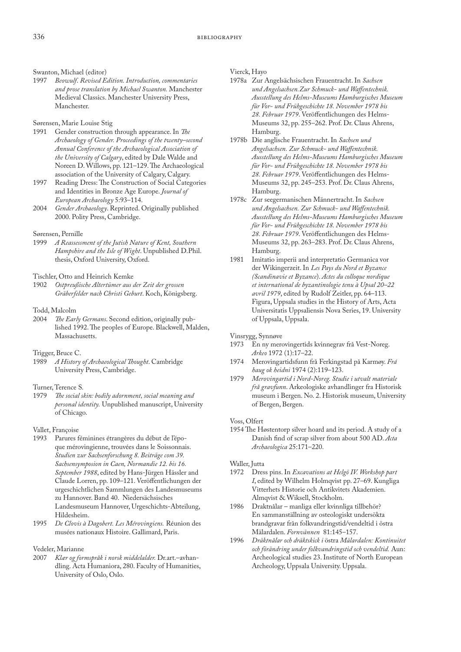# Swanton, Michael (editor)<br>1997 Beowulf. Revised E

1997 *Beowulf*. *Revised Edition. Introduction, commentaries and prose translation by Michael Swanton.* Manchester Medieval Classics. Manchester University Press, Manchester.

### Sørensen, Marie Louise Stig

- 1991 Gender construction through appearance. In *The Archaeology of Gender. Proceedings of the twenty–second Annual Conference of the Archaeological Association of the University of Calgary*, edited by Dale Walde and Noreen D. Willows, pp. 121–129. The Archaeological association of the University of Calgary, Calgary.
- 1997 Reading Dress: The Construction of Social Categories and Identities in Bronze Age Europe. *Journal of European Archaeology* 5:93–114.
- 2004 *Gender Archaeology*. Reprinted. Originally published 2000. Polity Press, Cambridge.

### Sørensen, Pernille

1999 *A Reassessment of the Jutish Nature of Kent, Southern Hampshire and the Isle of Wight*. Unpublished D.Phil. thesis, Oxford University, Oxford.

Tischler, Otto and Heinrich Kemke

- 1902 *Ostpreußische Altertümer aus der Zeit der grossen Gräberfelder nach Christi Geburt*. Koch, Königsberg.
- Todd, Malcolm
- 2004 *The Early Germans*. Second edition, originally published 1992. The peoples of Europe. Blackwell, Malden, Massachusetts.
- Trigger, Bruce C.<br>1989 A History
- 1989 *A History of Archaeological Thought*. Cambridge University Press, Cambridge.

### Turner, Terence S.

1979 *The social skin: bodily adornment, social meaning and personal identity.* Unpublished manuscript, University of Chicago.

### Vallet, Françoise

- 1993 Parures féminines étrangères du début de l'époque mérovingienne, trouvées dans le Soissonnais. *Studien zur Sachsenforschung 8. Beiträge com 39. Sachsensymposion in Caen, Normandie 12. bis 16. September 1988*, edited by Hans-Jürgen Hässler and Claude Lorren, pp. 109–121. Veröffentlichungen der urgeschichtlichen Sammlungen des Landesmuseums zu Hannover. Band 40. Niedersächsisches Landesmuseum Hannover, Urgeschichts-Abteilung, Hildesheim.
- 1995 *De Clovis à Dagobert. Les Mérovingiens.* Réunion des musées nationaux Histoire. Gallimard, Paris.

### Vedeler, Marianne

2007 *Klær og formspråk i norsk middelalder.* Dr.art.–avhandling. Acta Humaniora, 280. Faculty of Humanities, University of Oslo, Oslo.

Vierck, Hayo

- 1978a Zur Angelsächsischen Frauentracht. In *Sachsen und Angelsachsen.Zur Schmuck- und Waffentechnik. Ausstellung des Helms-Museums Hamburgisches Museum für Vor- und Frühgeschichte 18. November 1978 bis 28. Februar 1979*. Veröffentlichungen des Helms-Museums 32, pp. 255–262. Prof. Dr. Claus Ahrens, Hamburg.
- 1978b Die anglische Frauentracht. In *Sachsen und Angelsachsen. Zur Schmuck- und Waffentechnik. Ausstellung des Helms-Museums Hamburgisches Museum für Vor- und Frühgeschichte 18. November 1978 bis 28. Februar 1979*. Veröffentlichungen des Helms-Museums 32, pp. 245–253. Prof. Dr. Claus Ahrens, Hamburg.
- 1978c Zur seegermanischen Männertracht. In *Sachsen und Angelsachsen. Zur Schmuck- und Waffentechnik. Ausstellung des Helms-Museums Hamburgisches Museum für Vor- und Frühgeschichte 18. November 1978 bis 28. Februar 1979*. Veröffentlichungen des Helms-Museums 32, pp. 263–283. Prof. Dr. Claus Ahrens, Hamburg.
- 1981 Imitatio imperii and interpretatio Germanica vor der Wikingerzeit. In *Les Pays du Nord et Byzance (Scandinavie et Byzance*). *Actes du colloque nordique et international de byzantinologie tenu à Upsal 20–22 avril 1979*, edited by Rudolf Zeitler, pp. 64–113. Figura, Uppsala studies in the History of Arts, Acta Universitatis Uppsaliensis Nova Series, 19. University of Uppsala, Uppsala.

Vinsrygg, Synnøve

- 1973 En ny merovingertids kvinnegrav frå Vest-Noreg. *Arkeo* 1972 (1):17–22.
- 1974 Merovingartidsfunn frå Ferkingstad på Karmøy. *Frá haug ok heidni* 1974 (2):119–123.
- 1979 *Merovingartid i Nord-Noreg. Studie i utvalt materiale frå gravfunn*. Arkeologiske avhandlinger fra Historisk museum i Bergen. No. 2. Historisk museum, University of Bergen, Bergen.

### Voss, Olfert

1954 The Høstentorp silver hoard and its period. A study of a Danish find of scrap silver from about 500 AD. *Acta Archaeologica* 25:171–220.

### Waller, Jutta

- 1972 Dress pins. In *Excavations at Helgö IV. Workshop part I*, edited by Wilhelm Holmqvist pp. 27–69. Kungliga Vitterhets Historie och Antikvitets Akademien. Almqvist & Wiksell, Stockholm.
- 1986 Draktnålar manliga eller kvinnliga tillbehör? En sammanställning av osteologiskt undersökta brandgravar från folkvandringstid/vendeltid i östra Mälardalen. *Fornvännen* 81:145–157.
- 1996 *Dräktnålar och dräktskick i* östra *Mälardalen: Kontinuitet och förändring under folkvandringstid och vendeltid.* Aun: Archeological studies 23. Institute of North European Archeology, Uppsala University. Uppsala.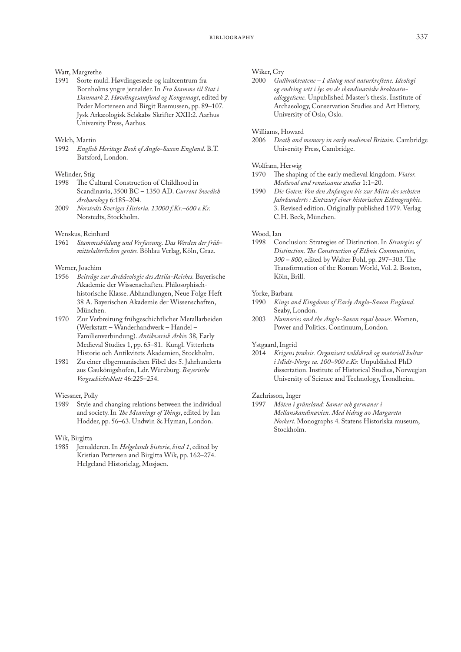# Watt, Margrethe<br>1991 Sorte mu

Sorte muld. Høvdingesæde og kultcentrum fra Bornholms yngre jernalder. In *Fra Stamme til Stat i Danmark 2. Høvdingesamfund og Kongemagt*, edited by Peder Mortensen and Birgit Rasmussen, pp. 89–107*.* Jysk Arkæologisk Selskabs Skrifter XXII:2. Aarhus University Press, Aarhus*.*

### Welch, Martin

1992 *English Heritage Book of Anglo-Saxon England*. B.T. Batsford, London.

# Welinder, Stig<br>1998 The Cu

- The Cultural Construction of Childhood in Scandinavia, 3500 BC – 1350 AD. *Current Swedish Archaeology* 6:185–204.
- 2009 *Norstedts Sveriges Historia. 13000 f.Kr.–600 e.Kr.* Norstedts, Stockholm.

### Wenskus, Reinhard

1961 *Stammesbildung und Verfassung. Das Werden der frühmittelalterlichen gentes.* Böhlau Verlag, Köln, Graz.

### Werner, Joachim

- 1956 *Beiträge zur Archäeologie des Attila-Reiches.* Bayerische Akademie der Wissenschaften. Philosophischhistorische Klasse. Abhandlungen, Neue Folge Heft 38 A. Bayerischen Akademie der Wissenschaften, München.
- 1970 Zur Verbreitung frühgeschichtlicher Metallarbeiden (Werkstatt – Wanderhandwerk – Handel – Familienverbindung). *Antikvarisk Arkiv* 38, Early Medieval Studies 1, pp. 65–81. Kungl. Vitterhets Historie och Antikvitets Akademien, Stockholm.
- 1981 Zu einer elbgermanischen Fibel des 5. Jahrhunderts aus Gaukönigshofen, Ldr. Würzburg. *Bayerische Vorgeschichtsblatt* 46:225–254.

### Wiessner, Polly<br>1989 Style an

Style and changing relations between the individual and society. In *The Meanings of Things*, edited by Ian Hodder, pp. 56–63. Undwin & Hyman, London.

Wik, Birgitta

1985 Jernalderen. In *Helgelands historie*, *bind 1*, edited by Kristian Pettersen and Birgitta Wik, pp. 162–274. Helgeland Historielag, Mosjøen.

# Wiker, Gry<br>2000 Gul

2000 *Gullbrakteatene – I dialog med naturkreftene. Ideologi og endring sett i lys av de skandinaviske brakteatnedleggelsene.* Unpublished Master's thesis. Institute of Archaeology, Conservation Studies and Art History, University of Oslo, Oslo.

## Williams, Howard<br>2006 Death and i

2006 *Death and memory in early medieval Britain.* Cambridge University Press, Cambridge.

# Wolfram, Herwig<br>1970 The shapir

- The shaping of the early medieval kingdom. *Viator*. *Medieval and renaissance studies* 1:1–20.
- 1990 *Die Goten: Von den Anfængen bis zur Mitte des sechsten Jahrhunderts : Entwurf einer historischen Ethnographie*. 3. Revised edition. Originally published 1979. Verlag C.H. Beck, München.

## Wood, Ian<br>1998 Co

1998 Conclusion: Strategies of Distinction. In *Strategies of Distinction. The Construction of Ethnic Communities, 300 – 800*, edited by Walter Pohl, pp. 297–303. The Transformation of the Roman World, Vol. 2. Boston, Köln, Brill.

### Yorke, Barbara

- 1990 *Kings and Kingdoms of Early Anglo-Saxon England*. Seaby, London.
- 2003 *Nunneries and the Anglo-Saxon royal houses.* Women, Power and Politics. Continuum, London*.*

### Ystgaard, Ingrid

2014 *Krigens praksis. Organisert voldsbruk og materiell kultur i Midt-Norge ca. 100–900 e.Kr.* Unpublished PhD dissertation. Institute of Historical Studies, Norwegian University of Science and Technology, Trondheim.

### Zachrisson, Inger

1997 *Möten i gränsland: Samer och germaner i Mellanskandinavien. Med bidrag av Margareta Nockert*. Monographs 4. Statens Historiska museum, Stockholm.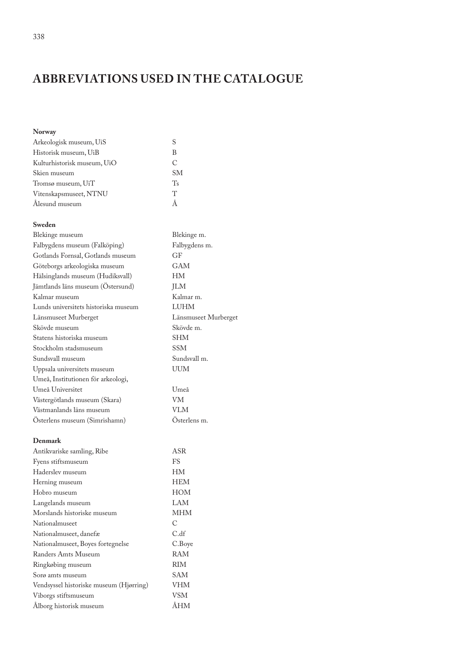# **ABBREVIATIONS USED IN THE CATALOGUE**

### **Norway**

| Arkeologisk museum, UiS     |             |
|-----------------------------|-------------|
| Historisk museum, UiB       | В           |
| Kulturhistorisk museum, UiO | C           |
| Skien museum                | <b>SM</b>   |
| Tromsø museum, UiT          | $T_{\rm s}$ |
| Vitenskapsmuseet, NTNU      | T           |
| Alesund museum              |             |

### **Sweden**

| Blekinge museum                      | Blekinge m.          |
|--------------------------------------|----------------------|
| Falbygdens museum (Falköping)        | Falbygdens m.        |
| Gotlands Fornsal, Gotlands museum    | GF                   |
| Göteborgs arkeologiska museum        | <b>GAM</b>           |
| Hälsinglands museum (Hudiksvall)     | HM                   |
| Jämtlands läns museum (Ostersund)    | <b>JLM</b>           |
| Kalmar museum                        | Kalmar m.            |
| Lunds universitets historiska museum | <b>LUHM</b>          |
| Länsmuseet Murberget                 | Länsmuseet Murberget |
| Skövde museum                        | Skövde m.            |
| Statens historiska museum            | <b>SHM</b>           |
| Stockholm stadsmuseum                | SSM                  |
| Sundsvall museum                     | Sundsvall m.         |
| Uppsala universitets museum          | UUM                  |
| Umeå, Institutionen för arkeologi,   |                      |
| Umeå Universitet                     | Umeå                 |
| Västergötlands museum (Skara)        | VM                   |
| Västmanlands läns museum             | VLM                  |
| Osterlens museum (Simrishamn)        | Osterlens m.         |

### **Denmark**

| Antikvariske samling, Ribe              | ASR        |
|-----------------------------------------|------------|
| Fyens stiftsmuseum                      | FS         |
| Haderslev museum                        | HМ         |
| Herning museum                          | <b>HEM</b> |
| Hobro museum                            | <b>HOM</b> |
| Langelands museum                       | LAM        |
| Morslands historiske museum             | <b>MHM</b> |
| Nationalmuseet                          | C          |
| Nationalmuseet, danefæ                  | C.df       |
| Nationalmuseet, Boyes fortegnelse       | C.Boye     |
| Randers Amts Museum                     | RAM        |
| Ringkøbing museum                       | <b>RIM</b> |
| Sorø amts museum                        | SAM        |
| Vendsyssel historiske museum (Hjørring) | VHM        |
| Viborgs stiftsmuseum                    | VSM        |
| Alborg historisk museum                 | ÀHM        |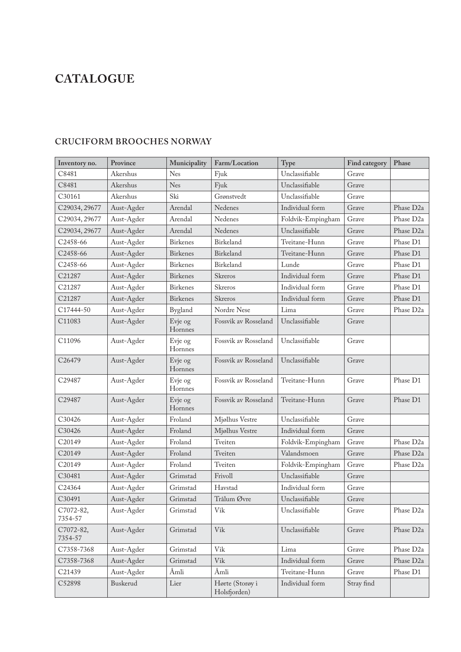# **CATALOGUE**

### **Inventory no. Province Municipality Farm/Location Type Find category Phase** C8481 Akershus Nes Fjuk Unclassifiable Grave C8481 Akershus Nes Fjuk Unclassifiable Grave C30161 Akershus Ski Grønstvedt Unclassifiable Grave C29034, 29677 | Aust-Agder | Arendal | Nedenes | Individual form | Grave | Phase D2a C29034, 29677 Aust-Agder Arendal Nedenes Foldvik-Empingham Grave Phase D2a C29034, 29677 Aust-Agder Arendal Nedenes Unclassifiable Grave Phase D2a C2458-66 Aust-Agder Birkenes Birkeland Tveitane-Hunn Grave Phase D1 C2458-66 Aust-Agder Birkenes Birkeland Tveitane-Hunn Grave Phase D1 C2458-66 Aust-Agder Birkenes Birkeland Lunde Grave Phase D1 C21287 Aust-Agder Birkenes Skreros Individual form Grave Phase D1 C21287 Aust-Agder Birkenes Skreros Individual form Grave Phase D1 C21287 Aust-Agder Birkenes Skreros Individual form Grave Phase D1 C17444-50 Aust-Agder Bygland Nordre Nese Lima Grave Phase D2a C11083 Aust-Agder Evje og Hornnes Fossvik av Rosseland Unclassifiable  $\Box$  Grave C11096 | Aust-Agder | Evje og Hornnes Fossvik av Rosseland | Unclassifiable | Grave C26479 Aust-Agder Evje og **Hornnes** Fossvik av Rosseland | Unclassifiable | Grave C29487 Aust-Agder Evje og Hornnes Fossvik av Rosseland | Tveitane-Hunn | Grave | Phase D1 C29487 Aust-Agder Evje og Hornnes Fossvik av Rosseland | Tveitane-Hunn | Grave | Phase D1 C30426 Aust-Agder Froland Mjølhus Vestre Unclassifiable Grave C30426 Aust-Agder Froland Mjølhus Vestre Individual form Grave C20149 Aust-Agder Froland Tveiten Foldvik-Empingham Grave Phase D2a C20149 Aust-Agder Froland Tveiten Valandsmoen Grave Phase D2a C20149 Aust-Agder Froland Tveiten Foldvik-Empingham Grave Phase D2a C30481 Aust-Agder Grimstad Frivoll Unclassifiable Grave C24364 Aust-Agder Grimstad Havstad Individual form Grave C30491 Aust-Agder Grimstad Trålum Øvre Unclassifiable Grave C7072-82, 7354-57 Aust-Agder Grimstad Vik Unclassifiable Grave Phase D2a C7072-82, 7354-57 Aust-Agder Grimstad Vik Unclassifiable Grave Phase D2a C7358-7368 | Aust-Agder | Grimstad | Vik | Lima | Grave | Phase D2a C7358-7368 | Aust-Agder | Grimstad | Vik | Individual form | Grave | Phase D2a C21439 Aust-Agder Åmli Åmli Tveitane-Hunn Grave Phase D1 C52898 Buskerud Lier Hørte (Storøy i Holsfjorden) Individual form Stray find

### **CRUCIFORM BROOCHES NORWAY**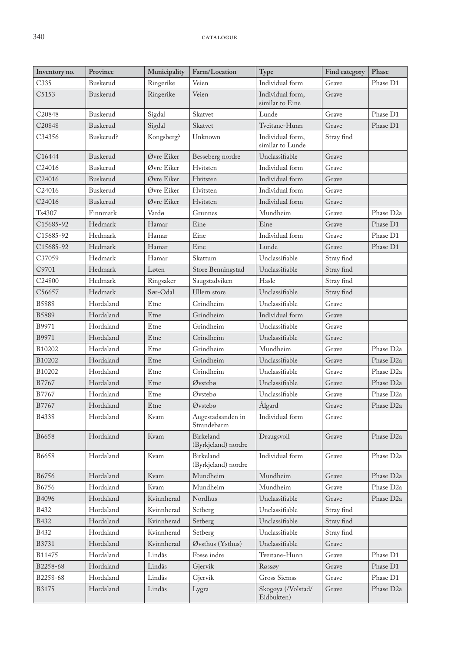| Inventory no.      | Province  | Municipality | Farm/Location                    | Type                                 | Find category | Phase                 |
|--------------------|-----------|--------------|----------------------------------|--------------------------------------|---------------|-----------------------|
| C335               | Buskerud  | Ringerike    | Veien                            | Individual form                      | Grave         | Phase D1              |
| C5153              | Buskerud  | Ringerike    | Veien                            | Individual form,<br>similar to Eine  | Grave         |                       |
| C20848             | Buskerud  | Sigdal       | Skatvet                          | Lunde                                | Grave         | Phase D1              |
| C20848             | Buskerud  | Sigdal       | Skatvet                          | Tveitane-Hunn                        | Grave         | Phase D1              |
| C34356             | Buskerud? | Kongsberg?   | Unknown                          | Individual form,<br>similar to Lunde | Stray find    |                       |
| C16444             | Buskerud  | Øvre Eiker   | Besseberg nordre                 | Unclassifiable                       | Grave         |                       |
| C <sub>24016</sub> | Buskerud  | Øvre Eiker   | Hvitsten                         | Individual form                      | Grave         |                       |
| C24016             | Buskerud  | Øvre Eiker   | Hvitsten                         | Individual form                      | Grave         |                       |
| C24016             | Buskerud  | Øvre Eiker   | Hvitsten                         | Individual form                      | Grave         |                       |
| C24016             | Buskerud  | Øvre Eiker   | Hvitsten                         | Individual form                      | Grave         |                       |
| Ts4307             | Finnmark  | Vardø        | Grunnes                          | Mundheim                             | Grave         | Phase D <sub>2a</sub> |
| C15685-92          | Hedmark   | Hamar        | Eine                             | Eine                                 | Grave         | Phase D1              |
| C15685-92          | Hedmark   | Hamar        | Eine                             | Individual form                      | Grave         | Phase D1              |
| C15685-92          | Hedmark   | Hamar        | Eine                             | Lunde                                | Grave         | Phase D1              |
| C37059             | Hedmark   | Hamar        | Skattum                          | Unclassifiable                       | Stray find    |                       |
| C9701              | Hedmark   | Løten        | Store Benningstad                | Unclassifiable                       | Stray find    |                       |
| C24800             | Hedmark   | Ringsaker    | Saugstadviken                    | Hasle                                | Stray find    |                       |
| C56657             | Hedmark   | Sør-Odal     | Ullern store                     | Unclassifiable                       | Stray find    |                       |
| <b>B5888</b>       | Hordaland | Etne         | Grindheim                        | Unclassifiable                       | Grave         |                       |
| B5889              | Hordaland | Etne         | Grindheim                        | Individual form                      | Grave         |                       |
| B9971              | Hordaland | Etne         | Grindheim                        | Unclassifiable                       | Grave         |                       |
| B9971              | Hordaland | Etne         | Grindheim                        | Unclassifiable                       | Grave         |                       |
| B10202             | Hordaland | Etne         | Grindheim                        | Mundheim                             | Grave         | Phase D <sub>2a</sub> |
| B10202             | Hordaland | Etne         | Grindheim                        | Unclassifiable                       | Grave         | Phase D <sub>2a</sub> |
| B10202             | Hordaland | Etne         | Grindheim                        | Unclassifiable                       | Grave         | Phase D <sub>2a</sub> |
| B7767              | Hordaland | Etne         | Øvstebø                          | Unclassifiable                       | Grave         | Phase D <sub>2a</sub> |
| B7767              | Hordaland | Etne         | Øvstebø                          | Unclassifiable                       | Grave         | Phase D <sub>2a</sub> |
| B7767              | Hordaland | Etne         | Øvstebø                          | Ålgard                               | Grave         | Phase D <sub>2a</sub> |
| B4338              | Hordaland | Kvam         | Augestadsanden in<br>Strandebarm | Individual form                      | Grave         |                       |
| <b>B6658</b>       | Hordaland | Kvam         | Birkeland<br>(Byrkjeland) nordre | Draugsvoll                           | Grave         | Phase D <sub>2a</sub> |
| <b>B6658</b>       | Hordaland | Kvam         | Birkeland<br>(Byrkjeland) nordre | Individual form                      | Grave         | Phase D <sub>2a</sub> |
| B6756              | Hordaland | Kvam         | Mundheim                         | Mundheim                             | Grave         | Phase D <sub>2a</sub> |
| B6756              | Hordaland | Kvam         | Mundheim                         | Mundheim                             | Grave         | Phase D <sub>2a</sub> |
| B4096              | Hordaland | Kvinnherad   | Nordhus                          | Unclassifiable                       | Grave         | Phase D <sub>2a</sub> |
| B432               | Hordaland | Kvinnherad   | Setberg                          | Unclassifiable                       | Stray find    |                       |
| B432               | Hordaland | Kvinnherad   | Setberg                          | Unclassifiable                       | Stray find    |                       |
| B432               | Hordaland | Kvinnherad   | Setberg                          | Unclassifiable                       | Stray find    |                       |
| B3731              | Hordaland | Kvinnherad   | Øvsthus (Ysthus)                 | Unclassifiable                       | Grave         |                       |
| B11475             | Hordaland | Lindås       | Fosse indre                      | Tveitane-Hunn                        | Grave         | Phase D1              |
| B2258-68           | Hordaland | Lindås       | Gjervik                          | Røssøy                               | Grave         | Phase D1              |
| B2258-68           | Hordaland | Lindås       | Gjervik                          | Gross Siemss                         | Grave         | Phase D1              |
| B3175              | Hordaland | Lindås       | Lygra                            | Skogøya (/Volstad/<br>Eidbukten)     | Grave         | Phase D <sub>2a</sub> |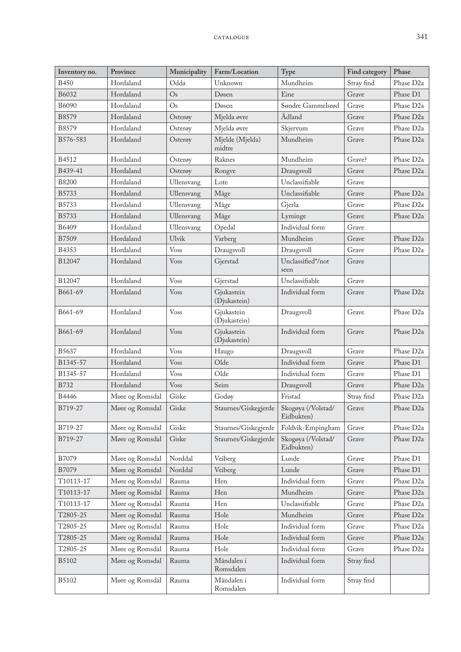| Inventory no. | Province        | Municipality  | Farm/Location              | Type                             | Find category | Phase                 |
|---------------|-----------------|---------------|----------------------------|----------------------------------|---------------|-----------------------|
| <b>B450</b>   | Hordaland       | Odda          | Unknown                    | Mundheim                         | Stray find    | Phase D <sub>2a</sub> |
| B6032         | Hordaland       | $\mathrm{Os}$ | Døsen                      | Eine                             | Grave         | Phase D1              |
| B6090         | Hordaland       | Os            | Døsen                      | Søndre Gammelsrød                | Grave         | Phase D <sub>2a</sub> |
| B8579         | Hordaland       | Osterøy       | Mjelda øvre                | Ådland                           | Grave         | Phase D <sub>2a</sub> |
| B8579         | Hordaland       | Osterøy       | Mjelda øvre                | Skjervum                         | Grave         | Phase D <sub>2a</sub> |
| B576-583      | Hordaland       | Osterøy       | Mjelde (Mjelda)<br>midtre  | Mundheim                         | Grave         | Phase D <sub>2a</sub> |
| B4512         | Hordaland       | Osterøy       | Raknes                     | Mundheim                         | Grave?        | Phase D <sub>2a</sub> |
| B439-41       | Hordaland       | Osterøy       | Rongve                     | Draugsvoll                       | Grave         | Phase D <sub>2a</sub> |
| <b>B8200</b>  | Hordaland       | Ullensvang    | Lote                       | Unclassifiable                   | Grave         |                       |
| B5733         | Hordaland       | Ullensvang    | Måge                       | Unclassifiable                   | Grave         | Phase D <sub>2a</sub> |
| B5733         | Hordaland       | Ullensvang    | Måge                       | Gjerla                           | Grave         | Phase D <sub>2a</sub> |
| B5733         | Hordaland       | Ullensvang    | Måge                       | Lyminge                          | Grave         | Phase D <sub>2a</sub> |
| B6409         | Hordaland       | Ullensvang    | Opedal                     | Individual form                  | Grave         |                       |
| B7509         | Hordaland       | Ulvik         | Varberg                    | Mundheim                         | Grave         | Phase D <sub>2a</sub> |
| B4353         | Hordaland       | <b>Voss</b>   | Draugsvoll                 | Draugsvoll                       | Grave         | Phase D <sub>2a</sub> |
| B12047        | Hordaland       | <b>Voss</b>   | Gjerstad                   | Unclassified*/not<br>seen        | Grave         |                       |
| B12047        | Hordaland       | <b>Voss</b>   | Gjerstad                   | Unclassifiable                   | Grave         |                       |
| B661-69       | Hordaland       | <b>Voss</b>   | Gjukastein<br>(Djukastein) | Individual form                  | Grave         | Phase D <sub>2a</sub> |
| B661-69       | Hordaland       | <b>Voss</b>   | Gjukastein<br>(Djukastein) | Draugsvoll                       | Grave         | Phase D <sub>2a</sub> |
| B661-69       | Hordaland       | <b>Voss</b>   | Gjukastein<br>(Djukastein) | Individual form                  | Grave         | Phase D <sub>2a</sub> |
| B5637         | Hordaland       | <b>Voss</b>   | Haugo                      | Draugsvoll                       | Grave         | Phase D <sub>2a</sub> |
| B1345-57      | Hordaland       | <b>V</b> oss  | Olde                       | Individual form                  | Grave         | Phase D1              |
| B1345-57      | Hordaland       | <b>Voss</b>   | Olde                       | Individual form                  | Grave         | Phase D1              |
| <b>B732</b>   | Hordaland       | <b>Voss</b>   | Seim                       | Draugsvoll                       | Grave         | Phase D <sub>2a</sub> |
| <b>B4446</b>  | Møre og Romsdal | Giske         | Godøy                      | Fristad                          | Stray find    | Phase D <sub>2a</sub> |
| B719-27       | Møre og Romsdal | Giske         | Staurnes/Giskegjerde       | Skogøya (/Volstad/<br>Eidbukten) | Grave         | Phase D <sub>2a</sub> |
| B719-27       | Møre og Romsdal | Giske         | Staurnes/Giskegjerde       | Foldvik-Empingham                | Grave         | Phase D <sub>2a</sub> |
| B719-27       | Møre og Romsdal | Giske         | Staurnes/Giskegjerde       | Skogøya (/Volstad/<br>Eidbukten) | Grave         | Phase D <sub>2a</sub> |
| B7079         | Møre og Romsdal | Norddal       | Veiberg                    | Lunde                            | Grave         | Phase D1              |
| B7079         | Møre og Romsdal | Norddal       | Veiberg                    | Lunde                            | Grave         | Phase D1              |
| T10113-17     | Møre og Romsdal | Rauma         | Hen                        | Individual form                  | Grave         | Phase D <sub>2a</sub> |
| T10113-17     | Møre og Romsdal | Rauma         | Hen                        | Mundheim                         | Grave         | Phase D <sub>2a</sub> |
| T10113-17     | Møre og Romsdal | Rauma         | Hen                        | Unclassifiable                   | Grave         | Phase D <sub>2a</sub> |
| T2805-25      | Møre og Romsdal | Rauma         | Hole                       | Mundheim                         | Grave         | Phase D <sub>2a</sub> |
| T2805-25      | Møre og Romsdal | Rauma         | Hole                       | Individual form                  | Grave         | Phase D <sub>2a</sub> |
| T2805-25      | Møre og Romsdal | Rauma         | Hole                       | Individual form                  | Grave         | Phase D <sub>2a</sub> |
| T2805-25      | Møre og Romsdal | Rauma         | Hole                       | Individual form                  | Grave         | Phase D <sub>2a</sub> |
| B5102         | Møre og Romsdal | Rauma         | Måndalen i<br>Romsdalen    | Individual form                  | Stray find    |                       |
| B5102         | Møre og Romsdal | Rauma         | Måndalen i<br>Romsdalen    | Individual form                  | Stray find    |                       |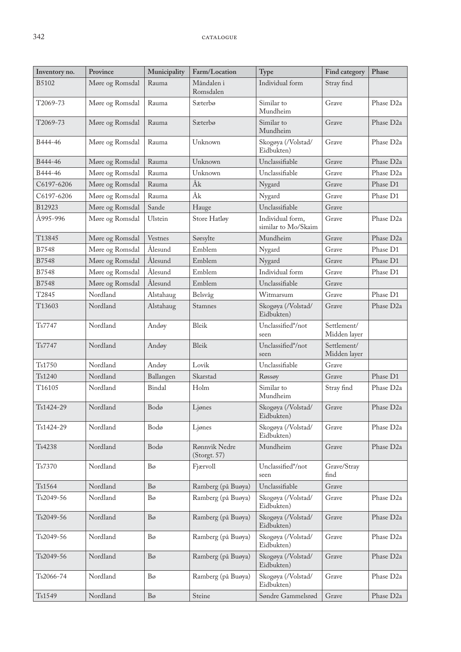| Inventory no.       | Province        | Municipality   | Farm/Location                 | Type                                    | Find category               | Phase                 |
|---------------------|-----------------|----------------|-------------------------------|-----------------------------------------|-----------------------------|-----------------------|
| <b>B5102</b>        | Møre og Romsdal | Rauma          | Måndalen i<br>Romsdalen       | Individual form                         | Stray find                  |                       |
| T2069-73            | Møre og Romsdal | Rauma          | Sæterbø                       | Similar to<br>Mundheim                  | Grave                       | Phase D <sub>2a</sub> |
| T2069-73            | Møre og Romsdal | Rauma          | Sæterbø                       | Similar to<br>Mundheim                  | Grave                       | Phase D <sub>2a</sub> |
| B444-46             | Møre og Romsdal | Rauma          | Unknown                       | Skogøya (/Volstad/<br>Eidbukten)        | Grave                       | Phase D <sub>2a</sub> |
| B444-46             | Møre og Romsdal | Rauma          | Unknown                       | Unclassifiable                          | Grave                       | Phase D <sub>2a</sub> |
| B444-46             | Møre og Romsdal | Rauma          | Unknown                       | Unclassifiable                          | Grave                       | Phase D <sub>2a</sub> |
| C6197-6206          | Møre og Romsdal | Rauma          | Åk                            | Nygard                                  | Grave                       | Phase D1              |
| C6197-6206          | Møre og Romsdal | Rauma          | Åk                            | Nygard                                  | Grave                       | Phase D1              |
| B12923              | Møre og Romsdal | Sande          | Hauge                         | Unclassifiable                          | Grave                       |                       |
| Å995-996            | Møre og Romsdal | Ulstein        | Store Hatløy                  | Individual form,<br>similar to Mo/Skaim | Grave                       | Phase D <sub>2a</sub> |
| T13845              | Møre og Romsdal | Vestnes        | Sørsylte                      | Mundheim                                | Grave                       | Phase D <sub>2a</sub> |
| B7548               | Møre og Romsdal | Ålesund        | Emblem                        | Nygard                                  | Grave                       | Phase D1              |
| B7548               | Møre og Romsdal | Ålesund        | Emblem                        | Nygard                                  | Grave                       | Phase D1              |
| B7548               | Møre og Romsdal | Ålesund        | Emblem                        | Individual form                         | Grave                       | Phase D1              |
| <b>B7548</b>        | Møre og Romsdal | Ålesund        | Emblem                        | Unclassifiable                          | Grave                       |                       |
| T2845               | Nordland        | Alstahaug      | Belsvåg                       | Witmarsum                               | Grave                       | Phase D1              |
| T13603              | Nordland        | Alstahaug      | Stamnes                       | Skogøya (/Volstad/<br>Eidbukten)        | Grave                       | Phase D <sub>2a</sub> |
| Ts7747              | Nordland        | Andøy          | Bleik                         | Unclassified*/not<br>seen               | Settlement/<br>Midden layer |                       |
| Ts7747              | Nordland        | Andøy          | Bleik                         | Unclassified*/not<br>seen               | Settlement/<br>Midden layer |                       |
| Ts1750              | Nordland        | Andøy          | Lovik                         | Unclassifiable                          | Grave                       |                       |
| Ts1240              | Nordland        | Ballangen      | Skarstad                      | Røssøy                                  | Grave                       | Phase D1              |
| T16105              | Nordland        | Bindal         | Holm                          | Similar to<br>Mundheim                  | Stray find                  | Phase D <sub>2a</sub> |
| Ts1424-29           | Nordland        | Bodø           | Ljønes                        | Skogøya (/Volstad/<br>Eidbukten)        | Grave                       | Phase D <sub>2a</sub> |
| Ts1424-29           | Nordland        | Bodø           | Ljønes                        | Skogøya (/Volstad/<br>Eidbukten)        | Grave                       | Phase D <sub>2a</sub> |
| T <sub>s</sub> 4238 | Nordland        | Bodø           | Rønnvik Nedre<br>(Storgt. 57) | Mundheim                                | Grave                       | Phase D <sub>2a</sub> |
| Ts7370              | Nordland        | Bø             | Fjærvoll                      | Unclassified*/not<br>seen               | Grave/Stray<br>find         |                       |
| Ts1564              | Nordland        | $B\sigma$      | Ramberg (på Buøya)            | Unclassifiable                          | Grave                       |                       |
| Ts2049-56           | Nordland        | Bo             | Ramberg (på Buøya)            | Skogøya (/Volstad/<br>Eidbukten)        | Grave                       | Phase D <sub>2a</sub> |
| Ts2049-56           | Nordland        | $B\sigma$      | Ramberg (på Buøya)            | Skogøya (/Volstad/<br>Eidbukten)        | Grave                       | Phase D <sub>2a</sub> |
| Ts2049-56           | Nordland        | Bo             | Ramberg (på Buøya)            | Skogøya (/Volstad/<br>Eidbukten)        | Grave                       | Phase D <sub>2a</sub> |
| Ts2049-56           | Nordland        | $B\varnothing$ | Ramberg (på Buøya)            | Skogøya (/Volstad/<br>Eidbukten)        | Grave                       | Phase D <sub>2a</sub> |
| Ts2066-74           | Nordland        | Bo             | Ramberg (på Buøya)            | Skogøya (/Volstad/<br>Eidbukten)        | Grave                       | Phase D <sub>2a</sub> |
| Ts1549              | Nordland        | $B\varnothing$ | Steine                        | Søndre Gammelsrød                       | Grave                       | Phase D <sub>2a</sub> |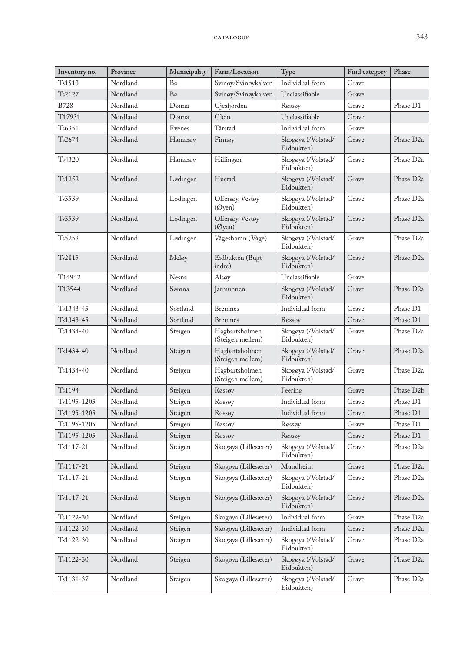| Inventory no. | Province | Municipality   | Farm/Location                           | Type                             | Find category | Phase                  |
|---------------|----------|----------------|-----------------------------------------|----------------------------------|---------------|------------------------|
| Ts1513        | Nordland | Bo             | Svinøy/Svinøykalven                     | Individual form                  | Grave         |                        |
| Ts2127        | Nordland | $B\varnothing$ | Svinøy/Svinøykalven                     | Unclassifiable                   | Grave         |                        |
| <b>B728</b>   | Nordland | Dønna          | Gjesfjorden                             | Røssøy                           | Grave         | Phase D1               |
| T17931        | Nordland | Dønna          | Glein                                   | Unclassifiable                   | Grave         |                        |
| Ts6351        | Nordland | Evenes         | Tårstad                                 | Individual form                  | Grave         |                        |
| Ts2674        | Nordland | Hamarøy        | Finnøy                                  | Skogøya (/Volstad/<br>Eidbukten) | Grave         | Phase D <sub>2a</sub>  |
| Ts4320        | Nordland | Hamarøy        | Hillingan                               | Skogøya (/Volstad/<br>Eidbukten) | Grave         | Phase D <sub>2a</sub>  |
| Ts1252        | Nordland | Lødingen       | Hustad                                  | Skogøya (/Volstad/<br>Eidbukten) | Grave         | Phase D <sub>2a</sub>  |
| Ts3539        | Nordland | Lødingen       | Offersøy, Vestøy<br>$(\mathcal{O}$ yen) | Skogøya (/Volstad/<br>Eidbukten) | Grave         | Phase D <sub>2a</sub>  |
| Ts3539        | Nordland | Lødingen       | Offersøy, Vestøy<br>$(\mathcal{O}$ yen) | Skogøya (/Volstad/<br>Eidbukten) | Grave         | Phase D <sub>2a</sub>  |
| Ts5253        | Nordland | Lødingen       | Vågeshamn (Våge)                        | Skogøya (/Volstad/<br>Eidbukten) | Grave         | Phase D <sub>2a</sub>  |
| Ts2815        | Nordland | Meløy          | Eidbukten (Bugt<br>indre)               | Skogøya (/Volstad/<br>Eidbukten) | Grave         | Phase D <sub>2a</sub>  |
| T14942        | Nordland | Nesna          | Alsøy                                   | Unclassifiable                   | Grave         |                        |
| T13544        | Nordland | Sømna          | Jarmunnen                               | Skogøya (/Volstad/<br>Eidbukten) | Grave         | Phase D <sub>2a</sub>  |
| Ts1343-45     | Nordland | Sortland       | <b>Bremnes</b>                          | Individual form                  | Grave         | Phase D1               |
| Ts1343-45     | Nordland | Sortland       | <b>Bremnes</b>                          | Røssøy                           | Grave         | Phase D1               |
| Ts1434-40     | Nordland | Steigen        | Hagbartsholmen<br>(Steigen mellem)      | Skogøya (/Volstad/<br>Eidbukten) | Grave         | Phase D <sub>2a</sub>  |
| Ts1434-40     | Nordland | Steigen        | Hagbartsholmen<br>(Steigen mellem)      | Skogøya (/Volstad/<br>Eidbukten) | Grave         | Phase D <sub>2a</sub>  |
| Ts1434-40     | Nordland | Steigen        | Hagbartsholmen<br>(Steigen mellem)      | Skogøya (/Volstad/<br>Eidbukten) | Grave         | Phase D <sub>2a</sub>  |
| Ts1194        | Nordland | Steigen        | Røssøy                                  | Feering                          | Grave         | Phase D <sub>2</sub> b |
| Ts1195-1205   | Nordland | Steigen        | Røssøy                                  | Individual form                  | Grave         | Phase D1               |
| Ts1195-1205   | Nordland | Steigen        | Røssøy                                  | Individual form                  | Grave         | Phase D1               |
| Ts1195-1205   | Nordland | Steigen        | Røssøy                                  | Røssøy                           | Grave         | Phase D1               |
| Ts1195-1205   | Nordland | Steigen        | Røssøy                                  | Røssøy                           | Grave         | Phase D1               |
| Ts1117-21     | Nordland | Steigen        | Skogøya (Lillesæter)                    | Skogøya (/Volstad/<br>Eidbukten) | Grave         | Phase D <sub>2a</sub>  |
| Ts1117-21     | Nordland | Steigen        | Skogøya (Lillesæter)                    | Mundheim                         | Grave         | Phase D <sub>2a</sub>  |
| Ts1117-21     | Nordland | Steigen        | Skogøya (Lillesæter)                    | Skogøya (/Volstad/<br>Eidbukten) | Grave         | Phase D <sub>2a</sub>  |
| Ts1117-21     | Nordland | Steigen        | Skogøya (Lillesæter)                    | Skogøya (/Volstad/<br>Eidbukten) | Grave         | Phase D <sub>2a</sub>  |
| Ts1122-30     | Nordland | Steigen        | Skogøya (Lillesæter)                    | Individual form                  | Grave         | Phase D <sub>2a</sub>  |
| Ts1122-30     | Nordland | Steigen        | Skogøya (Lillesæter)                    | Individual form                  | Grave         | Phase D <sub>2a</sub>  |
| Ts1122-30     | Nordland | Steigen        | Skogøya (Lillesæter)                    | Skogøya (/Volstad/<br>Eidbukten) | Grave         | Phase D <sub>2a</sub>  |
| Ts1122-30     | Nordland | Steigen        | Skogøya (Lillesæter)                    | Skogøya (/Volstad/<br>Eidbukten) | Grave         | Phase D <sub>2a</sub>  |
| Ts1131-37     | Nordland | Steigen        | Skogøya (Lillesæter)                    | Skogøya (/Volstad/<br>Eidbukten) | Grave         | Phase D <sub>2</sub> a |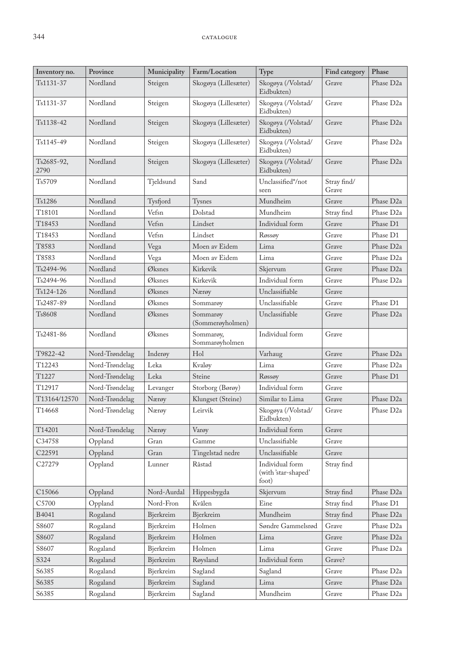| Skogøya (Lillesæter)<br>Skogøya (/Volstad/<br>Grave<br>Phase D <sub>2a</sub><br>Ts1131-37<br>Nordland<br>Steigen<br>Eidbukten)<br>Skogøya (/Volstad/<br>Phase D <sub>2a</sub><br>Ts1131-37<br>Nordland<br>Steigen<br>Skogøya (Lillesæter)<br>Grave<br>Eidbukten)<br>Nordland<br>Skogøya (/Volstad/<br>Phase D <sub>2a</sub><br>Ts1138-42<br>Steigen<br>Skogøya (Lillesæter)<br>Grave<br>Eidbukten)<br>Nordland<br>Skogøya (Lillesæter)<br>Skogøya (/Volstad/<br>Phase D <sub>2a</sub><br>Ts1145-49<br>Steigen<br>Grave<br>Eidbukten)<br>Nordland<br>Skogøya (Lillesæter)<br>Skogøya (/Volstad/<br>Grave<br>Phase D <sub>2a</sub><br>Ts2685-92,<br>Steigen<br>2790<br>Eidbukten)<br>Stray find/<br>Ts5709<br>Sand<br>Unclassified*/not<br>Nordland<br>Tjeldsund<br>Grave<br>seen<br>Nordland<br>Mundheim<br>Grave<br>Phase D <sub>2a</sub><br>Ts1286<br>Tysfjord<br>Tysnes<br>T18101<br>Nordland<br>Vefsn<br>Dolstad<br>Mundheim<br>Phase D <sub>2a</sub><br>Stray find<br>Individual form<br>Phase D1<br>T18453<br>Nordland<br>Vefsn<br>Lindset<br>Grave<br>T18453<br>Vefsn<br>Phase D1<br>Nordland<br>Lindset<br>Grave<br>Røssøy<br>T8583<br>Nordland<br>Moen av Eidem<br>Phase D <sub>2a</sub><br>Vega<br>Lima<br>Grave<br>Lima<br>Phase D <sub>2a</sub><br>T8583<br>Nordland<br>Moen av Eidem<br>Grave<br>Vega<br>Nordland<br>Øksnes<br>Kirkevik<br>Grave<br>Phase D <sub>2a</sub><br>T <sub>s</sub> 2494-96<br>Skjervum<br>Ts2494-96<br>Nordland<br>Øksnes<br>Kirkevik<br>Individual form<br>Grave<br>Phase D <sub>2a</sub><br>Nordland<br>Unclassifiable<br>Grave<br>Ts124-126<br>Øksnes<br>Nærøy<br>Ts2487-89<br>Nordland<br>Sommarøy<br>Unclassifiable<br>Grave<br>Phase D1<br>Øksnes<br>Phase D <sub>2a</sub><br>Ts8608<br>Nordland<br>Sommarøy<br>Unclassifiable<br>Øksnes<br>Grave<br>(Sommerøyholmen)<br>Nordland<br>Sommarøy,<br>Individual form<br>Grave<br>Ts2481-86<br>Øksnes<br>Sommarøyholmen<br>Hol<br>Grave<br>Phase D <sub>2a</sub><br>T9822-42<br>Nord-Trøndelag<br>Inderøy<br>Varhaug<br>T12243<br>Leka<br>Nord-Trøndelag<br>Kvaløy<br>Lima<br>Grave<br>Phase D <sub>2a</sub><br>Steine<br>Phase D1<br>T1227<br>Nord-Trøndelag<br>Leka<br>Grave<br>Røssøy<br>T12917<br>Nord-Trøndelag<br>Storborg (Børøy)<br>Individual form<br>Grave<br>Levanger<br>Nord-Trøndelag<br>Klungset (Steine)<br>Similar to Lima<br>Grave<br>Phase D <sub>2a</sub><br>T13164/12570<br>Nærøy<br>Grave<br>T14668<br>Leirvik<br>Skogøya (/Volstad/<br>Phase D <sub>2</sub> a<br>Nord-Trøndelag<br>Nærøy<br>Eidbukten)<br>Individual form<br>T14201<br>Nord-Trøndelag<br>Nærøy<br>Varøy<br>Grave<br>C34758<br>Unclassifiable<br>Gran<br>Gamme<br>Grave<br>Oppland<br>Unclassifiable<br>C22591<br>Oppland<br>Tingelstad nedre<br>Grave<br>Gran<br>Oppland<br>Råstad<br>Individual form<br>Stray find<br>C27279<br>Lunner<br>(with 'star-shaped'<br>foot)<br>C15066<br>Oppland<br>Nord-Aurdal<br>Hippesbygda<br>Skjervum<br>Stray find<br>Phase D <sub>2a</sub><br>Kvålen<br>Stray find<br>C5700<br>Oppland<br>Nord-Fron<br>Eine<br>Phase D1<br>Mundheim<br>Phase D <sub>2a</sub><br>B4041<br>Rogaland<br>Bjerkreim<br>Stray find<br>Bjerkreim<br>S8607<br>Rogaland<br>Holmen<br>Søndre Gammelsrød<br>Grave<br>Phase D <sub>2a</sub><br>Bjerkreim<br>Rogaland<br>Holmen<br>Phase D <sub>2a</sub><br>S8607<br>Lima<br>Grave<br>Bjerkreim<br>S8607<br>Rogaland<br>Holmen<br>Grave<br>Phase D <sub>2a</sub><br>Bjerkreim<br>Lima<br>S324<br>Individual form<br>Grave?<br>Rogaland<br>Bjerkreim<br>Røysland<br>S6385<br>Rogaland<br>Sagland<br>Grave<br>Phase D <sub>2a</sub><br>Bjerkreim<br>Sagland<br>S6385<br>Rogaland<br>Sagland<br>Lima<br>Grave<br>Phase D <sub>2a</sub><br>Bjerkreim | Inventory no. | Province | Municipality | Farm/Location | Type     | Find category | Phase                 |
|-------------------------------------------------------------------------------------------------------------------------------------------------------------------------------------------------------------------------------------------------------------------------------------------------------------------------------------------------------------------------------------------------------------------------------------------------------------------------------------------------------------------------------------------------------------------------------------------------------------------------------------------------------------------------------------------------------------------------------------------------------------------------------------------------------------------------------------------------------------------------------------------------------------------------------------------------------------------------------------------------------------------------------------------------------------------------------------------------------------------------------------------------------------------------------------------------------------------------------------------------------------------------------------------------------------------------------------------------------------------------------------------------------------------------------------------------------------------------------------------------------------------------------------------------------------------------------------------------------------------------------------------------------------------------------------------------------------------------------------------------------------------------------------------------------------------------------------------------------------------------------------------------------------------------------------------------------------------------------------------------------------------------------------------------------------------------------------------------------------------------------------------------------------------------------------------------------------------------------------------------------------------------------------------------------------------------------------------------------------------------------------------------------------------------------------------------------------------------------------------------------------------------------------------------------------------------------------------------------------------------------------------------------------------------------------------------------------------------------------------------------------------------------------------------------------------------------------------------------------------------------------------------------------------------------------------------------------------------------------------------------------------------------------------------------------------------------------------------------------------------------------------------------------------------------------------------------------------------------------------------------------------------------------------------------------------------------------------------------------------------------------------------------------------------------------------------------------------------------------------------------------------------------------------------------------------------------------------------------------------------------------------------------------------------------------|---------------|----------|--------------|---------------|----------|---------------|-----------------------|
|                                                                                                                                                                                                                                                                                                                                                                                                                                                                                                                                                                                                                                                                                                                                                                                                                                                                                                                                                                                                                                                                                                                                                                                                                                                                                                                                                                                                                                                                                                                                                                                                                                                                                                                                                                                                                                                                                                                                                                                                                                                                                                                                                                                                                                                                                                                                                                                                                                                                                                                                                                                                                                                                                                                                                                                                                                                                                                                                                                                                                                                                                                                                                                                                                                                                                                                                                                                                                                                                                                                                                                                                                                                                                     |               |          |              |               |          |               |                       |
|                                                                                                                                                                                                                                                                                                                                                                                                                                                                                                                                                                                                                                                                                                                                                                                                                                                                                                                                                                                                                                                                                                                                                                                                                                                                                                                                                                                                                                                                                                                                                                                                                                                                                                                                                                                                                                                                                                                                                                                                                                                                                                                                                                                                                                                                                                                                                                                                                                                                                                                                                                                                                                                                                                                                                                                                                                                                                                                                                                                                                                                                                                                                                                                                                                                                                                                                                                                                                                                                                                                                                                                                                                                                                     |               |          |              |               |          |               |                       |
|                                                                                                                                                                                                                                                                                                                                                                                                                                                                                                                                                                                                                                                                                                                                                                                                                                                                                                                                                                                                                                                                                                                                                                                                                                                                                                                                                                                                                                                                                                                                                                                                                                                                                                                                                                                                                                                                                                                                                                                                                                                                                                                                                                                                                                                                                                                                                                                                                                                                                                                                                                                                                                                                                                                                                                                                                                                                                                                                                                                                                                                                                                                                                                                                                                                                                                                                                                                                                                                                                                                                                                                                                                                                                     |               |          |              |               |          |               |                       |
|                                                                                                                                                                                                                                                                                                                                                                                                                                                                                                                                                                                                                                                                                                                                                                                                                                                                                                                                                                                                                                                                                                                                                                                                                                                                                                                                                                                                                                                                                                                                                                                                                                                                                                                                                                                                                                                                                                                                                                                                                                                                                                                                                                                                                                                                                                                                                                                                                                                                                                                                                                                                                                                                                                                                                                                                                                                                                                                                                                                                                                                                                                                                                                                                                                                                                                                                                                                                                                                                                                                                                                                                                                                                                     |               |          |              |               |          |               |                       |
|                                                                                                                                                                                                                                                                                                                                                                                                                                                                                                                                                                                                                                                                                                                                                                                                                                                                                                                                                                                                                                                                                                                                                                                                                                                                                                                                                                                                                                                                                                                                                                                                                                                                                                                                                                                                                                                                                                                                                                                                                                                                                                                                                                                                                                                                                                                                                                                                                                                                                                                                                                                                                                                                                                                                                                                                                                                                                                                                                                                                                                                                                                                                                                                                                                                                                                                                                                                                                                                                                                                                                                                                                                                                                     |               |          |              |               |          |               |                       |
|                                                                                                                                                                                                                                                                                                                                                                                                                                                                                                                                                                                                                                                                                                                                                                                                                                                                                                                                                                                                                                                                                                                                                                                                                                                                                                                                                                                                                                                                                                                                                                                                                                                                                                                                                                                                                                                                                                                                                                                                                                                                                                                                                                                                                                                                                                                                                                                                                                                                                                                                                                                                                                                                                                                                                                                                                                                                                                                                                                                                                                                                                                                                                                                                                                                                                                                                                                                                                                                                                                                                                                                                                                                                                     |               |          |              |               |          |               |                       |
|                                                                                                                                                                                                                                                                                                                                                                                                                                                                                                                                                                                                                                                                                                                                                                                                                                                                                                                                                                                                                                                                                                                                                                                                                                                                                                                                                                                                                                                                                                                                                                                                                                                                                                                                                                                                                                                                                                                                                                                                                                                                                                                                                                                                                                                                                                                                                                                                                                                                                                                                                                                                                                                                                                                                                                                                                                                                                                                                                                                                                                                                                                                                                                                                                                                                                                                                                                                                                                                                                                                                                                                                                                                                                     |               |          |              |               |          |               |                       |
|                                                                                                                                                                                                                                                                                                                                                                                                                                                                                                                                                                                                                                                                                                                                                                                                                                                                                                                                                                                                                                                                                                                                                                                                                                                                                                                                                                                                                                                                                                                                                                                                                                                                                                                                                                                                                                                                                                                                                                                                                                                                                                                                                                                                                                                                                                                                                                                                                                                                                                                                                                                                                                                                                                                                                                                                                                                                                                                                                                                                                                                                                                                                                                                                                                                                                                                                                                                                                                                                                                                                                                                                                                                                                     |               |          |              |               |          |               |                       |
|                                                                                                                                                                                                                                                                                                                                                                                                                                                                                                                                                                                                                                                                                                                                                                                                                                                                                                                                                                                                                                                                                                                                                                                                                                                                                                                                                                                                                                                                                                                                                                                                                                                                                                                                                                                                                                                                                                                                                                                                                                                                                                                                                                                                                                                                                                                                                                                                                                                                                                                                                                                                                                                                                                                                                                                                                                                                                                                                                                                                                                                                                                                                                                                                                                                                                                                                                                                                                                                                                                                                                                                                                                                                                     |               |          |              |               |          |               |                       |
|                                                                                                                                                                                                                                                                                                                                                                                                                                                                                                                                                                                                                                                                                                                                                                                                                                                                                                                                                                                                                                                                                                                                                                                                                                                                                                                                                                                                                                                                                                                                                                                                                                                                                                                                                                                                                                                                                                                                                                                                                                                                                                                                                                                                                                                                                                                                                                                                                                                                                                                                                                                                                                                                                                                                                                                                                                                                                                                                                                                                                                                                                                                                                                                                                                                                                                                                                                                                                                                                                                                                                                                                                                                                                     |               |          |              |               |          |               |                       |
|                                                                                                                                                                                                                                                                                                                                                                                                                                                                                                                                                                                                                                                                                                                                                                                                                                                                                                                                                                                                                                                                                                                                                                                                                                                                                                                                                                                                                                                                                                                                                                                                                                                                                                                                                                                                                                                                                                                                                                                                                                                                                                                                                                                                                                                                                                                                                                                                                                                                                                                                                                                                                                                                                                                                                                                                                                                                                                                                                                                                                                                                                                                                                                                                                                                                                                                                                                                                                                                                                                                                                                                                                                                                                     |               |          |              |               |          |               |                       |
|                                                                                                                                                                                                                                                                                                                                                                                                                                                                                                                                                                                                                                                                                                                                                                                                                                                                                                                                                                                                                                                                                                                                                                                                                                                                                                                                                                                                                                                                                                                                                                                                                                                                                                                                                                                                                                                                                                                                                                                                                                                                                                                                                                                                                                                                                                                                                                                                                                                                                                                                                                                                                                                                                                                                                                                                                                                                                                                                                                                                                                                                                                                                                                                                                                                                                                                                                                                                                                                                                                                                                                                                                                                                                     |               |          |              |               |          |               |                       |
|                                                                                                                                                                                                                                                                                                                                                                                                                                                                                                                                                                                                                                                                                                                                                                                                                                                                                                                                                                                                                                                                                                                                                                                                                                                                                                                                                                                                                                                                                                                                                                                                                                                                                                                                                                                                                                                                                                                                                                                                                                                                                                                                                                                                                                                                                                                                                                                                                                                                                                                                                                                                                                                                                                                                                                                                                                                                                                                                                                                                                                                                                                                                                                                                                                                                                                                                                                                                                                                                                                                                                                                                                                                                                     |               |          |              |               |          |               |                       |
|                                                                                                                                                                                                                                                                                                                                                                                                                                                                                                                                                                                                                                                                                                                                                                                                                                                                                                                                                                                                                                                                                                                                                                                                                                                                                                                                                                                                                                                                                                                                                                                                                                                                                                                                                                                                                                                                                                                                                                                                                                                                                                                                                                                                                                                                                                                                                                                                                                                                                                                                                                                                                                                                                                                                                                                                                                                                                                                                                                                                                                                                                                                                                                                                                                                                                                                                                                                                                                                                                                                                                                                                                                                                                     |               |          |              |               |          |               |                       |
|                                                                                                                                                                                                                                                                                                                                                                                                                                                                                                                                                                                                                                                                                                                                                                                                                                                                                                                                                                                                                                                                                                                                                                                                                                                                                                                                                                                                                                                                                                                                                                                                                                                                                                                                                                                                                                                                                                                                                                                                                                                                                                                                                                                                                                                                                                                                                                                                                                                                                                                                                                                                                                                                                                                                                                                                                                                                                                                                                                                                                                                                                                                                                                                                                                                                                                                                                                                                                                                                                                                                                                                                                                                                                     |               |          |              |               |          |               |                       |
|                                                                                                                                                                                                                                                                                                                                                                                                                                                                                                                                                                                                                                                                                                                                                                                                                                                                                                                                                                                                                                                                                                                                                                                                                                                                                                                                                                                                                                                                                                                                                                                                                                                                                                                                                                                                                                                                                                                                                                                                                                                                                                                                                                                                                                                                                                                                                                                                                                                                                                                                                                                                                                                                                                                                                                                                                                                                                                                                                                                                                                                                                                                                                                                                                                                                                                                                                                                                                                                                                                                                                                                                                                                                                     |               |          |              |               |          |               |                       |
|                                                                                                                                                                                                                                                                                                                                                                                                                                                                                                                                                                                                                                                                                                                                                                                                                                                                                                                                                                                                                                                                                                                                                                                                                                                                                                                                                                                                                                                                                                                                                                                                                                                                                                                                                                                                                                                                                                                                                                                                                                                                                                                                                                                                                                                                                                                                                                                                                                                                                                                                                                                                                                                                                                                                                                                                                                                                                                                                                                                                                                                                                                                                                                                                                                                                                                                                                                                                                                                                                                                                                                                                                                                                                     |               |          |              |               |          |               |                       |
|                                                                                                                                                                                                                                                                                                                                                                                                                                                                                                                                                                                                                                                                                                                                                                                                                                                                                                                                                                                                                                                                                                                                                                                                                                                                                                                                                                                                                                                                                                                                                                                                                                                                                                                                                                                                                                                                                                                                                                                                                                                                                                                                                                                                                                                                                                                                                                                                                                                                                                                                                                                                                                                                                                                                                                                                                                                                                                                                                                                                                                                                                                                                                                                                                                                                                                                                                                                                                                                                                                                                                                                                                                                                                     |               |          |              |               |          |               |                       |
|                                                                                                                                                                                                                                                                                                                                                                                                                                                                                                                                                                                                                                                                                                                                                                                                                                                                                                                                                                                                                                                                                                                                                                                                                                                                                                                                                                                                                                                                                                                                                                                                                                                                                                                                                                                                                                                                                                                                                                                                                                                                                                                                                                                                                                                                                                                                                                                                                                                                                                                                                                                                                                                                                                                                                                                                                                                                                                                                                                                                                                                                                                                                                                                                                                                                                                                                                                                                                                                                                                                                                                                                                                                                                     |               |          |              |               |          |               |                       |
|                                                                                                                                                                                                                                                                                                                                                                                                                                                                                                                                                                                                                                                                                                                                                                                                                                                                                                                                                                                                                                                                                                                                                                                                                                                                                                                                                                                                                                                                                                                                                                                                                                                                                                                                                                                                                                                                                                                                                                                                                                                                                                                                                                                                                                                                                                                                                                                                                                                                                                                                                                                                                                                                                                                                                                                                                                                                                                                                                                                                                                                                                                                                                                                                                                                                                                                                                                                                                                                                                                                                                                                                                                                                                     |               |          |              |               |          |               |                       |
|                                                                                                                                                                                                                                                                                                                                                                                                                                                                                                                                                                                                                                                                                                                                                                                                                                                                                                                                                                                                                                                                                                                                                                                                                                                                                                                                                                                                                                                                                                                                                                                                                                                                                                                                                                                                                                                                                                                                                                                                                                                                                                                                                                                                                                                                                                                                                                                                                                                                                                                                                                                                                                                                                                                                                                                                                                                                                                                                                                                                                                                                                                                                                                                                                                                                                                                                                                                                                                                                                                                                                                                                                                                                                     |               |          |              |               |          |               |                       |
|                                                                                                                                                                                                                                                                                                                                                                                                                                                                                                                                                                                                                                                                                                                                                                                                                                                                                                                                                                                                                                                                                                                                                                                                                                                                                                                                                                                                                                                                                                                                                                                                                                                                                                                                                                                                                                                                                                                                                                                                                                                                                                                                                                                                                                                                                                                                                                                                                                                                                                                                                                                                                                                                                                                                                                                                                                                                                                                                                                                                                                                                                                                                                                                                                                                                                                                                                                                                                                                                                                                                                                                                                                                                                     |               |          |              |               |          |               |                       |
|                                                                                                                                                                                                                                                                                                                                                                                                                                                                                                                                                                                                                                                                                                                                                                                                                                                                                                                                                                                                                                                                                                                                                                                                                                                                                                                                                                                                                                                                                                                                                                                                                                                                                                                                                                                                                                                                                                                                                                                                                                                                                                                                                                                                                                                                                                                                                                                                                                                                                                                                                                                                                                                                                                                                                                                                                                                                                                                                                                                                                                                                                                                                                                                                                                                                                                                                                                                                                                                                                                                                                                                                                                                                                     |               |          |              |               |          |               |                       |
|                                                                                                                                                                                                                                                                                                                                                                                                                                                                                                                                                                                                                                                                                                                                                                                                                                                                                                                                                                                                                                                                                                                                                                                                                                                                                                                                                                                                                                                                                                                                                                                                                                                                                                                                                                                                                                                                                                                                                                                                                                                                                                                                                                                                                                                                                                                                                                                                                                                                                                                                                                                                                                                                                                                                                                                                                                                                                                                                                                                                                                                                                                                                                                                                                                                                                                                                                                                                                                                                                                                                                                                                                                                                                     |               |          |              |               |          |               |                       |
|                                                                                                                                                                                                                                                                                                                                                                                                                                                                                                                                                                                                                                                                                                                                                                                                                                                                                                                                                                                                                                                                                                                                                                                                                                                                                                                                                                                                                                                                                                                                                                                                                                                                                                                                                                                                                                                                                                                                                                                                                                                                                                                                                                                                                                                                                                                                                                                                                                                                                                                                                                                                                                                                                                                                                                                                                                                                                                                                                                                                                                                                                                                                                                                                                                                                                                                                                                                                                                                                                                                                                                                                                                                                                     |               |          |              |               |          |               |                       |
|                                                                                                                                                                                                                                                                                                                                                                                                                                                                                                                                                                                                                                                                                                                                                                                                                                                                                                                                                                                                                                                                                                                                                                                                                                                                                                                                                                                                                                                                                                                                                                                                                                                                                                                                                                                                                                                                                                                                                                                                                                                                                                                                                                                                                                                                                                                                                                                                                                                                                                                                                                                                                                                                                                                                                                                                                                                                                                                                                                                                                                                                                                                                                                                                                                                                                                                                                                                                                                                                                                                                                                                                                                                                                     |               |          |              |               |          |               |                       |
|                                                                                                                                                                                                                                                                                                                                                                                                                                                                                                                                                                                                                                                                                                                                                                                                                                                                                                                                                                                                                                                                                                                                                                                                                                                                                                                                                                                                                                                                                                                                                                                                                                                                                                                                                                                                                                                                                                                                                                                                                                                                                                                                                                                                                                                                                                                                                                                                                                                                                                                                                                                                                                                                                                                                                                                                                                                                                                                                                                                                                                                                                                                                                                                                                                                                                                                                                                                                                                                                                                                                                                                                                                                                                     |               |          |              |               |          |               |                       |
|                                                                                                                                                                                                                                                                                                                                                                                                                                                                                                                                                                                                                                                                                                                                                                                                                                                                                                                                                                                                                                                                                                                                                                                                                                                                                                                                                                                                                                                                                                                                                                                                                                                                                                                                                                                                                                                                                                                                                                                                                                                                                                                                                                                                                                                                                                                                                                                                                                                                                                                                                                                                                                                                                                                                                                                                                                                                                                                                                                                                                                                                                                                                                                                                                                                                                                                                                                                                                                                                                                                                                                                                                                                                                     |               |          |              |               |          |               |                       |
|                                                                                                                                                                                                                                                                                                                                                                                                                                                                                                                                                                                                                                                                                                                                                                                                                                                                                                                                                                                                                                                                                                                                                                                                                                                                                                                                                                                                                                                                                                                                                                                                                                                                                                                                                                                                                                                                                                                                                                                                                                                                                                                                                                                                                                                                                                                                                                                                                                                                                                                                                                                                                                                                                                                                                                                                                                                                                                                                                                                                                                                                                                                                                                                                                                                                                                                                                                                                                                                                                                                                                                                                                                                                                     |               |          |              |               |          |               |                       |
|                                                                                                                                                                                                                                                                                                                                                                                                                                                                                                                                                                                                                                                                                                                                                                                                                                                                                                                                                                                                                                                                                                                                                                                                                                                                                                                                                                                                                                                                                                                                                                                                                                                                                                                                                                                                                                                                                                                                                                                                                                                                                                                                                                                                                                                                                                                                                                                                                                                                                                                                                                                                                                                                                                                                                                                                                                                                                                                                                                                                                                                                                                                                                                                                                                                                                                                                                                                                                                                                                                                                                                                                                                                                                     |               |          |              |               |          |               |                       |
|                                                                                                                                                                                                                                                                                                                                                                                                                                                                                                                                                                                                                                                                                                                                                                                                                                                                                                                                                                                                                                                                                                                                                                                                                                                                                                                                                                                                                                                                                                                                                                                                                                                                                                                                                                                                                                                                                                                                                                                                                                                                                                                                                                                                                                                                                                                                                                                                                                                                                                                                                                                                                                                                                                                                                                                                                                                                                                                                                                                                                                                                                                                                                                                                                                                                                                                                                                                                                                                                                                                                                                                                                                                                                     |               |          |              |               |          |               |                       |
|                                                                                                                                                                                                                                                                                                                                                                                                                                                                                                                                                                                                                                                                                                                                                                                                                                                                                                                                                                                                                                                                                                                                                                                                                                                                                                                                                                                                                                                                                                                                                                                                                                                                                                                                                                                                                                                                                                                                                                                                                                                                                                                                                                                                                                                                                                                                                                                                                                                                                                                                                                                                                                                                                                                                                                                                                                                                                                                                                                                                                                                                                                                                                                                                                                                                                                                                                                                                                                                                                                                                                                                                                                                                                     |               |          |              |               |          |               |                       |
|                                                                                                                                                                                                                                                                                                                                                                                                                                                                                                                                                                                                                                                                                                                                                                                                                                                                                                                                                                                                                                                                                                                                                                                                                                                                                                                                                                                                                                                                                                                                                                                                                                                                                                                                                                                                                                                                                                                                                                                                                                                                                                                                                                                                                                                                                                                                                                                                                                                                                                                                                                                                                                                                                                                                                                                                                                                                                                                                                                                                                                                                                                                                                                                                                                                                                                                                                                                                                                                                                                                                                                                                                                                                                     |               |          |              |               |          |               |                       |
|                                                                                                                                                                                                                                                                                                                                                                                                                                                                                                                                                                                                                                                                                                                                                                                                                                                                                                                                                                                                                                                                                                                                                                                                                                                                                                                                                                                                                                                                                                                                                                                                                                                                                                                                                                                                                                                                                                                                                                                                                                                                                                                                                                                                                                                                                                                                                                                                                                                                                                                                                                                                                                                                                                                                                                                                                                                                                                                                                                                                                                                                                                                                                                                                                                                                                                                                                                                                                                                                                                                                                                                                                                                                                     |               |          |              |               |          |               |                       |
|                                                                                                                                                                                                                                                                                                                                                                                                                                                                                                                                                                                                                                                                                                                                                                                                                                                                                                                                                                                                                                                                                                                                                                                                                                                                                                                                                                                                                                                                                                                                                                                                                                                                                                                                                                                                                                                                                                                                                                                                                                                                                                                                                                                                                                                                                                                                                                                                                                                                                                                                                                                                                                                                                                                                                                                                                                                                                                                                                                                                                                                                                                                                                                                                                                                                                                                                                                                                                                                                                                                                                                                                                                                                                     |               |          |              |               |          |               |                       |
|                                                                                                                                                                                                                                                                                                                                                                                                                                                                                                                                                                                                                                                                                                                                                                                                                                                                                                                                                                                                                                                                                                                                                                                                                                                                                                                                                                                                                                                                                                                                                                                                                                                                                                                                                                                                                                                                                                                                                                                                                                                                                                                                                                                                                                                                                                                                                                                                                                                                                                                                                                                                                                                                                                                                                                                                                                                                                                                                                                                                                                                                                                                                                                                                                                                                                                                                                                                                                                                                                                                                                                                                                                                                                     |               |          |              |               |          |               |                       |
|                                                                                                                                                                                                                                                                                                                                                                                                                                                                                                                                                                                                                                                                                                                                                                                                                                                                                                                                                                                                                                                                                                                                                                                                                                                                                                                                                                                                                                                                                                                                                                                                                                                                                                                                                                                                                                                                                                                                                                                                                                                                                                                                                                                                                                                                                                                                                                                                                                                                                                                                                                                                                                                                                                                                                                                                                                                                                                                                                                                                                                                                                                                                                                                                                                                                                                                                                                                                                                                                                                                                                                                                                                                                                     |               |          |              |               |          |               |                       |
|                                                                                                                                                                                                                                                                                                                                                                                                                                                                                                                                                                                                                                                                                                                                                                                                                                                                                                                                                                                                                                                                                                                                                                                                                                                                                                                                                                                                                                                                                                                                                                                                                                                                                                                                                                                                                                                                                                                                                                                                                                                                                                                                                                                                                                                                                                                                                                                                                                                                                                                                                                                                                                                                                                                                                                                                                                                                                                                                                                                                                                                                                                                                                                                                                                                                                                                                                                                                                                                                                                                                                                                                                                                                                     | S6385         | Rogaland | Bjerkreim    | Sagland       | Mundheim | Grave         | Phase D <sub>2a</sub> |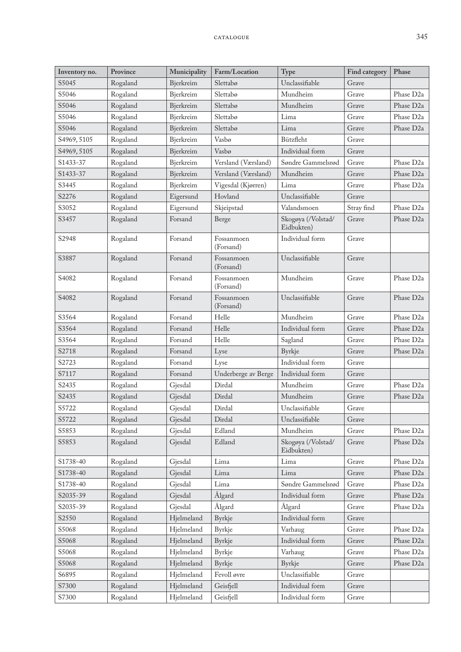| Inventory no. | Province | Municipality | Farm/Location           | Type                             | Find category | Phase                 |
|---------------|----------|--------------|-------------------------|----------------------------------|---------------|-----------------------|
| S5045         | Rogaland | Bjerkreim    | Slettabø                | Unclassifiable                   | Grave         |                       |
| S5046         | Rogaland | Bjerkreim    | Slettabø                | Mundheim                         | Grave         | Phase D <sub>2a</sub> |
| S5046         | Rogaland | Bjerkreim    | Slettabø                | Mundheim                         | Grave         | Phase D <sub>2a</sub> |
| S5046         | Rogaland | Bjerkreim    | Slettabø                | Lima                             | Grave         | Phase D <sub>2a</sub> |
| S5046         | Rogaland | Bjerkreim    | Slettabø                | Lima                             | Grave         | Phase D <sub>2a</sub> |
| S4969, 5105   | Rogaland | Bjerkreim    | Vasbø                   | Bützfleht                        | Grave         |                       |
| S4969, 5105   | Rogaland | Bjerkreim    | Vasbø                   | Individual form                  | Grave         |                       |
| S1433-37      | Rogaland | Bjerkreim    | Versland (Værsland)     | Søndre Gammelsrød                | Grave         | Phase D <sub>2a</sub> |
| S1433-37      | Rogaland | Bjerkreim    | Versland (Værsland)     | Mundheim                         | Grave         | Phase D <sub>2a</sub> |
| S3445         | Rogaland | Bjerkreim    | Vigesdal (Kjørren)      | Lima                             | Grave         | Phase D <sub>2a</sub> |
| S2276         | Rogaland | Eigersund    | Hovland                 | Unclassifiable                   | Grave         |                       |
| S3052         | Rogaland | Eigersund    | Skjeipstad              | Valandsmoen                      | Stray find    | Phase D <sub>2a</sub> |
| S3457         | Rogaland | Forsand      | Berge                   | Skogøya (/Volstad/<br>Eidbukten) | Grave         | Phase D <sub>2a</sub> |
| S2948         | Rogaland | Forsand      | Fossanmoen<br>(Forsand) | Individual form                  | Grave         |                       |
| S3887         | Rogaland | Forsand      | Fossanmoen<br>(Forsand) | Unclassifiable                   | Grave         |                       |
| S4082         | Rogaland | Forsand      | Fossanmoen<br>(Forsand) | Mundheim                         | Grave         | Phase D <sub>2a</sub> |
| S4082         | Rogaland | Forsand      | Fossanmoen<br>(Forsand) | Unclassifiable                   | Grave         | Phase D <sub>2a</sub> |
| S3564         | Rogaland | Forsand      | Helle                   | Mundheim                         | Grave         | Phase D <sub>2a</sub> |
| S3564         | Rogaland | Forsand      | Helle                   | Individual form                  | Grave         | Phase D <sub>2a</sub> |
| S3564         | Rogaland | Forsand      | Helle                   | Sagland                          | Grave         | Phase D <sub>2a</sub> |
| S2718         | Rogaland | Forsand      | Lyse                    | Byrkje                           | Grave         | Phase D <sub>2a</sub> |
| S2723         | Rogaland | Forsand      | Lyse                    | Individual form                  | Grave         |                       |
| S7117         | Rogaland | Forsand      | Underberge av Berge     | Individual form                  | Grave         |                       |
| S2435         | Rogaland | Gjesdal      | Dirdal                  | Mundheim                         | Grave         | Phase D <sub>2a</sub> |
| S2435         | Rogaland | Gjesdal      | Dirdal                  | Mundheim                         | Grave         | Phase D <sub>2a</sub> |
| S5722         | Rogaland | Gjesdal      | Dirdal                  | Unclassifiable                   | Grave         |                       |
| S5722         | Rogaland | Gjesdal      | Dirdal                  | Unclassifiable                   | Grave         |                       |
| S5853         | Rogaland | Gjesdal      | Edland                  | Mundheim                         | Grave         | Phase D <sub>2a</sub> |
| S5853         | Rogaland | Gjesdal      | Edland                  | Skogøya (/Volstad/<br>Eidbukten) | Grave         | Phase D <sub>2a</sub> |
| S1738-40      | Rogaland | Gjesdal      | Lima                    | Lima                             | Grave         | Phase D <sub>2a</sub> |
| S1738-40      | Rogaland | Gjesdal      | Lima                    | Lima                             | Grave         | Phase D <sub>2a</sub> |
| S1738-40      | Rogaland | Gjesdal      | Lima                    | Søndre Gammelsrød                | Grave         | Phase D <sub>2a</sub> |
| S2035-39      | Rogaland | Gjesdal      | Ålgard                  | Individual form                  | Grave         | Phase D <sub>2a</sub> |
| S2035-39      | Rogaland | Gjesdal      | Ålgard                  | Ålgard                           | Grave         | Phase D <sub>2a</sub> |
| S2550         | Rogaland | Hjelmeland   | Byrkje                  | Individual form                  | Grave         |                       |
| S5068         | Rogaland | Hjelmeland   | Byrkje                  | Varhaug                          | Grave         | Phase D <sub>2a</sub> |
| S5068         | Rogaland | Hjelmeland   | Byrkje                  | Individual form                  | Grave         | Phase D <sub>2a</sub> |
| S5068         | Rogaland | Hjelmeland   | Byrkje                  | Varhaug                          | Grave         | Phase D <sub>2a</sub> |
| S5068         | Rogaland | Hjelmeland   | Byrkje                  | Byrkje                           | Grave         | Phase D <sub>2a</sub> |
| S6895         | Rogaland | Hjelmeland   | Fevoll øvre             | Unclassifiable                   | Grave         |                       |
| S7300         | Rogaland | Hjelmeland   | Geisfiell               | Individual form                  | Grave         |                       |
| S7300         | Rogaland | Hjelmeland   | Geisfjell               | Individual form                  | Grave         |                       |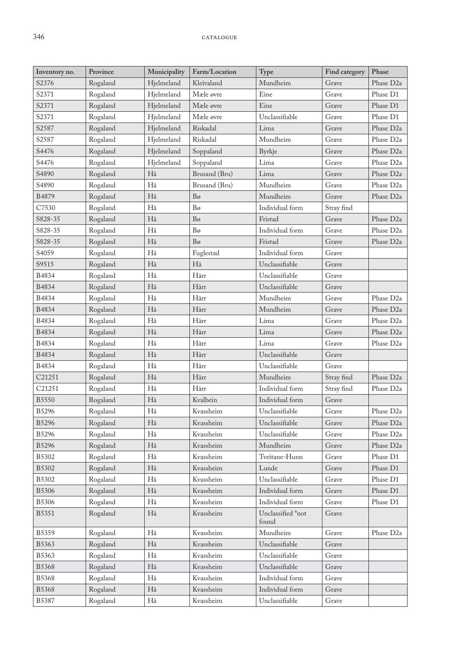### 346 CATALOGUE

| Inventory no.      | Province | Municipality | Farm/Location | Type              | Find category | Phase                  |
|--------------------|----------|--------------|---------------|-------------------|---------------|------------------------|
| S2376              | Rogaland | Hjelmeland   | Kleivaland    | Mundheim          | Grave         | Phase D <sub>2a</sub>  |
| S2371              | Rogaland | Hjelmeland   | Mæle øvre     | Eine              | Grave         | Phase D1               |
| S2371              | Rogaland | Hjelmeland   | Mæle øvre     | Eine              | Grave         | Phase D1               |
| S2371              | Rogaland | Hjelmeland   | Mæle øvre     | Unclassifiable    | Grave         | Phase D1               |
| S2587              | Rogaland | Hjelmeland   | Riskadal      | Lima              | Grave         | Phase D <sub>2a</sub>  |
| S2587              | Rogaland | Hjelmeland   | Riskadal      | Mundheim          | Grave         | Phase D <sub>2a</sub>  |
| S4476              | Rogaland | Hjelmeland   | Soppaland     | <b>Byrkje</b>     | Grave         | Phase D <sub>2a</sub>  |
| S4476              | Rogaland | Hjelmeland   | Soppaland     | Lima              | Grave         | Phase D <sub>2a</sub>  |
| S4890              | Rogaland | Hå           | Brusand (Bru) | Lima              | Grave         | Phase D <sub>2a</sub>  |
| S4890              | Rogaland | Hå           | Brusand (Bru) | Mundheim          | Grave         | Phase D <sub>2a</sub>  |
| B4879              | Rogaland | Hå           | Bo            | Mundheim          | Grave         | Phase D <sub>2a</sub>  |
| C7530              | Rogaland | Hå           | Bo            | Individual form   | Stray find    |                        |
| S828-35            | Rogaland | Hå           | Bø            | Fristad           | Grave         | Phase D <sub>2a</sub>  |
| S828-35            | Rogaland | Hå           | Bo            | Individual form   | Grave         | Phase D <sub>2a</sub>  |
| S828-35            | Rogaland | Hå           | Bo            | Fristad           | Grave         | Phase D <sub>2a</sub>  |
| S4059              | Rogaland | Hå           | Fuglestad     | Individual form   | Grave         |                        |
| S9515              | Rogaland | Hå           | Hå            | Unclassifiable    | Grave         |                        |
| B4834              | Rogaland | Hå           | Hårr          | Unclassifiable    | Grave         |                        |
| B4834              | Rogaland | Hå           | Hårr          | Unclassifiable    | Grave         |                        |
| B4834              | Rogaland | Hå           | Hårr          | Mundheim          | Grave         | Phase D <sub>2a</sub>  |
| B4834              | Rogaland | Hå           | Hårr          | Mundheim          | Grave         | Phase D <sub>2a</sub>  |
| B4834              | Rogaland | Hå           | Hårr          | Lima              | Grave         | Phase D <sub>2a</sub>  |
| B4834              | Rogaland | Hå           | Hårr          | Lima              | Grave         | Phase D <sub>2a</sub>  |
| B4834              | Rogaland | Hå           | Hårr          | Lima              | Grave         | Phase D <sub>2a</sub>  |
| B4834              | Rogaland | Hå           | Hårr          | Unclassifiable    | Grave         |                        |
| B4834              | Rogaland | Hå           | Hårr          | Unclassifiable    | Grave         |                        |
| C21251             | Rogaland | Hå           | Hårr          | Mundheim          | Stray find    | Phase D <sub>2a</sub>  |
| C <sub>21251</sub> | Rogaland | Hå           | Hårr          | Individual form   | Stray find    | Phase D <sub>2</sub> a |
| <b>B5550</b>       | Rogaland | Hå           | Kvalbein      | Individual form   | Grave         |                        |
| B5296              | Rogaland | Hå           | Kvassheim     | Unclassifiable    | Grave         | Phase D <sub>2a</sub>  |
| <b>B5296</b>       | Rogaland | Hå           | Kvassheim     | Unclassifiable    | Grave         | Phase D <sub>2</sub> a |
| B5296              | Rogaland | Hå           | Kvassheim     | Unclassifiable    | Grave         | Phase D <sub>2a</sub>  |
| B5296              | Rogaland | Hå           | Kvassheim     | Mundheim          | Grave         | Phase D <sub>2a</sub>  |
| B5302              | Rogaland | Hå           | Kvassheim     | Tveitane-Hunn     | Grave         | Phase D1               |
| B5302              | Rogaland | Hå           | Kvassheim     | Lunde             | Grave         | Phase D1               |
| B5302              | Rogaland | Hå           | Kvassheim     | Unclassifiable    | Grave         | Phase D1               |
| <b>B5306</b>       | Rogaland | Hå           | Kvassheim     | Individual form   | Grave         | Phase D1               |
| <b>B5306</b>       | Rogaland | Hå           | Kvassheim     | Individual form   | Grave         | Phase D1               |
| B5351              | Rogaland | Hå           | Kvassheim     | Unclassified *not | Grave         |                        |
|                    |          |              |               | found             |               |                        |
| B5359              | Rogaland | Hå           | Kvassheim     | Mundheim          | Grave         | Phase D <sub>2a</sub>  |
| B5363              | Rogaland | Hå           | Kvassheim     | Unclassifiable    | Grave         |                        |
| B5363              | Rogaland | Hå           | Kvassheim     | Unclassifiable    | Grave         |                        |
| <b>B5368</b>       | Rogaland | Hå           | Kvassheim     | Unclassifiable    | Grave         |                        |
| <b>B5368</b>       | Rogaland | Hå           | Kvassheim     | Individual form   | Grave         |                        |
| <b>B5368</b>       | Rogaland | Hå           | Kvassheim     | Individual form   | Grave         |                        |
| B5387              | Rogaland | Hå           | Kvassheim     | Unclassifiable    | Grave         |                        |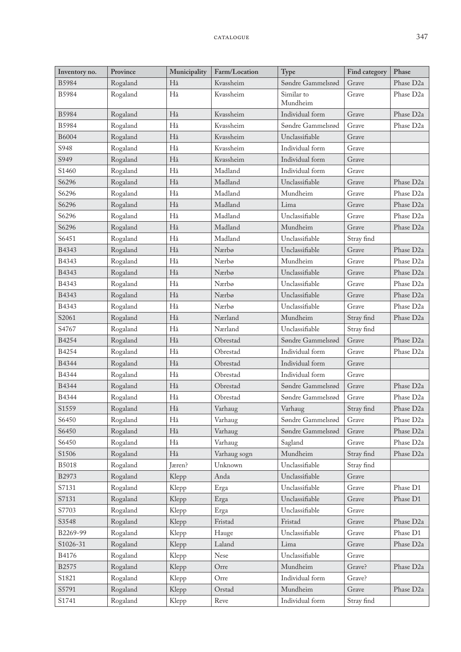| Inventory no. | Province | Municipality | Farm/Location | Type                   | Find category | Phase                 |
|---------------|----------|--------------|---------------|------------------------|---------------|-----------------------|
| B5984         | Rogaland | Hå           | Kvassheim     | Søndre Gammelsrød      | Grave         | Phase D <sub>2a</sub> |
| <b>B5984</b>  | Rogaland | Hå           | Kvassheim     | Similar to<br>Mundheim | Grave         | Phase D <sub>2a</sub> |
| <b>B5984</b>  | Rogaland | Hå           | Kvassheim     | Individual form        | Grave         | Phase D <sub>2a</sub> |
| B5984         | Rogaland | Hå           | Kvassheim     | Søndre Gammelsrød      | Grave         | Phase D <sub>2a</sub> |
| B6004         | Rogaland | Hå           | Kvassheim     | Unclassifiable         | Grave         |                       |
| S948          | Rogaland | Hå           | Kvassheim     | Individual form        | Grave         |                       |
| S949          | Rogaland | Hå           | Kvassheim     | Individual form        | Grave         |                       |
| S1460         | Rogaland | Hå           | Madland       | Individual form        | Grave         |                       |
| S6296         | Rogaland | Hå           | Madland       | Unclassifiable         | Grave         | Phase D <sub>2a</sub> |
| S6296         | Rogaland | Hå           | Madland       | Mundheim               | Grave         | Phase D <sub>2a</sub> |
| S6296         | Rogaland | Hå           | Madland       | Lima                   | Grave         | Phase D <sub>2a</sub> |
| S6296         | Rogaland | Hå           | Madland       | Unclassifiable         | Grave         | Phase D <sub>2a</sub> |
| S6296         | Rogaland | Hå           | Madland       | Mundheim               | Grave         | Phase D <sub>2a</sub> |
| S6451         | Rogaland | Hå           | Madland       | Unclassifiable         | Stray find    |                       |
| B4343         | Rogaland | Hå           | Nærbø         | Unclassifiable         | Grave         | Phase D <sub>2a</sub> |
| B4343         | Rogaland | Hå           | Nærbø         | Mundheim               | Grave         | Phase D <sub>2a</sub> |
| B4343         | Rogaland | Hå           | Nærbø         | Unclassifiable         | Grave         | Phase D <sub>2a</sub> |
| B4343         | Rogaland | Hå           | Nærbø         | Unclassifiable         | Grave         | Phase D <sub>2a</sub> |
| B4343         | Rogaland | Hå           | Nærbø         | Unclassifiable         | Grave         | Phase D <sub>2a</sub> |
| B4343         | Rogaland | Hå           | Nærbø         | Unclassifiable         | Grave         | Phase D <sub>2a</sub> |
| S2061         | Rogaland | Hå           | Nærland       | Mundheim               | Stray find    | Phase D <sub>2a</sub> |
| S4767         | Rogaland | Hå           | Nærland       | Unclassifiable         | Stray find    |                       |
| B4254         | Rogaland | Hå           | Obrestad      | Søndre Gammelsrød      | Grave         | Phase D <sub>2a</sub> |
| B4254         | Rogaland | Hå           | Obrestad      | Individual form        | Grave         | Phase D <sub>2a</sub> |
| B4344         | Rogaland | Hå           | Obrestad      | Individual form        | Grave         |                       |
| B4344         | Rogaland | Hå           | Obrestad      | Individual form        | Grave         |                       |
| B4344         | Rogaland | Hå           | Obrestad      | Søndre Gammelsrød      | Grave         | Phase D <sub>2a</sub> |
| B4344         | Rogaland | Hå           | Obrestad      | Søndre Gammelsrød      | Grave         | Phase D <sub>2a</sub> |
| S1559         | Rogaland | Hå           | Varhaug       | Varhaug                | Stray find    | Phase D <sub>2a</sub> |
| S6450         | Rogaland | Hå           | Varhaug       | Søndre Gammelsrød      | Grave         | Phase D <sub>2a</sub> |
| S6450         | Rogaland | Hå           | Varhaug       | Søndre Gammelsrød      | Grave         | Phase D <sub>2a</sub> |
| S6450         | Rogaland | Hå           | Varhaug       | Sagland                | Grave         | Phase D <sub>2a</sub> |
| S1506         | Rogaland | Hå           | Varhaug sogn  | Mundheim               | Stray find    | Phase D <sub>2a</sub> |
| <b>B5018</b>  | Rogaland | Jæren?       | Unknown       | Unclassifiable         | Stray find    |                       |
| B2973         | Rogaland | Klepp        | Anda          | Unclassifiable         | Grave         |                       |
| S7131         | Rogaland | Klepp        | Erga          | Unclassifiable         | Grave         | Phase D1              |
| S7131         | Rogaland | Klepp        | Erga          | Unclassifiable         | Grave         | Phase D1              |
| S7703         | Rogaland | Klepp        | Erga          | Unclassifiable         | Grave         |                       |
| S3548         | Rogaland | Klepp        | Fristad       | Fristad                | Grave         | Phase D <sub>2a</sub> |
| B2269-99      | Rogaland | Klepp        | Hauge         | Unclassifiable         | Grave         | Phase D1              |
| S1026-31      | Rogaland | Klepp        | Laland        | Lima                   | Grave         | Phase D <sub>2a</sub> |
| B4176         | Rogaland | Klepp        | Nese          | Unclassifiable         | Grave         |                       |
| B2575         | Rogaland | Klepp        | Orre          | Mundheim               | Grave?        | Phase D <sub>2a</sub> |
| S1821         | Rogaland | Klepp        | Orre          | Individual form        | Grave?        |                       |
| S5791         | Rogaland | Klepp        | Orstad        | Mundheim               | Grave         | Phase D <sub>2a</sub> |
| S1741         | Rogaland | Klepp        | Reve          | Individual form        | Stray find    |                       |
|               |          |              |               |                        |               |                       |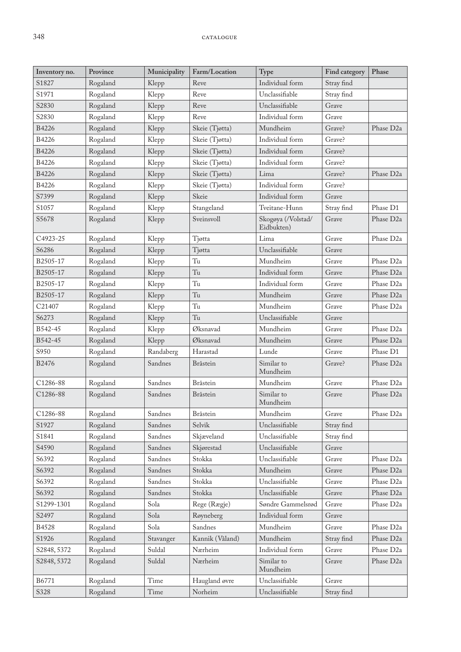| Inventory no. | Province | Municipality | Farm/Location         | Type                             | Find category | Phase                 |
|---------------|----------|--------------|-----------------------|----------------------------------|---------------|-----------------------|
| S1827         | Rogaland | Klepp        | Reve                  | Individual form                  | Stray find    |                       |
| S1971         | Rogaland | Klepp        | Reve                  | Unclassifiable                   | Stray find    |                       |
| S2830         | Rogaland | Klepp        | Reve                  | Unclassifiable                   | Grave         |                       |
| S2830         | Rogaland | Klepp        | Reve                  | Individual form                  | Grave         |                       |
| B4226         | Rogaland | Klepp        | Skeie (Tjøtta)        | Mundheim                         | Grave?        | Phase D <sub>2a</sub> |
| B4226         | Rogaland | Klepp        | Skeie (Tjøtta)        | Individual form                  | Grave?        |                       |
| B4226         | Rogaland | Klepp        | Skeie (Tjøtta)        | Individual form                  | Grave?        |                       |
| B4226         | Rogaland | Klepp        | Skeie (Tjøtta)        | Individual form                  | Grave?        |                       |
| B4226         | Rogaland | Klepp        | Skeie (Tjøtta)        | Lima                             | Grave?        | Phase D <sub>2a</sub> |
| B4226         | Rogaland | Klepp        | Skeie (Tjøtta)        | Individual form                  | Grave?        |                       |
| S7399         | Rogaland | Klepp        | Skeie                 | Individual form                  | Grave         |                       |
| S1057         | Rogaland | Klepp        | Stangeland            | Tveitane-Hunn                    | Stray find    | Phase D1              |
| S5678         | Rogaland | Klepp        | Sveinsvoll            | Skogøya (/Volstad/<br>Eidbukten) | Grave         | Phase D <sub>2a</sub> |
| C4923-25      | Rogaland | Klepp        | Tjøtta                | Lima                             | Grave         | Phase D <sub>2a</sub> |
| S6286         | Rogaland | Klepp        | Tjøtta                | Unclassifiable                   | Grave         |                       |
| B2505-17      | Rogaland | Klepp        | Tu                    | Mundheim                         | Grave         | Phase D <sub>2a</sub> |
| B2505-17      | Rogaland | Klepp        | Tu                    | Individual form                  | Grave         | Phase D <sub>2a</sub> |
| B2505-17      | Rogaland | Klepp        | Tu                    | Individual form                  | Grave         | Phase D <sub>2a</sub> |
| B2505-17      | Rogaland | Klepp        | Tu                    | Mundheim                         | Grave         | Phase D <sub>2a</sub> |
| C21407        | Rogaland | Klepp        | Tu                    | Mundheim                         | Grave         | Phase D <sub>2a</sub> |
| S6273         | Rogaland | Klepp        | Tu                    | Unclassifiable                   | Grave         |                       |
| B542-45       | Rogaland | Klepp        | Øksnavad              | Mundheim                         | Grave         | Phase D <sub>2a</sub> |
| B542-45       | Rogaland | Klepp        | Øksnavad              | Mundheim                         | Grave         | Phase D <sub>2a</sub> |
| S950          | Rogaland | Randaberg    | Harastad              | Lunde                            | Grave         | Phase D1              |
| <b>B2476</b>  | Rogaland | Sandnes      | Bråstein              | Similar to<br>Mundheim           | Grave?        | Phase D <sub>2a</sub> |
| C1286-88      | Rogaland | Sandnes      | Bråstein              | Mundheim                         | Grave         | Phase D <sub>2a</sub> |
| C1286-88      | Rogaland | Sandnes      | Bråstein              | Similar to<br>Mundheim           | Grave         | Phase D <sub>2a</sub> |
| C1286-88      | Rogaland | Sandnes      | $\rm Br\ddot{a}stein$ | Mundheim                         | Grave         | Phase D <sub>2a</sub> |
| S1927         | Rogaland | Sandnes      | Selvik                | Unclassifiable                   | Stray find    |                       |
| S1841         | Rogaland | Sandnes      | Skjæveland            | Unclassifiable                   | Stray find    |                       |
| S4590         | Rogaland | Sandnes      | Skjørestad            | Unclassifiable                   | Grave         |                       |
| S6392         | Rogaland | Sandnes      | Stokka                | Unclassifiable                   | Grave         | Phase D <sub>2a</sub> |
| S6392         | Rogaland | Sandnes      | Stokka                | Mundheim                         | Grave         | Phase D <sub>2a</sub> |
| S6392         | Rogaland | Sandnes      | Stokka                | Unclassifiable                   | Grave         | Phase D <sub>2a</sub> |
| S6392         | Rogaland | Sandnes      | Stokka                | Unclassifiable                   | Grave         | Phase D <sub>2a</sub> |
| S1299-1301    | Rogaland | Sola         | Rege (Rægje)          | Søndre Gammelsrød                | Grave         | Phase D <sub>2a</sub> |
| S2497         | Rogaland | Sola         | Røyneberg             | Individual form                  | Grave         |                       |
| B4528         | Rogaland | Sola         | Sandnes               | Mundheim                         | Grave         | Phase D <sub>2a</sub> |
| S1926         | Rogaland | Stavanger    | Kannik (Våland)       | Mundheim                         | Stray find    | Phase D <sub>2a</sub> |
| S2848, 5372   | Rogaland | Suldal       | Nærheim               | Individual form                  | Grave         | Phase D <sub>2a</sub> |
| S2848, 5372   | Rogaland | Suldal       | Nærheim               | Similar to<br>Mundheim           | Grave         | Phase D <sub>2a</sub> |
| B6771         | Rogaland | Time         | Haugland øvre         | Unclassifiable                   | Grave         |                       |
| S328          | Rogaland | Time         | Norheim               | Unclassifiable                   | Stray find    |                       |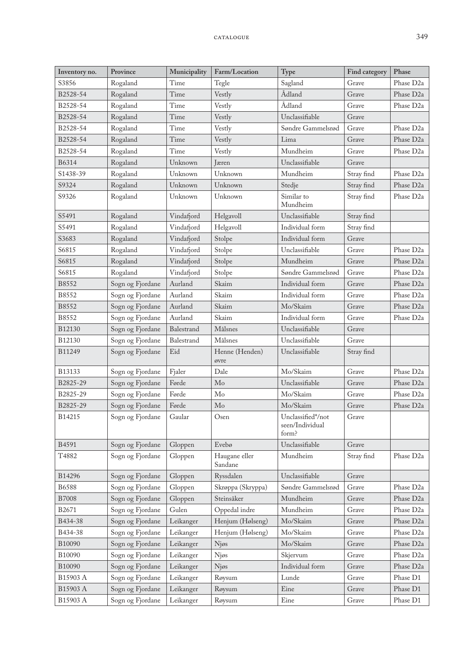| Inventory no. | Province         | Municipality | Farm/Location            | Type                                          | Find category | Phase                 |
|---------------|------------------|--------------|--------------------------|-----------------------------------------------|---------------|-----------------------|
| S3856         | Rogaland         | Time         | Tegle                    | Sagland                                       | Grave         | Phase D <sub>2a</sub> |
| B2528-54      | Rogaland         | Time         | Vestly                   | Ådland                                        | Grave         | Phase D <sub>2a</sub> |
| B2528-54      | Rogaland         | Time         | Vestly                   | Ådland                                        | Grave         | Phase D <sub>2a</sub> |
| B2528-54      | Rogaland         | Time         | Vestly                   | Unclassifiable                                | Grave         |                       |
| B2528-54      | Rogaland         | Time         | Vestly                   | Søndre Gammelsrød                             | Grave         | Phase D <sub>2a</sub> |
| B2528-54      | Rogaland         | Time         | Vestly                   | Lima                                          | Grave         | Phase D <sub>2a</sub> |
| B2528-54      | Rogaland         | Time         | Vestly                   | Mundheim                                      | Grave         | Phase D <sub>2a</sub> |
| B6314         | Rogaland         | Unknown      | Jæren                    | Unclassifiable                                | Grave         |                       |
| S1438-39      | Rogaland         | Unknown      | Unknown                  | Mundheim                                      | Stray find    | Phase D <sub>2a</sub> |
| S9324         | Rogaland         | Unknown      | Unknown                  | Stedje                                        | Stray find    | Phase D <sub>2a</sub> |
| S9326         | Rogaland         | Unknown      | Unknown                  | Similar to<br>Mundheim                        | Stray find    | Phase D <sub>2a</sub> |
| S5491         | Rogaland         | Vindafjord   | Helgavoll                | Unclassifiable                                | Stray find    |                       |
| S5491         | Rogaland         | Vindafjord   | Helgavoll                | Individual form                               | Stray find    |                       |
| S3683         | Rogaland         | Vindafjord   | Stolpe                   | Individual form                               | Grave         |                       |
| S6815         | Rogaland         | Vindafjord   | Stolpe                   | Unclassifiable                                | Grave         | Phase D <sub>2a</sub> |
| S6815         | Rogaland         | Vindafjord   | Stolpe                   | Mundheim                                      | Grave         | Phase D <sub>2a</sub> |
| S6815         | Rogaland         | Vindafjord   | Stolpe                   | Søndre Gammelsrød                             | Grave         | Phase D <sub>2a</sub> |
| B8552         | Sogn og Fjordane | Aurland      | Skaim                    | Individual form                               | Grave         | Phase D <sub>2a</sub> |
| B8552         | Sogn og Fjordane | Aurland      | Skaim                    | Individual form                               | Grave         | Phase D <sub>2a</sub> |
| B8552         | Sogn og Fjordane | Aurland      | Skaim                    | Mo/Skaim                                      | Grave         | Phase D <sub>2a</sub> |
| B8552         | Sogn og Fjordane | Aurland      | Skaim                    | Individual form                               | Grave         | Phase D <sub>2a</sub> |
| B12130        | Sogn og Fjordane | Balestrand   | Målsnes                  | Unclassifiable                                | Grave         |                       |
| B12130        | Sogn og Fjordane | Balestrand   | Målsnes                  | Unclassifiable                                | Grave         |                       |
| B11249        | Sogn og Fjordane | Eid          | Henne (Henden)<br>øvre   | Unclassifiable                                | Stray find    |                       |
| B13133        | Sogn og Fjordane | Fjaler       | Dale                     | Mo/Skaim                                      | Grave         | Phase D <sub>2a</sub> |
| B2825-29      | Sogn og Fjordane | Førde        | Mo                       | Unclassifiable                                | Grave         | Phase D <sub>2a</sub> |
| B2825-29      | Sogn og Fjordane | Førde        | Mo                       | Mo/Skaim                                      | Grave         | Phase D <sub>2a</sub> |
| B2825-29      | Sogn og Fjordane | Førde        | Mo                       | Mo/Skaim                                      | Grave         | Phase D <sub>2a</sub> |
| B14215        | Sogn og Fjordane | Gaular       | Osen                     | Unclassified*/not<br>seen/Individual<br>form? | Grave         |                       |
| B4591         | Sogn og Fjordane | Gloppen      | Evebø                    | Unclassifiable                                | Grave         |                       |
| T4882         | Sogn og Fjordane | Gloppen      | Haugane eller<br>Sandane | Mundheim                                      | Stray find    | Phase D <sub>2a</sub> |
| B14296        | Sogn og Fjordane | Gloppen      | Ryssdalen                | Unclassifiable                                | Grave         |                       |
| B6588         | Sogn og Fjordane | Gloppen      | Skrøppa (Skryppa)        | Søndre Gammelsrød                             | Grave         | Phase D <sub>2a</sub> |
| <b>B7008</b>  | Sogn og Fjordane | Gloppen      | Steinsåker               | Mundheim                                      | Grave         | Phase D <sub>2a</sub> |
| B2671         | Sogn og Fjordane | Gulen        | Oppedal indre            | Mundheim                                      | Grave         | Phase D <sub>2a</sub> |
| B434-38       | Sogn og Fjordane | Leikanger    | Henjum (Hølseng)         | Mo/Skaim                                      | Grave         | Phase D <sub>2a</sub> |
| B434-38       | Sogn og Fjordane | Leikanger    | Henjum (Hølseng)         | Mo/Skaim                                      | Grave         | Phase D <sub>2a</sub> |
| B10090        | Sogn og Fjordane | Leikanger    | Njøs                     | Mo/Skaim                                      | Grave         | Phase D <sub>2a</sub> |
| B10090        | Sogn og Fjordane | Leikanger    | Njøs                     | Skjervum                                      | Grave         | Phase D <sub>2a</sub> |
| B10090        | Sogn og Fjordane | Leikanger    | Njøs                     | Individual form                               | Grave         | Phase D <sub>2a</sub> |
| B15903 A      | Sogn og Fjordane | Leikanger    | Røysum                   | Lunde                                         | Grave         | Phase D1              |
| B15903 A      | Sogn og Fjordane | Leikanger    | Røysum                   | Eine                                          | Grave         | Phase D1              |
| B15903 A      | Sogn og Fjordane | Leikanger    | Røysum                   | Eine                                          | Grave         | Phase D1              |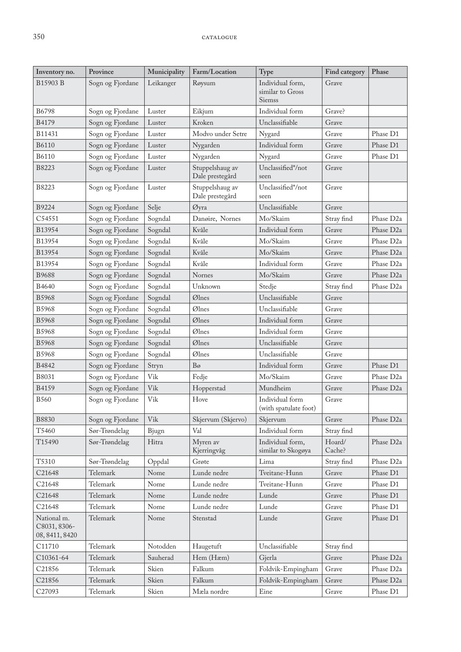| Inventory no.                                 | Province         | Municipality | Farm/Location                      | Type                                           | Find category    | Phase                 |
|-----------------------------------------------|------------------|--------------|------------------------------------|------------------------------------------------|------------------|-----------------------|
| B15903 B                                      | Sogn og Fjordane | Leikanger    | Røysum                             | Individual form,<br>similar to Gross<br>Siemss | Grave            |                       |
| B6798                                         | Sogn og Fjordane | Luster       | Eikjum                             | Individual form                                | Grave?           |                       |
| B4179                                         | Sogn og Fjordane | Luster       | Kroken                             | Unclassifiable                                 | Grave            |                       |
| B11431                                        | Sogn og Fjordane | Luster       | Modvo under Setre                  | Nygard                                         | Grave            | Phase D1              |
| <b>B6110</b>                                  | Sogn og Fjordane | Luster       | Nygarden                           | Individual form                                | Grave            | Phase D1              |
| B6110                                         | Sogn og Fjordane | Luster       | Nygarden                           | Nygard                                         | Grave            | Phase D1              |
| B8223                                         | Sogn og Fjordane | Luster       | Stuppelshaug av<br>Dale prestegård | Unclassified*/not<br>seen                      | Grave            |                       |
| B8223                                         | Sogn og Fjordane | Luster       | Stuppelshaug av<br>Dale prestegård | Unclassified*/not<br>seen                      | Grave            |                       |
| B9224                                         | Sogn og Fjordane | Selje        | Øyra                               | Unclassifiable                                 | Grave            |                       |
| C54551                                        | Sogn og Fjordane | Sogndal      | Danøire, Nornes                    | Mo/Skaim                                       | Stray find       | Phase D <sub>2a</sub> |
| B13954                                        | Sogn og Fjordane | Sogndal      | Kvåle                              | Individual form                                | Grave            | Phase D <sub>2a</sub> |
| B13954                                        | Sogn og Fjordane | Sogndal      | Kvåle                              | Mo/Skaim                                       | Grave            | Phase D <sub>2a</sub> |
| B13954                                        | Sogn og Fjordane | Sogndal      | Kvåle                              | Mo/Skaim                                       | Grave            | Phase D <sub>2a</sub> |
| B13954                                        | Sogn og Fjordane | Sogndal      | Kvåle                              | Individual form                                | Grave            | Phase D <sub>2a</sub> |
| B9688                                         | Sogn og Fjordane | Sogndal      | <b>Nornes</b>                      | Mo/Skaim                                       | Grave            | Phase D <sub>2a</sub> |
| B4640                                         | Sogn og Fjordane | Sogndal      | Unknown                            | Stedje                                         | Stray find       | Phase D <sub>2a</sub> |
| B5968                                         | Sogn og Fjordane | Sogndal      | Ølnes                              | Unclassifiable                                 | Grave            |                       |
| B5968                                         | Sogn og Fjordane | Sogndal      | Ølnes                              | Unclassifiable                                 | Grave            |                       |
| B5968                                         | Sogn og Fjordane | Sogndal      | Ølnes                              | Individual form                                | Grave            |                       |
| <b>B5968</b>                                  | Sogn og Fjordane | Sogndal      | Ølnes                              | Individual form                                | Grave            |                       |
| <b>B5968</b>                                  | Sogn og Fjordane | Sogndal      | Ølnes                              | Unclassifiable                                 | Grave            |                       |
| B5968                                         | Sogn og Fjordane | Sogndal      | Ølnes                              | Unclassifiable                                 | Grave            |                       |
| B4842                                         | Sogn og Fjordane | Stryn        | $B\sigma$                          | Individual form                                | Grave            | Phase D1              |
| B8031                                         | Sogn og Fjordane | Vik          | Fedje                              | Mo/Skaim                                       | Grave            | Phase D <sub>2a</sub> |
| B4159                                         | Sogn og Fjordane | Vik          | Hopperstad                         | Mundheim                                       | Grave            | Phase D <sub>2a</sub> |
| <b>B560</b>                                   | Sogn og Fjordane | Vik          | Hove                               | Individual form<br>(with spatulate foot)       | Grave            |                       |
| <b>B8830</b>                                  | Sogn og Fjordane | Vik          | Skjervum (Skjervo)                 | Skjervum                                       | Grave            | Phase D <sub>2a</sub> |
| T5460                                         | Sør-Trøndelag    | Bjugn        | Val                                | Individual form                                | Stray find       |                       |
| T15490                                        | Sør-Trøndelag    | Hitra        | Myren av<br>Kjerringvåg            | Individual form,<br>similar to Skogøya         | Hoard/<br>Cache? | Phase D <sub>2a</sub> |
| T5310                                         | Sør-Trøndelag    | Oppdal       | Grøte                              | Lima                                           | Stray find       | Phase D <sub>2a</sub> |
| C21648                                        | Telemark         | Nome         | Lunde nedre                        | Tveitane-Hunn                                  | Grave            | Phase D1              |
| C21648                                        | Telemark         | Nome         | Lunde nedre                        | Tveitane-Hunn                                  | Grave            | Phase D1              |
| C21648                                        | Telemark         | Nome         | Lunde nedre                        | Lunde                                          | Grave            | Phase D1              |
| C21648                                        | Telemark         | Nome         | Lunde nedre                        | Lunde                                          | Grave            | Phase D1              |
| National m.<br>C8031, 8306-<br>08, 8411, 8420 | Telemark         | Nome         | Stenstad                           | Lunde                                          | Grave            | Phase D1              |
| C11710                                        | Telemark         | Notodden     | Haugetuft                          | Unclassifiable                                 | Stray find       |                       |
| C10361-64                                     | Telemark         | Sauherad     | Hem (Hæm)                          | Gjerla                                         | Grave            | Phase D <sub>2a</sub> |
| C21856                                        | Telemark         | Skien        | Falkum                             | Foldvik-Empingham                              | Grave            | Phase D <sub>2a</sub> |
| C21856                                        | Telemark         | Skien        | Falkum                             | Foldvik-Empingham                              | Grave            | Phase D <sub>2a</sub> |
| C27093                                        | Telemark         | Skien        | Mæla nordre                        | Eine                                           | Grave            | Phase D1              |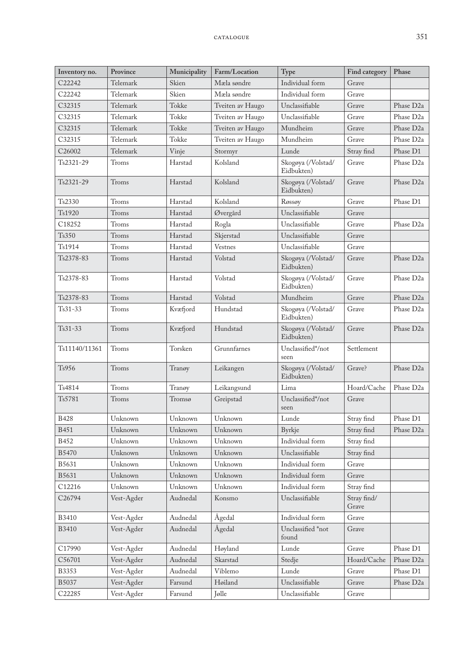| Inventory no.      | Province   | Municipality | Farm/Location    | Type                             | Find category        | Phase                 |
|--------------------|------------|--------------|------------------|----------------------------------|----------------------|-----------------------|
| C22242             | Telemark   | Skien        | Mæla søndre      | Individual form                  | Grave                |                       |
| C22242             | Telemark   | Skien        | Mæla søndre      | Individual form                  | Grave                |                       |
| C32315             | Telemark   | Tokke        | Tveiten av Haugo | Unclassifiable                   | Grave                | Phase D <sub>2a</sub> |
| C32315             | Telemark   | Tokke        | Tveiten av Haugo | Unclassifiable                   | Grave                | Phase D <sub>2a</sub> |
| C32315             | Telemark   | Tokke        | Tveiten av Haugo | Mundheim                         | Grave                | Phase D <sub>2a</sub> |
| C32315             | Telemark   | Tokke        | Tveiten av Haugo | Mundheim                         | Grave                | Phase D <sub>2a</sub> |
| C26002             | Telemark   | Vinje        | Stormyr          | Lunde                            | Stray find           | Phase D1              |
| $Ts2321-29$        | Troms      | Harstad      | Kolsland         | Skogøya (/Volstad/<br>Eidbukten) | Grave                | Phase D <sub>2a</sub> |
| Ts2321-29          | Troms      | Harstad      | Kolsland         | Skogøya (/Volstad/<br>Eidbukten) | Grave                | Phase D <sub>2a</sub> |
| Ts2330             | Troms      | Harstad      | Kolsland         | Røssøy                           | Grave                | Phase D1              |
| Ts1920             | Troms      | Harstad      | Øvergård         | Unclassifiable                   | Grave                |                       |
| C18252             | Troms      | Harstad      | Rogla            | Unclassifiable                   | Grave                | Phase D <sub>2a</sub> |
| Ts350              | Troms      | Harstad      | Skjerstad        | Unclassifiable                   | Grave                |                       |
| Ts1914             | Troms      | Harstad      | Vestnes          | Unclassifiable                   | Grave                |                       |
| Ts2378-83          | Troms      | Harstad      | Volstad          | Skogøya (/Volstad/<br>Eidbukten) | Grave                | Phase D <sub>2a</sub> |
| Ts2378-83          | Troms      | Harstad      | Volstad          | Skogøya (/Volstad/<br>Eidbukten) | Grave                | Phase D <sub>2a</sub> |
| Ts2378-83          | Troms      | Harstad      | Volstad          | Mundheim                         | Grave                | Phase D <sub>2a</sub> |
| $Ts31-33$          | Troms      | Kvæfjord     | Hundstad         | Skogøya (/Volstad/<br>Eidbukten) | Grave                | Phase D <sub>2a</sub> |
| $Ts31-33$          | Troms      | Kvæfjord     | Hundstad         | Skogøya (/Volstad/<br>Eidbukten) | Grave                | Phase D <sub>2a</sub> |
| Ts11140/11361      | Troms      | Torsken      | Grunnfarnes      | Unclassified*/not<br>seen        | Settlement           |                       |
| T <sub>s</sub> 956 | Troms      | Tranøy       | Leikangen        | Skogøya (/Volstad/<br>Eidbukten) | Grave?               | Phase D <sub>2a</sub> |
| Ts4814             | Troms      | Tranøy       | Leikangsund      | Lima                             | Hoard/Cache          | Phase D <sub>2a</sub> |
| Ts5781             | Troms      | Tromsø       | Greipstad        | Unclassified*/not<br>seen        | Grave                |                       |
| <b>B428</b>        | Unknown    | Unknown      | Unknown          | Lunde                            | Stray find           | Phase D1              |
| <b>B451</b>        | Unknown    | Unknown      | Unknown          | Byrkje                           | Stray find           | Phase D <sub>2a</sub> |
| <b>B452</b>        | Unknown    | Unknown      | Unknown          | Individual form                  | Stray find           |                       |
| B5470              | Unknown    | Unknown      | Unknown          | Unclassifiable                   | Stray find           |                       |
| B5631              | Unknown    | Unknown      | Unknown          | Individual form                  | Grave                |                       |
| B5631              | Unknown    | Unknown      | Unknown          | Individual form                  | Grave                |                       |
| C12216             | Unknown    | Unknown      | Unknown          | Individual form                  | Stray find           |                       |
| C26794             | Vest-Agder | Audnedal     | Konsmo           | Unclassifiable                   | Stray find/<br>Grave |                       |
| <b>B3410</b>       | Vest-Agder | Audnedal     | Ågedal           | Individual form                  | Grave                |                       |
| <b>B3410</b>       | Vest-Agder | Audnedal     | Ågedal           | Unclassified *not<br>found       | Grave                |                       |
| C17990             | Vest-Agder | Audnedal     | Høyland          | Lunde                            | Grave                | Phase D1              |
| C56701             | Vest-Agder | Audnedal     | Skarstad         | Stedje                           | Hoard/Cache          | Phase D <sub>2a</sub> |
| <b>B3353</b>       | Vest-Agder | Audnedal     | Viblemo          | Lunde                            | Grave                | Phase D1              |
| B5037              | Vest-Agder | Farsund      | Høiland          | Unclassifiable                   | Grave                | Phase D <sub>2a</sub> |
| C22285             | Vest-Agder | Farsund      | Jølle            | Unclassifiable                   | Grave                |                       |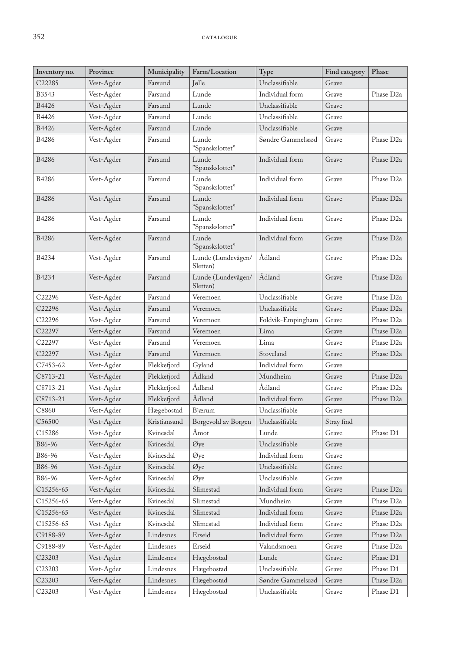| Unclassifiable<br>C22285<br>Jølle<br>Grave<br>Vest-Agder<br>Farsund<br>B3543<br>Lunde<br>Individual form<br>Grave<br>Phase D <sub>2a</sub><br>Vest-Agder<br>Farsund<br>B4426<br>Vest-Agder<br>Unclassifiable<br>Grave<br>Farsund<br>Lunde<br>B4426<br>Vest-Agder<br>Unclassifiable<br>Farsund<br>Lunde<br>Grave<br>B4426<br>Vest-Agder<br>Lunde<br>Unclassifiable<br>Grave<br>Farsund<br>B4286<br>Vest-Agder<br>Farsund<br>Lunde<br>Grave<br>Phase D <sub>2a</sub><br>Søndre Gammelsrød<br>"Spanskslottet"<br>Farsund<br>Lunde<br>Individual form<br>Phase D <sub>2a</sub><br><b>B4286</b><br>Vest-Agder<br>Grave<br>"Spanskslottet"<br>Farsund<br>Lunde<br>Individual form<br>Phase D <sub>2a</sub><br><b>B4286</b><br>Vest-Agder<br>Grave<br>"Spanskslottet"<br>Lunde<br>Vest-Agder<br>Farsund<br>Individual form<br>Phase D <sub>2a</sub><br><b>B4286</b><br>Grave<br>"Spanskslottet"<br>Lunde<br>Vest-Agder<br>Farsund<br>Individual form<br>Grave<br>Phase D <sub>2a</sub><br><b>B4286</b><br>"Spanskslottet"<br>Lunde<br>Farsund<br>Individual form<br>Phase D <sub>2a</sub><br><b>B4286</b><br>Vest-Agder<br>Grave<br>"Spanskslottet"<br>Ådland<br>Phase D <sub>2a</sub><br>B4234<br>Vest-Agder<br>Farsund<br>Lunde (Lundevågen/<br>Grave<br>Sletten)<br>Ådland<br>B4234<br>Lunde (Lundevågen/<br>Grave<br>Phase D <sub>2a</sub><br>Vest-Agder<br>Farsund<br>Sletten)<br>Unclassifiable<br>Grave<br>Phase D <sub>2a</sub><br>C22296<br>Vest-Agder<br>Farsund<br>Veremoen<br>Unclassifiable<br>C22296<br>Farsund<br>Grave<br>Phase D <sub>2a</sub><br>Vest-Agder<br>Veremoen<br>Farsund<br>Veremoen<br>Grave<br>Phase D <sub>2a</sub><br>C22296<br>Vest-Agder<br>Foldvik-Empingham<br>Vest-Agder<br>Phase D <sub>2a</sub><br>C22297<br>Farsund<br>Veremoen<br>Lima<br>Grave<br>Phase D <sub>2a</sub><br>C22297<br>Vest-Agder<br>Lima<br>Farsund<br>Veremoen<br>Grave<br>Stoveland<br>C22297<br>Vest-Agder<br>Farsund<br>Veremoen<br>Grave<br>Phase D <sub>2a</sub><br>Individual form<br>Grave<br>C7453-62<br>Vest-Agder<br>Flekkefjord<br>Gyland | Inventory no. | Province   | Municipality | Farm/Location | Type     | Find category | Phase                 |
|---------------------------------------------------------------------------------------------------------------------------------------------------------------------------------------------------------------------------------------------------------------------------------------------------------------------------------------------------------------------------------------------------------------------------------------------------------------------------------------------------------------------------------------------------------------------------------------------------------------------------------------------------------------------------------------------------------------------------------------------------------------------------------------------------------------------------------------------------------------------------------------------------------------------------------------------------------------------------------------------------------------------------------------------------------------------------------------------------------------------------------------------------------------------------------------------------------------------------------------------------------------------------------------------------------------------------------------------------------------------------------------------------------------------------------------------------------------------------------------------------------------------------------------------------------------------------------------------------------------------------------------------------------------------------------------------------------------------------------------------------------------------------------------------------------------------------------------------------------------------------------------------------------------------------------------------------------------------------------------------------------------------------------------------------------|---------------|------------|--------------|---------------|----------|---------------|-----------------------|
|                                                                                                                                                                                                                                                                                                                                                                                                                                                                                                                                                                                                                                                                                                                                                                                                                                                                                                                                                                                                                                                                                                                                                                                                                                                                                                                                                                                                                                                                                                                                                                                                                                                                                                                                                                                                                                                                                                                                                                                                                                                         |               |            |              |               |          |               |                       |
|                                                                                                                                                                                                                                                                                                                                                                                                                                                                                                                                                                                                                                                                                                                                                                                                                                                                                                                                                                                                                                                                                                                                                                                                                                                                                                                                                                                                                                                                                                                                                                                                                                                                                                                                                                                                                                                                                                                                                                                                                                                         |               |            |              |               |          |               |                       |
|                                                                                                                                                                                                                                                                                                                                                                                                                                                                                                                                                                                                                                                                                                                                                                                                                                                                                                                                                                                                                                                                                                                                                                                                                                                                                                                                                                                                                                                                                                                                                                                                                                                                                                                                                                                                                                                                                                                                                                                                                                                         |               |            |              |               |          |               |                       |
|                                                                                                                                                                                                                                                                                                                                                                                                                                                                                                                                                                                                                                                                                                                                                                                                                                                                                                                                                                                                                                                                                                                                                                                                                                                                                                                                                                                                                                                                                                                                                                                                                                                                                                                                                                                                                                                                                                                                                                                                                                                         |               |            |              |               |          |               |                       |
|                                                                                                                                                                                                                                                                                                                                                                                                                                                                                                                                                                                                                                                                                                                                                                                                                                                                                                                                                                                                                                                                                                                                                                                                                                                                                                                                                                                                                                                                                                                                                                                                                                                                                                                                                                                                                                                                                                                                                                                                                                                         |               |            |              |               |          |               |                       |
|                                                                                                                                                                                                                                                                                                                                                                                                                                                                                                                                                                                                                                                                                                                                                                                                                                                                                                                                                                                                                                                                                                                                                                                                                                                                                                                                                                                                                                                                                                                                                                                                                                                                                                                                                                                                                                                                                                                                                                                                                                                         |               |            |              |               |          |               |                       |
|                                                                                                                                                                                                                                                                                                                                                                                                                                                                                                                                                                                                                                                                                                                                                                                                                                                                                                                                                                                                                                                                                                                                                                                                                                                                                                                                                                                                                                                                                                                                                                                                                                                                                                                                                                                                                                                                                                                                                                                                                                                         |               |            |              |               |          |               |                       |
|                                                                                                                                                                                                                                                                                                                                                                                                                                                                                                                                                                                                                                                                                                                                                                                                                                                                                                                                                                                                                                                                                                                                                                                                                                                                                                                                                                                                                                                                                                                                                                                                                                                                                                                                                                                                                                                                                                                                                                                                                                                         |               |            |              |               |          |               |                       |
|                                                                                                                                                                                                                                                                                                                                                                                                                                                                                                                                                                                                                                                                                                                                                                                                                                                                                                                                                                                                                                                                                                                                                                                                                                                                                                                                                                                                                                                                                                                                                                                                                                                                                                                                                                                                                                                                                                                                                                                                                                                         |               |            |              |               |          |               |                       |
|                                                                                                                                                                                                                                                                                                                                                                                                                                                                                                                                                                                                                                                                                                                                                                                                                                                                                                                                                                                                                                                                                                                                                                                                                                                                                                                                                                                                                                                                                                                                                                                                                                                                                                                                                                                                                                                                                                                                                                                                                                                         |               |            |              |               |          |               |                       |
|                                                                                                                                                                                                                                                                                                                                                                                                                                                                                                                                                                                                                                                                                                                                                                                                                                                                                                                                                                                                                                                                                                                                                                                                                                                                                                                                                                                                                                                                                                                                                                                                                                                                                                                                                                                                                                                                                                                                                                                                                                                         |               |            |              |               |          |               |                       |
|                                                                                                                                                                                                                                                                                                                                                                                                                                                                                                                                                                                                                                                                                                                                                                                                                                                                                                                                                                                                                                                                                                                                                                                                                                                                                                                                                                                                                                                                                                                                                                                                                                                                                                                                                                                                                                                                                                                                                                                                                                                         |               |            |              |               |          |               |                       |
|                                                                                                                                                                                                                                                                                                                                                                                                                                                                                                                                                                                                                                                                                                                                                                                                                                                                                                                                                                                                                                                                                                                                                                                                                                                                                                                                                                                                                                                                                                                                                                                                                                                                                                                                                                                                                                                                                                                                                                                                                                                         |               |            |              |               |          |               |                       |
|                                                                                                                                                                                                                                                                                                                                                                                                                                                                                                                                                                                                                                                                                                                                                                                                                                                                                                                                                                                                                                                                                                                                                                                                                                                                                                                                                                                                                                                                                                                                                                                                                                                                                                                                                                                                                                                                                                                                                                                                                                                         |               |            |              |               |          |               |                       |
|                                                                                                                                                                                                                                                                                                                                                                                                                                                                                                                                                                                                                                                                                                                                                                                                                                                                                                                                                                                                                                                                                                                                                                                                                                                                                                                                                                                                                                                                                                                                                                                                                                                                                                                                                                                                                                                                                                                                                                                                                                                         |               |            |              |               |          |               |                       |
|                                                                                                                                                                                                                                                                                                                                                                                                                                                                                                                                                                                                                                                                                                                                                                                                                                                                                                                                                                                                                                                                                                                                                                                                                                                                                                                                                                                                                                                                                                                                                                                                                                                                                                                                                                                                                                                                                                                                                                                                                                                         |               |            |              |               |          |               |                       |
|                                                                                                                                                                                                                                                                                                                                                                                                                                                                                                                                                                                                                                                                                                                                                                                                                                                                                                                                                                                                                                                                                                                                                                                                                                                                                                                                                                                                                                                                                                                                                                                                                                                                                                                                                                                                                                                                                                                                                                                                                                                         |               |            |              |               |          |               |                       |
|                                                                                                                                                                                                                                                                                                                                                                                                                                                                                                                                                                                                                                                                                                                                                                                                                                                                                                                                                                                                                                                                                                                                                                                                                                                                                                                                                                                                                                                                                                                                                                                                                                                                                                                                                                                                                                                                                                                                                                                                                                                         |               |            |              |               |          |               |                       |
|                                                                                                                                                                                                                                                                                                                                                                                                                                                                                                                                                                                                                                                                                                                                                                                                                                                                                                                                                                                                                                                                                                                                                                                                                                                                                                                                                                                                                                                                                                                                                                                                                                                                                                                                                                                                                                                                                                                                                                                                                                                         |               |            |              |               |          |               |                       |
|                                                                                                                                                                                                                                                                                                                                                                                                                                                                                                                                                                                                                                                                                                                                                                                                                                                                                                                                                                                                                                                                                                                                                                                                                                                                                                                                                                                                                                                                                                                                                                                                                                                                                                                                                                                                                                                                                                                                                                                                                                                         |               |            |              |               |          |               |                       |
|                                                                                                                                                                                                                                                                                                                                                                                                                                                                                                                                                                                                                                                                                                                                                                                                                                                                                                                                                                                                                                                                                                                                                                                                                                                                                                                                                                                                                                                                                                                                                                                                                                                                                                                                                                                                                                                                                                                                                                                                                                                         | C8713-21      | Vest-Agder | Flekkefjord  | Ådland        | Mundheim | Grave         | Phase D <sub>2a</sub> |
| Ådland<br>Ådland<br>Phase D <sub>2a</sub><br>C8713-21<br>Vest-Agder<br>Flekkefjord<br>Grave                                                                                                                                                                                                                                                                                                                                                                                                                                                                                                                                                                                                                                                                                                                                                                                                                                                                                                                                                                                                                                                                                                                                                                                                                                                                                                                                                                                                                                                                                                                                                                                                                                                                                                                                                                                                                                                                                                                                                             |               |            |              |               |          |               |                       |
| Ådland<br>Individual form<br>C8713-21<br>Vest-Agder<br>Flekkefjord<br>Grave<br>Phase D <sub>2a</sub>                                                                                                                                                                                                                                                                                                                                                                                                                                                                                                                                                                                                                                                                                                                                                                                                                                                                                                                                                                                                                                                                                                                                                                                                                                                                                                                                                                                                                                                                                                                                                                                                                                                                                                                                                                                                                                                                                                                                                    |               |            |              |               |          |               |                       |
| C8860<br>Vest-Agder<br>Hægebostad<br>Bjærum<br>Unclassifiable<br>Grave                                                                                                                                                                                                                                                                                                                                                                                                                                                                                                                                                                                                                                                                                                                                                                                                                                                                                                                                                                                                                                                                                                                                                                                                                                                                                                                                                                                                                                                                                                                                                                                                                                                                                                                                                                                                                                                                                                                                                                                  |               |            |              |               |          |               |                       |
| C56500<br>Vest-Agder<br>Borgevold av Borgen<br>Unclassifiable<br>Stray find<br>Kristiansand                                                                                                                                                                                                                                                                                                                                                                                                                                                                                                                                                                                                                                                                                                                                                                                                                                                                                                                                                                                                                                                                                                                                                                                                                                                                                                                                                                                                                                                                                                                                                                                                                                                                                                                                                                                                                                                                                                                                                             |               |            |              |               |          |               |                       |
| Phase D1<br>C15286<br>Vest-Agder<br>Kvinesdal<br>Åmot<br>Lunde<br>Grave                                                                                                                                                                                                                                                                                                                                                                                                                                                                                                                                                                                                                                                                                                                                                                                                                                                                                                                                                                                                                                                                                                                                                                                                                                                                                                                                                                                                                                                                                                                                                                                                                                                                                                                                                                                                                                                                                                                                                                                 |               |            |              |               |          |               |                       |
| Unclassifiable<br>B86-96<br>Vest-Agder<br>Kvinesdal<br>Øye<br>Grave                                                                                                                                                                                                                                                                                                                                                                                                                                                                                                                                                                                                                                                                                                                                                                                                                                                                                                                                                                                                                                                                                                                                                                                                                                                                                                                                                                                                                                                                                                                                                                                                                                                                                                                                                                                                                                                                                                                                                                                     |               |            |              |               |          |               |                       |
| Vest-Agder<br>B86-96<br>Kvinesdal<br>Øye<br>Individual form<br>Grave                                                                                                                                                                                                                                                                                                                                                                                                                                                                                                                                                                                                                                                                                                                                                                                                                                                                                                                                                                                                                                                                                                                                                                                                                                                                                                                                                                                                                                                                                                                                                                                                                                                                                                                                                                                                                                                                                                                                                                                    |               |            |              |               |          |               |                       |
| Unclassifiable<br>B86-96<br>Vest-Agder<br>Kvinesdal<br>Øye<br>Grave                                                                                                                                                                                                                                                                                                                                                                                                                                                                                                                                                                                                                                                                                                                                                                                                                                                                                                                                                                                                                                                                                                                                                                                                                                                                                                                                                                                                                                                                                                                                                                                                                                                                                                                                                                                                                                                                                                                                                                                     |               |            |              |               |          |               |                       |
| B86-96<br>Vest-Agder<br>Kvinesdal<br>Øye<br>Unclassifiable<br>Grave                                                                                                                                                                                                                                                                                                                                                                                                                                                                                                                                                                                                                                                                                                                                                                                                                                                                                                                                                                                                                                                                                                                                                                                                                                                                                                                                                                                                                                                                                                                                                                                                                                                                                                                                                                                                                                                                                                                                                                                     |               |            |              |               |          |               |                       |
| Slimestad<br>Individual form<br>Vest-Agder<br>Kvinesdal<br>Grave<br>Phase D <sub>2a</sub><br>C15256-65                                                                                                                                                                                                                                                                                                                                                                                                                                                                                                                                                                                                                                                                                                                                                                                                                                                                                                                                                                                                                                                                                                                                                                                                                                                                                                                                                                                                                                                                                                                                                                                                                                                                                                                                                                                                                                                                                                                                                  |               |            |              |               |          |               |                       |
| Slimestad<br>Mundheim<br>Phase D <sub>2a</sub><br>Vest-Agder<br>Kvinesdal<br>Grave<br>C15256-65                                                                                                                                                                                                                                                                                                                                                                                                                                                                                                                                                                                                                                                                                                                                                                                                                                                                                                                                                                                                                                                                                                                                                                                                                                                                                                                                                                                                                                                                                                                                                                                                                                                                                                                                                                                                                                                                                                                                                         |               |            |              |               |          |               |                       |
| Individual form<br>Vest-Agder<br>Kvinesdal<br>Slimestad<br>Phase D <sub>2a</sub><br>C15256-65<br>Grave                                                                                                                                                                                                                                                                                                                                                                                                                                                                                                                                                                                                                                                                                                                                                                                                                                                                                                                                                                                                                                                                                                                                                                                                                                                                                                                                                                                                                                                                                                                                                                                                                                                                                                                                                                                                                                                                                                                                                  |               |            |              |               |          |               |                       |
| Vest-Agder<br>Slimestad<br>Individual form<br>Phase D2a<br>Kvinesdal<br>Grave<br>C15256-65                                                                                                                                                                                                                                                                                                                                                                                                                                                                                                                                                                                                                                                                                                                                                                                                                                                                                                                                                                                                                                                                                                                                                                                                                                                                                                                                                                                                                                                                                                                                                                                                                                                                                                                                                                                                                                                                                                                                                              |               |            |              |               |          |               |                       |
| Erseid<br>Individual form<br>Phase D <sub>2a</sub><br>Vest-Agder<br>Lindesnes<br>Grave<br>C9188-89                                                                                                                                                                                                                                                                                                                                                                                                                                                                                                                                                                                                                                                                                                                                                                                                                                                                                                                                                                                                                                                                                                                                                                                                                                                                                                                                                                                                                                                                                                                                                                                                                                                                                                                                                                                                                                                                                                                                                      |               |            |              |               |          |               |                       |
| Erseid<br>Valandsmoen<br>Vest-Agder<br>Lindesnes<br>Grave<br>Phase D <sub>2a</sub><br>C9188-89                                                                                                                                                                                                                                                                                                                                                                                                                                                                                                                                                                                                                                                                                                                                                                                                                                                                                                                                                                                                                                                                                                                                                                                                                                                                                                                                                                                                                                                                                                                                                                                                                                                                                                                                                                                                                                                                                                                                                          |               |            |              |               |          |               |                       |
| Vest-Agder<br>Hægebostad<br>Lunde<br>Grave<br>Phase D1<br>C23203<br>Lindesnes                                                                                                                                                                                                                                                                                                                                                                                                                                                                                                                                                                                                                                                                                                                                                                                                                                                                                                                                                                                                                                                                                                                                                                                                                                                                                                                                                                                                                                                                                                                                                                                                                                                                                                                                                                                                                                                                                                                                                                           |               |            |              |               |          |               |                       |
| Unclassifiable<br>Vest-Agder<br>Lindesnes<br>Hægebostad<br>Grave<br>Phase D1<br>C <sub>23203</sub>                                                                                                                                                                                                                                                                                                                                                                                                                                                                                                                                                                                                                                                                                                                                                                                                                                                                                                                                                                                                                                                                                                                                                                                                                                                                                                                                                                                                                                                                                                                                                                                                                                                                                                                                                                                                                                                                                                                                                      |               |            |              |               |          |               |                       |
| Vest-Agder<br>Hægebostad<br>Phase D <sub>2a</sub><br>C23203<br>Lindesnes<br>Søndre Gammelsrød<br>Grave                                                                                                                                                                                                                                                                                                                                                                                                                                                                                                                                                                                                                                                                                                                                                                                                                                                                                                                                                                                                                                                                                                                                                                                                                                                                                                                                                                                                                                                                                                                                                                                                                                                                                                                                                                                                                                                                                                                                                  |               |            |              |               |          |               |                       |
| Unclassifiable<br>C23203<br>Vest-Agder<br>Hægebostad<br>Phase D1<br>Lindesnes<br>Grave                                                                                                                                                                                                                                                                                                                                                                                                                                                                                                                                                                                                                                                                                                                                                                                                                                                                                                                                                                                                                                                                                                                                                                                                                                                                                                                                                                                                                                                                                                                                                                                                                                                                                                                                                                                                                                                                                                                                                                  |               |            |              |               |          |               |                       |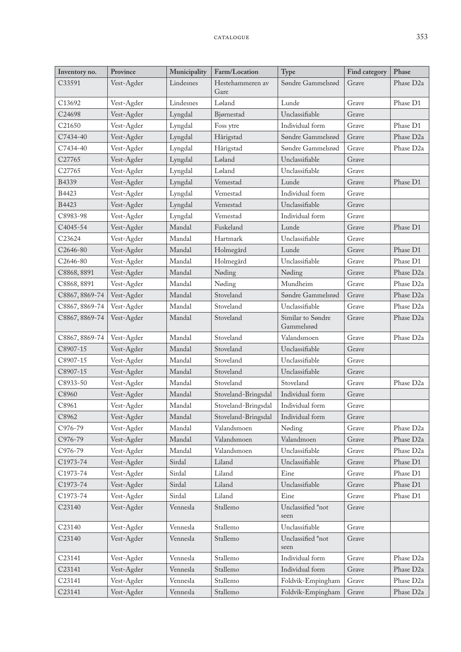| Inventory no.         | Province   | Municipality | Farm/Location            | Type                            | Find category | Phase                 |
|-----------------------|------------|--------------|--------------------------|---------------------------------|---------------|-----------------------|
| C33591                | Vest-Agder | Lindesnes    | Hestehammeren av<br>Gare | Søndre Gammelsrød               | Grave         | Phase D <sub>2a</sub> |
| C13692                | Vest-Agder | Lindesnes    | Løland                   | Lunde                           | Grave         | Phase D1              |
| C24698                | Vest-Agder | Lyngdal      | Bjørnestad               | Unclassifiable                  | Grave         |                       |
| C <sub>21650</sub>    | Vest-Agder | Lyngdal      | Foss ytre                | Individual form                 | Grave         | Phase D1              |
| C7434-40              | Vest-Agder | Lyngdal      | Hårigstad                | Søndre Gammelsrød               | Grave         | Phase D <sub>2a</sub> |
| C7434-40              | Vest-Agder | Lyngdal      | Hårigstad                | Søndre Gammelsrød               | Grave         | Phase D <sub>2a</sub> |
| C <sub>27765</sub>    | Vest-Agder | Lyngdal      | Løland                   | Unclassifiable                  | Grave         |                       |
| C27765                | Vest-Agder | Lyngdal      | Løland                   | Unclassifiable                  | Grave         |                       |
| B4339                 | Vest-Agder | Lyngdal      | Vemestad                 | Lunde                           | Grave         | Phase D1              |
| B4423                 | Vest-Agder | Lyngdal      | Vemestad                 | Individual form                 | Grave         |                       |
| B4423                 | Vest-Agder | Lyngdal      | Vemestad                 | Unclassifiable                  | Grave         |                       |
| C8983-98              | Vest-Agder | Lyngdal      | Vemestad                 | Individual form                 | Grave         |                       |
| C4045-54              | Vest-Agder | Mandal       | Fuskeland                | Lunde                           | Grave         | Phase D1              |
| C <sub>23624</sub>    | Vest-Agder | Mandal       | Hartmark                 | Unclassifiable                  | Grave         |                       |
| C2646-80              | Vest-Agder | Mandal       | Holmegård                | Lunde                           | Grave         | Phase D1              |
| C <sub>2646</sub> -80 | Vest-Agder | Mandal       | Holmegård                | Unclassifiable                  | Grave         | Phase D1              |
| C8868, 8891           | Vest-Agder | Mandal       | Nøding                   | Nøding                          | Grave         | Phase D <sub>2a</sub> |
| C8868, 8891           | Vest-Agder | Mandal       | Nøding                   | Mundheim                        | Grave         | Phase D <sub>2a</sub> |
| C8867, 8869-74        | Vest-Agder | Mandal       | Stoveland                | Søndre Gammelsrød               | Grave         | Phase D <sub>2a</sub> |
| C8867, 8869-74        | Vest-Agder | Mandal       | Stoveland                | Unclassifiable                  | Grave         | Phase D <sub>2a</sub> |
| C8867, 8869-74        | Vest-Agder | Mandal       | Stoveland                | Similar to Søndre<br>Gammelsrød | Grave         | Phase D <sub>2a</sub> |
| C8867, 8869-74        | Vest-Agder | Mandal       | Stoveland                | Valandsmoen                     | Grave         | Phase D <sub>2a</sub> |
| C8907-15              | Vest-Agder | Mandal       | Stoveland                | Unclassifiable                  | Grave         |                       |
| C8907-15              | Vest-Agder | Mandal       | Stoveland                | Unclassifiable                  | Grave         |                       |
| C8907-15              | Vest-Agder | Mandal       | Stoveland                | Unclassifiable                  | Grave         |                       |
| C8933-50              | Vest-Agder | Mandal       | Stoveland                | Stoveland                       | Grave         | Phase D <sub>2a</sub> |
| C8960                 | Vest-Agder | Mandal       | Stoveland-Bringsdal      | Individual form                 | Grave         |                       |
| C8961                 | Vest-Agder | Mandal       | Stoveland-Bringsdal      | Individual form                 | Grave         |                       |
| C8962                 | Vest-Agder | Mandal       | Stoveland-Bringsdal      | Individual form                 | Grave         |                       |
| C976-79               | Vest-Agder | Mandal       | Valandsmoen              | Nøding                          | Grave         | Phase D <sub>2a</sub> |
| C976-79               | Vest-Agder | Mandal       | Valandsmoen              | Valandmoen                      | Grave         | Phase D <sub>2a</sub> |
| C976-79               | Vest-Agder | Mandal       | Valandsmoen              | Unclassifiable                  | Grave         | Phase D <sub>2a</sub> |
| C1973-74              | Vest-Agder | Sirdal       | Liland                   | Unclassifiable                  | Grave         | Phase D1              |
| C1973-74              | Vest-Agder | Sirdal       | Liland                   | Eine                            | Grave         | Phase D1              |
| C1973-74              | Vest-Agder | Sirdal       | Liland                   | Unclassifiable                  | Grave         | Phase D1              |
| C1973-74              | Vest-Agder | Sirdal       | Liland                   | Eine                            | Grave         | Phase D1              |
| C <sub>23140</sub>    | Vest-Agder | Vennesla     | Stallemo                 | Unclassified *not<br>seen       | Grave         |                       |
| C23140                | Vest-Agder | Vennesla     | Stallemo                 | Unclassifiable                  | Grave         |                       |
| C23140                | Vest-Agder | Vennesla     | Stallemo                 | Unclassified *not<br>seen       | Grave         |                       |
| C <sub>23141</sub>    | Vest-Agder | Vennesla     | Stallemo                 | Individual form                 | Grave         | Phase D <sub>2a</sub> |
| C23141                | Vest-Agder | Vennesla     | Stallemo                 | Individual form                 | Grave         | Phase D <sub>2a</sub> |
| C23141                | Vest-Agder | Vennesla     | Stallemo                 | Foldvik-Empingham               | Grave         | Phase D <sub>2a</sub> |
| C23141                | Vest-Agder | Vennesla     | Stallemo                 | Foldvik-Empingham               | Grave         | Phase D2a             |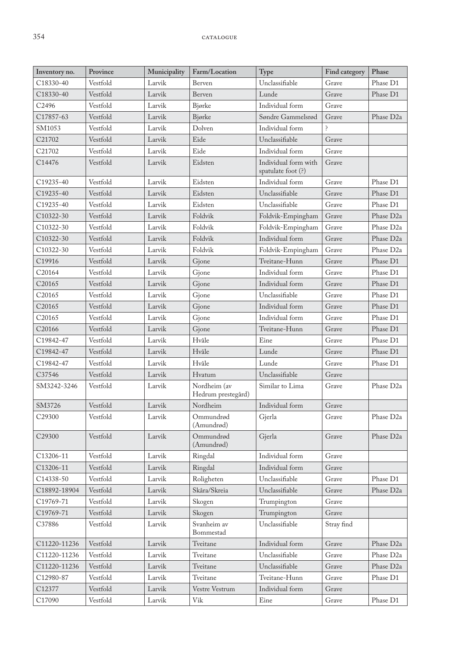| Inventory no.          | Province | Municipality | Farm/Location                      | Type                                       | Find category | Phase                 |
|------------------------|----------|--------------|------------------------------------|--------------------------------------------|---------------|-----------------------|
| C18330-40              | Vestfold | Larvik       | Berven                             | Unclassifiable                             | Grave         | Phase D1              |
| C18330-40              | Vestfold | Larvik       | Berven                             | Lunde                                      | Grave         | Phase D1              |
| C2496                  | Vestfold | Larvik       | Bjørke                             | Individual form                            | Grave         |                       |
| C17857-63              | Vestfold | Larvik       | Bjørke                             | Søndre Gammelsrød                          | Grave         | Phase D <sub>2a</sub> |
| SM1053                 | Vestfold | Larvik       | Dolven                             | Individual form                            | Ç             |                       |
| C21702                 | Vestfold | Larvik       | Eide                               | Unclassifiable                             | Grave         |                       |
| C21702                 | Vestfold | Larvik       | Eide                               | Individual form                            | Grave         |                       |
| C14476                 | Vestfold | Larvik       | Eidsten                            | Individual form with<br>spatulate foot (?) | Grave         |                       |
| C19235-40              | Vestfold | Larvik       | Eidsten                            | Individual form                            | Grave         | Phase D1              |
| C19235-40              | Vestfold | Larvik       | Eidsten                            | Unclassifiable                             | Grave         | Phase D1              |
| C19235-40              | Vestfold | Larvik       | Eidsten                            | Unclassifiable                             | Grave         | Phase D1              |
| C10322-30              | Vestfold | Larvik       | Foldvik                            | Foldvik-Empingham                          | Grave         | Phase D <sub>2a</sub> |
| C <sub>10322</sub> -30 | Vestfold | Larvik       | Foldvik                            | Foldvik-Empingham                          | Grave         | Phase D <sub>2a</sub> |
| C10322-30              | Vestfold | Larvik       | Foldvik                            | Individual form                            | Grave         | Phase D <sub>2a</sub> |
| C10322-30              | Vestfold | Larvik       | Foldvik                            | Foldvik-Empingham                          | Grave         | Phase D <sub>2a</sub> |
| C19916                 | Vestfold | Larvik       | Gjone                              | Tveitane-Hunn                              | Grave         | Phase D1              |
| C20164                 | Vestfold | Larvik       | Gjone                              | Individual form                            | Grave         | Phase D1              |
| C <sub>20165</sub>     | Vestfold | Larvik       | Gjone                              | Individual form                            | Grave         | Phase D1              |
| C20165                 | Vestfold | Larvik       | Gjone                              | Unclassifiable                             | Grave         | Phase D1              |
| C <sub>20165</sub>     | Vestfold | Larvik       | Gjone                              | Individual form                            | Grave         | Phase D1              |
| C <sub>20165</sub>     | Vestfold | Larvik       | Gjone                              | Individual form                            | Grave         | Phase D1              |
| C20166                 | Vestfold | Larvik       | Gjone                              | Tveitane-Hunn                              | Grave         | Phase D1              |
| C19842-47              | Vestfold | Larvik       | Hvåle                              | Eine                                       | Grave         | Phase D1              |
| C19842-47              | Vestfold | Larvik       | Hvåle                              | Lunde                                      | Grave         | Phase D1              |
| C19842-47              | Vestfold | Larvik       | Hvåle                              | Lunde                                      | Grave         | Phase D1              |
| C37546                 | Vestfold | Larvik       | Hvatum                             | Unclassifiable                             | Grave         |                       |
| SM3242-3246            | Vestfold | Larvik       | Nordheim (av<br>Hedrum prestegård) | Similar to Lima                            | Grave         | Phase D <sub>2a</sub> |
| SM3726                 | Vestfold | Larvik       | Nordheim                           | Individual form                            | Grave         |                       |
| C29300                 | Vestfold | Larvik       | Ommundrød<br>(Amundrød)            | Gjerla                                     | Grave         | Phase D <sub>2a</sub> |
| C29300                 | Vestfold | Larvik       | Ommundrød<br>(Amundrød)            | Gjerla                                     | Grave         | Phase D <sub>2a</sub> |
| C13206-11              | Vestfold | Larvik       | Ringdal                            | Individual form                            | Grave         |                       |
| C13206-11              | Vestfold | Larvik       | Ringdal                            | Individual form                            | Grave         |                       |
| C14338-50              | Vestfold | Larvik       | Roligheten                         | Unclassifiable                             | Grave         | Phase D1              |
| C18892-18904           | Vestfold | Larvik       | Skåra/Skreia                       | Unclassifiable                             | Grave         | Phase D <sub>2a</sub> |
| C19769-71              | Vestfold | Larvik       | Skogen                             | Trumpington                                | Grave         |                       |
| C19769-71              | Vestfold | Larvik       | Skogen                             | Trumpington                                | Grave         |                       |
| C37886                 | Vestfold | Larvik       | Svanheim av<br>Bommestad           | Unclassifiable                             | Stray find    |                       |
| C11220-11236           | Vestfold | Larvik       | Tveitane                           | Individual form                            | Grave         | Phase D <sub>2a</sub> |
| C11220-11236           | Vestfold | Larvik       | Tveitane                           | Unclassifiable                             | Grave         | Phase D <sub>2a</sub> |
| C11220-11236           | Vestfold | Larvik       | Tveitane                           | Unclassifiable                             | Grave         | Phase D <sub>2a</sub> |
| C12980-87              | Vestfold | Larvik       | Tveitane                           | Tveitane-Hunn                              | Grave         | Phase D1              |
| C12377                 | Vestfold | Larvik       | Vestre Vestrum                     | Individual form                            | Grave         |                       |
| C17090                 | Vestfold | Larvik       | Vik                                | Eine                                       | Grave         | Phase D1              |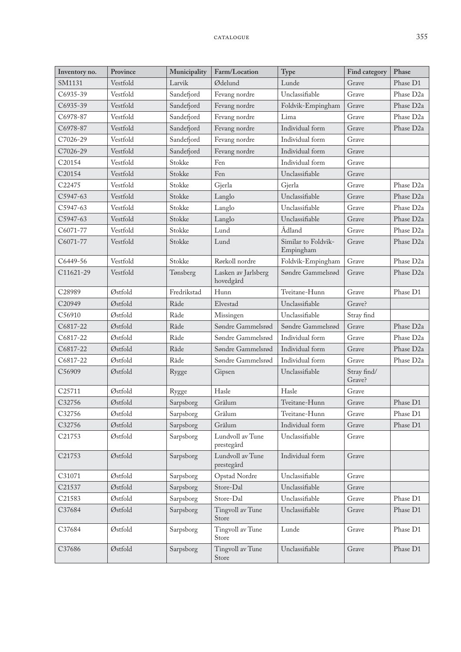| Inventory no.      | Province | Municipality | Farm/Location                    | Type                             | Find category         | Phase                 |
|--------------------|----------|--------------|----------------------------------|----------------------------------|-----------------------|-----------------------|
| SM1131             | Vestfold | Larvik       | Ødelund                          | Lunde                            | Grave                 | Phase D1              |
| C6935-39           | Vestfold | Sandefjord   | Fevang nordre                    | Unclassifiable                   | Grave                 | Phase D <sub>2a</sub> |
| C6935-39           | Vestfold | Sandefjord   | Fevang nordre                    | Foldvik-Empingham                | Grave                 | Phase D <sub>2a</sub> |
| C6978-87           | Vestfold | Sandefjord   | Fevang nordre                    | Lima                             | Grave                 | Phase D <sub>2a</sub> |
| C6978-87           | Vestfold | Sandefjord   | Fevang nordre                    | Individual form                  | Grave                 | Phase D <sub>2a</sub> |
| C7026-29           | Vestfold | Sandefjord   | Fevang nordre                    | Individual form                  | Grave                 |                       |
| C7026-29           | Vestfold | Sandefjord   | Fevang nordre                    | Individual form                  | Grave                 |                       |
| C20154             | Vestfold | Stokke       | Fen                              | Individual form                  | Grave                 |                       |
| C20154             | Vestfold | Stokke       | Fen                              | Unclassifiable                   | Grave                 |                       |
| C <sub>22475</sub> | Vestfold | Stokke       | Gjerla                           | Gjerla                           | Grave                 | Phase D <sub>2a</sub> |
| C5947-63           | Vestfold | Stokke       | Langlo                           | Unclassifiable                   | Grave                 | Phase D <sub>2a</sub> |
| C5947-63           | Vestfold | Stokke       | Langlo                           | Unclassifiable                   | Grave                 | Phase D <sub>2a</sub> |
| C5947-63           | Vestfold | Stokke       | Langlo                           | Unclassifiable                   | Grave                 | Phase D <sub>2a</sub> |
| C6071-77           | Vestfold | Stokke       | Lund                             | Ådland                           | Grave                 | Phase D <sub>2a</sub> |
| C6071-77           | Vestfold | Stokke       | Lund                             | Similar to Foldvik-<br>Empingham | Grave                 | Phase D <sub>2a</sub> |
| C6449-56           | Vestfold | Stokke       | Rørkoll nordre                   | Foldvik-Empingham                | Grave                 | Phase D <sub>2a</sub> |
| C11621-29          | Vestfold | Tønsberg     | Lasken av Jarlsberg<br>hovedgård | Søndre Gammelsrød                | Grave                 | Phase D <sub>2a</sub> |
| C28989             | Østfold  | Fredrikstad  | Hunn                             | Tveitane-Hunn                    | Grave                 | Phase D1              |
| C20949             | Østfold  | Råde         | Elvestad                         | Unclassifiable                   | Grave?                |                       |
| C56910             | Østfold  | Råde         | Missingen                        | Unclassifiable                   | Stray find            |                       |
| C6817-22           | Østfold  | Råde         | Søndre Gammelsrød                | Søndre Gammelsrød                | Grave                 | Phase D <sub>2a</sub> |
| C6817-22           | Østfold  | Råde         | Søndre Gammelsrød                | Individual form                  | Grave                 | Phase D <sub>2a</sub> |
| C6817-22           | Østfold  | Råde         | Søndre Gammelsrød                | Individual form                  | Grave                 | Phase D <sub>2a</sub> |
| C6817-22           | Østfold  | Råde         | Søndre Gammelsrød                | Individual form                  | Grave                 | Phase D <sub>2a</sub> |
| C56909             | Østfold  | Rygge        | Gipsen                           | Unclassifiable                   | Stray find/<br>Grave? |                       |
| C <sub>25711</sub> | Østfold  | Rygge        | Hasle                            | Hasle                            | Grave                 |                       |
| C32756             | Østfold  | Sarpsborg    | Grålum                           | Tveitane-Hunn                    | Grave                 | Phase D1              |
| C32756             | Østfold  | Sarpsborg    | Grålum                           | Tveitane-Hunn                    | Grave                 | Phase D1              |
| C32756             | Østfold  | Sarpsborg    | Grålum                           | Individual form                  | Grave                 | Phase D1              |
| C21753             | Østfold  | Sarpsborg    | Lundvoll av Tune<br>prestegård   | Unclassifiable                   | Grave                 |                       |
| C21753             | Østfold  | Sarpsborg    | Lundvoll av Tune<br>prestegård   | Individual form                  | Grave                 |                       |
| C31071             | Østfold  | Sarpsborg    | Opstad Nordre                    | Unclassifiable                   | Grave                 |                       |
| C21537             | Østfold  | Sarpsborg    | Store-Dal                        | Unclassifiable                   | Grave                 |                       |
| C21583             | Østfold  | Sarpsborg    | Store-Dal                        | Unclassifiable                   | Grave                 | Phase D1              |
| C37684             | Østfold  | Sarpsborg    | Tingvoll av Tune<br>Store        | Unclassifiable                   | Grave                 | Phase D1              |
| C37684             | Østfold  | Sarpsborg    | Tingvoll av Tune<br>Store        | Lunde                            | Grave                 | Phase D1              |
| C37686             | Østfold  | Sarpsborg    | Tingvoll av Tune<br>Store        | Unclassifiable                   | Grave                 | Phase D1              |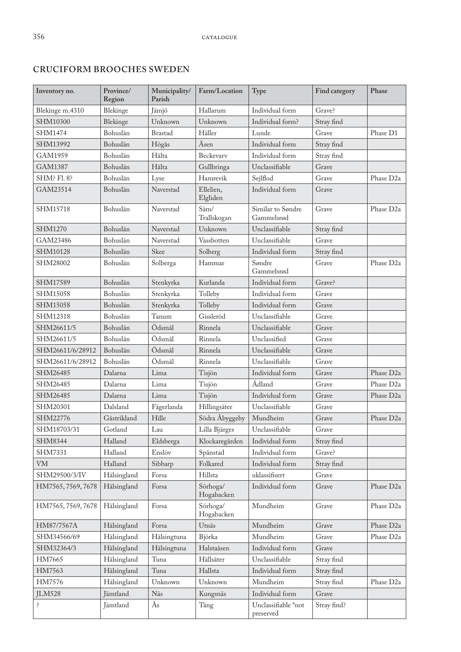#### **CRUCIFORM BROOCHES SWEDEN**

| Inventory no.      | Province/<br>Region | Municipality/<br>Parish | Farm/Location          | Type                             | Find category | Phase                  |
|--------------------|---------------------|-------------------------|------------------------|----------------------------------|---------------|------------------------|
| Blekinge m.4310    | Blekinge            | Jämjö                   | Hallarum               | Individual form                  | Grave?        |                        |
| SHM10300           | Blekinge            | Unknown                 | Unknown                | Individual form?                 | Stray find    |                        |
| <b>SHM1474</b>     | Bohuslän            | <b>Brastad</b>          | Häller                 | Lunde                            | Grave         | Phase D1               |
| SHM13992           | Bohuslän            | Högås                   | Äsen                   | Individual form                  | Stray find    |                        |
| GAM1959            | Bohuslän            | Hålta                   | Beckevary              | Individual form                  | Stray find    |                        |
| GAM1387            | Bohuslän            | Hålta                   | Gullbringa             | Unclassifiable                   | Grave         |                        |
| SHM? Fl. 8?        | Bohuslän            | Lyse                    | Hamrevik               | Sejlflod                         | Grave         | Phase D <sub>2a</sub>  |
| GAM23514           | Bohuslän            | Naverstad               | Ellelien,<br>Elgliden  | Individual form                  | Grave         |                        |
| SHM15718           | Bohuslän            | Naverstad               | Säm/<br>Trallskogan    | Similar to Søndre<br>Gammelsrød  | Grave         | Phase D <sub>2a</sub>  |
| SHM1270            | Bohuslän            | Naverstad               | Unknown                | Unclassifiable                   | Stray find    |                        |
| GAM23486           | Bohuslän            | Naverstad               | Vassbotten             | Unclassifiable                   | Grave         |                        |
| SHM10128           | Bohuslän            | Skee                    | Solberg                | Individual form                  | Stray find    |                        |
| SHM28002           | Bohuslän            | Solberga                | Hammar                 | Søndre<br>Gammelsrød             | Grave         | Phase D <sub>2a</sub>  |
| SHM17589           | Bohuslän            | Stenkyrka               | Kurlanda               | Individual form                  | Grave?        |                        |
| SHM15058           | Bohuslän            | Stenkyrka               | Tolleby                | Individual form                  | Grave         |                        |
| SHM15058           | Bohuslän            | Stenkyrka               | Tolleby                | Individual form                  | Grave         |                        |
| SHM12318           | Bohuslän            | Tanum                   | Gissleröd              | Unclassifiable                   | Grave         |                        |
| SHM26611/5         | Bohuslän            | Ödsmål                  | Rinnela                | Unclassifiable                   | Grave         |                        |
| SHM26611/5         | Bohuslän            | Ödsmål                  | Rinnela                | Unclassified                     | Grave         |                        |
| SHM26611/6/28912   | Bohuslän            | Ödsmål                  | Rinnela                | Unclassifiable                   | Grave         |                        |
| SHM26611/6/28912   | Bohuslän            | Ödsmål                  | Rinnela                | Unclassifiable                   | Grave         |                        |
| SHM26485           | Dalarna             | Lima                    | Tisjön                 | Individual form                  | Grave         | Phase D <sub>2a</sub>  |
| SHM26485           | Dalarna             | Lima                    | Tisjön                 | Ådland                           | Grave         | Phase D <sub>2a</sub>  |
| SHM26485           | Dalarna             | Lima                    | Tisjön                 | Individual form                  | Grave         | Phase D <sub>2a</sub>  |
| SHM20301           | Dalsland            | Fägerlanda              | Hillingsäter           | Unclassifiable                   | Grave         |                        |
| SHM22776           | Gästrikland         | Hille                   | Södra Åbyggeby         | Mundheim                         | Grave         | Phase D <sub>2a</sub>  |
| SHM18703/31        | Gotland             | Lau                     | Lilla Bjärges          | Unclassifiable                   | Grave         |                        |
| SHM8344            | Halland             | Eldsberga               | Klockaregården         | Individual form                  | Stray find    |                        |
| SHM7331            | Halland             | Enslöv                  | Spånstad               | Individual form                  | Grave?        |                        |
| <b>VM</b>          | Halland             | Sibbarp                 | Folkared               | Individual form                  | Stray find    |                        |
| SHM29500/3/IV      | Hälsingland         | Forsa                   | Hillsta                | uklassifisert                    | Grave         |                        |
| HM7565, 7569, 7678 | Hälsingland         | Forsa                   | Sörhoga/<br>Hogabacken | Individual form                  | Grave         | Phase D <sub>2a</sub>  |
| HM7565, 7569, 7678 | Hälsingland         | Forsa                   | Sörhoga/<br>Hogabacken | Mundheim                         | Grave         | Phase D <sub>2a</sub>  |
| HM87/7567A         | Hälsingland         | Forsa                   | Utnäs                  | Mundheim                         | Grave         | Phase D <sub>2a</sub>  |
| SHM34566/69        | Hälsingland         | Hälsingtuna             | Björka                 | Mundheim                         | Grave         | Phase D <sub>2a</sub>  |
| SHM32364/3         | Hälsingland         | Hälsingtuna             | Halstaåsen             | Individual form                  | Grave         |                        |
| HM7665             | Hälsingland         | Tuna                    | Hällsäter              | Unclassifiable                   | Stray find    |                        |
| HM7563             | Hälsingland         | Tuna                    | Hallsta                | Individual form                  | Stray find    |                        |
| HM7576             | Hälsingland         | Unknown                 | Unknown                | Mundheim                         | Stray find    | Phase D <sub>2</sub> a |
| <b>JLM528</b>      | Jämtland            | Näs                     | Kungsnäs               | Individual form                  | Grave         |                        |
| ć.                 | Jämtland            | Ås                      | Täng                   | Unclassifiable *not<br>preserved | Stray find?   |                        |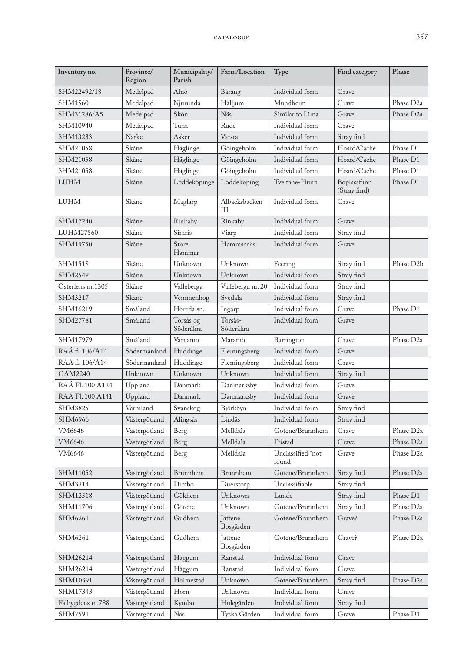| Inventory no.    | Province/<br>Region | Municipality/<br>Parish | Farm/Location        | Type                       | Find category               | Phase                  |
|------------------|---------------------|-------------------------|----------------------|----------------------------|-----------------------------|------------------------|
| SHM22492/18      | Medelpad            | Alnö                    | Båräng               | Individual form            | Grave                       |                        |
| <b>SHM1560</b>   | Medelpad            | Njurunda                | Hälljum              | Mundheim                   | Grave                       | Phase D <sub>2a</sub>  |
| SHM31286/A5      | Medelpad            | Skön                    | Näs                  | Similar to Lima            | Grave                       | Phase D <sub>2a</sub>  |
| SHM10940         | Medelpad            | Tuna                    | Rude                 | Individual form            | Grave                       |                        |
| SHM13233         | Närke               | Asker                   | Värsta               | Individual form            | Stray find                  |                        |
| SHM21058         | Skåne               | Häglinge                | Göingeholm           | Individual form            | Hoard/Cache                 | Phase D1               |
| SHM21058         | Skåne               | Häglinge                | Göingeholm           | Individual form            | Hoard/Cache                 | Phase D1               |
| SHM21058         | Skåne               | Häglinge                | Göingeholm           | Individual form            | Hoard/Cache                 | Phase D1               |
| <b>LUHM</b>      | Skåne               | Löddeköpinge            | Löddeköping          | Tveitane-Hunn              | Boplassfunn<br>(Stray find) | Phase D1               |
| <b>LUHM</b>      | Skåne               | Maglarp                 | Albäcksbacken<br>ΠI  | Individual form            | Grave                       |                        |
| SHM17240         | Skåne               | Rinkaby                 | Rinkaby              | Individual form            | Grave                       |                        |
| LUHM27560        | Skåne               | Simris                  | Viarp                | Individual form            | Stray find                  |                        |
| SHM19750         | Skåne               | Store<br>Hammar         | Hammarnäs            | Individual form            | Grave                       |                        |
| <b>SHM1518</b>   | Skåne               | Unknown                 | Unknown              | Feering                    | Stray find                  | Phase D <sub>2</sub> b |
| SHM2549          | Skåne               | Unknown                 | Unknown              | Individual form            | Stray find                  |                        |
| Österlens m.1305 | Skåne               | Valleberga              | Valleberga nr. 20    | Individual form            | Stray find                  |                        |
| SHM3217          | Skåne               | Vemmenhög               | Svedala              | Individual form            | Stray find                  |                        |
| SHM16219         | Småland             | Höreda sn.              | Ingarp               | Individual form            | Grave                       | Phase D1               |
| SHM27781         | Småland             | Torsås og<br>Söderåkra  | Torsås-<br>Söderåkra | Individual form            | Grave                       |                        |
| SHM17979         | Småland             | Värnamo                 | Maramö               | Barrington                 | Grave                       | Phase D <sub>2a</sub>  |
| RAÄ fl. 106/A14  | Södermanland        | Huddinge                | Flemingsberg         | Individual form            | Grave                       |                        |
| RAÄ fl. 106/A14  | Södermanland        | Huddinge                | Flemingsberg         | Individual form            | Grave                       |                        |
| GAM2240          | Unknown             | Unknown                 | Unknown              | Individual form            | Stray find                  |                        |
| RAÄ Fl. 100 A124 | Uppland             | Danmark                 | Danmarksby           | Individual form            | Grave                       |                        |
| RAÄ Fl. 100 A141 | Uppland             | Danmark                 | Danmarksby           | Individual form            | Grave                       |                        |
| <b>SHM3825</b>   | Värmland            | Svanskog                | Björkbyn             | Individual form            | Stray find                  |                        |
| <b>SHM6966</b>   | Västergötland       | Alingsås                | Lindås               | Individual form            | Stray find                  |                        |
| VM6646           | Västergötland       | Berg                    | Melldala             | Götene/Brunnhem            | Grave                       | Phase D <sub>2a</sub>  |
| VM6646           | Västergötland       | Berg                    | Melldala             | Fristad                    | Grave                       | Phase D <sub>2a</sub>  |
| VM6646           | Västergötland       | Berg                    | Melldala             | Unclassified *not<br>found | Grave                       | Phase D <sub>2a</sub>  |
| SHM11052         | Västergötland       | Brunnhem                | Brunnhem             | Götene/Brunnhem            | Stray find                  | Phase D <sub>2a</sub>  |
| SHM3314          | Västergötland       | Dimbo                   | Duerstorp            | Unclassifiable             | Stray find                  |                        |
| SHM12518         | Västergötland       | Gökhem                  | Unknown              | Lunde                      | Stray find                  | Phase D1               |
| SHM11706         | Västergötland       | Götene                  | Unknown              | Götene/Brunnhem            | Stray find                  | Phase D <sub>2a</sub>  |
| SHM6261          | Västergötland       | Gudhem                  | Jättene<br>Bosgården | Götene/Brunnhem            | Grave?                      | Phase D <sub>2a</sub>  |
| SHM6261          | Västergötland       | Gudhem                  | Jättene<br>Bosgården | Götene/Brunnhem            | Grave?                      | Phase D <sub>2a</sub>  |
| SHM26214         | Västergötland       | Häggum                  | Ranstad              | Individual form            | Grave                       |                        |
| SHM26214         | Västergötland       | Häggum                  | Ranstad              | Individual form            | Grave                       |                        |
| SHM10391         | Västergötland       | Holmestad               | Unknown              | Götene/Brunnhem            | Stray find                  | Phase D <sub>2a</sub>  |
| SHM17343         | Västergötland       | Horn                    | Unknown              | Individual form            | Grave                       |                        |
| Falbygdens m.788 | Västergötland       | Kymbo                   | Hulegården           | Individual form            | Stray find                  |                        |
| SHM7591          | Västergötland       | Näs                     | Tyska Gården         | Individual form            | Grave                       | Phase D1               |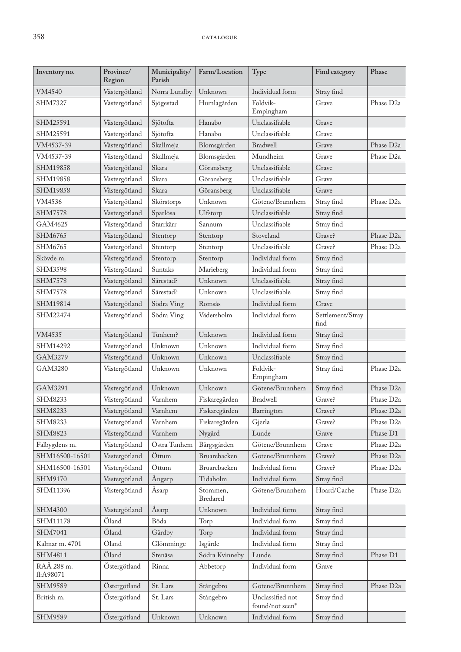| Inventory no.           | Province/<br>Region | Municipality/<br>Parish | Farm/Location        | Type                                | Find category            | Phase                  |
|-------------------------|---------------------|-------------------------|----------------------|-------------------------------------|--------------------------|------------------------|
| VM4540                  | Västergötland       | Norra Lundby            | Unknown              | Individual form                     | Stray find               |                        |
| SHM7327                 | Västergötland       | Sjögestad               | Humlagården          | Foldvik-<br>Empingham               | Grave                    | Phase D <sub>2a</sub>  |
| SHM25591                | Västergötland       | Sjötofta                | Hanabo               | Unclassifiable                      | Grave                    |                        |
| SHM25591                | Västergötland       | Sjötofta                | Hanabo               | Unclassifiable                      | Grave                    |                        |
| VM4537-39               | Västergötland       | Skallmeja               | Blomsgården          | Bradwell                            | Grave                    | Phase D <sub>2a</sub>  |
| VM4537-39               | Västergötland       | Skallmeja               | Blomsgården          | Mundheim                            | Grave                    | Phase D <sub>2a</sub>  |
| SHM19858                | Västergötland       | Skara                   | Göransberg           | Unclassifiable                      | Grave                    |                        |
| SHM19858                | Västergötland       | Skara                   | Göransberg           | Unclassifiable                      | Grave                    |                        |
| SHM19858                | Västergötland       | Skara                   | Göransberg           | Unclassifiable                      | Grave                    |                        |
| VM4536                  | Västergötland       | Skörstorps              | Unknown              | Götene/Brunnhem                     | Stray find               | Phase D <sub>2</sub> a |
| <b>SHM7578</b>          | Västergötland       | Sparlösa                | Ulfstorp             | Unclassifiable                      | Stray find               |                        |
| GAM4625                 | Västergötland       | Starrkärr               | Sannum               | Unclassifiable                      | Stray find               |                        |
| SHM6765                 | Västergötland       | Stentorp                | Stentorp             | Stoveland                           | Grave?                   | Phase D <sub>2a</sub>  |
| SHM6765                 | Västergötland       | Stentorp                | Stentorp             | Unclassifiable                      | Grave?                   | Phase D <sub>2a</sub>  |
| Skövde m.               | Västergötland       | Stentorp                | Stentorp             | Individual form                     | Stray find               |                        |
| <b>SHM3598</b>          | Västergötland       | Suntaks                 | Marieberg            | Individual form                     | Stray find               |                        |
| <b>SHM7578</b>          | Västergötland       | Särestad?               | Unknown              | Unclassifiable                      | Stray find               |                        |
| <b>SHM7578</b>          | Västergötland       | Särestad?               | Unknown              | Unclassifiable                      | Stray find               |                        |
| SHM19814                | Västergötland       | Södra Ving              | Romsås               | Individual form                     | Grave                    |                        |
| SHM22474                | Västergötland       | Södra Ving              | Vädersholm           | Individual form                     | Settlement/Stray<br>find |                        |
| VM4535                  | Västergötland       | Tunhem?                 | Unknown              | Individual form                     | Stray find               |                        |
| SHM14292                | Västergötland       | Unknown                 | Unknown              | Individual form                     | Stray find               |                        |
| GAM3279                 | Västergötland       | Unknown                 | Unknown              | Unclassifiable                      | Stray find               |                        |
| GAM3280                 | Västergötland       | Unknown                 | Unknown              | Foldvik-<br>Empingham               | Stray find               | Phase D <sub>2a</sub>  |
| GAM3291                 | Västergötland       | Unknown                 | Unknown              | Götene/Brunnhem                     | Stray find               | Phase D <sub>2a</sub>  |
| SHM8233                 | Västergötland       | Varnhem                 | Fiskaregården        | <b>Bradwell</b>                     | Grave?                   | Phase D <sub>2a</sub>  |
| SHM8233                 | Västergötland       | Varnhem                 | Fiskaregården        | Barrington                          | Grave?                   | Phase D <sub>2a</sub>  |
| SHM8233                 | Västergötland       | Varnhem                 | Fiskaregården        | Gjerla                              | Grave?                   | Phase D <sub>2</sub> a |
| <b>SHM8823</b>          | Västergötland       | Varnhem                 | Nygård               | Lunde                               | Grave                    | Phase D1               |
| Falbygdens m.           | Västergötland       | Östra Tunhem            | Bårgsgården          | Götene/Brunnhem                     | Grave                    | Phase D <sub>2a</sub>  |
| SHM16500-16501          | Västergötland       | Öttum                   | Bruarebacken         | Götene/Brunnhem                     | Grave?                   | Phase D <sub>2a</sub>  |
| SHM16500-16501          | Västergötland       | Öttum                   | Bruarebacken         | Individual form                     | Grave?                   | Phase D <sub>2a</sub>  |
| SHM9170                 | Västergötland       | Ångarp                  | Tidaholm             | Individual form                     | Stray find               |                        |
| SHM11396                | Västergötland       | Asarp                   | Stommen,<br>Bredared | Götene/Brunnhem                     | Hoard/Cache              | Phase D <sub>2</sub> a |
| <b>SHM4300</b>          | Västergötland       | Åsarp                   | Unknown              | Individual form                     | Stray find               |                        |
| SHM11178                | Öland               | Böda                    | Torp                 | Individual form                     | Stray find               |                        |
| SHM7041                 | Öland               | Gårdby                  | Torp                 | Individual form                     | Stray find               |                        |
| Kalmar m. 4701          | Öland               | Glömminge               | Isgärde              | Individual form                     | Stray find               |                        |
| SHM4811                 | Öland               | Stenåsa                 | Södra Kvinneby       | Lunde                               | Stray find               | Phase D1               |
| RAÄ 288 m.<br>fl:A98071 | Östergötland        | Rinna                   | Abbetorp             | Individual form                     | Grave                    |                        |
| SHM9589                 | Östergötland        | St. Lars                | Stångebro            | Götene/Brunnhem                     | Stray find               | Phase D <sub>2a</sub>  |
| British m.              | Östergötland        | St. Lars                | Stångebro            | Unclassified not<br>found/not seen* | Stray find               |                        |
| SHM9589                 | Östergötland        | Unknown                 | Unknown              | Individual form                     | Stray find               |                        |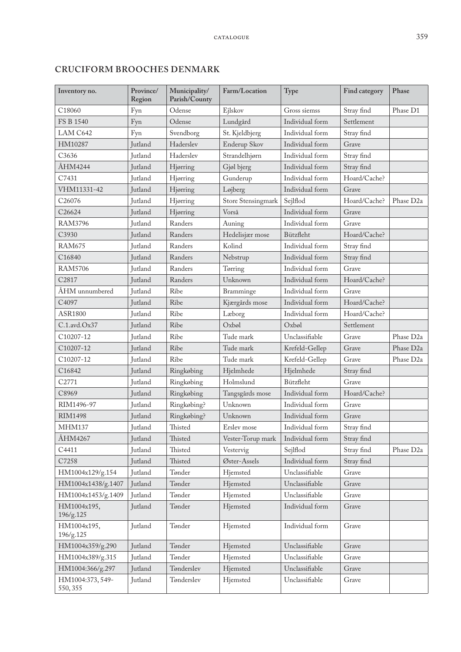| Inventory no.                | Province/<br>Region | Municipality/<br>Parish/County | Farm/Location      | Type            | Find category | Phase                 |
|------------------------------|---------------------|--------------------------------|--------------------|-----------------|---------------|-----------------------|
| C <sub>18060</sub>           | Fyn                 | Odense                         | Ejlskov            | Gross siemss    | Stray find    | Phase D1              |
| FS B 1540                    | Fyn                 | Odense                         | Lundgård           | Individual form | Settlement    |                       |
| LAM C642                     | Fyn                 | Svendborg                      | St. Kjeldbjerg     | Individual form | Stray find    |                       |
| HM10287                      | Jutland             | Haderslev                      | Enderup Skov       | Individual form | Grave         |                       |
| C3636                        | Jutland             | Haderslev                      | Strandelhjørn      | Individual form | Stray find    |                       |
| ÅHM4244                      | Jutland             | Hjørring                       | Gjøl bjerg         | Individual form | Stray find    |                       |
| C7431                        | Jutland             | Hjørring                       | Gunderup           | Individual form | Hoard/Cache?  |                       |
| VHM11331-42                  | Jutland             | Hjørring                       | Løjberg            | Individual form | Grave         |                       |
| C26076                       | Jutland             | Hjørring                       | Store Stensingmark | Sejlflod        | Hoard/Cache?  | Phase D <sub>2a</sub> |
| C26624                       | Jutland             | Hjørring                       | Vorså              | Individual form | Grave         |                       |
| <b>RAM3796</b>               | Jutland             | Randers                        | Auning             | Individual form | Grave         |                       |
| C3930                        | Jutland             | Randers                        | Hedelisjær mose    | Bützfleht       | Hoard/Cache?  |                       |
| <b>RAM675</b>                | Jutland             | Randers                        | Kolind             | Individual form | Stray find    |                       |
| C16840                       | Jutland             | Randers                        | Nebstrup           | Individual form | Stray find    |                       |
| <b>RAM5706</b>               | Jutland             | Randers                        | Tørring            | Individual form | Grave         |                       |
| C2817                        | Jutland             | Randers                        | Unknown            | Individual form | Hoard/Cache?  |                       |
| ÅHM unnumbered               | Jutland             | Ribe                           | Bramminge          | Individual form | Grave         |                       |
| C4097                        | Jutland             | Ribe                           | Kjærgårds mose     | Individual form | Hoard/Cache?  |                       |
| ASR1800                      | Jutland             | Ribe                           | Læborg             | Individual form | Hoard/Cache?  |                       |
| $C.1$ .avd. $Ox37$           | Jutland             | Ribe                           | Oxbøl              | Oxbøl           | Settlement    |                       |
| C10207-12                    | Jutland             | Ribe                           | Tude mark          | Unclassifiable  | Grave         | Phase D <sub>2a</sub> |
| C10207-12                    | Jutland             | Ribe                           | Tude mark          | Krefeld-Gellep  | Grave         | Phase D <sub>2a</sub> |
| C10207-12                    | Jutland             | Ribe                           | Tude mark          | Krefeld-Gellep  | Grave         | Phase D <sub>2a</sub> |
| C16842                       | Jutland             | Ringkøbing                     | Hjelmhede          | Hjelmhede       | Stray find    |                       |
| C2771                        | Jutland             | Ringkøbing                     | Holmslund          | Bützfleht       | Grave         |                       |
| C8969                        | Jutland             | Ringkøbing                     | Tangsgårds mose    | Individual form | Hoard/Cache?  |                       |
| RIM1496-97                   | Jutland             | Ringkøbing?                    | Unknown            | Individual form | Grave         |                       |
| <b>RIM1498</b>               | Jutland             | Ringkøbing?                    | Unknown            | Individual form | Grave         |                       |
| <b>MHM137</b>                | Jutland             | Thisted                        | Erslev mose        | Individual form | Stray find    |                       |
| ÅHM4267                      | Jutland             | Thisted                        | Vester-Torup mark  | Individual form | Stray find    |                       |
| C4411                        | Jutland             | Thisted                        | Vestervig          | Sejlflod        | Stray find    | Phase D <sub>2a</sub> |
| C7258                        | Jutland             | Thisted                        | Øster-Assels       | Individual form | Stray find    |                       |
| HM1004x129/g.154             | Jutland             | Tønder                         | Hjemsted           | Unclassifiable  | Grave         |                       |
| HM1004x1438/g.1407           | Jutland             | Tønder                         | Hjemsted           | Unclassifiable  | Grave         |                       |
| HM1004x1453/g.1409           | Jutland             | Tønder                         | Hjemsted           | Unclassifiable  | Grave         |                       |
| HM1004x195,<br>196/g.125     | Jutland             | Tønder                         | Hjemsted           | Individual form | Grave         |                       |
| HM1004x195,<br>196/g.125     | Jutland             | Tønder                         | Hjemsted           | Individual form | Grave         |                       |
| HM1004x359/g.290             | Jutland             | Tønder                         | Hjemsted           | Unclassifiable  | Grave         |                       |
| HM1004x389/g.315             | Jutland             | Tønder                         | Hjemsted           | Unclassifiable  | Grave         |                       |
| HM1004:366/g.297             | Jutland             | Tønderslev                     | Hjemsted           | Unclassifiable  | Grave         |                       |
| HM1004:373, 549-<br>550, 355 | Jutland             | Tønderslev                     | Hjemsted           | Unclassifiable  | Grave         |                       |

# **CRUCIFORM BROOCHES DENMARK**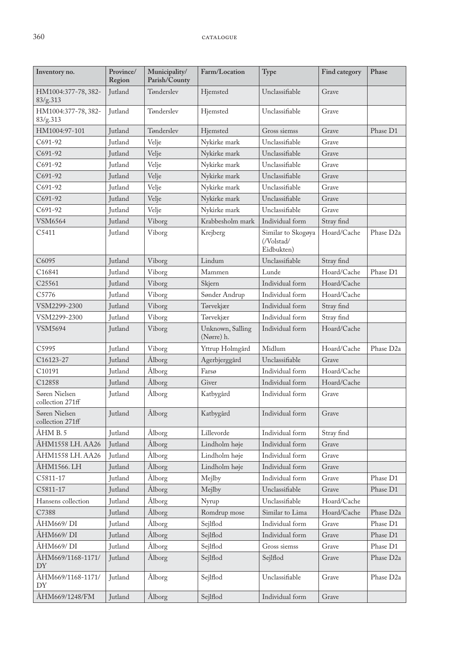| Inventory no.                     | Province/<br>Region | Municipality/<br>Parish/County | Farm/Location                  | Type                                           | Find category | Phase                 |
|-----------------------------------|---------------------|--------------------------------|--------------------------------|------------------------------------------------|---------------|-----------------------|
| HM1004:377-78, 382-<br>83/g.313   | Jutland             | Tønderslev                     | Hjemsted                       | Unclassifiable                                 | Grave         |                       |
| HM1004:377-78, 382-<br>83/g.313   | Jutland             | Tønderslev                     | Hjemsted                       | Unclassifiable                                 | Grave         |                       |
| HM1004:97-101                     | Jutland             | Tønderslev                     | Hjemsted                       | Gross siemss                                   | Grave         | Phase D1              |
| C691-92                           | <b>Iutland</b>      | Velje                          | Nykirke mark                   | Unclassifiable                                 | Grave         |                       |
| $C691-92$                         | Jutland             | Velje                          | Nykirke mark                   | Unclassifiable                                 | Grave         |                       |
| C691-92                           | Jutland             | Velje                          | Nykirke mark                   | Unclassifiable                                 | Grave         |                       |
| C691-92                           | <b>Jutland</b>      | Velje                          | Nykirke mark                   | Unclassifiable                                 | Grave         |                       |
| C691-92                           | Jutland             | Velje                          | Nykirke mark                   | Unclassifiable                                 | Grave         |                       |
| C691-92                           | Jutland             | Velje                          | Nykirke mark                   | Unclassifiable                                 | Grave         |                       |
| C691-92                           | Jutland             | Velje                          | Nykirke mark                   | Unclassifiable                                 | Grave         |                       |
| <b>VSM6564</b>                    | Jutland             | Viborg                         | Krabbesholm mark               | Individual form                                | Stray find    |                       |
| C5411                             | Jutland             | Viborg                         | Krejberg                       | Similar to Skogøya<br>(/Volstad/<br>Eidbukten) | Hoard/Cache   | Phase D <sub>2a</sub> |
| C6095                             | Jutland             | Viborg                         | Lindum                         | Unclassifiable                                 | Stray find    |                       |
| C16841                            | Jutland             | Viborg                         | Mammen                         | Lunde                                          | Hoard/Cache   | Phase D1              |
| C25561                            | Jutland             | Viborg                         | Skjern                         | Individual form                                | Hoard/Cache   |                       |
| C5776                             | Jutland             | Viborg                         | Sønder Andrup                  | Individual form                                | Hoard/Cache   |                       |
| VSM2299-2300                      | <b>Jutland</b>      | Viborg                         | Tørvekjær                      | Individual form                                | Stray find    |                       |
| VSM2299-2300                      | Jutland             | Viborg                         | Tørvekjær                      | Individual form                                | Stray find    |                       |
| <b>VSM5694</b>                    | Jutland             | Viborg                         | Unknown, Salling<br>(Nørre) h. | Individual form                                | Hoard/Cache   |                       |
| C5995                             | Jutland             | Viborg                         | Yttrup Holmgård                | Midlum                                         | Hoard/Cache   | Phase D <sub>2a</sub> |
| C16123-27                         | Jutland             | Ålborg                         | Agerbjerggård                  | Unclassifiable                                 | Grave         |                       |
| C10191                            | Jutland             | Ålborg                         | Farsø                          | Individual form                                | Hoard/Cache   |                       |
| C12858                            | Jutland             | Ålborg                         | Giver                          | Individual form                                | Hoard/Cache   |                       |
| Søren Nielsen<br>collection 271ff | Jutland             | Ålborg                         | Katbygård                      | Individual form                                | Grave         |                       |
| Søren Nielsen<br>collection 271ff | Jutland             | Ålborg                         | Katbygård                      | Individual form                                | Grave         |                       |
| ÅHM B.5                           | Jutland             | Ålborg                         | Lillevorde                     | Individual form                                | Stray find    |                       |
| ÅHM1558 LH. AA26                  | Jutland             | Ålborg                         | Lindholm høje                  | Individual form                                | Grave         |                       |
| ÅHM1558 LH. AA26                  | Jutland             | Ålborg                         | Lindholm høje                  | Individual form                                | Grave         |                       |
| ÅHM1566. LH                       | Jutland             | Ålborg                         | Lindholm høje                  | Individual form                                | Grave         |                       |
| C5811-17                          | Jutland             | Ålborg                         | Mejlby                         | Individual form                                | Grave         | Phase D1              |
| C5811-17                          | Jutland             | Ålborg                         | Mejlby                         | Unclassifiable                                 | Grave         | Phase D1              |
| Hansens collection                | Jutland             | Ålborg                         | Nyrup                          | Unclassifiable                                 | Hoard/Cache   |                       |
| C7388                             | Jutland             | Ålborg                         | Romdrup mose                   | Similar to Lima                                | Hoard/Cache   | Phase D <sub>2a</sub> |
| ÅHM669/DI                         | Jutland             | Ålborg                         | Sejlflod                       | Individual form                                | Grave         | Phase D1              |
| ÅHM669/DI                         | Jutland             | Ålborg                         | Sejlflod                       | Individual form                                | Grave         | Phase D1              |
| ÅHM669/DI                         | Jutland             | Ålborg                         | Sejlflod                       | Gross siemss                                   | Grave         | Phase D1              |
| ÅHM669/1168-1171/<br>DY           | Jutland             | Ålborg                         | Sejlflod                       | Sejlflod                                       | Grave         | Phase D <sub>2a</sub> |
| ÅHM669/1168-1171/<br>DY           | Jutland             | Ålborg                         | Sejlflod                       | Unclassifiable                                 | Grave         | Phase D <sub>2a</sub> |
| ÅHM669/1248/FM                    | Jutland             | Ålborg                         | Sejlflod                       | Individual form                                | Grave         |                       |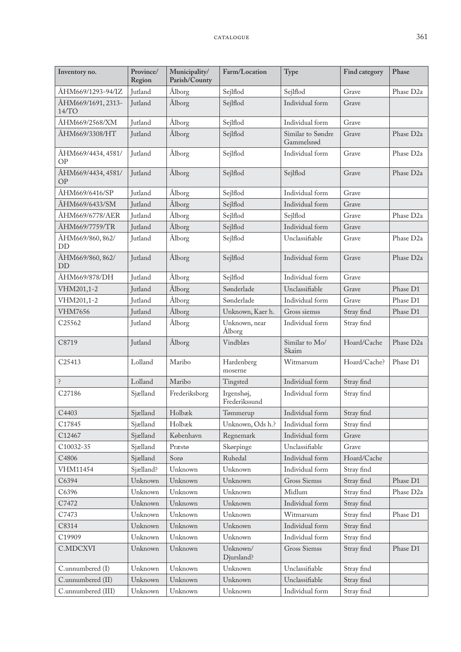| Inventory no.                   | Province/<br>Region | Municipality/<br>Parish/County | Farm/Location               | Type                            | Find category | Phase                 |
|---------------------------------|---------------------|--------------------------------|-----------------------------|---------------------------------|---------------|-----------------------|
| ÅHM669/1293-94/IZ               | Jutland             | Ålborg                         | Sejlflod                    | Sejlflod                        | Grave         | Phase D <sub>2a</sub> |
| ÅHM669/1691, 2313-<br>14/TO     | Jutland             | Ålborg                         | Sejlflod                    | Individual form                 | Grave         |                       |
| ÅHM669/2568/XM                  | Jutland             | Ålborg                         | Sejlflod                    | Individual form                 | Grave         |                       |
| ÅHM669/3308/HT                  | Jutland             | Ålborg                         | Sejlflod                    | Similar to Søndre<br>Gammelsrød | Grave         | Phase D <sub>2a</sub> |
| ÅHM669/4434, 4581/<br>OP        | Jutland             | Ålborg                         | Sejlflod                    | Individual form                 | Grave         | Phase D <sub>2a</sub> |
| ÅHM669/4434, 4581/<br><b>OP</b> | <b>Jutland</b>      | Ålborg                         | Sejlflod                    | Sejlflod                        | Grave         | Phase D <sub>2a</sub> |
| ÅHM669/6416/SP                  | Jutland             | Ålborg                         | Sejlflod                    | Individual form                 | Grave         |                       |
| ÅHM669/6433/SM                  | Jutland             | Ålborg                         | Sejlflod                    | Individual form                 | Grave         |                       |
| ÅHM669/6778/AER                 | Jutland             | Ålborg                         | Sejlflod                    | Sejlflod                        | Grave         | Phase D <sub>2a</sub> |
| ÅHM669/7759/TR                  | Jutland             | Ålborg                         | Sejlflod                    | Individual form                 | Grave         |                       |
| ÅHM669/860, 862/<br>DD          | Jutland             | Ålborg                         | Sejlflod                    | Unclassifiable                  | Grave         | Phase D <sub>2a</sub> |
| ÅHM669/860, 862/<br><b>DD</b>   | Jutland             | Ålborg                         | Sejlflod                    | Individual form                 | Grave         | Phase D <sub>2a</sub> |
| ÅHM669/878/DH                   | Jutland             | Ålborg                         | Sejlflod                    | Individual form                 | Grave         |                       |
| VHM201,1-2                      | Jutland             | Ålborg                         | Sønderlade                  | Unclassifiable                  | Grave         | Phase D1              |
| VHM201,1-2                      | Jutland             | Ålborg                         | Sønderlade                  | Individual form                 | Grave         | Phase D1              |
| <b>VHM7656</b>                  | Jutland             | Ålborg                         | Unknown, Kaer h.            | Gross siemss                    | Stray find    | Phase D1              |
| C <sub>25562</sub>              | Jutland             | Ålborg                         | Unknown, near<br>Ålborg     | Individual form                 | Stray find    |                       |
| C8719                           | Jutland             | Ålborg                         | Vindblæs                    | Similar to Mo/<br>Skaim         | Hoard/Cache   | Phase D <sub>2a</sub> |
| C25413                          | Lolland             | Maribo                         | Hardenberg<br>moserne       | Witmarsum                       | Hoard/Cache?  | Phase D1              |
| $\dot{\cdot}$                   | Lolland             | Maribo                         | Tingsted                    | Individual form                 | Stray find    |                       |
| C27186                          | Sjælland            | Frederiksborg                  | Irgenshøj,<br>Frederikssund | Individual form                 | Stray find    |                       |
| C4403                           | Sjælland            | Holbæk                         | Tømmerup                    | Individual form                 | Stray find    |                       |
| C17845                          | Sjælland            | Holbæk                         | Unknown, Ods h.?            | Individual form                 | Stray find    |                       |
| C12467                          | Sjælland            | København                      | Regnemark                   | Individual form                 | Grave         |                       |
| C10032-35                       | Sjælland            | Præstø                         | Skørpinge                   | Unclassifiable                  | Grave         |                       |
| C4806                           | Sjælland            | Sorø                           | Ruhedal                     | Individual form                 | Hoard/Cache   |                       |
| VHM11454                        | Sjælland?           | Unknown                        | Unknown                     | Individual form                 | Stray find    |                       |
| C6394                           | Unknown             | Unknown                        | Unknown                     | <b>Gross Siemss</b>             | Stray find    | Phase D1              |
| C6396                           | Unknown             | Unknown                        | Unknown                     | Midlum                          | Stray find    | Phase D <sub>2a</sub> |
| C7472                           | Unknown             | Unknown                        | Unknown                     | Individual form                 | Stray find    |                       |
| C7473                           | Unknown             | Unknown                        | Unknown                     | Witmarsum                       | Stray find    | Phase D1              |
| C8314                           | Unknown             | Unknown                        | Unknown                     | Individual form                 | Stray find    |                       |
| C19909                          | Unknown             | Unknown                        | Unknown                     | Individual form                 | Stray find    |                       |
| C.MDCXVI                        | Unknown             | Unknown                        | Unknown/<br>Djursland?      | <b>Gross Siemss</b>             | Stray find    | Phase D1              |
| C.unnumbered (I)                | Unknown             | Unknown                        | Unknown                     | Unclassifiable                  | Stray find    |                       |
| C.unnumbered (II)               | Unknown             | Unknown                        | Unknown                     | Unclassifiable                  | Stray find    |                       |
| C.unnumbered (III)              | Unknown             | Unknown                        | Unknown                     | Individual form                 | Stray find    |                       |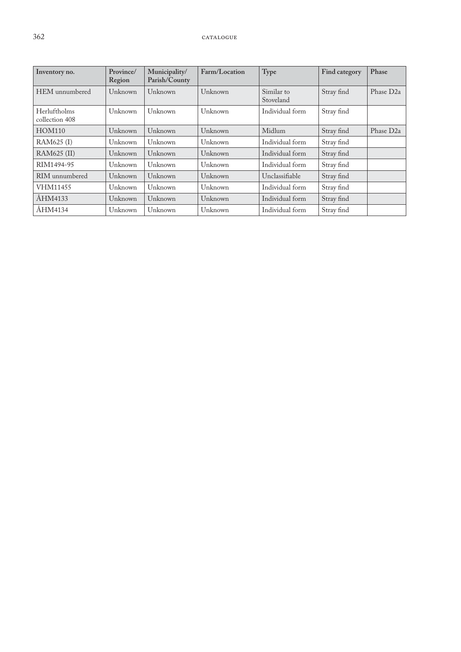| Inventory no.                  | Province/<br>Region | Municipality/<br>Parish/County | Farm/Location | Type                    | Find category | Phase                 |
|--------------------------------|---------------------|--------------------------------|---------------|-------------------------|---------------|-----------------------|
| HEM unnumbered                 | Unknown             | Unknown                        | Unknown       | Similar to<br>Stoveland | Stray find    | Phase D <sub>2a</sub> |
| Herluftholms<br>collection 408 | Unknown             | Unknown                        | Unknown       | Individual form         | Stray find    |                       |
| <b>HOM110</b>                  | Unknown             | Unknown                        | Unknown       | Midlum                  | Stray find    | Phase D <sub>2a</sub> |
| RAM625 (I)                     | Unknown             | Unknown                        | Unknown       | Individual form         | Stray find    |                       |
| RAM625 (II)                    | Unknown             | Unknown                        | Unknown       | Individual form         | Stray find    |                       |
| RIM1494-95                     | Unknown             | Unknown                        | Unknown       | Individual form         | Stray find    |                       |
| RIM unnumbered                 | Unknown             | Unknown                        | Unknown       | Unclassifiable          | Stray find    |                       |
| VHM11455                       | Unknown             | Unknown                        | Unknown       | Individual form         | Stray find    |                       |
| ÅHM4133                        | Unknown             | Unknown                        | Unknown       | Individual form         | Stray find    |                       |
| ÅHM4134                        | Unknown             | Unknown                        | Unknown       | Individual form         | Stray find    |                       |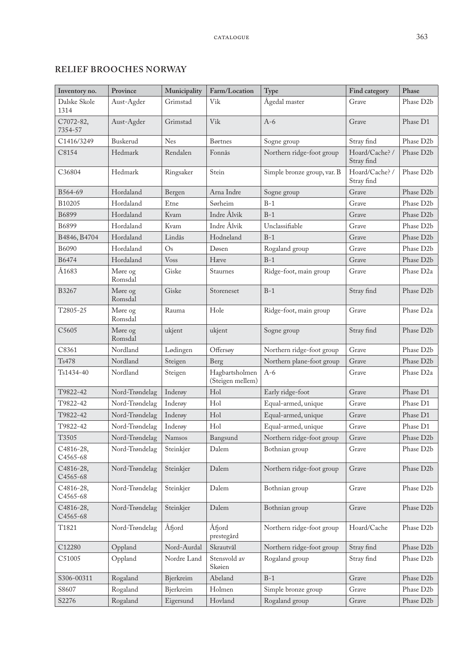| Inventory no.         | Province           | Municipality | Farm/Location                      | Type                        | Find category                | Phase                  |
|-----------------------|--------------------|--------------|------------------------------------|-----------------------------|------------------------------|------------------------|
| Dalske Skole<br>1314  | Aust-Agder         | Grimstad     | Vik                                | Ågedal master               | Grave                        | Phase D <sub>2</sub> b |
| C7072-82,<br>7354-57  | Aust-Agder         | Grimstad     | Vik                                | $A-6$                       | Grave                        | Phase D1               |
| C1416/3249            | Buskerud           | <b>Nes</b>   | Børtnes                            | Sogne group                 | Stray find                   | Phase D <sub>2</sub> b |
| C8154                 | Hedmark            | Rendalen     | Fonnås                             | Northern ridge-foot group   | Hoard/Cache? /<br>Stray find | Phase D <sub>2</sub> b |
| C36804                | Hedmark            | Ringsaker    | Stein                              | Simple bronze group, var. B | Hoard/Cache? /<br>Stray find | Phase D <sub>2</sub> b |
| B564-69               | Hordaland          | Bergen       | Arna Indre                         | Sogne group                 | Grave                        | Phase D <sub>2</sub> b |
| B10205                | Hordaland          | Etne         | Sørheim                            | $B-1$                       | Grave                        | Phase D2b              |
| B6899                 | Hordaland          | Kvam         | Indre Ålvik                        | $B-1$                       | Grave                        | Phase D <sub>2</sub> b |
| B6899                 | Hordaland          | Kvam         | Indre Ålvik                        | Unclassifiable              | Grave                        | Phase D <sub>2</sub> b |
| B4846, B4704          | Hordaland          | Lindås       | Hodneland                          | $B-1$                       | Grave                        | Phase D2b              |
| B6090                 | Hordaland          | Os           | Døsen                              | Rogaland group              | Grave                        | Phase D2b              |
| B6474                 | Hordaland          | <b>Voss</b>  | Hæve                               | $B-1$                       | Grave                        | Phase D2b              |
| Å1683                 | Møre og<br>Romsdal | Giske        | Staurnes                           | Ridge-foot, main group      | Grave                        | Phase D <sub>2a</sub>  |
| B3267                 | Møre og<br>Romsdal | Giske        | Storeneset                         | $B-1$                       | Stray find                   | Phase D2b              |
| T2805-25              | Møre og<br>Romsdal | Rauma        | Hole                               | Ridge-foot, main group      | Grave                        | Phase D <sub>2a</sub>  |
| C5605                 | Møre og<br>Romsdal | ukjent       | ukjent                             | Sogne group                 | Stray find                   | Phase D <sub>2</sub> b |
| C8361                 | Nordland           | Lødingen     | Offersøy                           | Northern ridge-foot group   | Grave                        | Phase D <sub>2</sub> b |
| Ts478                 | Nordland           | Steigen      | Berg                               | Northern plane-foot group   | Grave                        | Phase D2b              |
| Ts1434-40             | Nordland           | Steigen      | Hagbartsholmen<br>(Steigen mellem) | $A-6$                       | Grave                        | Phase D <sub>2a</sub>  |
| T9822-42              | Nord-Trøndelag     | Inderøy      | Hol                                | Early ridge-foot            | Grave                        | Phase D1               |
| T9822-42              | Nord-Trøndelag     | Inderøy      | Hol                                | Equal-armed, unique         | Grave                        | Phase D1               |
| T9822-42              | Nord-Trøndelag     | Inderøy      | Hol                                | Equal-armed, unique         | Grave                        | Phase D1               |
| T9822-42              | Nord-Trøndelag     | Inderøy      | Hol                                | Equal-armed, unique         | Grave                        | Phase D1               |
| T3505                 | Nord-Trøndelag     | Namsos       | Bangsund                           | Northern ridge-foot group   | Grave                        | Phase D2b              |
| C4816-28,<br>C4565-68 | Nord-Trøndelag     | Steinkjer    | Dalem                              | Bothnian group              | Grave                        | Phase D2b              |
| C4816-28,<br>C4565-68 | Nord-Trøndelag     | Steinkjer    | Dalem                              | Northern ridge-foot group   | Grave                        | Phase D2b              |
| C4816-28,<br>C4565-68 | Nord-Trøndelag     | Steinkjer    | Dalem                              | Bothnian group              | Grave                        | Phase D2b              |
| C4816-28,<br>C4565-68 | Nord-Trøndelag     | Steinkjer    | Dalem                              | Bothnian group              | Grave                        | Phase D <sub>2</sub> b |
| T1821                 | Nord-Trøndelag     | Åfjord       | Åfjord<br>prestegård               | Northern ridge-foot group   | Hoard/Cache                  | Phase D2b              |
| C12280                | Oppland            | Nord-Aurdal  | Skrautvål                          | Northern ridge-foot group   | Stray find                   | Phase D2b              |
| C51005                | Oppland            | Nordre Land  | Stensvold av<br>Skøien             | Rogaland group              | Stray find                   | Phase D2b              |
| S306-00311            | Rogaland           | Bjerkreim    | Abeland                            | $B-1$                       | Grave                        | Phase D2b              |
| S8607                 | Rogaland           | Bjerkreim    | Holmen                             | Simple bronze group         | Grave                        | Phase D2b              |
| S2276                 | Rogaland           | Eigersund    | Hovland                            | Rogaland group              | Grave                        | Phase D2b              |

#### **RELIEF BROOCHES NORWAY**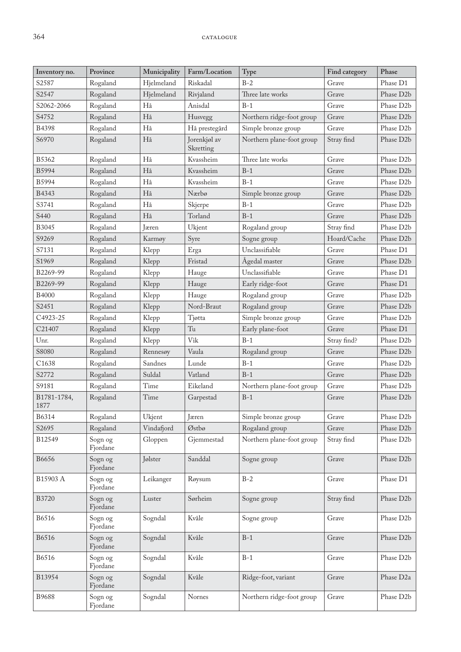| Inventory no.       | Province            | Municipality | Farm/Location             | Type                      | Find category | Phase                  |
|---------------------|---------------------|--------------|---------------------------|---------------------------|---------------|------------------------|
| S2587               | Rogaland            | Hjelmeland   | Riskadal                  | $B-2$                     | Grave         | Phase D1               |
| S2547               | Rogaland            | Hjelmeland   | Rivjaland                 | Three late works          | Grave         | Phase D2b              |
| S2062-2066          | Rogaland            | Hå           | Anisdal                   | $B-1$                     | Grave         | Phase D <sub>2</sub> b |
| S4752               | Rogaland            | Hå           | Husvegg                   | Northern ridge-foot group | Grave         | Phase D <sub>2</sub> b |
| <b>B4398</b>        | Rogaland            | Hå           | Hå prestegård             | Simple bronze group       | Grave         | Phase D2b              |
| S6970               | Rogaland            | Hå           | Jorenkjøl av<br>Skretting | Northern plane-foot group | Stray find    | Phase D <sub>2</sub> b |
| B5362               | Rogaland            | Hå           | Kvassheim                 | Three late works          | Grave         | Phase D2b              |
| B5994               | Rogaland            | Hå           | Kvassheim                 | $B-1$                     | Grave         | Phase D <sub>2</sub> b |
| B5994               | Rogaland            | Hå           | Kvassheim                 | $B-1$                     | Grave         | Phase D2b              |
| B4343               | Rogaland            | Hå           | Nærbø                     | Simple bronze group       | Grave         | Phase D2b              |
| S3741               | Rogaland            | Hå           | Skjerpe                   | $B-1$                     | Grave         | Phase D <sub>2</sub> b |
| S440                | Rogaland            | Hå           | Torland                   | $B-1$                     | Grave         | Phase D2b              |
| B3045               | Rogaland            | Jæren        | Ukjent                    | Rogaland group            | Stray find    | Phase D <sub>2</sub> b |
| S9269               | Rogaland            | Karmøy       | Syre                      | Sogne group               | Hoard/Cache   | Phase D2b              |
| S7131               | Rogaland            | Klepp        | Erga                      | Unclassifiable            | Grave         | Phase D1               |
| S1969               | Rogaland            | Klepp        | Fristad                   | Ågedal master             | Grave         | Phase D2b              |
| B2269-99            | Rogaland            | Klepp        | Hauge                     | Unclassifiable            | Grave         | Phase D1               |
| B2269-99            | Rogaland            | Klepp        | Hauge                     | Early ridge-foot          | Grave         | Phase D1               |
| <b>B4000</b>        | Rogaland            | Klepp        | Hauge                     | Rogaland group            | Grave         | Phase D <sub>2</sub> b |
| S2451               | Rogaland            | Klepp        | Nord-Braut                | Rogaland group            | Grave         | Phase D <sub>2</sub> b |
| C4923-25            | Rogaland            | Klepp        | Tjøtta                    | Simple bronze group       | Grave         | Phase D2b              |
| C21407              | Rogaland            | Klepp        | Tu                        | Early plane-foot          | Grave         | Phase D1               |
| Unr.                | Rogaland            | Klepp        | Vik                       | $B-1$                     | Stray find?   | Phase D2b              |
| S8080               | Rogaland            | Rennesøy     | Vaula                     | Rogaland group            | Grave         | Phase D <sub>2</sub> b |
| C <sub>1638</sub>   | Rogaland            | Sandnes      | Lunde                     | $B-1$                     | Grave         | Phase D <sub>2</sub> b |
| S2772               | Rogaland            | Suldal       | Vatland                   | $B-1$                     | Grave         | Phase D2b              |
| S9181               | Rogaland            | Time         | Eikeland                  | Northern plane-foot group | Grave         | Phase D <sub>2</sub> b |
| B1781-1784,<br>1877 | Rogaland            | Time         | Garpestad                 | $B-1$                     | Grave         | Phase D2b              |
| B6314               | Rogaland            | Ukjent       | Jæren                     | Simple bronze group       | Grave         | Phase D2b              |
| S2695               | Rogaland            | Vindafjord   | Østbø                     | Rogaland group            | Grave         | Phase D2b              |
| B12549              | Sogn og<br>Fjordane | Gloppen      | Gjemmestad                | Northern plane-foot group | Stray find    | Phase D2b              |
| B6656               | Sogn og<br>Fjordane | Jølster      | Sanddal                   | Sogne group               | Grave         | Phase D2b              |
| B15903 A            | Sogn og<br>Fjordane | Leikanger    | Røysum                    | $B-2$                     | Grave         | Phase D1               |
| B3720               | Sogn og<br>Fjordane | Luster       | Sørheim                   | Sogne group               | Stray find    | Phase D <sub>2</sub> b |
| B6516               | Sogn og<br>Fjordane | Sogndal      | Kvåle                     | Sogne group               | Grave         | Phase D <sub>2</sub> b |
| B6516               | Sogn og<br>Fjordane | Sogndal      | Kvåle                     | $B-1$                     | Grave         | Phase D <sub>2</sub> b |
| <b>B6516</b>        | Sogn og<br>Fjordane | Sogndal      | Kvåle                     | $B-1$                     | Grave         | Phase D2b              |
| B13954              | Sogn og<br>Fjordane | Sogndal      | Kvåle                     | Ridge-foot, variant       | Grave         | Phase D <sub>2a</sub>  |
| B9688               | Sogn og<br>Fjordane | Sogndal      | Nornes                    | Northern ridge-foot group | Grave         | Phase D2b              |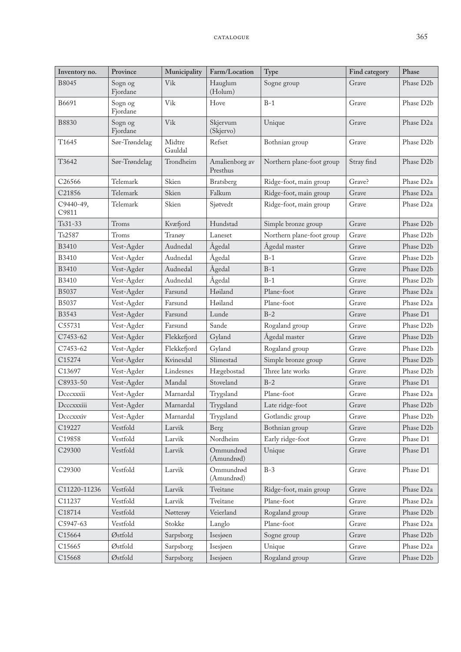| Inventory no.      | Province            | Municipality      | Farm/Location              | Type                      | Find category | Phase                  |
|--------------------|---------------------|-------------------|----------------------------|---------------------------|---------------|------------------------|
| B8045              | Sogn og<br>Fjordane | Vik               | Hauglum<br>(Holum)         | Sogne group               | Grave         | Phase D <sub>2</sub> b |
| B6691              | Sogn og<br>Fjordane | Vik               | Hove                       | $B-1$                     | Grave         | Phase D <sub>2</sub> b |
| <b>B8830</b>       | Sogn og<br>Fjordane | Vik               | Skjervum<br>(Skjervo)      | Unique                    | Grave         | Phase D <sub>2a</sub>  |
| T1645              | Sør-Trøndelag       | Midtre<br>Gauldal | Refset                     | Bothnian group            | Grave         | Phase D <sub>2</sub> b |
| T3642              | Sør-Trøndelag       | Trondheim         | Amalienborg av<br>Presthus | Northern plane-foot group | Stray find    | Phase D <sub>2</sub> b |
| C26566             | Telemark            | Skien             | Bratsberg                  | Ridge-foot, main group    | Grave?        | Phase D <sub>2a</sub>  |
| C21856             | Telemark            | Skien             | Falkum                     | Ridge-foot, main group    | Grave         | Phase D <sub>2a</sub>  |
| C9440-49,<br>C9811 | Telemark            | Skien             | Sjøtvedt                   | Ridge-foot, main group    | Grave         | Phase D <sub>2a</sub>  |
| Ts31-33            | Troms               | Kvæfjord          | Hundstad                   | Simple bronze group       | Grave         | Phase D <sub>2</sub> b |
| Ts2587             | Troms               | Tranøy            | Laneset                    | Northern plane-foot group | Grave         | Phase D <sub>2</sub> b |
| <b>B3410</b>       | Vest-Agder          | Audnedal          | Ågedal                     | Ågedal master             | Grave         | Phase D2b              |
| <b>B3410</b>       | Vest-Agder          | Audnedal          | Ågedal                     | $B-1$                     | Grave         | Phase D2b              |
| <b>B3410</b>       | Vest-Agder          | Audnedal          | Ågedal                     | $B-1$                     | Grave         | Phase D2b              |
| <b>B3410</b>       | Vest-Agder          | Audnedal          | Ågedal                     | $B-1$                     | Grave         | Phase D <sub>2</sub> b |
| B5037              | Vest-Agder          | Farsund           | Høiland                    | Plane-foot                | Grave         | Phase D <sub>2a</sub>  |
| B5037              | Vest-Agder          | Farsund           | Høiland                    | Plane-foot                | Grave         | Phase D <sub>2a</sub>  |
| B3543              | Vest-Agder          | Farsund           | Lunde                      | $B-2$                     | Grave         | Phase D1               |
| C55731             | Vest-Agder          | Farsund           | Sande                      | Rogaland group            | Grave         | Phase D <sub>2</sub> b |
| C7453-62           | Vest-Agder          | Flekkefjord       | Gyland                     | Ågedal master             | Grave         | Phase D2b              |
| C7453-62           | Vest-Agder          | Flekkefjord       | Gyland                     | Rogaland group            | Grave         | Phase D2b              |
| C15274             | Vest-Agder          | Kvinesdal         | Slimestad                  | Simple bronze group       | Grave         | Phase D <sub>2</sub> b |
| C13697             | Vest-Agder          | Lindesnes         | Hægebostad                 | Three late works          | Grave         | Phase D <sub>2</sub> b |
| C8933-50           | Vest-Agder          | Mandal            | Stoveland                  | $B-2$                     | Grave         | Phase D1               |
| Decexxii           | Vest-Agder          | Marnardal         | Trygsland                  | Plane-foot                | Grave         | Phase D <sub>2a</sub>  |
| Decexxiii          | Vest-Agder          | Marnardal         | Trygsland                  | Late ridge-foot           | Grave         | Phase D2b              |
| Decexxiv           | Vest-Agder          | Marnardal         | Trygsland                  | Gotlandic group           | Grave         | Phase D2b              |
| C19227             | Vestfold            | Larvik            | Berg                       | Bothnian group            | Grave         | Phase D2b              |
| C19858             | Vestfold            | Larvik            | Nordheim                   | Early ridge-foot          | Grave         | Phase D1               |
| C29300             | Vestfold            | Larvik            | Ommundrød<br>(Amundrød)    | Unique                    | Grave         | Phase D1               |
| C29300             | Vestfold            | Larvik            | Ommundrød<br>(Amundrød)    | $B-3$                     | Grave         | Phase D1               |
| C11220-11236       | Vestfold            | Larvik            | Tveitane                   | Ridge-foot, main group    | Grave         | Phase D <sub>2a</sub>  |
| C11237             | Vestfold            | Larvik            | Tveitane                   | Plane-foot                | Grave         | Phase D <sub>2a</sub>  |
| C18714             | Vestfold            | Nøtterøy          | Veierland                  | Rogaland group            | Grave         | Phase D2b              |
| C5947-63           | Vestfold            | Stokke            | Langlo                     | Plane-foot                | Grave         | Phase D <sub>2a</sub>  |
| C15664             | Østfold             | Sarpsborg         | Isesjøen                   | Sogne group               | Grave         | Phase D2b              |
| C15665             | Østfold             | Sarpsborg         | Isesjøen                   | Unique                    | Grave         | Phase D <sub>2a</sub>  |
| C15668             | Østfold             | Sarpsborg         | Isesjøen                   | Rogaland group            | Grave         | Phase D2b              |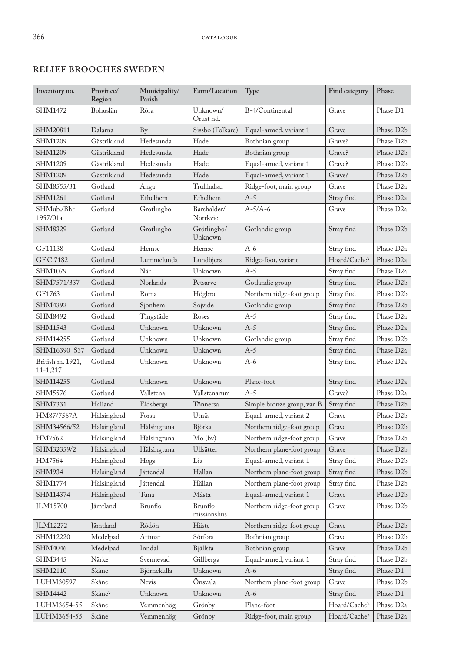### **RELIEF BROOCHES SWEDEN**

| Inventory no.                    | Province/<br>Region | Municipality/<br>Parish | Farm/Location           | Type                        | Find category | Phase                  |
|----------------------------------|---------------------|-------------------------|-------------------------|-----------------------------|---------------|------------------------|
| SHM1472                          | Bohuslän            | Röra                    | Unknown/<br>Orust hd.   | B-4/Continental             | Grave         | Phase D1               |
| SHM20811                         | Dalarna             | <b>By</b>               | Sissbo (Folkare)        | Equal-armed, variant 1      | Grave         | Phase D <sub>2</sub> b |
| SHM1209                          | Gästrikland         | Hedesunda               | Hade                    | Bothnian group              | Grave?        | Phase D <sub>2</sub> b |
| <b>SHM1209</b>                   | Gästrikland         | Hedesunda               | Hade                    | Bothnian group              | Grave?        | Phase D <sub>2</sub> b |
| SHM1209                          | Gästrikland         | Hedesunda               | Hade                    | Equal-armed, variant 1      | Grave?        | Phase D2b              |
| <b>SHM1209</b>                   | Gästrikland         | Hedesunda               | Hade                    | Equal-armed, variant 1      | Grave?        | Phase D <sub>2</sub> b |
| SHM8555/31                       | Gotland             | Anga                    | Trullhalsar             | Ridge-foot, main group      | Grave         | Phase D <sub>2a</sub>  |
| <b>SHM1261</b>                   | Gotland             | Ethelhem                | Ethelhem                | $A-5$                       | Stray find    | Phase D <sub>2a</sub>  |
| SHMub./Bhr<br>1957/01a           | Gotland             | Grötlingbo              | Barshalder/<br>Norrkvie | $A-5/A-6$                   | Grave         | Phase D <sub>2a</sub>  |
| SHM8329                          | Gotland             | Grötlingbo              | Grötlingbo/<br>Unknown  | Gotlandic group             | Stray find    | Phase D2b              |
| GF11138                          | Gotland             | Hemse                   | Hemse                   | $A-6$                       | Stray find    | Phase D <sub>2a</sub>  |
| GF.C.7182                        | Gotland             | Lummelunda              | Lundbjers               | Ridge-foot, variant         | Hoard/Cache?  | Phase D <sub>2a</sub>  |
| SHM1079                          | Gotland             | När                     | Unknown                 | $A-5$                       | Stray find    | Phase D <sub>2a</sub>  |
| SHM7571/337                      | Gotland             | Norlanda                | Petsarve                | Gotlandic group             | Stray find    | Phase D <sub>2</sub> b |
| GF1763                           | Gotland             | Roma                    | Högbro                  | Northern ridge-foot group   | Stray find    | Phase D <sub>2</sub> b |
| SHM4392                          | Gotland             | Sjonhem                 | Sojvide                 | Gotlandic group             | Stray find    | Phase D2b              |
| SHM8492                          | Gotland             | Tingstäde               | Roses                   | $A-5$                       | Stray find    | Phase D <sub>2a</sub>  |
| SHM1543                          | Gotland             | Unknown                 | Unknown                 | $A-5$                       | Stray find    | Phase D <sub>2a</sub>  |
| SHM14255                         | Gotland             | Unknown                 | Unknown                 | Gotlandic group             | Stray find    | Phase D <sub>2</sub> b |
| SHM16390_S37                     | Gotland             | Unknown                 | Unknown                 | $A-5$                       | Stray find    | Phase D <sub>2a</sub>  |
| British m. 1921,<br>$11 - 1,217$ | Gotland             | Unknown                 | Unknown                 | $A-6$                       | Stray find    | Phase D <sub>2a</sub>  |
| SHM14255                         | Gotland             | Unknown                 | Unknown                 | Plane-foot                  | Stray find    | Phase D <sub>2a</sub>  |
| SHM5576                          | Gotland             | Vallstena               | Vallstenarum            | $A-5$                       | Grave?        | Phase D <sub>2a</sub>  |
| <b>SHM7331</b>                   | Halland             | Eldsberga               | Tönnersa                | Simple bronze group, var. B | Stray find    | Phase D <sub>2</sub> b |
| HM87/7567A                       | Hälsingland         | Forsa                   | Utnäs                   | Equal-armed, variant 2      | Grave         | Phase D2b              |
| SHM34566/52                      | Hälsingland         | Hälsingtuna             | Björka                  | Northern ridge-foot group   | Grave         | Phase D <sub>2</sub> b |
| HM7562                           | Hälsingland         | Hälsingtuna             | $Mo$ (by)               | Northern ridge-foot group   | Grave         | Phase D2b              |
| SHM32359/2                       | Hälsingland         | Hälsingtuna             | Ullsätter               | Northern plane-foot group   | Grave         | Phase D2b              |
| HM7564                           | Hälsingland         | Högs                    | Lia                     | Equal-armed, variant 1      | Stray find    | Phase D2b              |
| <b>SHM934</b>                    | Hälsingland         | Jättendal               | Hällan                  | Northern plane-foot group   | Stray find    | Phase D2b              |
| SHM1774                          | Hälsingland         | Jättendal               | Hällan                  | Northern plane-foot group   | Stray find    | Phase D2b              |
| SHM14374                         | Hälsingland         | Tuna                    | Måsta                   | Equal-armed, variant 1      | Grave         | Phase D2b              |
| <b>JLM15700</b>                  | Jämtland            | Brunflo                 | Brunflo<br>missionshus  | Northern ridge-foot group   | Grave         | Phase D2b              |
| JLM12272                         | Jämtland            | Rödön                   | Häste                   | Northern ridge-foot group   | Grave         | Phase D2b              |
| SHM12220                         | Medelpad            | Attmar                  | Sörfors                 | Bothnian group              | Grave         | Phase D2b              |
| SHM4046                          | Medelpad            | Inndal                  | Bjällsta                | Bothnian group              | Grave         | Phase D2b              |
| SHM3445                          | Närke               | Svennevad               | Gillberga               | Equal-armed, variant 1      | Stray find    | Phase D2b              |
| SHM2110                          | Skåne               | Björnekulla             | Unknown                 | $A-6$                       | Stray find    | Phase D1               |
| LUHM30597                        | Skåne               | Nevis                   | Önsvala                 | Northern plane-foot group   | Grave         | Phase D2b              |
| SHM4442                          | Skåne?              | Unknown                 | Unknown                 | $A-6$                       | Stray find    | Phase D1               |
| LUHM3654-55                      | Skåne               | Vemmenhög               | Grönby                  | Plane-foot                  | Hoard/Cache?  | Phase D <sub>2a</sub>  |
| LUHM3654-55                      | Skåne               | Vemmenhög               | Grönby                  | Ridge-foot, main group      | Hoard/Cache?  | Phase D2a              |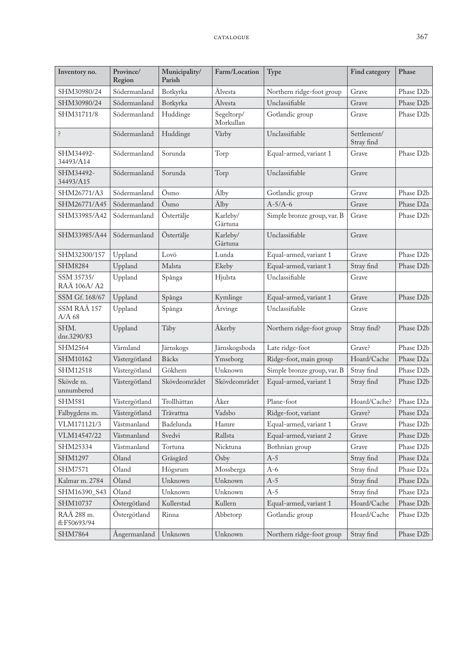| Inventory no.              | Province/<br>Region | Municipality/<br>Parish | Farm/Location           | Type                        | Find category             | Phase                  |
|----------------------------|---------------------|-------------------------|-------------------------|-----------------------------|---------------------------|------------------------|
| SHM30980/24                | Södermanland        | Botkyrka                | Älvesta                 | Northern ridge-foot group   | Grave                     | Phase D2b              |
| SHM30980/24                | Södermanland        | Botkyrka                | Älvesta                 | Unclassifiable              | Grave                     | Phase D2b              |
| SHM31711/8                 | Södermanland        | Huddinge                | Segeltorp/<br>Morkullan | Gotlandic group             | Grave                     | Phase D2b              |
| $\dot{\cdot}$              | Södermanland        | Huddinge                | Vårby                   | Unclassifiable              | Settlement/<br>Stray find |                        |
| SHM34492-<br>34493/A14     | Södermanland        | Sorunda                 | Torp                    | Equal-armed, variant 1      | Grave                     | Phase D2b              |
| SHM34492-<br>34493/A15     | Södermanland        | Sorunda                 | Torp                    | Unclassifiable              | Grave                     |                        |
| SHM26771/A3                | Södermanland        | Ösmo                    | Älby                    | Gotlandic group             | Grave                     | Phase D2b              |
| SHM26771/A45               | Södermanland        | Ösmo                    | Älby                    | $A-5/A-6$                   | Grave                     | Phase D <sub>2a</sub>  |
| SHM33985/A42               | Södermanland        | Östertälje              | Karleby/<br>Gärtuna     | Simple bronze group, var. B | Grave                     | Phase D2b              |
| SHM33985/A44               | Södermanland        | Östertälje              | Karleby/<br>Gärtuna     | Unclassifiable              | Grave                     |                        |
| SHM32300/157               | Uppland             | Lovö                    | Lunda                   | Equal-armed, variant 1      | Grave                     | Phase D2b              |
| <b>SHM8284</b>             | Uppland             | Malsta                  | Ekeby                   | Equal-armed, variant 1      | Stray find                | Phase D <sub>2</sub> b |
| SSM 35735/<br>RAÄ 106A/A2  | Uppland             | Spånga                  | Hjulsta                 | Unclassifiable              | Grave                     |                        |
| SSM Gf. 168/67             | Uppland             | Spånga                  | Kymlinge                | Equal-armed, variant 1      | Grave                     | Phase D2b              |
| SSM RAÄ 157<br>$A/A$ 68    | Uppland             | Spånga                  | Ärvinge                 | Unclassifiable              | Grave                     |                        |
| SHM.<br>dnr.3290/83        | Uppland             | Täby                    | Åkerby                  | Northern ridge-foot group   | Stray find?               | Phase D <sub>2</sub> b |
| SHM2564                    | Värmland            | Järnskogs               | Järnskogsboda           | Late ridge-foot             | Grave?                    | Phase D2b              |
| SHM10162                   | Västergötland       | Bäcks                   | Ymseborg                | Ridge-foot, main group      | Hoard/Cache               | Phase D <sub>2a</sub>  |
| SHM12518                   | Västergötland       | Gökhem                  | Unknown                 | Simple bronze group, var. B | Stray find                | Phase D2b              |
| Skövde m.<br>unnumbered    | Västergötland       | Skövdeområdet           | Skövdeområdet           | Equal-armed, variant 1      | Stray find                | Phase D <sub>2</sub> b |
| SHM581                     | Västergötland       | Trollhättan             | Åker                    | Plane-foot                  | Hoard/Cache?              | Phase D <sub>2a</sub>  |
| Falbygdens m.              | Västergötland       | Trävattna               | Vadsbo                  | Ridge-foot, variant         | Grave?                    | Phase D <sub>2a</sub>  |
| VLM171121/3                | Västmanland         | Badelunda               | Hamre                   | Equal-armed, variant 1      | Grave                     | Phase D2b              |
| VLM14547/22                | Västmanland         | Svedvi                  | Rallsta                 | Equal-armed, variant 2      | Grave                     | Phase D2b              |
| SHM25334                   | Västmanland         | Tortuna                 | Nicktuna                | Bothnian group              | Grave                     | Phase D2b              |
| SHM1297                    | Öland               | Gräsgård                | Ösby                    | $A-5$                       | Stray find                | Phase D <sub>2a</sub>  |
| SHM7571                    | Öland               | Högsrum                 | Mossberga               | $A-6$                       | Stray find                | Phase D <sub>2a</sub>  |
| Kalmar m. 2784             | Öland               | Unknown                 | Unknown                 | $A-5$                       | Stray find                | Phase D <sub>2a</sub>  |
| SHM16390_S43               | Öland               | Unknown                 | Unknown                 | $A-5$                       | Stray find                | Phase D <sub>2a</sub>  |
| SHM10737                   | Östergötland        | Kullerstad              | Kullern                 | Equal-armed, variant 1      | Hoard/Cache               | Phase D2b              |
| RAÄ 288 m.<br>fl:F50693/94 | Östergötland        | Rinna                   | Abbetorp                | Gotlandic group             | Hoard/Cache               | Phase D2b              |
| SHM7864                    | Ångermanland        | Unknown                 | Unknown                 | Northern ridge-foot group   | Stray find                | Phase D2b              |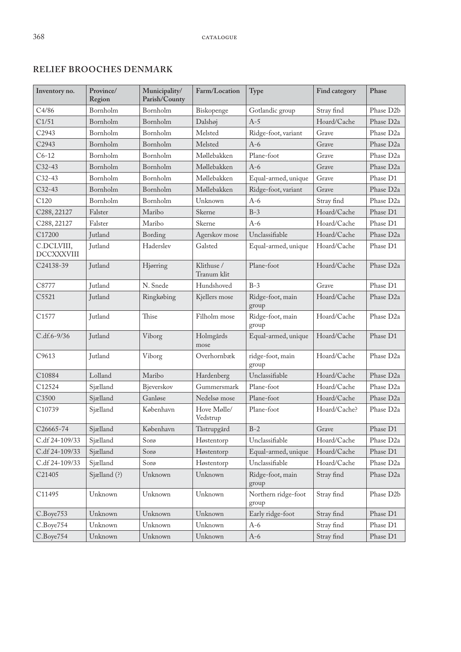### **RELIEF BROOCHES DENMARK**

| Inventory no.                   | Province/<br>Region | Municipality/<br>Parish/County | Farm/Location             | Type                         | Find category | Phase                  |
|---------------------------------|---------------------|--------------------------------|---------------------------|------------------------------|---------------|------------------------|
| C4/86                           | Bornholm            | Bornholm                       | Biskopenge                | Gotlandic group              | Stray find    | Phase D2b              |
| C1/51                           | Bornholm            | Bornholm                       | Dalshøj                   | $A-5$                        | Hoard/Cache   | Phase D <sub>2a</sub>  |
| C2943                           | Bornholm            | Bornholm                       | Melsted                   | Ridge-foot, variant          | Grave         | Phase D <sub>2a</sub>  |
| C2943                           | Bornholm            | Bornholm                       | Melsted                   | $A-6$                        | Grave         | Phase D <sub>2a</sub>  |
| $C6-12$                         | Bornholm            | Bornholm                       | Møllebakken               | Plane-foot                   | Grave         | Phase D <sub>2a</sub>  |
| $C32-43$                        | Bornholm            | Bornholm                       | Møllebakken               | $A-6$                        | Grave         | Phase D <sub>2a</sub>  |
| $C32-43$                        | Bornholm            | Bornholm                       | Møllebakken               | Equal-armed, unique          | Grave         | Phase D1               |
| $C32-43$                        | Bornholm            | Bornholm                       | Møllebakken               | Ridge-foot, variant          | Grave         | Phase D <sub>2a</sub>  |
| C120                            | Bornholm            | Bornholm                       | Unknown                   | $A-6$                        | Stray find    | Phase D <sub>2a</sub>  |
| C288, 22127                     | Falster             | Maribo                         | Skerne                    | $B-3$                        | Hoard/Cache   | Phase D1               |
| C288, 22127                     | Falster             | Maribo                         | Skerne                    | $A-6$                        | Hoard/Cache   | Phase D1               |
| C17200                          | Jutland             | Bording                        | Agerskov mose             | Unclassifiable               | Hoard/Cache   | Phase D <sub>2a</sub>  |
| C.DCLVIII,<br><b>DCCXXXVIII</b> | Jutland             | Haderslev                      | Galsted                   | Equal-armed, unique          | Hoard/Cache   | Phase D1               |
| C24138-39                       | Jutland             | Hjørring                       | Klithuse /<br>Tranum klit | Plane-foot                   | Hoard/Cache   | Phase D <sub>2a</sub>  |
| C8777                           | Jutland             | N. Snede                       | Hundshoved                | $B-3$                        | Grave         | Phase D1               |
| C5521                           | Jutland             | Ringkøbing                     | Kjellers mose             | Ridge-foot, main<br>group    | Hoard/Cache   | Phase D <sub>2a</sub>  |
| C <sub>1577</sub>               | Jutland             | Thise                          | Filholm mose              | Ridge-foot, main<br>group    | Hoard/Cache   | Phase D <sub>2a</sub>  |
| $C.df.6-9/36$                   | <b>Jutland</b>      | Viborg                         | Holmgårds<br>mose         | Equal-armed, unique          | Hoard/Cache   | Phase D1               |
| C9613                           | Jutland             | Viborg                         | Overhornbæk               | ridge-foot, main<br>group    | Hoard/Cache   | Phase D <sub>2a</sub>  |
| C10884                          | Lolland             | Maribo                         | Hardenberg                | Unclassifiable               | Hoard/Cache   | Phase D <sub>2a</sub>  |
| C12524                          | Sjælland            | Bjeverskov                     | Gummersmark               | Plane-foot                   | Hoard/Cache   | Phase D <sub>2a</sub>  |
| C3500                           | Sjælland            | Ganløse                        | Nedelsø mose              | Plane-foot                   | Hoard/Cache   | Phase D <sub>2a</sub>  |
| C10739                          | Sjælland            | København                      | Hove Mølle/<br>Vedstrup   | Plane-foot                   | Hoard/Cache?  | Phase D <sub>2a</sub>  |
| C26665-74                       | Sjælland            | København                      | Tåstrupgård               | $B-2$                        | Grave         | Phase D1               |
| C.df 24-109/33                  | Sjælland            | Sorø                           | Høstentorp                | Unclassifiable               | Hoard/Cache   | Phase D <sub>2</sub> a |
| C.df 24-109/33                  | Sjælland            | Sorø                           | Høstentorp                | Equal-armed, unique          | Hoard/Cache   | Phase D1               |
| C.df 24-109/33                  | Sjælland            | Sorø                           | Høstentorp                | Unclassifiable               | Hoard/Cache   | Phase D <sub>2a</sub>  |
| C21405                          | Sjælland (?)        | Unknown                        | Unknown                   | Ridge-foot, main<br>group    | Stray find    | Phase D <sub>2a</sub>  |
| C11495                          | Unknown             | Unknown                        | Unknown                   | Northern ridge-foot<br>group | Stray find    | Phase D2b              |
| C.Boye753                       | Unknown             | Unknown                        | Unknown                   | Early ridge-foot             | Stray find    | Phase D1               |
| C.Boye754                       | Unknown             | Unknown                        | Unknown                   | A-6                          | Stray find    | Phase D1               |
| C.Boye754                       | Unknown             | Unknown                        | Unknown                   | $A-6$                        | Stray find    | Phase D1               |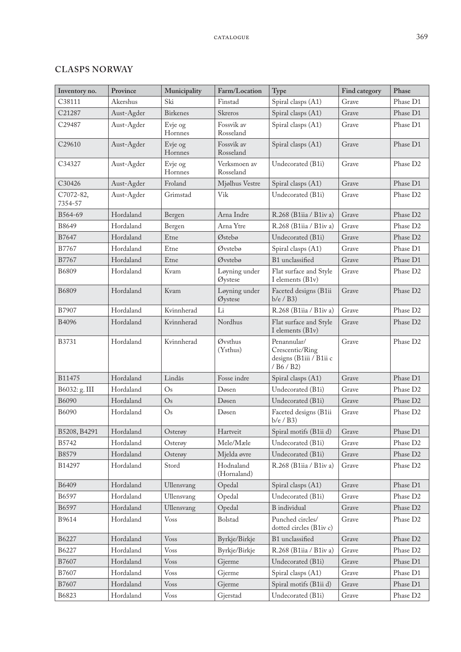## **CLASPS NORWAY**

| Inventory no.        | Province   | Municipality       | Farm/Location             | Type                                                                    | Find category | Phase                |
|----------------------|------------|--------------------|---------------------------|-------------------------------------------------------------------------|---------------|----------------------|
| C38111               | Akershus   | Ski                | Finstad                   | Spiral clasps (A1)                                                      | Grave         | Phase D1             |
| C21287               | Aust-Agder | <b>Birkenes</b>    | Skreros                   | Spiral clasps (A1)                                                      | Grave         | Phase D1             |
| C29487               | Aust-Agder | Evje og<br>Hornnes | Fossvik av<br>Rosseland   | Spiral clasps (A1)                                                      | Grave         | Phase D1             |
| C29610               | Aust-Agder | Evje og<br>Hornnes | Fossvik av<br>Rosseland   | Spiral clasps (A1)                                                      | Grave         | Phase D1             |
| C34327               | Aust-Agder | Evje og<br>Hornnes | Verksmoen av<br>Rosseland | Undecorated (B1i)                                                       | Grave         | Phase D2             |
| C30426               | Aust-Agder | Froland            | Mjølhus Vestre            | Spiral clasps (A1)                                                      | Grave         | Phase D1             |
| C7072-82,<br>7354-57 | Aust-Agder | Grimstad           | Vik                       | Undecorated (B1i)                                                       | Grave         | Phase D <sub>2</sub> |
| B564-69              | Hordaland  | Bergen             | Arna Indre                | R.268 (B1iia / B1iv a)                                                  | Grave         | Phase D <sub>2</sub> |
| B8649                | Hordaland  | Bergen             | Arna Ytre                 | R.268 (B1iia / B1iv a)                                                  | Grave         | Phase D2             |
| B7647                | Hordaland  | Etne               | Østebø                    | Undecorated (B1i)                                                       | Grave         | Phase D2             |
| B7767                | Hordaland  | Etne               | Øvstebø                   | Spiral clasps (A1)                                                      | Grave         | Phase D1             |
| B7767                | Hordaland  | Etne               | Øvstebø                   | B1 unclassified                                                         | Grave         | Phase D1             |
| B6809                | Hordaland  | Kvam               | Løyning under<br>Øystese  | Flat surface and Style<br>I elements (B1v)                              | Grave         | Phase D2             |
| B6809                | Hordaland  | Kvam               | Løyning under<br>Øystese  | Faceted designs (B1ii<br>$b/e$ / $B3)$                                  | Grave         | Phase D2             |
| B7907                | Hordaland  | Kvinnherad         | Li                        | R.268 (B1iia / B1iv a)                                                  | Grave         | Phase D <sub>2</sub> |
| B4096                | Hordaland  | Kvinnherad         | Nordhus                   | Flat surface and Style<br>I elements (B1v)                              | Grave         | Phase D2             |
| <b>B3731</b>         | Hordaland  | Kvinnherad         | Øvsthus<br>(Ysthus)       | Penannular/<br>Crescentic/Ring<br>designs (B1iii / B1ii c<br>/ B6 / B2) | Grave         | Phase D <sub>2</sub> |
| B11475               | Hordaland  | Lindås             | Fosse indre               | Spiral clasps (A1)                                                      | Grave         | Phase D1             |
| B6032: g. III        | Hordaland  | $\mathrm{Os}$      | Døsen                     | Undecorated (B1i)                                                       | Grave         | Phase D2             |
| B6090                | Hordaland  | Os                 | Døsen                     | Undecorated (B1i)                                                       | Grave         | Phase D <sub>2</sub> |
| B6090                | Hordaland  | $\mathrm{Os}$      | Døsen                     | Faceted designs (B1ii<br>$b/e$ / $B3)$                                  | Grave         | Phase D2             |
| B5208, B4291         | Hordaland  | Osterøy            | Hartveit                  | Spiral motifs (B1ii d)                                                  | Grave         | Phase D1             |
| B5742                | Hordaland  | Osterøy            | Mele/Mæle                 | Undecorated (B1i)                                                       | Grave         | Phase D2             |
| B8579                | Hordaland  | Osterøy            | Mjelda øvre               | Undecorated (B1i)                                                       | Grave         | Phase D2             |
| B14297               | Hordaland  | Stord              | Hodnaland<br>(Hornaland)  | R.268 (B1iia / B1iv a)                                                  | Grave         | Phase D2             |
| B6409                | Hordaland  | Ullensvang         | Opedal                    | Spiral clasps (A1)                                                      | Grave         | Phase D1             |
| B6597                | Hordaland  | Ullensvang         | Opedal                    | Undecorated (B1i)                                                       | Grave         | Phase D2             |
| B6597                | Hordaland  | Ullensvang         | Opedal                    | <b>B</b> individual                                                     | Grave         | Phase D2             |
| B9614                | Hordaland  | <b>Voss</b>        | Bolstad                   | Punched circles/<br>dotted circles (B1iv c)                             | Grave         | Phase D2             |
| B6227                | Hordaland  | <b>Voss</b>        | Byrkje/Birkje             | B1 unclassified                                                         | Grave         | Phase D2             |
| B6227                | Hordaland  | Voss               | Byrkje/Birkje             | R.268 (B1iia / B1iv a)                                                  | Grave         | Phase D2             |
| B7607                | Hordaland  | <b>Voss</b>        | Gjerme                    | Undecorated (B1i)                                                       | Grave         | Phase D1             |
| B7607                | Hordaland  | <b>Voss</b>        | Gjerme                    | Spiral clasps (A1)                                                      | Grave         | Phase D1             |
| B7607                | Hordaland  | Voss               | Gjerme                    | Spiral motifs (B1ii d)                                                  | Grave         | Phase D1             |
| B6823                | Hordaland  | Voss               | Gjerstad                  | Undecorated (B1i)                                                       | Grave         | Phase D2             |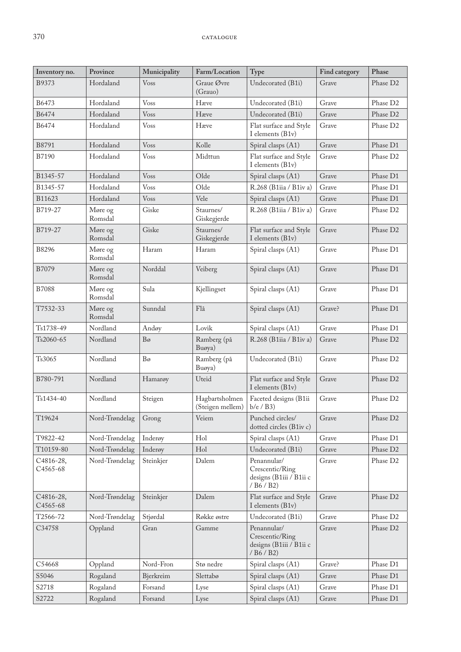| Inventory no.         | Province           | Municipality   | Farm/Location                      | Type                                                                    | Find category | Phase                |
|-----------------------|--------------------|----------------|------------------------------------|-------------------------------------------------------------------------|---------------|----------------------|
| B9373                 | Hordaland          | <b>V</b> oss   | Graue Øvre<br>(Grauo)              | Undecorated (B1i)                                                       | Grave         | Phase D2             |
| B6473                 | Hordaland          | <b>Voss</b>    | Hæve                               | Undecorated (B1i)                                                       | Grave         | Phase D <sub>2</sub> |
| B6474                 | Hordaland          | Voss           | Hæve                               | Undecorated (B1i)                                                       | Grave         | Phase D <sub>2</sub> |
| B6474                 | Hordaland          | <b>Voss</b>    | Hæve                               | Flat surface and Style<br>I elements (B1v)                              | Grave         | Phase D <sub>2</sub> |
| B8791                 | Hordaland          | Voss           | Kolle                              | Spiral clasps (A1)                                                      | Grave         | Phase D1             |
| B7190                 | Hordaland          | <b>Voss</b>    | Midttun                            | Flat surface and Style<br>I elements (B1v)                              | Grave         | Phase D <sub>2</sub> |
| B1345-57              | Hordaland          | <b>Voss</b>    | Olde                               | Spiral clasps (A1)                                                      | Grave         | Phase D1             |
| B1345-57              | Hordaland          | Voss           | Olde                               | R.268 (B1iia / B1iv a)                                                  | Grave         | Phase D1             |
| B11623                | Hordaland          | <b>Voss</b>    | Vele                               | Spiral clasps (A1)                                                      | Grave         | Phase D1             |
| B719-27               | Møre og<br>Romsdal | Giske          | Staurnes/<br>Giskegjerde           | R.268 (B1iia / B1iv a)                                                  | Grave         | Phase D <sub>2</sub> |
| B719-27               | Møre og<br>Romsdal | Giske          | Staurnes/<br>Giskegjerde           | Flat surface and Style<br>I elements (B1v)                              | Grave         | Phase D <sub>2</sub> |
| B8296                 | Møre og<br>Romsdal | Haram          | Haram                              | Spiral clasps (A1)                                                      | Grave         | Phase D1             |
| B7079                 | Møre og<br>Romsdal | Norddal        | Veiberg                            | Spiral clasps (A1)                                                      | Grave         | Phase D1             |
| <b>B7088</b>          | Møre og<br>Romsdal | Sula           | Kjellingset                        | Spiral clasps (A1)                                                      | Grave         | Phase D1             |
| T7532-33              | Møre og<br>Romsdal | Sunndal        | Flå                                | Spiral clasps (A1)                                                      | Grave?        | Phase D1             |
| Ts1738-49             | Nordland           | Andøy          | Lovik                              | Spiral clasps (A1)                                                      | Grave         | Phase D1             |
| Ts2060-65             | Nordland           | $B\varnothing$ | Ramberg (på<br>Buøya)              | R.268 (B1iia / B1iv a)                                                  | Grave         | Phase D <sub>2</sub> |
| Ts3065                | Nordland           | Bo             | Ramberg (på<br>Buøya)              | Undecorated (B1i)                                                       | Grave         | Phase D2             |
| B780-791              | Nordland           | Hamarøy        | Uteid                              | Flat surface and Style<br>I elements (B1v)                              | Grave         | Phase D <sub>2</sub> |
| Ts1434-40             | Nordland           | Steigen        | Hagbartsholmen<br>(Steigen mellem) | Faceted designs (B1ii<br>$b/e$ / $B3$ )                                 | Grave         | Phase D <sub>2</sub> |
| T19624                | Nord-Trøndelag     | Grong          | Veiem                              | Punched circles/<br>dotted circles (B1iv c)                             | Grave         | Phase D2             |
| T9822-42              | Nord-Trøndelag     | Inderøy        | Hol                                | Spiral clasps (A1)                                                      | Grave         | Phase D1             |
| T10159-80             | Nord-Trøndelag     | Inderøy        | Hol                                | Undecorated (B1i)                                                       | Grave         | Phase D2             |
| C4816-28,<br>C4565-68 | Nord-Trøndelag     | Steinkjer      | Dalem                              | Penannular/<br>Crescentic/Ring<br>designs (B1iii / B1ii c<br>/ B6 / B2) | Grave         | Phase D <sub>2</sub> |
| C4816-28,<br>C4565-68 | Nord-Trøndelag     | Steinkjer      | Dalem                              | Flat surface and Style<br>I elements (B1v)                              | Grave         | Phase D2             |
| T2566-72              | Nord-Trøndelag     | Stjørdal       | Røkke østre                        | Undecorated (B1i)                                                       | Grave         | Phase D <sub>2</sub> |
| C34758                | Oppland            | Gran           | Gamme                              | Penannular/<br>Crescentic/Ring<br>designs (B1iii / B1ii c<br>/ B6 / B2) | Grave         | Phase D2             |
| C54668                | Oppland            | Nord-Fron      | Stø nedre                          | Spiral clasps (A1)                                                      | Grave?        | Phase D1             |
| S5046                 | Rogaland           | Bjerkreim      | Slettabø                           | Spiral clasps (A1)                                                      | Grave         | Phase D1             |
| S2718                 | Rogaland           | Forsand        | Lyse                               | Spiral clasps (A1)                                                      | Grave         | Phase D1             |
| S2722                 | Rogaland           | Forsand        | Lyse                               | Spiral clasps (A1)                                                      | Grave         | Phase D1             |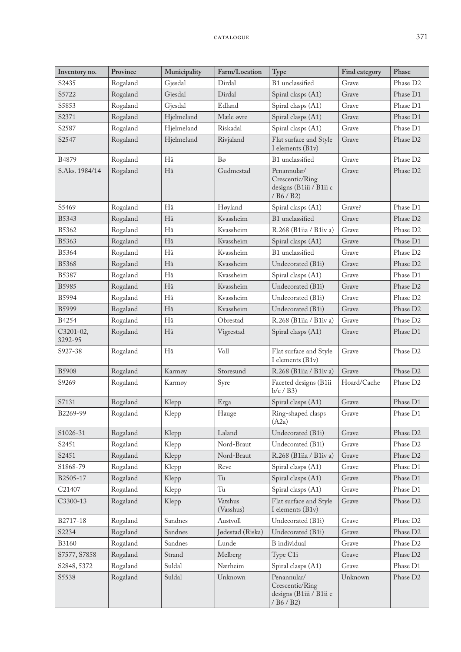| Inventory no.        | Province | Municipality | Farm/Location        | Type                                                                    | Find category | Phase                |
|----------------------|----------|--------------|----------------------|-------------------------------------------------------------------------|---------------|----------------------|
| S2435                | Rogaland | Gjesdal      | Dirdal               | B1 unclassified                                                         | Grave         | Phase D <sub>2</sub> |
| S5722                | Rogaland | Gjesdal      | Dirdal               | Spiral clasps (A1)                                                      | Grave         | Phase D1             |
| S5853                | Rogaland | Gjesdal      | Edland               | Spiral clasps (A1)                                                      | Grave         | Phase D1             |
| S2371                | Rogaland | Hjelmeland   | Mæle øvre            | Spiral clasps (A1)                                                      | Grave         | Phase D1             |
| S2587                | Rogaland | Hjelmeland   | Riskadal             | Spiral clasps (A1)                                                      | Grave         | Phase D1             |
| S2547                | Rogaland | Hjelmeland   | Rivjaland            | Flat surface and Style<br>I elements (B1v)                              | Grave         | Phase D2             |
| B4879                | Rogaland | Hå           | Bø                   | B1 unclassified                                                         | Grave         | Phase D2             |
| S.Aks. 1984/14       | Rogaland | Hå           | Gudmestad            | Penannular/<br>Crescentic/Ring<br>designs (B1iii / B1ii c<br>/ B6 / B2) | Grave         | Phase D2             |
| S5469                | Rogaland | Hå           | Høyland              | Spiral clasps (A1)                                                      | Grave?        | Phase D1             |
| B5343                | Rogaland | Hå           | Kvassheim            | B1 unclassified                                                         | Grave         | Phase D2             |
| B5362                | Rogaland | Hå           | Kvassheim            | R.268 (B1iia / B1iv a)                                                  | Grave         | Phase D <sub>2</sub> |
| B5363                | Rogaland | Hå           | Kvassheim            | Spiral clasps (A1)                                                      | Grave         | Phase D1             |
| B5364                | Rogaland | Hå           | Kvassheim            | B1 unclassified                                                         | Grave         | Phase D2             |
| <b>B5368</b>         | Rogaland | Hå           | Kvassheim            | Undecorated (B1i)                                                       | Grave         | Phase D2             |
| B5387                | Rogaland | Hå           | Kvassheim            | Spiral clasps (A1)                                                      | Grave         | Phase D1             |
| B5985                | Rogaland | Hå           | Kvassheim            | Undecorated (B1i)                                                       | Grave         | Phase D2             |
| B5994                | Rogaland | Hå           | Kvassheim            | Undecorated (B1i)                                                       | Grave         | Phase D <sub>2</sub> |
| B5999                | Rogaland | Hå           | Kvassheim            | Undecorated (B1i)                                                       | Grave         | Phase D2             |
| B4254                | Rogaland | Hå           | Obrestad             | R.268 (B1iia / B1iv a)                                                  | Grave         | Phase D <sub>2</sub> |
| C3201-02,<br>3292-95 | Rogaland | Hå           | Vigrestad            | Spiral clasps (A1)                                                      | Grave         | Phase D1             |
| S927-38              | Rogaland | Hå           | Voll                 | Flat surface and Style<br>I elements (B1v)                              | Grave         | Phase D <sub>2</sub> |
| <b>B5908</b>         | Rogaland | Karmøy       | Storesund            | R.268 (B1iia / B1iv a)                                                  | Grave         | Phase D2             |
| S9269                | Rogaland | Karmøy       | Syre                 | Faceted designs (B1ii<br>$b/e$ / $B3$ )                                 | Hoard/Cache   | Phase D <sub>2</sub> |
| S7131                | Rogaland | Klepp        | Erga                 | Spiral clasps (A1)                                                      | Grave         | Phase D1             |
| B2269-99             | Rogaland | Klepp        | Hauge                | Ring-shaped clasps<br>(A2a)                                             | Grave         | Phase D1             |
| S1026-31             | Rogaland | Klepp        | Laland               | Undecorated (B1i)                                                       | Grave         | Phase D2             |
| S2451                | Rogaland | Klepp        | Nord-Braut           | Undecorated (B1i)                                                       | Grave         | Phase D <sub>2</sub> |
| S2451                | Rogaland | Klepp        | Nord-Braut           | R.268 (B1iia / B1iv a)                                                  | Grave         | Phase D2             |
| S1868-79             | Rogaland | Klepp        | Reve                 | Spiral clasps (A1)                                                      | Grave         | Phase D1             |
| B2505-17             | Rogaland | Klepp        | Tu                   | Spiral clasps (A1)                                                      | Grave         | Phase D1             |
| C <sub>21407</sub>   | Rogaland | Klepp        | Tu                   | Spiral clasps (A1)                                                      | Grave         | Phase D1             |
| C3300-13             | Rogaland | Klepp        | Vatshus<br>(Vasshus) | Flat surface and Style<br>I elements (B1v)                              | Grave         | Phase D <sub>2</sub> |
| B2717-18             | Rogaland | Sandnes      | Austvoll             | Undecorated (B1i)                                                       | Grave         | Phase D2             |
| S2234                | Rogaland | Sandnes      | Jødestad (Riska)     | Undecorated (B1i)                                                       | Grave         | Phase D2             |
| <b>B3160</b>         | Rogaland | Sandnes      | Lunde                | <b>B</b> individual                                                     | Grave         | Phase D2             |
| S7577, S7858         | Rogaland | Strand       | Melberg              | Type C1i                                                                | Grave         | Phase D2             |
| S2848, 5372          | Rogaland | Suldal       | Nærheim              | Spiral clasps (A1)                                                      | Grave         | Phase D1             |
| S5538                | Rogaland | Suldal       | Unknown              | Penannular/<br>Crescentic/Ring<br>designs (B1iii / B1ii c<br>/B6/B2)    | Unknown       | Phase D2             |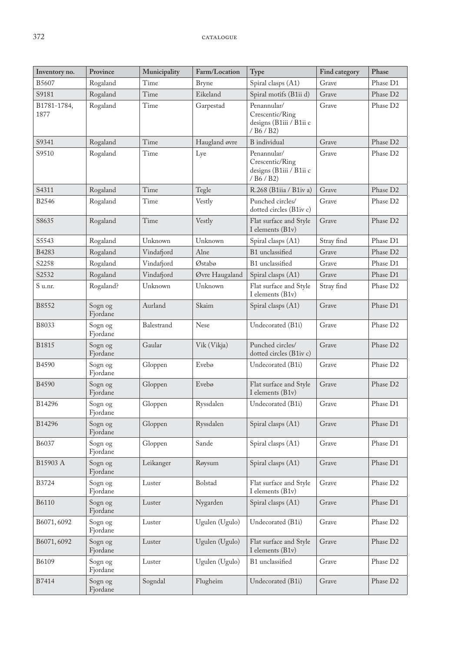| Inventory no.       | Province            | Municipality | Farm/Location  | Type                                                                    | Find category | Phase                |
|---------------------|---------------------|--------------|----------------|-------------------------------------------------------------------------|---------------|----------------------|
| B5607               | Rogaland            | Time         | <b>Bryne</b>   | Spiral clasps (A1)                                                      | Grave         | Phase D1             |
| S9181               | Rogaland            | Time         | Eikeland       | Spiral motifs (B1ii d)                                                  | Grave         | Phase D2             |
| B1781-1784,<br>1877 | Rogaland            | Time         | Garpestad      | Penannular/<br>Crescentic/Ring<br>designs (B1iii / B1ii c<br>/ B6 / B2) | Grave         | Phase D <sub>2</sub> |
| S9341               | Rogaland            | Time         | Haugland øvre  | <b>B</b> individual                                                     | Grave         | Phase D2             |
| S9510               | Rogaland            | Time         | Lye            | Penannular/<br>Crescentic/Ring<br>designs (B1iii / B1ii c<br>/ B6 / B2) | Grave         | Phase D <sub>2</sub> |
| S4311               | Rogaland            | Time         | Tegle          | R.268 (B1iia / B1iv a)                                                  | Grave         | Phase D <sub>2</sub> |
| B2546               | Rogaland            | Time         | Vestly         | Punched circles/<br>dotted circles (B1iv c)                             | Grave         | Phase D2             |
| S8635               | Rogaland            | Time         | Vestly         | Flat surface and Style<br>I elements (B1v)                              | Grave         | Phase D <sub>2</sub> |
| S5543               | Rogaland            | Unknown      | Unknown        | Spiral clasps (A1)                                                      | Stray find    | Phase D1             |
| B4283               | Rogaland            | Vindafjord   | Alne           | B1 unclassified                                                         | Grave         | Phase D <sub>2</sub> |
| S2258               | Rogaland            | Vindafjord   | Østabø         | B1 unclassified                                                         | Grave         | Phase D1             |
| S2532               | Rogaland            | Vindafjord   | Øvre Haugaland | Spiral clasps (A1)                                                      | Grave         | Phase D1             |
| S u.nr.             | Rogaland?           | Unknown      | Unknown        | Flat surface and Style<br>I elements (B1v)                              | Stray find    | Phase D <sub>2</sub> |
| B8552               | Sogn og<br>Fjordane | Aurland      | Skaim          | Spiral clasps (A1)                                                      | Grave         | Phase D1             |
| B8033               | Sogn og<br>Fjordane | Balestrand   | <b>Nese</b>    | Undecorated (B1i)                                                       | Grave         | Phase D <sub>2</sub> |
| <b>B1815</b>        | Sogn og<br>Fjordane | Gaular       | Vik (Vikja)    | Punched circles/<br>dotted circles (B1iv c)                             | Grave         | Phase D <sub>2</sub> |
| <b>B4590</b>        | Sogn og<br>Fjordane | Gloppen      | Evebø          | Undecorated (B1i)                                                       | Grave         | Phase D <sub>2</sub> |
| B4590               | Sogn og<br>Fjordane | Gloppen      | Evebø          | Flat surface and Style<br>I elements (B1v)                              | Grave         | Phase D <sub>2</sub> |
| B14296              | Sogn og<br>Fjordane | Gloppen      | Ryssdalen      | Undecorated (B1i)                                                       | Grave         | Phase D1             |
| B14296              | Sogn og<br>Fjordane | Gloppen      | Ryssdalen      | Spiral clasps (A1)                                                      | Grave         | Phase D1             |
| B6037               | Sogn og<br>Fjordane | Gloppen      | Sande          | Spiral clasps (A1)                                                      | Grave         | Phase D1             |
| B15903 A            | Sogn og<br>Fjordane | Leikanger    | Røysum         | Spiral clasps (A1)                                                      | Grave         | Phase D1             |
| B3724               | Sogn og<br>Fjordane | Luster       | Bolstad        | Flat surface and Style<br>I elements (B1v)                              | Grave         | Phase D <sub>2</sub> |
| <b>B6110</b>        | Sogn og<br>Fjordane | Luster       | Nygarden       | Spiral clasps (A1)                                                      | Grave         | Phase D1             |
| B6071,6092          | Sogn og<br>Fjordane | Luster       | Ugulen (Ugulo) | Undecorated (B1i)                                                       | Grave         | Phase D2             |
| B6071,6092          | Sogn og<br>Fjordane | Luster       | Ugulen (Ugulo) | Flat surface and Style<br>I elements (B1v)                              | Grave         | Phase D <sub>2</sub> |
| B6109               | Sogn og<br>Fjordane | Luster       | Ugulen (Ugulo) | B1 unclassified                                                         | Grave         | Phase D2             |
| B7414               | Sogn og<br>Fjordane | Sogndal      | Flugheim       | Undecorated (B1i)                                                       | Grave         | Phase D2             |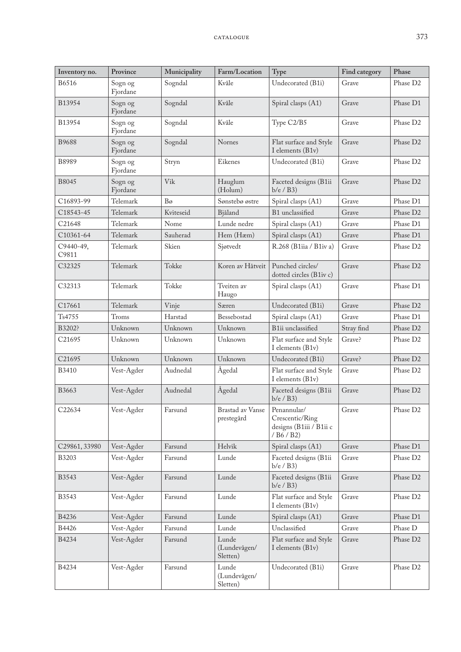| Inventory no.      | Province            | Municipality | Farm/Location                     | Type                                                                    | Find category | Phase                |
|--------------------|---------------------|--------------|-----------------------------------|-------------------------------------------------------------------------|---------------|----------------------|
| B6516              | Sogn og<br>Fjordane | Sogndal      | Kvåle                             | Undecorated (B1i)                                                       | Grave         | Phase D2             |
| B13954             | Sogn og<br>Fjordane | Sogndal      | Kvåle                             | Spiral clasps (A1)                                                      | Grave         | Phase D1             |
| B13954             | Sogn og<br>Fjordane | Sogndal      | Kvåle                             | Type C2/B5                                                              | Grave         | Phase D <sub>2</sub> |
| <b>B9688</b>       | Sogn og<br>Fjordane | Sogndal      | Nornes                            | Flat surface and Style<br>I elements (B1v)                              | Grave         | Phase D <sub>2</sub> |
| B8989              | Sogn og<br>Fjordane | Stryn        | Eikenes                           | Undecorated (B1i)                                                       | Grave         | Phase D2             |
| <b>B8045</b>       | Sogn og<br>Fjordane | Vik          | Hauglum<br>(Holum)                | Faceted designs (B1ii<br>$b/e$ / $B3)$                                  | Grave         | Phase D <sub>2</sub> |
| C16893-99          | Telemark            | Bo           | Sønstebø østre                    | Spiral clasps (A1)                                                      | Grave         | Phase D1             |
| C18543-45          | Telemark            | Kviteseid    | Bjåland                           | B1 unclassified                                                         | Grave         | Phase D2             |
| C21648             | Telemark            | Nome         | Lunde nedre                       | Spiral clasps (A1)                                                      | Grave         | Phase D1             |
| C10361-64          | Telemark            | Sauherad     | Hem (Hæm)                         | Spiral clasps (A1)                                                      | Grave         | Phase D1             |
| C9440-49,<br>C9811 | Telemark            | Skien        | Sjøtvedt                          | R.268 (B1iia / B1iv a)                                                  | Grave         | Phase D2             |
| C32325             | Telemark            | Tokke        | Koren av Håtveit                  | Punched circles/<br>dotted circles (B1iv c)                             | Grave         | Phase D <sub>2</sub> |
| C32313             | Telemark            | Tokke        | Tveiten av<br>Haugo               | Spiral clasps (A1)                                                      | Grave         | Phase D1             |
| C17661             | Telemark            | Vinje        | Særen                             | Undecorated (B1i)                                                       | Grave         | Phase D <sub>2</sub> |
| Ts4755             | Troms               | Harstad      | Bessebostad                       | Spiral clasps (A1)                                                      | Grave         | Phase D1             |
| B3202?             | Unknown             | Unknown      | Unknown                           | B1ii unclassified                                                       | Stray find    | Phase D <sub>2</sub> |
| C <sub>21695</sub> | Unknown             | Unknown      | Unknown                           | Flat surface and Style<br>I elements (B1v)                              | Grave?        | Phase D <sub>2</sub> |
| C <sub>21695</sub> | Unknown             | Unknown      | Unknown                           | Undecorated (B1i)                                                       | Grave?        | Phase D <sub>2</sub> |
| B3410              | Vest-Agder          | Audnedal     | Ågedal                            | Flat surface and Style<br>I elements (B1v)                              | Grave         | Phase D2             |
| B3663              | Vest-Agder          | Audnedal     | Ågedal                            | Faceted designs (B1ii<br>$b/e$ / $B3)$                                  | Grave         | Phase D2             |
| C22634             | Vest-Agder          | Farsund      | Brastad av Vanse<br>prestegård    | Penannular/<br>Crescentic/Ring<br>designs (B1iii / B1ii c<br>/ B6 / B2) | Grave         | Phase D2             |
| C29861, 33980      | Vest-Agder          | Farsund      | Helvik                            | Spiral clasps (A1)                                                      | Grave         | Phase D1             |
| <b>B3203</b>       | Vest-Agder          | Farsund      | Lunde                             | Faceted designs (B1ii<br>$b/e$ / $B3$ )                                 | Grave         | Phase D <sub>2</sub> |
| B3543              | Vest-Agder          | Farsund      | Lunde                             | Faceted designs (B1ii<br>$b/e$ / $B3$ )                                 | Grave         | Phase D2             |
| B3543              | Vest-Agder          | Farsund      | Lunde                             | Flat surface and Style<br>I elements (B1v)                              | Grave         | Phase D <sub>2</sub> |
| <b>B4236</b>       | Vest-Agder          | Farsund      | Lunde                             | Spiral clasps (A1)                                                      | Grave         | Phase D1             |
| B4426              | Vest-Agder          | Farsund      | Lunde                             | Unclassified                                                            | Grave         | Phase D              |
| B4234              | Vest-Agder          | Farsund      | Lunde<br>(Lundevågen/<br>Sletten) | Flat surface and Style<br>I elements (B1v)                              | Grave         | Phase D <sub>2</sub> |
| B4234              | Vest-Agder          | Farsund      | Lunde<br>(Lundevågen/<br>Sletten) | Undecorated (B1i)                                                       | Grave         | Phase D2             |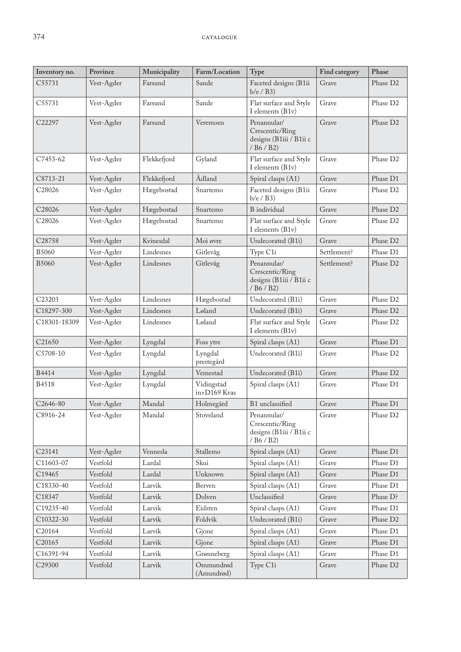| Inventory no.      | Province   | Municipality | Farm/Location              | Type                                                                                                   | Find category | Phase                |
|--------------------|------------|--------------|----------------------------|--------------------------------------------------------------------------------------------------------|---------------|----------------------|
| C55731             | Vest-Agder | Farsund      | Sande                      | Faceted designs (B1ii<br>$b/e$ / $B3)$                                                                 | Grave         | Phase D2             |
| C55731             | Vest-Agder | Farsund      | Sande                      | Flat surface and Style<br>I elements (B1v)                                                             | Grave         | Phase D <sub>2</sub> |
| C <sub>22297</sub> | Vest-Agder | Farsund      | Veremoen                   | Penannular/<br>Crescentic/Ring<br>designs (B1iii / B1ii c<br>/ B6 / B2)                                | Grave         | Phase D <sub>2</sub> |
| C7453-62           | Vest-Agder | Flekkefjord  | Gyland                     | Flat surface and Style<br>I elements (B1v)                                                             | Grave         | Phase D2             |
| C8713-21           | Vest-Agder | Flekkefjord  | Ådland                     | Spiral clasps (A1)                                                                                     | Grave         | Phase D1             |
| C <sub>28026</sub> | Vest-Agder | Hægebostad   | Snartemo                   | Faceted designs (B1ii<br>$b/e$ / $B3)$                                                                 | Grave         | Phase D <sub>2</sub> |
| C <sub>28026</sub> | Vest-Agder | Hægebostad   | Snartemo                   | <b>B</b> individual                                                                                    | Grave         | Phase D <sub>2</sub> |
| C28026             | Vest-Agder | Hægebostad   | Snartemo                   | Flat surface and Style<br>I elements (B1v)                                                             | Grave         | Phase D <sub>2</sub> |
| C28758             | Vest-Agder | Kvinesdal    | Moi øvre                   | Undecorated (B1i)                                                                                      | Grave         | Phase D <sub>2</sub> |
| <b>B5060</b>       | Vest-Agder | Lindesnes    | Gitlevåg                   | Type C1i                                                                                               | Settlement?   | Phase D1             |
| <b>B5060</b>       | Vest-Agder | Lindesnes    | Gitlevåg                   | Penannular/<br>Crescentic/Ring<br>designs (B1iii / B1ii c<br>$/$ B <sub>6</sub> $/$ B <sub>2</sub> $)$ | Settlement?   | Phase D <sub>2</sub> |
| C23203             | Vest-Agder | Lindesnes    | Hægebostad                 | Undecorated (B1i)                                                                                      | Grave         | Phase D <sub>2</sub> |
| C18297-300         | Vest-Agder | Lindesnes    | Løland                     | Undecorated (B1i)                                                                                      | Grave         | Phase D <sub>2</sub> |
| C18301-18309       | Vest-Agder | Lindesnes    | Løland                     | Flat surface and Style<br>I elements (B1v)                                                             | Grave         | Phase D <sub>2</sub> |
| C21650             | Vest-Agder | Lyngdal      | Foss ytre                  | Spiral clasps (A1)                                                                                     | Grave         | Phase D1             |
| C5708-10           | Vest-Agder | Lyngdal      | Lyngdal<br>prestegård      | Undecorated (B1i)                                                                                      | Grave         | Phase D <sub>2</sub> |
| B4414              | Vest-Agder | Lyngdal      | Vemestad                   | Undecorated (B1i)                                                                                      | Grave         | Phase D <sub>2</sub> |
| B4518              | Vest-Agder | Lyngdal      | Vidingstad<br>in+D169 Kvas | Spiral clasps (A1)                                                                                     | Grave         | Phase D1             |
| C2646-80           | Vest-Agder | Mandal       | Holmegård                  | B1 unclassified                                                                                        | Grave         | Phase D1             |
| C8916-24           | Vest-Agder | Mandal       | Stoveland                  | Penannular/<br>Crescentic/Ring<br>designs (B1iii / B1ii c<br>/ B6 / B2)                                | Grave         | Phase D <sub>2</sub> |
| C23141             | Vest-Agder | Vennesla     | Stallemo                   | Spiral clasps (A1)                                                                                     | Grave         | Phase D1             |
| C11603-07          | Vestfold   | Lardal       | Skui                       | Spiral clasps (A1)                                                                                     | Grave         | Phase D1             |
| C19465             | Vestfold   | Lardal       | Unknown                    | Spiral clasps (A1)                                                                                     | Grave         | Phase D1             |
| C18330-40          | Vestfold   | Larvik       | Berven                     | Spiral clasps (A1)                                                                                     | Grave         | Phase D1             |
| C18347             | Vestfold   | Larvik       | Dolven                     | Unclassified                                                                                           | Grave         | Phase D?             |
| C19235-40          | Vestfold   | Larvik       | Eidsten                    | Spiral clasps (A1)                                                                                     | Grave         | Phase D1             |
| C10322-30          | Vestfold   | Larvik       | Foldvik                    | Undecorated (B1i)                                                                                      | Grave         | Phase D <sub>2</sub> |
| C20164             | Vestfold   | Larvik       | Gjone                      | Spiral clasps (A1)                                                                                     | Grave         | Phase D1             |
| C20165             | Vestfold   | Larvik       | Gjone                      | Spiral clasps (A1)                                                                                     | Grave         | Phase D1             |
| C16391-94          | Vestfold   | Larvik       | Grønneberg                 | Spiral clasps (A1)                                                                                     | Grave         | Phase D1             |
| C29300             | Vestfold   | Larvik       | Ommundrød<br>(Amundrød)    | Type C1i                                                                                               | Grave         | Phase D2             |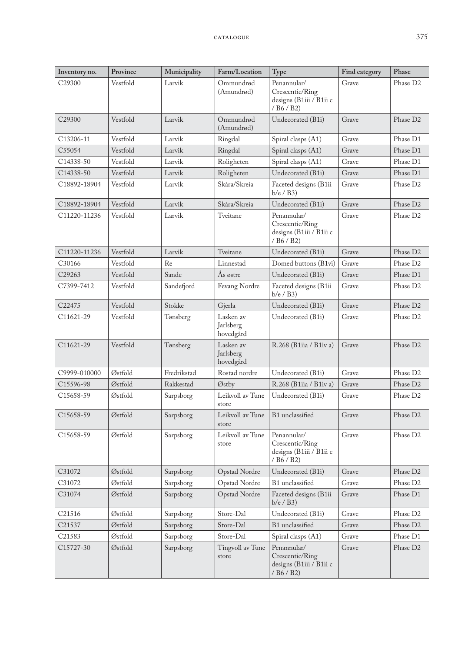| Inventory no.      | Province | Municipality | Farm/Location                       | Type                                                                    | Find category | Phase                |
|--------------------|----------|--------------|-------------------------------------|-------------------------------------------------------------------------|---------------|----------------------|
| C <sub>29300</sub> | Vestfold | Larvik       | Ommundrød<br>(Amundrød)             | Penannular/<br>Crescentic/Ring<br>designs (B1iii / B1ii c<br>/ B6 / B2) | Grave         | Phase D <sub>2</sub> |
| C29300             | Vestfold | Larvik       | Ommundrød<br>(Amundrød)             | Undecorated (B1i)                                                       | Grave         | Phase D <sub>2</sub> |
| C13206-11          | Vestfold | Larvik       | Ringdal                             | Spiral clasps (A1)                                                      | Grave         | Phase D1             |
| C55054             | Vestfold | Larvik       | Ringdal                             | Spiral clasps (A1)                                                      | Grave         | Phase D1             |
| C14338-50          | Vestfold | Larvik       | Roligheten                          | Spiral clasps (A1)                                                      | Grave         | Phase D1             |
| C14338-50          | Vestfold | Larvik       | Roligheten                          | Undecorated (B1i)                                                       | Grave         | Phase D1             |
| C18892-18904       | Vestfold | Larvik       | Skåra/Skreia                        | Faceted designs (B1ii<br>$b/e$ / $B3$ )                                 | Grave         | Phase D2             |
| C18892-18904       | Vestfold | Larvik       | Skåra/Skreia                        | Undecorated (B1i)                                                       | Grave         | Phase D2             |
| C11220-11236       | Vestfold | Larvik       | Tveitane                            | Penannular/<br>Crescentic/Ring<br>designs (B1iii / B1ii c<br>/ B6 / B2) | Grave         | Phase D2             |
| C11220-11236       | Vestfold | Larvik       | Tveitane                            | Undecorated (B1i)                                                       | Grave         | Phase D <sub>2</sub> |
| C30166             | Vestfold | Re           | Linnestad                           | Domed buttons (B1vi)                                                    | Grave         | Phase D <sub>2</sub> |
| C29263             | Vestfold | Sande        | Ås østre                            | Undecorated (B1i)                                                       | Grave         | Phase D1             |
| C7399-7412         | Vestfold | Sandefjord   | Fevang Nordre                       | Faceted designs (B1ii<br>$b/e$ / $B3$ )                                 | Grave         | Phase D2             |
| C22475             | Vestfold | Stokke       | Gjerla                              | Undecorated (B1i)                                                       | Grave         | Phase D2             |
| C11621-29          | Vestfold | Tønsberg     | Lasken av<br>Jarlsberg<br>hovedgård | Undecorated (B1i)                                                       | Grave         | Phase D2             |
| C11621-29          | Vestfold | Tønsberg     | Lasken av<br>Jarlsberg<br>hovedgård | R.268 (B1iia / B1iv a)                                                  | Grave         | Phase D2             |
| C9999-010000       | Østfold  | Fredrikstad  | Rostad nordre                       | Undecorated (B1i)                                                       | Grave         | Phase D2             |
| C15596-98          | Østfold  | Rakkestad    | Østby                               | R.268 (B1iia / B1iv a)                                                  | Grave         | Phase D <sub>2</sub> |
| C15658-59          | Østfold  | Sarpsborg    | Leikvoll av Tune<br>store           | Undecorated (B1i)                                                       | Grave         | Phase D2             |
| C15658-59          | Østfold  | Sarpsborg    | Leikvoll av Tune<br>store           | B1 unclassified                                                         | Grave         | Phase D <sub>2</sub> |
| C15658-59          | Østfold  | Sarpsborg    | Leikvoll av Tune<br>store           | Penannular/<br>Crescentic/Ring<br>designs (B1iii / B1ii c<br>/ B6 / B2) | Grave         | Phase D2             |
| C31072             | Østfold  | Sarpsborg    | Opstad Nordre                       | Undecorated (B1i)                                                       | Grave         | Phase D2             |
| C31072             | Østfold  | Sarpsborg    | Opstad Nordre                       | B1 unclassified                                                         | Grave         | Phase D <sub>2</sub> |
| C31074             | Østfold  | Sarpsborg    | Opstad Nordre                       | Faceted designs (B1ii<br>$b/e$ / $B3$ )                                 | Grave         | Phase D1             |
| C21516             | Østfold  | Sarpsborg    | Store-Dal                           | Undecorated (B1i)                                                       | Grave         | Phase D2             |
| C21537             | Østfold  | Sarpsborg    | Store-Dal                           | B1 unclassified                                                         | Grave         | Phase D2             |
| C21583             | Østfold  | Sarpsborg    | Store-Dal                           | Spiral clasps (A1)                                                      | Grave         | Phase D1             |
| C15727-30          | Østfold  | Sarpsborg    | Tingvoll av Tune<br>store           | Penannular/<br>Crescentic/Ring<br>designs (B1iii / B1ii c<br>/ B6 / B2) | Grave         | Phase D2             |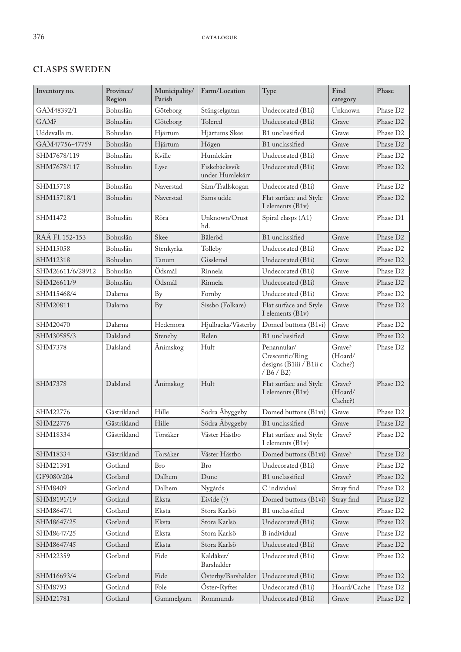# **CLASPS SWEDEN**

| Inventory no.            | Province/<br>Region | Municipality/<br>Parish | Farm/Location                    | Type                                                                    | Find<br>category             | Phase                |
|--------------------------|---------------------|-------------------------|----------------------------------|-------------------------------------------------------------------------|------------------------------|----------------------|
| GAM48392/1               | Bohuslän            | Göteborg                | Stängselgatan                    | Undecorated (B1i)                                                       | Unknown                      | Phase D <sub>2</sub> |
| GAM?                     | Bohuslän            | Göteborg                | Tolered                          | Undecorated (B1i)                                                       | Grave                        | Phase D <sub>2</sub> |
| Uddevalla <sub>m</sub> . | Bohuslän            | Hjärtum                 | Hjärtums Skee                    | B1 unclassified                                                         | Grave                        | Phase D <sub>2</sub> |
| GAM47756-47759           | Bohuslän            | Hjärtum                 | Högen                            | B1 unclassified                                                         | Grave                        | Phase D <sub>2</sub> |
| SHM7678/119              | Bohuslän            | Kville                  | Humlekärr                        | Undecorated (B1i)                                                       | Grave                        | Phase D <sub>2</sub> |
| SHM7678/117              | Bohuslän            | Lyse                    | Fiskebäcksvik<br>under Humlekärr | Undecorated (B1i)                                                       | Grave                        | Phase D <sub>2</sub> |
| SHM15718                 | Bohuslän            | Naverstad               | Säm/Trallskogan                  | Undecorated (B1i)                                                       | Grave                        | Phase D <sub>2</sub> |
| SHM15718/1               | Bohuslän            | Naverstad               | Säms udde                        | Flat surface and Style<br>I elements (B1v)                              | Grave                        | Phase D <sub>2</sub> |
| SHM1472                  | Bohuslän            | Röra                    | Unknown/Orust<br>hd.             | Spiral clasps (A1)                                                      | Grave                        | Phase D1             |
| RAÄ Fl. 152-153          | Bohuslän            | Skee                    | Båleröd                          | B1 unclassified                                                         | Grave                        | Phase D <sub>2</sub> |
| SHM15058                 | Bohuslän            | Stenkyrka               | Tolleby                          | Undecorated (B1i)                                                       | Grave                        | Phase D <sub>2</sub> |
| SHM12318                 | Bohuslän            | Tanum                   | Gissleröd                        | Undecorated (B1i)                                                       | Grave                        | Phase D <sub>2</sub> |
| SHM26611/6/28912         | Bohuslän            | Ödsmål                  | Rinnela                          | Undecorated (B1i)                                                       | Grave                        | Phase D <sub>2</sub> |
| SHM26611/9               | Bohuslän            | Ödsmål                  | Rinnela                          | Undecorated (B1i)                                                       | Grave                        | Phase D <sub>2</sub> |
| SHM15468/4               | Dalarna             | By                      | Fornby                           | Undecorated (B1i)                                                       | Grave                        | Phase D <sub>2</sub> |
| SHM20811                 | Dalarna             | <b>By</b>               | Sissbo (Folkare)                 | Flat surface and Style<br>I elements (B1v)                              | Grave                        | Phase D <sub>2</sub> |
| SHM20470                 | Dalarna             | Hedemora                | Hjulbacka/Västerby               | Domed buttons (B1vi)                                                    | Grave                        | Phase D <sub>2</sub> |
| SHM30585/3               | Dalsland            | Steneby                 | Relen                            | B1 unclassified                                                         | Grave                        | Phase D <sub>2</sub> |
| <b>SHM7378</b>           | Dalsland            | Ånimskog                | Hult                             | Penannular/<br>Crescentic/Ring<br>designs (B1iii / B1ii c<br>/ B6 / B2) | Grave?<br>(Hoard/<br>Cache?) | Phase D <sub>2</sub> |
| <b>SHM7378</b>           | Dalsland            | Ånimskog                | Hult                             | Flat surface and Style<br>I elements (B1v)                              | Grave?<br>(Hoard/<br>Cache?) | Phase D <sub>2</sub> |
| SHM22776                 | Gästrikland         | Hille                   | Södra Åbyggeby                   | Domed buttons (B1vi)                                                    | Grave                        | Phase D <sub>2</sub> |
| SHM22776                 | Gästrikland         | Hille                   | Södra Åbyggeby                   | B1 unclassified                                                         | Grave                        | Phase D <sub>2</sub> |
| SHM18334                 | Gästrikland         | Torsåker                | Väster Hästbo                    | Flat surface and Style<br>I elements (B1v)                              | Grave?                       | Phase D <sub>2</sub> |
| SHM18334                 | Gästrikland         | Torsåker                | Väster Hästbo                    | Domed buttons (B1vi)                                                    | Grave?                       | Phase D <sub>2</sub> |
| SHM21391                 | Gotland             | <b>Bro</b>              | <b>Bro</b>                       | Undecorated (B1i)                                                       | Grave                        | Phase D <sub>2</sub> |
| GF9080/204               | Gotland             | Dalhem                  | Dune                             | B1 unclassified                                                         | Grave?                       | Phase D <sub>2</sub> |
| SHM8409                  | Gotland             | Dalhem                  | Nygårds                          | C individual                                                            | Stray find                   | Phase D2             |
| SHM8191/19               | Gotland             | Eksta                   | Eivide $(?)$                     | Domed buttons (B1vi)                                                    | Stray find                   | Phase D2             |
| SHM8647/1                | Gotland             | Eksta                   | Stora Karlsö                     | B1 unclassified                                                         | Grave                        | Phase D <sub>2</sub> |
| SHM8647/25               | Gotland             | Eksta                   | Stora Karlsö                     | Undecorated (B1i)                                                       | Grave                        | Phase D <sub>2</sub> |
| SHM8647/25               | Gotland             | Eksta                   | Stora Karlsö                     | <b>B</b> individual                                                     | Grave                        | Phase D2             |
| SHM8647/45               | Gotland             | Eksta                   | Stora Karlsö                     | Undecorated (B1i)                                                       | Grave                        | Phase D2             |
| SHM22359                 | Gotland             | Fide                    | Käldåker/<br>Barshalder          | Undecorated (B1i)                                                       | Grave                        | Phase D <sub>2</sub> |
| SHM16693/4               | Gotland             | Fide                    | Österby/Barshalder               | Undecorated (B1i)                                                       | Grave                        | Phase D <sub>2</sub> |
| SHM8793                  | Gotland             | Fole                    | Öster-Ryftes                     | Undecorated (B1i)                                                       | Hoard/Cache                  | Phase D2             |
| SHM21781                 | Gotland             | Gammelgarn              | Rommunds                         | Undecorated (B1i)                                                       | Grave                        | Phase D2             |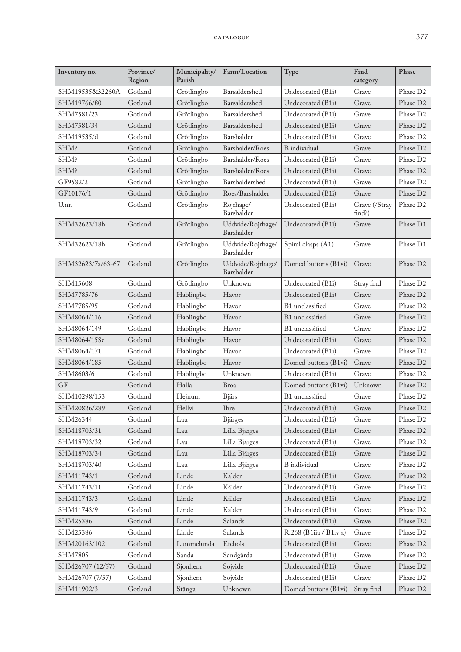| Inventory no.     | Province/<br>Region | Municipality/<br>Parish | Farm/Location                   | Type                   | Find<br>category        | Phase                |
|-------------------|---------------------|-------------------------|---------------------------------|------------------------|-------------------------|----------------------|
| SHM19535&32260A   | Gotland             | Grötlingbo              | Barsaldershed                   | Undecorated (B1i)      | Grave                   | Phase D2             |
| SHM19766/80       | Gotland             | Grötlingbo              | Barsaldershed                   | Undecorated (B1i)      | Grave                   | Phase D <sub>2</sub> |
| SHM7581/23        | Gotland             | Grötlingbo              | Barsaldershed                   | Undecorated (B1i)      | Grave                   | Phase D <sub>2</sub> |
| SHM7581/34        | Gotland             | Grötlingbo              | Barsaldershed                   | Undecorated (B1i)      | Grave                   | Phase D <sub>2</sub> |
| SHM19535/d        | Gotland             | Grötlingbo              | Barshalder                      | Undecorated (B1i)      | Grave                   | Phase D2             |
| SHM?              | Gotland             | Grötlingbo              | Barshalder/Roes                 | B individual           | Grave                   | Phase D <sub>2</sub> |
| SHM?              | Gotland             | Grötlingbo              | Barshalder/Roes                 | Undecorated (B1i)      | Grave                   | Phase D <sub>2</sub> |
| SHM?              | Gotland             | Grötlingbo              | Barshalder/Roes                 | Undecorated (B1i)      | Grave                   | Phase D2             |
| GF9582/2          | Gotland             | Grötlingbo              | Barshaldershed                  | Undecorated (B1i)      | Grave                   | Phase D <sub>2</sub> |
| GF10176/1         | Gotland             | Grötlingbo              | Roes/Barshalder                 | Undecorated (B1i)      | Grave                   | Phase D <sub>2</sub> |
| U.nr.             | Gotland             | Grötlingbo              | Rojrhage/<br>Barshalder         | Undecorated (B1i)      | Grave (/Stray<br>find?) | Phase D <sub>2</sub> |
| SHM32623/18b      | Gotland             | Grötlingbo              | Uddvide/Rojrhage/<br>Barshalder | Undecorated (B1i)      | Grave                   | Phase D1             |
| SHM32623/18b      | Gotland             | Grötlingbo              | Uddvide/Rojrhage/<br>Barshalder | Spiral clasps (A1)     | Grave                   | Phase D1             |
| SHM32623/7a/63-67 | Gotland             | Grötlingbo              | Uddvide/Rojrhage/<br>Barshalder | Domed buttons (B1vi)   | Grave                   | Phase D <sub>2</sub> |
| SHM15608          | Gotland             | Grötlingbo              | Unknown                         | Undecorated (B1i)      | Stray find              | Phase D2             |
| SHM7785/76        | Gotland             | Hablingbo               | Havor                           | Undecorated (B1i)      | Grave                   | Phase D <sub>2</sub> |
| SHM7785/95        | Gotland             | Hablingbo               | Havor                           | B1 unclassified        | Grave                   | Phase D <sub>2</sub> |
| SHM8064/116       | Gotland             | Hablingbo               | Havor                           | B1 unclassified        | Grave                   | Phase D <sub>2</sub> |
| SHM8064/149       | Gotland             | Hablingbo               | Havor                           | B1 unclassified        | Grave                   | Phase D2             |
| SHM8064/158c      | Gotland             | Hablingbo               | Havor                           | Undecorated (B1i)      | Grave                   | Phase D <sub>2</sub> |
| SHM8064/171       | Gotland             | Hablingbo               | Havor                           | Undecorated (B1i)      | Grave                   | Phase D <sub>2</sub> |
| SHM8064/185       | Gotland             | Hablingbo               | Havor                           | Domed buttons (B1vi)   | Grave                   | Phase D <sub>2</sub> |
| SHM8603/6         | Gotland             | Hablingbo               | Unknown                         | Undecorated (B1i)      | Grave                   | Phase D <sub>2</sub> |
| GF                | Gotland             | Halla                   | Broa                            | Domed buttons (B1vi)   | Unknown                 | Phase D <sub>2</sub> |
| SHM10298/153      | Gotland             | Hejnum                  | <b>Bjärs</b>                    | B1 unclassified        | Grave                   | Phase D <sub>2</sub> |
| SHM20826/289      | Gotland             | Hellvi                  | <b>Ihre</b>                     | Undecorated (B1i)      | Grave                   | Phase D <sub>2</sub> |
| SHM26344          | Gotland             | Lau                     | <b>Bjärges</b>                  | Undecorated (B1i)      | Grave                   | Phase D2             |
| SHM18703/31       | Gotland             | Lau                     | Lilla Bjärges                   | Undecorated (B1i)      | Grave                   | Phase D <sub>2</sub> |
| SHM18703/32       | Gotland             | Lau                     | Lilla Bjärges                   | Undecorated (B1i)      | Grave                   | Phase D2             |
| SHM18703/34       | Gotland             | Lau                     | Lilla Bjärges                   | Undecorated (B1i)      | Grave                   | Phase D <sub>2</sub> |
| SHM18703/40       | Gotland             | Lau                     | Lilla Bjärges                   | <b>B</b> individual    | Grave                   | Phase D <sub>2</sub> |
| SHM11743/1        | Gotland             | Linde                   | Kälder                          | Undecorated (B1i)      | Grave                   | Phase D <sub>2</sub> |
| SHM11743/11       | Gotland             | Linde                   | Kälder                          | Undecorated (B1i)      | Grave                   | Phase D <sub>2</sub> |
| SHM11743/3        | Gotland             | Linde                   | Kälder                          | Undecorated (B1i)      | Grave                   | Phase D <sub>2</sub> |
| SHM11743/9        | Gotland             | Linde                   | Kälder                          | Undecorated (B1i)      | Grave                   | Phase D2             |
| SHM25386          | Gotland             | Linde                   | Salands                         | Undecorated (B1i)      | Grave                   | Phase D2             |
| SHM25386          | Gotland             | Linde                   | Salands                         | R.268 (B1iia / B1iv a) | Grave                   | Phase D <sub>2</sub> |
| SHM20163/102      | Gotland             | Lummelunda              | Etebols                         | Undecorated (B1i)      | Grave                   | Phase D <sub>2</sub> |
| <b>SHM7805</b>    | Gotland             | Sanda                   | Sandgårda                       | Undecorated (B1i)      | Grave                   | Phase D <sub>2</sub> |
| SHM26707 (12/57)  | Gotland             | Sjonhem                 | Sojvide                         | Undecorated (B1i)      | Grave                   | Phase D2             |
| SHM26707 (7/57)   | Gotland             | Sjonhem                 | Sojvide                         | Undecorated (B1i)      | Grave                   | Phase D2             |
| SHM11902/3        | Gotland             | Stånga                  | Unknown                         | Domed buttons (B1vi)   | Stray find              | Phase D2             |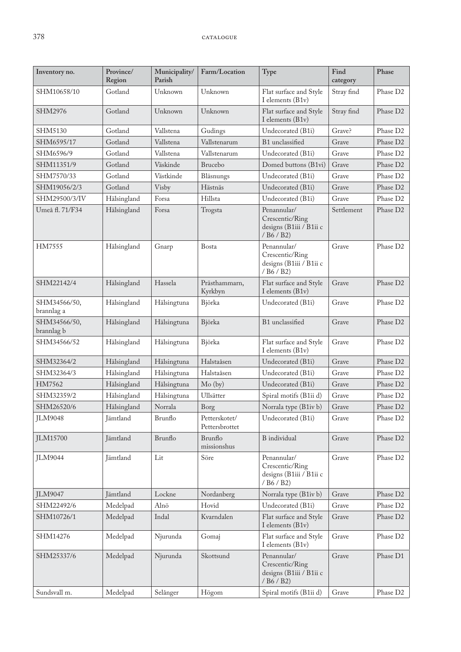| Inventory no.              | Province/<br>Region | Municipality/<br>Parish | Farm/Location                   | Type                                                                                                   | Find<br>category | Phase                |
|----------------------------|---------------------|-------------------------|---------------------------------|--------------------------------------------------------------------------------------------------------|------------------|----------------------|
| SHM10658/10                | Gotland             | Unknown                 | Unknown                         | Flat surface and Style<br>I elements (B1v)                                                             | Stray find       | Phase D <sub>2</sub> |
| SHM2976                    | Gotland             | Unknown                 | Unknown                         | Flat surface and Style<br>I elements (B1v)                                                             | Stray find       | Phase D <sub>2</sub> |
| SHM5130                    | Gotland             | Vallstena               | Gudings                         | Undecorated (B1i)                                                                                      | Grave?           | Phase D <sub>2</sub> |
| SHM6595/17                 | Gotland             | Vallstena               | Vallstenarum                    | B1 unclassified                                                                                        | Grave            | Phase D <sub>2</sub> |
| SHM6596/9                  | Gotland             | Vallstena               | Vallstenarum                    | Undecorated (B1i)                                                                                      | Grave            | Phase D2             |
| SHM11351/9                 | Gotland             | Väskinde                | Brucebo                         | Domed buttons (B1vi)                                                                                   | Grave            | Phase D <sub>2</sub> |
| SHM7570/33                 | Gotland             | Västkinde               | Bläsnungs                       | Undecorated (B1i)                                                                                      | Grave            | Phase D2             |
| SHM19056/2/3               | Gotland             | Visby                   | Hästnäs                         | Undecorated (B1i)                                                                                      | Grave            | Phase D <sub>2</sub> |
| SHM29500/3/IV              | Hälsingland         | Forsa                   | Hillsta                         | Undecorated (B1i)                                                                                      | Grave            | Phase D <sub>2</sub> |
| Umeå fl. 71/F34            | Hälsingland         | Forsa                   | Trogsta                         | Penannular/<br>Crescentic/Ring<br>designs (B1iii / B1ii c<br>$/$ B <sub>6</sub> $/$ B <sub>2</sub> $)$ | Settlement       | Phase D <sub>2</sub> |
| HM7555                     | Hälsingland         | Gnarp                   | Bosta                           | Penannular/<br>Crescentic/Ring<br>designs (B1iii / B1ii c<br>/ B6 / B2)                                | Grave            | Phase D2             |
| SHM22142/4                 | Hälsingland         | Hassela                 | Prästhammarn,<br>Kyrkbyn        | Flat surface and Style<br>I elements (B1v)                                                             | Grave            | Phase D <sub>2</sub> |
| SHM34566/50,<br>brannlag a | Hälsingland         | Hälsingtuna             | Björka                          | Undecorated (B1i)                                                                                      | Grave            | Phase D <sub>2</sub> |
| SHM34566/50,<br>brannlag b | Hälsingland         | Hälsingtuna             | Björka                          | B1 unclassified                                                                                        | Grave            | Phase D <sub>2</sub> |
| SHM34566/52                | Hälsingland         | Hälsingtuna             | Björka                          | Flat surface and Style<br>I elements (B1v)                                                             | Grave            | Phase D <sub>2</sub> |
| SHM32364/2                 | Hälsingland         | Hälsingtuna             | Halstaåsen                      | Undecorated (B1i)                                                                                      | Grave            | Phase D <sub>2</sub> |
| SHM32364/3                 | Hälsingland         | Hälsingtuna             | Halstaåsen                      | Undecorated (B1i)                                                                                      | Grave            | Phase D2             |
| HM7562                     | Hälsingland         | Hälsingtuna             | Mo (by)                         | Undecorated (B1i)                                                                                      | Grave            | Phase D <sub>2</sub> |
| SHM32359/2                 | Hälsingland         | Hälsingtuna             | Ullsätter                       | Spiral motifs (B1ii d)                                                                                 | Grave            | Phase D <sub>2</sub> |
| SHM26520/6                 | Hälsingland         | Norrala                 | Borg                            | Norrala type (B1iv b)                                                                                  | Grave            | Phase D <sub>2</sub> |
| <b>JLM9048</b>             | Jämtland            | Brunflo                 | Petterskotet/<br>Pettersbrottet | Undecorated (B1i)                                                                                      | Grave            | Phase D <sub>2</sub> |
| <b>JLM15700</b>            | Jämtland            | Brunflo                 | Brunflo<br>missionshus          | B individual                                                                                           | Grave            | Phase D <sub>2</sub> |
| <b>JLM9044</b>             | Jämtland            | Lit                     | Söre                            | Penannular/<br>Crescentic/Ring<br>designs (B1iii / B1ii c<br>/ B6 / B2)                                | Grave            | Phase D <sub>2</sub> |
| <b>JLM9047</b>             | Jämtland            | Lockne                  | Nordanberg                      | Norrala type (B1iv b)                                                                                  | Grave            | Phase D <sub>2</sub> |
| SHM22492/6                 | Medelpad            | Alnö                    | Hovid                           | Undecorated (B1i)                                                                                      | Grave            | Phase D <sub>2</sub> |
| SHM10726/1                 | Medelpad            | Indal                   | Kvarndalen                      | Flat surface and Style<br>I elements (B1v)                                                             | Grave            | Phase D <sub>2</sub> |
| SHM14276                   | Medelpad            | Njurunda                | Gomaj                           | Flat surface and Style<br>I elements (B1v)                                                             | Grave            | Phase D <sub>2</sub> |
| SHM25337/6                 | Medelpad            | Njurunda                | Skottsund                       | Penannular/<br>Crescentic/Ring<br>designs (B1iii / B1ii c<br>/ B6 / B2)                                | Grave            | Phase D1             |
| Sundsvall m.               | Medelpad            | Selånger                | Högom                           | Spiral motifs (B1ii d)                                                                                 | Grave            | Phase D2             |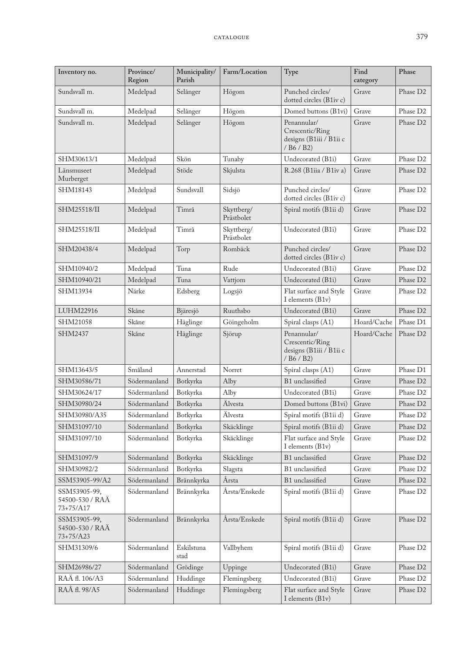| Inventory no.                                | Province/<br>Region | Municipality/<br>Parish | Farm/Location            | Type                                                                                                   | Find<br>category | Phase                |
|----------------------------------------------|---------------------|-------------------------|--------------------------|--------------------------------------------------------------------------------------------------------|------------------|----------------------|
| Sundsvall m.                                 | Medelpad            | Selånger                | Högom                    | Punched circles/<br>dotted circles (B1iv c)                                                            | Grave            | Phase D <sub>2</sub> |
| Sundsvall m.                                 | Medelpad            | Selånger                | Högom                    | Domed buttons (B1vi)                                                                                   | Grave            | Phase D <sub>2</sub> |
| Sundsvall m.                                 | Medelpad            | Selånger                | Högom                    | Penannular/<br>Crescentic/Ring<br>designs (B1iii / B1ii c<br>/ B6 / B2)                                | Grave            | Phase D <sub>2</sub> |
| SHM30613/1                                   | Medelpad            | Skön                    | Tunaby                   | Undecorated (B1i)                                                                                      | Grave            | Phase D <sub>2</sub> |
| Länsmuseet<br>Murberget                      | Medelpad            | Stöde                   | Skjulsta                 | R.268 (B1iia / B1iv a)                                                                                 | Grave            | Phase D <sub>2</sub> |
| SHM18143                                     | Medelpad            | Sundsvall               | Sidsjö                   | Punched circles/<br>dotted circles (B1iv c)                                                            | Grave            | Phase D <sub>2</sub> |
| SHM25518/II                                  | Medelpad            | Timrå                   | Skyttberg/<br>Prästbolet | Spiral motifs (B1ii d)                                                                                 | Grave            | Phase D <sub>2</sub> |
| SHM25518/II                                  | Medelpad            | Timrå                   | Skyttberg/<br>Prästbolet | Undecorated (B1i)                                                                                      | Grave            | Phase D <sub>2</sub> |
| SHM20438/4                                   | Medelpad            | Torp                    | Rombäck                  | Punched circles/<br>dotted circles (B1iv c)                                                            | Grave            | Phase D <sub>2</sub> |
| SHM10940/2                                   | Medelpad            | Tuna                    | Rude                     | Undecorated (B1i)                                                                                      | Grave            | Phase D <sub>2</sub> |
| SHM10940/21                                  | Medelpad            | Tuna                    | Vattjom                  | Undecorated (B1i)                                                                                      | Grave            | Phase D <sub>2</sub> |
| SHM13934                                     | Närke               | Edsberg                 | Logsjö                   | Flat surface and Style<br>I elements (B1v)                                                             | Grave            | Phase D <sub>2</sub> |
| LUHM22916                                    | Skåne               | Bjäresjö                | Ruuthsbo                 | Undecorated (B1i)                                                                                      | Grave            | Phase D <sub>2</sub> |
| SHM21058                                     | Skåne               | Häglinge                | Göingeholm               | Spiral clasps (A1)                                                                                     | Hoard/Cache      | Phase D1             |
| SHM2437                                      | Skåne               | Häglinge                | Sjörup                   | Penannular/<br>Crescentic/Ring<br>designs (B1iii / B1ii c<br>$/$ B <sub>6</sub> $/$ B <sub>2</sub> $)$ | Hoard/Cache      | Phase D <sub>2</sub> |
| SHM13643/5                                   | Småland             | Annerstad               | Norret                   | Spiral clasps (A1)                                                                                     | Grave            | Phase D1             |
| SHM30586/71                                  | Södermanland        | Botkyrka                | Alby                     | B1 unclassified                                                                                        | Grave            | Phase D <sub>2</sub> |
| SHM30624/17                                  | Södermanland        | Botkyrka                | Alby                     | Undecorated (B1i)                                                                                      | Grave            | Phase D <sub>2</sub> |
| SHM30980/24                                  | Södermanland        | Botkyrka                | Älvesta                  | Domed buttons (B1vi)                                                                                   | Grave            | Phase D <sub>2</sub> |
| SHM30980/A35                                 | Södermanland        | Botkyrka                | Älvesta                  | Spiral motifs (B1ii d)                                                                                 | Grave            | Phase D <sub>2</sub> |
| SHM31097/10                                  | Södermanland        | Botkyrka                | Skäcklinge               | Spiral motifs (B1ii d)                                                                                 | Grave            | Phase D2             |
| SHM31097/10                                  | Södermanland        | Botkyrka                | Skäcklinge               | Flat surface and Style<br>I elements (B1v)                                                             | Grave            | Phase D <sub>2</sub> |
| SHM31097/9                                   | Södermanland        | Botkyrka                | Skäcklinge               | B1 unclassified                                                                                        | Grave            | Phase D <sub>2</sub> |
| SHM30982/2                                   | Södermanland        | Botkyrka                | Slagsta                  | B1 unclassified                                                                                        | Grave            | Phase D <sub>2</sub> |
| SSM53905-99/A2                               | Södermanland        | Brännkyrka              | Årsta                    | B1 unclassified                                                                                        | Grave            | Phase D <sub>2</sub> |
| SSM53905-99,<br>54500-530 / RAÄ<br>73+75/A17 | Södermanland        | Brännkyrka              | Årsta/Enskede            | Spiral motifs (B1ii d)                                                                                 | Grave            | Phase D <sub>2</sub> |
| SSM53905-99,<br>54500-530 / RAÄ<br>73+75/A23 | Södermanland        | Brännkyrka              | Årsta/Enskede            | Spiral motifs (B1ii d)                                                                                 | Grave            | Phase D2             |
| SHM31309/6                                   | Södermanland        | Eskilstuna<br>stad      | Vallbyhem                | Spiral motifs (B1ii d)                                                                                 | Grave            | Phase D <sub>2</sub> |
| SHM26986/27                                  | Södermanland        | Grödinge                | Uppinge                  | Undecorated (B1i)                                                                                      | Grave            | Phase D <sub>2</sub> |
| RAÄ fl. 106/A3                               | Södermanland        | Huddinge                | Flemingsberg             | Undecorated (B1i)                                                                                      | Grave            | Phase D2             |
| RAÂ fl. 98/A5                                | Södermanland        | Huddinge                | Flemingsberg             | Flat surface and Style<br>I elements (B1v)                                                             | Grave            | Phase D2             |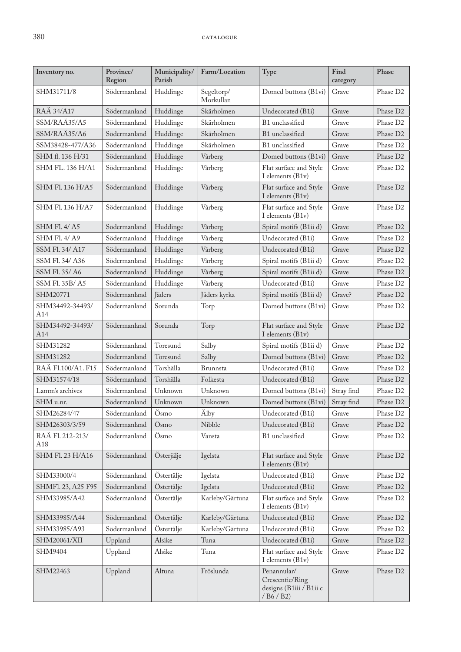| Inventory no.           | Province/<br>Region | Municipality/<br>Parish | Farm/Location           | Type                                                                    | Find<br>category | Phase                |
|-------------------------|---------------------|-------------------------|-------------------------|-------------------------------------------------------------------------|------------------|----------------------|
| SHM31711/8              | Södermanland        | Huddinge                | Segeltorp/<br>Morkullan | Domed buttons (B1vi)                                                    | Grave            | Phase D <sub>2</sub> |
| RAÄ 34/A17              | Södermanland        | Huddinge                | Skärholmen              | Undecorated (B1i)                                                       | Grave            | Phase D <sub>2</sub> |
| SSM/RAÄ35/A5            | Södermanland        | Huddinge                | Skärholmen              | B1 unclassified                                                         | Grave            | Phase D <sub>2</sub> |
| SSM/RAÄ35/A6            | Södermanland        | Huddinge                | Skärholmen              | B1 unclassified                                                         | Grave            | Phase D <sub>2</sub> |
| SSM38428-477/A36        | Södermanland        | Huddinge                | Skärholmen              | B1 unclassified                                                         | Grave            | Phase D <sub>2</sub> |
| SHM fl. 136 H/31        | Södermanland        | Huddinge                | Vårberg                 | Domed buttons (B1vi)                                                    | Grave            | Phase D <sub>2</sub> |
| <b>SHM FL. 136 H/A1</b> | Södermanland        | Huddinge                | Vårberg                 | Flat surface and Style<br>I elements (B1v)                              | Grave            | Phase D <sub>2</sub> |
| SHM Fl. 136 H/A5        | Södermanland        | Huddinge                | Vårberg                 | Flat surface and Style<br>I elements (B1v)                              | Grave            | Phase D <sub>2</sub> |
| SHM Fl. 136 H/A7        | Södermanland        | Huddinge                | Vårberg                 | Flat surface and Style<br>I elements (B1v)                              | Grave            | Phase D <sub>2</sub> |
| <b>SHM F1.4/A5</b>      | Södermanland        | Huddinge                | Vårberg                 | Spiral motifs (B1ii d)                                                  | Grave            | Phase D <sub>2</sub> |
| <b>SHM F1.4/A9</b>      | Södermanland        | Huddinge                | Vårberg                 | Undecorated (B1i)                                                       | Grave            | Phase D <sub>2</sub> |
| SSM Fl. 34/ A17         | Södermanland        | Huddinge                | Vårberg                 | Undecorated (B1i)                                                       | Grave            | Phase D <sub>2</sub> |
| SSM FL 34/ A36          | Södermanland        | Huddinge                | Vårberg                 | Spiral motifs (B1ii d)                                                  | Grave            | Phase D <sub>2</sub> |
| SSM F1.35/A6            | Södermanland        | Huddinge                | Vårberg                 | Spiral motifs (B1ii d)                                                  | Grave            | Phase D <sub>2</sub> |
| <b>SSM F1.35B/A5</b>    | Södermanland        | Huddinge                | Vårberg                 | Undecorated (B1i)                                                       | Grave            | Phase D <sub>2</sub> |
| SHM20771                | Södermanland        | Jäders                  | Jäders kyrka            | Spiral motifs (B1ii d)                                                  | Grave?           | Phase D <sub>2</sub> |
| SHM34492-34493/<br>A14  | Södermanland        | Sorunda                 | Torp                    | Domed buttons (B1vi)                                                    | Grave            | Phase D <sub>2</sub> |
| SHM34492-34493/<br>A14  | Södermanland        | Sorunda                 | Torp                    | Flat surface and Style<br>I elements (B1v)                              | Grave            | Phase D <sub>2</sub> |
| SHM31282                | Södermanland        | Toresund                | Salby                   | Spiral motifs (B1ii d)                                                  | Grave            | Phase D <sub>2</sub> |
| SHM31282                | Södermanland        | Toresund                | Salby                   | Domed buttons (B1vi)                                                    | Grave            | Phase D <sub>2</sub> |
| RAÄ F1.100/A1. F15      | Södermanland        | Torshälla               | <b>Brunnsta</b>         | Undecorated (B1i)                                                       | Grave            | Phase D <sub>2</sub> |
| SHM31574/18             | Södermanland        | Torshälla               | Folkesta                | Undecorated (B1i)                                                       | Grave            | Phase D <sub>2</sub> |
| Lamm's archives         | Södermanland        | Unknown                 | Unknown                 | Domed buttons (B1vi)                                                    | Stray find       | Phase D <sub>2</sub> |
| SHM u.nr.               | Södermanland        | Unknown                 | Unknown                 | Domed buttons (B1vi)                                                    | Stray find       | Phase D <sub>2</sub> |
| SHM26284/47             | Södermanland        | Ösmo                    | Älby                    | Undecorated (B1i)                                                       | Grave            | Phase D <sub>2</sub> |
| SHM26303/3/59           | Södermanland        | Ösmo                    | Nibble                  | Undecorated (B1i)                                                       | Grave            | Phase D <sub>2</sub> |
| RAÄ Fl. 212-213/<br>A18 | Södermanland        | Ösmo                    | Vansta                  | B1 unclassified                                                         | Grave            | Phase D <sub>2</sub> |
| SHM Fl. 23 H/A16        | Södermanland        | Österjälje              | Igelsta                 | Flat surface and Style<br>I elements (B1v)                              | Grave            | Phase D <sub>2</sub> |
| SHM33000/4              | Södermanland        | Östertälje              | Igelsta                 | Undecorated (B1i)                                                       | Grave            | Phase D <sub>2</sub> |
| SHMF1. 23, A25 F95      | Södermanland        | Östertälje              | Igelsta                 | Undecorated (B1i)                                                       | Grave            | Phase D <sub>2</sub> |
| SHM33985/A42            | Södermanland        | Östertälje              | Karleby/Gärtuna         | Flat surface and Style<br>I elements (B1v)                              | Grave            | Phase D <sub>2</sub> |
| SHM33985/A44            | Södermanland        | Östertälje              | Karleby/Gärtuna         | Undecorated (B1i)                                                       | Grave            | Phase D <sub>2</sub> |
| SHM33985/A93            | Södermanland        | Östertälje              | Karleby/Gärtuna         | Undecorated (B1i)                                                       | Grave            | Phase D <sub>2</sub> |
| SHM20061/XII            | Uppland             | Alsike                  | Tuna                    | Undecorated (B1i)                                                       | Grave            | Phase D <sub>2</sub> |
| SHM9404                 | Uppland             | Alsike                  | Tuna                    | Flat surface and Style<br>I elements (B1v)                              | Grave            | Phase D <sub>2</sub> |
| SHM22463                | Uppland             | Altuna                  | Fröslunda               | Penannular/<br>Crescentic/Ring<br>designs (B1iii / B1ii c<br>/ B6 / B2) | Grave            | Phase D <sub>2</sub> |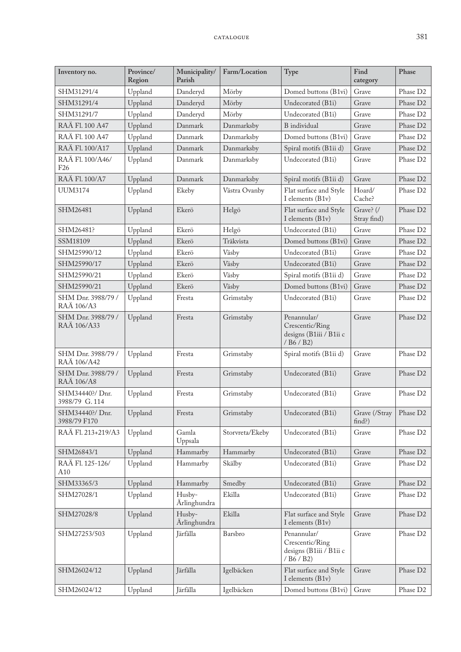| Inventory no.                       | Province/<br>Region | Municipality/<br>Parish | Farm/Location   | Type                                                                    | Find<br>category                     | Phase                |
|-------------------------------------|---------------------|-------------------------|-----------------|-------------------------------------------------------------------------|--------------------------------------|----------------------|
| SHM31291/4                          | Uppland             | Danderyd                | Mörby           | Domed buttons (B1vi)                                                    | Grave                                | Phase D2             |
| SHM31291/4                          | Uppland             | Danderyd                | Mörby           | Undecorated (B1i)                                                       | Grave                                | Phase D <sub>2</sub> |
| SHM31291/7                          | Uppland             | Danderyd                | Mörby           | Undecorated (B1i)                                                       | Grave                                | Phase D <sub>2</sub> |
| RAÄ Fl. 100 A47                     | Uppland             | Danmark                 | Danmarksby      | <b>B</b> individual                                                     | Grave                                | Phase D <sub>2</sub> |
| RAÄ Fl. 100 A47                     | Uppland             | Danmark                 | Danmarksby      | Domed buttons (B1vi)                                                    | Grave                                | Phase D2             |
| RAÄ Fl. 100/A17                     | Uppland             | Danmark                 | Danmarksby      | Spiral motifs (B1ii d)                                                  | Grave                                | Phase D <sub>2</sub> |
| RAÄ Fl. 100/A46/<br>F <sub>26</sub> | Uppland             | Danmark                 | Danmarksby      | Undecorated (B1i)                                                       | Grave                                | Phase D2             |
| RAÄ Fl. 100/A7                      | Uppland             | Danmark                 | Danmarksby      | Spiral motifs (B1ii d)                                                  | Grave                                | Phase D <sub>2</sub> |
| <b>UUM3174</b>                      | Uppland             | Ekeby                   | Västra Ovanby   | Flat surface and Style<br>I elements (B1v)                              | Hoard/<br>Cache?                     | Phase D <sub>2</sub> |
| SHM26481                            | Uppland             | Ekerö                   | Helgö           | Flat surface and Style<br>I elements (B1v)                              | Grave? (/<br>Stray find)             | Phase D2             |
| SHM26481?                           | Uppland             | Ekerö                   | Helgö           | Undecorated (B1i)                                                       | Grave                                | Phase D <sub>2</sub> |
| SSM18109                            | Uppland             | Ekerö                   | Träkvista       | Domed buttons (B1vi)                                                    | Grave                                | Phase D <sub>2</sub> |
| SHM25990/12                         | Uppland             | Ekerö                   | Väsby           | Undecorated (B1i)                                                       | Grave                                | Phase D <sub>2</sub> |
| SHM25990/17                         | Uppland             | Ekerö                   | Väsby           | Undecorated (B1i)                                                       | Grave                                | Phase D <sub>2</sub> |
| SHM25990/21                         | Uppland             | Ekerö                   | Väsby           | Spiral motifs (B1ii d)                                                  | Grave                                | Phase D <sub>2</sub> |
| SHM25990/21                         | Uppland             | Ekerö                   | Väsby           | Domed buttons (B1vi)                                                    | Grave                                | Phase D <sub>2</sub> |
| SHM Dnr. 3988/79 /<br>RAÄ 106/A3    | Uppland             | Fresta                  | Grimstaby       | Undecorated (B1i)                                                       | Grave                                | Phase D2             |
| SHM Dnr. 3988/79 /<br>RAÄ 106/A33   | Uppland             | Fresta                  | Grimstaby       | Penannular/<br>Crescentic/Ring<br>designs (B1iii / B1ii c<br>/ B6 / B2) | Grave                                | Phase D <sub>2</sub> |
| SHM Dnr. 3988/79 /<br>RAÄ 106/A42   | Uppland             | Fresta                  | Grimstaby       | Spiral motifs (B1ii d)                                                  | Grave                                | Phase D2             |
| SHM Dnr. 3988/79 /<br>RAÄ 106/A8    | Uppland             | Fresta                  | Grimstaby       | Undecorated (B1i)                                                       | Grave                                | Phase D2             |
| SHM34440?/ Dnr.<br>3988/79 G.114    | Uppland             | Fresta                  | Grimstaby       | Undecorated (B1i)                                                       | Grave                                | Phase D <sub>2</sub> |
| SHM34440?/ Dnr.<br>3988/79 F170     | Uppland             | Fresta                  | Grimstaby       | Undecorated (B1i)                                                       | Grave (/Stray   Phase $D2$<br>find?) |                      |
| RAÄ Fl. 213+219/A3                  | Uppland             | Gamla<br>Uppsala        | Storvreta/Ekeby | Undecorated (B1i)                                                       | Grave                                | Phase D <sub>2</sub> |
| SHM26843/1                          | Uppland             | Hammarby                | Hammarby        | Undecorated (B1i)                                                       | Grave                                | Phase D <sub>2</sub> |
| RAÄ Fl. 125-126/<br>A10             | Uppland             | Hammarby                | Skälby          | Undecorated (B1i)                                                       | Grave                                | Phase D <sub>2</sub> |
| SHM33365/3                          | Uppland             | Hammarby                | Smedby          | Undecorated (B1i)                                                       | Grave                                | Phase D <sub>2</sub> |
| SHM27028/1                          | Uppland             | Husby-<br>Ärlinghundra  | Ekilla          | Undecorated (B1i)                                                       | Grave                                | Phase D <sub>2</sub> |
| SHM27028/8                          | Uppland             | Husby-<br>Ärlinghundra  | Ekilla          | Flat surface and Style<br>I elements (B1v)                              | Grave                                | Phase D <sub>2</sub> |
| SHM27253/503                        | Uppland             | Järfälla                | Barsbro         | Penannular/<br>Crescentic/Ring<br>designs (B1iii / B1ii c<br>/ B6 / B2) | Grave                                | Phase D <sub>2</sub> |
| SHM26024/12                         | Uppland             | Järfälla                | Igelbäcken      | Flat surface and Style<br>I elements (B1v)                              | Grave                                | Phase D <sub>2</sub> |
| SHM26024/12                         | Uppland             | Järfälla                | Igelbäcken      | Domed buttons (B1vi)                                                    | Grave                                | Phase D2             |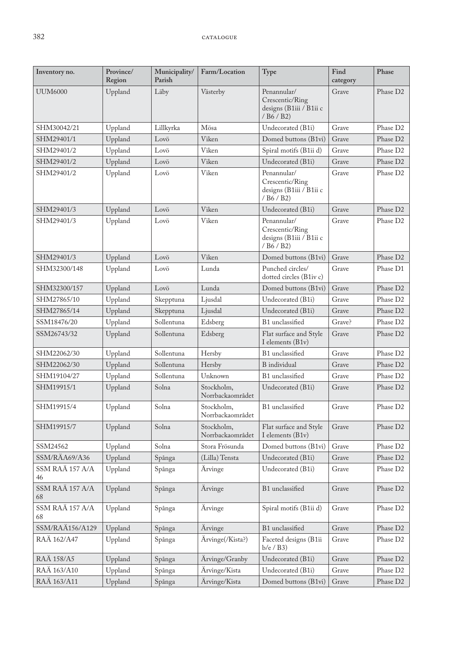| Inventory no.         | Province/<br>Region | Municipality/<br>Parish | Farm/Location                  | Type                                                                    | Find<br>category | Phase                |
|-----------------------|---------------------|-------------------------|--------------------------------|-------------------------------------------------------------------------|------------------|----------------------|
| <b>UUM6000</b>        | Uppland             | Läby                    | Västerby                       | Penannular/<br>Crescentic/Ring<br>designs (B1iii / B1ii c<br>/ B6 / B2) | Grave            | Phase D <sub>2</sub> |
| SHM30042/21           | Uppland             | Lillkyrka               | Mösa                           | Undecorated (B1i)                                                       | Grave            | Phase D <sub>2</sub> |
| SHM29401/1            | Uppland             | Lovö                    | Viken                          | Domed buttons (B1vi)                                                    | Grave            | Phase D <sub>2</sub> |
| SHM29401/2            | Uppland             | Lovö                    | Viken                          | Spiral motifs (B1ii d)                                                  | Grave            | Phase D <sub>2</sub> |
| SHM29401/2            | Uppland             | Lovö                    | Viken                          | Undecorated (B1i)                                                       | Grave            | Phase D <sub>2</sub> |
| SHM29401/2            | Uppland             | Lovö                    | Viken                          | Penannular/<br>Crescentic/Ring<br>designs (B1iii / B1ii c<br>/ B6 / B2) | Grave            | Phase D <sub>2</sub> |
| SHM29401/3            | Uppland             | Lovö                    | Viken                          | Undecorated (B1i)                                                       | Grave            | Phase D <sub>2</sub> |
| SHM29401/3            | Uppland             | Lovö                    | Viken                          | Penannular/<br>Crescentic/Ring<br>designs (B1iii / B1ii c<br>/ B6 / B2) | Grave            | Phase D <sub>2</sub> |
| SHM29401/3            | Uppland             | Lovö                    | Viken                          | Domed buttons (B1vi)                                                    | Grave            | Phase D <sub>2</sub> |
| SHM32300/148          | Uppland             | Lovö                    | Lunda                          | Punched circles/<br>dotted circles (B1iv c)                             | Grave            | Phase D1             |
| SHM32300/157          | Uppland             | Lovö                    | Lunda                          | Domed buttons (B1vi)                                                    | Grave            | Phase D2             |
| SHM27865/10           | Uppland             | Skepptuna               | Ljusdal                        | Undecorated (B1i)                                                       | Grave            | Phase D <sub>2</sub> |
| SHM27865/14           | Uppland             | Skepptuna               | Ljusdal                        | Undecorated (B1i)                                                       | Grave            | Phase D <sub>2</sub> |
| SSM18476/20           | Uppland             | Sollentuna              | Edsberg                        | B1 unclassified                                                         | Grave?           | Phase D2             |
| SSM26743/32           | Uppland             | Sollentuna              | Edsberg                        | Flat surface and Style<br>I elements (B1v)                              | Grave            | Phase D <sub>2</sub> |
| SHM22062/30           | Uppland             | Sollentuna              | Hersby                         | B1 unclassified                                                         | Grave            | Phase D <sub>2</sub> |
| SHM22062/30           | Uppland             | Sollentuna              | Hersby                         | <b>B</b> individual                                                     | Grave            | Phase D <sub>2</sub> |
| SHM19104/27           | Uppland             | Sollentuna              | Unknown                        | B1 unclassified                                                         | Grave            | Phase D <sub>2</sub> |
| SHM19915/1            | Uppland             | Solna                   | Stockholm,<br>Norrbackaområdet | Undecorated (B1i)                                                       | Grave            | Phase D <sub>2</sub> |
| SHM19915/4            | Uppland             | Solna                   | Stockholm,<br>Norrbackaområdet | B1 unclassified                                                         | Grave            | Phase D <sub>2</sub> |
| SHM19915/7            | Uppland             | Solna                   | Stockholm,<br>Norrbackaområdet | Flat surface and Style<br>I elements (B1v)                              | Grave            | Phase D <sub>2</sub> |
| SSM24562              | Uppland             | Solna                   | Stora Frösunda                 | Domed buttons (B1vi)                                                    | Grave            | Phase D <sub>2</sub> |
| SSM/RÄA69/A36         | Uppland             | Spånga                  | (Lilla) Tensta                 | Undecorated (B1i)                                                       | Grave            | Phase D <sub>2</sub> |
| SSM RAÄ 157 A/A<br>46 | Uppland             | Spånga                  | Ärvinge                        | Undecorated (B1i)                                                       | Grave            | Phase D <sub>2</sub> |
| SSM RAÄ 157 A/A<br>68 | Uppland             | Spånga                  | Ärvinge                        | B1 unclassified                                                         | Grave            | Phase D <sub>2</sub> |
| SSM RAÄ 157 A/A<br>68 | Uppland             | Spånga                  | Arvinge                        | Spiral motifs (B1ii d)                                                  | Grave            | Phase D2             |
| SSM/RAÄ156/A129       | Uppland             | Spånga                  | Ärvinge                        | B1 unclassified                                                         | Grave            | Phase D <sub>2</sub> |
| RAÄ 162/A47           | Uppland             | Spånga                  | Ärvinge(/Kista?)               | Faceted designs (B1ii<br>$b/e$ / $B3)$                                  | Grave            | Phase D2             |
| RAÄ 158/A5            | Uppland             | Spånga                  | Ärvinge/Granby                 | Undecorated (B1i)                                                       | Grave            | Phase D2             |
| RAÄ 163/A10           | Uppland             | Spånga                  | Ärvinge/Kista                  | Undecorated (B1i)                                                       | Grave            | Phase D <sub>2</sub> |
| RAÄ 163/A11           | Uppland             | Spånga                  | Ärvinge/Kista                  | Domed buttons (B1vi)                                                    | Grave            | Phase D <sub>2</sub> |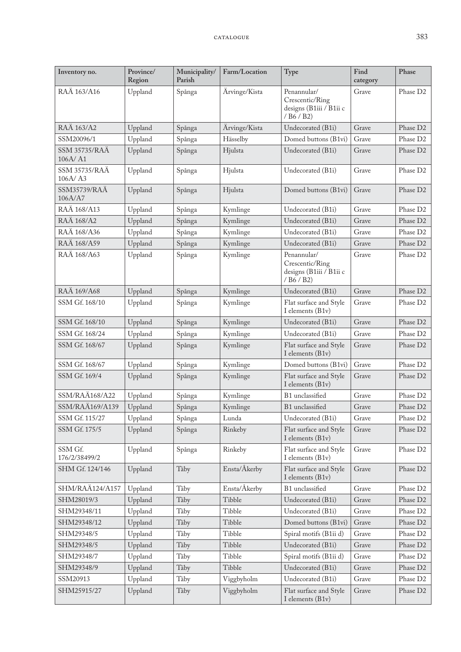| Inventory no.                   | Province/<br>Region | Municipality/<br>Parish | Farm/Location | Type                                                                    | Find<br>category | Phase                |
|---------------------------------|---------------------|-------------------------|---------------|-------------------------------------------------------------------------|------------------|----------------------|
| RAÄ 163/A16                     | Uppland             | Spånga                  | Ärvinge/Kista | Penannular/<br>Crescentic/Ring<br>designs (B1iii / B1ii c<br>/ B6 / B2) | Grave            | Phase D2             |
| RAÄ 163/A2                      | Uppland             | Spånga                  | Ärvinge/Kista | Undecorated (B1i)                                                       | Grave            | Phase D2             |
| SSM20096/1                      | Uppland             | Spånga                  | Hässelby      | Domed buttons (B1vi)                                                    | Grave            | Phase D <sub>2</sub> |
| <b>SSM 35735/RAÄ</b><br>106A/A1 | Uppland             | Spånga                  | Hjulsta       | Undecorated (B1i)                                                       | Grave            | Phase D <sub>2</sub> |
| <b>SSM 35735/RAÄ</b><br>106A/A3 | Uppland             | Spånga                  | Hjulsta       | Undecorated (B1i)                                                       | Grave            | Phase D <sub>2</sub> |
| <b>SSM35739/RAÄ</b><br>106A/A7  | Uppland             | Spånga                  | Hjulsta       | Domed buttons (B1vi)                                                    | Grave            | Phase D <sub>2</sub> |
| RAÄ 168/A13                     | Uppland             | Spånga                  | Kymlinge      | Undecorated (B1i)                                                       | Grave            | Phase D2             |
| RAÄ 168/A2                      | Uppland             | Spånga                  | Kymlinge      | Undecorated (B1i)                                                       | Grave            | Phase D2             |
| RAÄ 168/A36                     | Uppland             | Spånga                  | Kymlinge      | Undecorated (B1i)                                                       | Grave            | Phase D <sub>2</sub> |
| RAÄ 168/A59                     | Uppland             | Spånga                  | Kymlinge      | Undecorated (B1i)                                                       | Grave            | Phase D <sub>2</sub> |
| RAÄ 168/A63                     | Uppland             | Spånga                  | Kymlinge      | Penannular/<br>Crescentic/Ring<br>designs (B1iii / B1ii c<br>/ B6 / B2) | Grave            | Phase D <sub>2</sub> |
| RAÄ 169/A68                     | Uppland             | Spånga                  | Kymlinge      | Undecorated (B1i)                                                       | Grave            | Phase D <sub>2</sub> |
| SSM Gf. 168/10                  | Uppland             | Spånga                  | Kymlinge      | Flat surface and Style<br>I elements (B1v)                              | Grave            | Phase D <sub>2</sub> |
| SSM Gf. 168/10                  | Uppland             | Spånga                  | Kymlinge      | Undecorated (B1i)                                                       | Grave            | Phase D <sub>2</sub> |
| SSM Gf. 168/24                  | Uppland             | Spånga                  | Kymlinge      | Undecorated (B1i)                                                       | Grave            | Phase D2             |
| SSM Gf. 168/67                  | Uppland             | Spånga                  | Kymlinge      | Flat surface and Style<br>I elements (B1v)                              | Grave            | Phase D2             |
| SSM Gf. 168/67                  | Uppland             | Spånga                  | Kymlinge      | Domed buttons (B1vi)                                                    | Grave            | Phase D <sub>2</sub> |
| SSM Gf. 169/4                   | Uppland             | Spånga                  | Kymlinge      | Flat surface and Style<br>I elements (B1v)                              | Grave            | Phase D <sub>2</sub> |
| SSM/RAÄ168/A22                  | Uppland             | Spånga                  | Kymlinge      | B1 unclassified                                                         | Grave            | Phase D <sub>2</sub> |
| SSM/RAÄ169/A139                 | Uppland             | Spånga                  | Kymlinge      | B1 unclassified                                                         | Grave            | Phase D2             |
| SSM Gf. 115/27                  | Uppland             | Spånga                  | Lunda         | Undecorated (B1i)                                                       | Grave            | Phase D <sub>2</sub> |
| SSM Gf. 175/5                   | Uppland             | Spånga                  | Rinkeby       | Flat surface and Style<br>I elements (B1v)                              | Grave            | Phase D <sub>2</sub> |
| SSM Gf.<br>176/2/38499/2        | Uppland             | Spånga                  | Rinkeby       | Flat surface and Style<br>I elements (B1v)                              | Grave            | Phase D2             |
| SHM Gf. 124/146                 | Uppland             | Täby                    | Ensta/Åkerby  | Flat surface and Style<br>I elements (B1v)                              | Grave            | Phase D <sub>2</sub> |
| SHM/RAÄ124/A157                 | Uppland             | Täby                    | Ensta/Åkerby  | B1 unclassified                                                         | Grave            | Phase D2             |
| SHM28019/3                      | Uppland             | Täby                    | Tibble        | Undecorated (B1i)                                                       | Grave            | Phase D <sub>2</sub> |
| SHM29348/11                     | Uppland             | Täby                    | Tibble        | Undecorated (B1i)                                                       | Grave            | Phase D <sub>2</sub> |
| SHM29348/12                     | Uppland             | Täby                    | Tibble        | Domed buttons (B1vi)                                                    | Grave            | Phase D <sub>2</sub> |
| SHM29348/5                      | Uppland             | Täby                    | Tibble        | Spiral motifs (B1ii d)                                                  | Grave            | Phase D <sub>2</sub> |
| SHM29348/5                      | Uppland             | Täby                    | Tibble        | Undecorated (B1i)                                                       | Grave            | Phase D <sub>2</sub> |
| SHM29348/7                      | Uppland             | Täby                    | Tibble        | Spiral motifs (B1ii d)                                                  | Grave            | Phase D2             |
| SHM29348/9                      | Uppland             | Täby                    | Tibble        | Undecorated (B1i)                                                       | Grave            | Phase D <sub>2</sub> |
| SSM20913                        | Uppland             | Täby                    | Viggbyholm    | Undecorated (B1i)                                                       | Grave            | Phase D2             |
| SHM25915/27                     | Uppland             | Täby                    | Viggbyholm    | Flat surface and Style<br>I elements (B1v)                              | Grave            | Phase D <sub>2</sub> |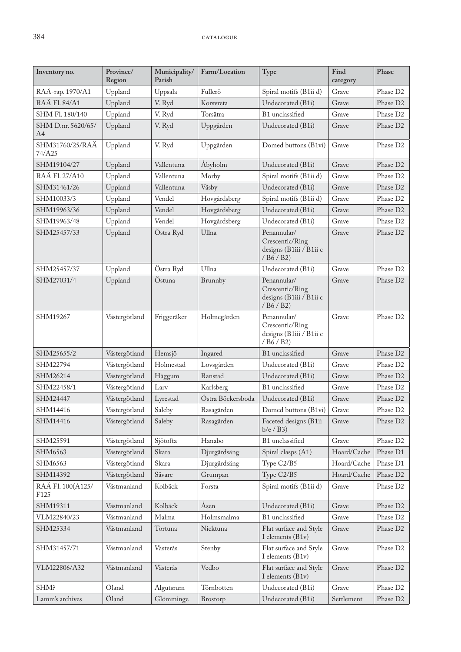| Inventory no.                         | Province/<br>Region | Municipality/<br>Parish | Farm/Location     | Type                                                                    | Find<br>category | Phase                |
|---------------------------------------|---------------------|-------------------------|-------------------|-------------------------------------------------------------------------|------------------|----------------------|
| RAÄ-rap. 1970/A1                      | Uppland             | Uppsala                 | Fullerö           | Spiral motifs (B1ii d)                                                  | Grave            | Phase D <sub>2</sub> |
| RAÄ Fl. 84/A1                         | Uppland             | V. Ryd                  | Korsvreta         | Undecorated (B1i)                                                       | Grave            | Phase D <sub>2</sub> |
| SHM Fl. 180/140                       | Uppland             | V. Ryd                  | Torsätra          | B1 unclassified                                                         | Grave            | Phase D <sub>2</sub> |
| SHM D.nr. 5620/65/<br>A4              | Uppland             | V. Ryd                  | Uppgården         | Undecorated (B1i)                                                       | Grave            | Phase D <sub>2</sub> |
| SHM31760/25/RAÄ<br>74/A25             | Uppland             | V. Ryd                  | Uppgården         | Domed buttons (B1vi)                                                    | Grave            | Phase D <sub>2</sub> |
| SHM19104/27                           | Uppland             | Vallentuna              | Åbyholm           | Undecorated (B1i)                                                       | Grave            | Phase D <sub>2</sub> |
| RAÄ Fl. 27/A10                        | Uppland             | Vallentuna              | Mörby             | Spiral motifs (B1ii d)                                                  | Grave            | Phase D <sub>2</sub> |
| SHM31461/26                           | Uppland             | Vallentuna              | Väsby             | Undecorated (B1i)                                                       | Grave            | Phase D <sub>2</sub> |
| SHM10033/3                            | Uppland             | Vendel                  | Hovgårdsberg      | Spiral motifs (B1ii d)                                                  | Grave            | Phase D <sub>2</sub> |
| SHM19963/36                           | Uppland             | Vendel                  | Hovgårdsberg      | Undecorated (B1i)                                                       | Grave            | Phase D <sub>2</sub> |
| SHM19963/48                           | Uppland             | Vendel                  | Hovgårdsberg      | Undecorated (B1i)                                                       | Grave            | Phase D <sub>2</sub> |
| SHM25457/33                           | Uppland             | Östra Ryd               | Ullna             | Penannular/<br>Crescentic/Ring<br>designs (B1iii / B1ii c<br>/ B6 / B2) | Grave            | Phase D <sub>2</sub> |
| SHM25457/37                           | Uppland             | Östra Ryd               | Ullna             | Undecorated (B1i)                                                       | Grave            | Phase D2             |
| SHM27031/4                            | Uppland             | Östuna                  | Brunnby           | Penannular/<br>Crescentic/Ring<br>designs (B1iii / B1ii c<br>/ B6 / B2) | Grave            | Phase D <sub>2</sub> |
| SHM19267                              | Västergötland       | Friggeråker             | Holmegården       | Penannular/<br>Crescentic/Ring<br>designs (B1iii / B1ii c<br>/ B6 / B2) | Grave            | Phase D <sub>2</sub> |
| SHM25655/2                            | Västergötland       | Hemsjö                  | Ingared           | B1 unclassified                                                         | Grave            | Phase D <sub>2</sub> |
| SHM22794                              | Västergötland       | Holmestad               | Lovsgården        | Undecorated (B1i)                                                       | Grave            | Phase D <sub>2</sub> |
| SHM26214                              | Västergötland       | Häggum                  | Ranstad           | Undecorated (B1i)                                                       | Grave            | Phase D <sub>2</sub> |
| SHM22458/1                            | Västergötland       | Larv                    | Karlsberg         | B1 unclassified                                                         | Grave            | Phase D <sub>2</sub> |
| SHM24447                              | Västergötland       | Lyrestad                | Östra Böckersboda | Undecorated (B1i)                                                       | Grave            | Phase D <sub>2</sub> |
| SHM14416                              | Västergötland       | $\operatorname{Saleby}$ | Rasagården        | Domed buttons (B1vi)                                                    | Grave            | Phase D <sub>2</sub> |
| SHM14416                              | Västergötland       | Saleby                  | Rasagården        | Faceted designs (B1ii<br>$b/e$ / $B3)$                                  | Grave            | Phase D <sub>2</sub> |
| SHM25591                              | Västergötland       | Sjötofta                | Hanabo            | B1 unclassified                                                         | Grave            | Phase D2             |
| SHM6563                               | Västergötland       | Skara                   | Djurgårdsäng      | Spiral clasps (A1)                                                      | Hoard/Cache      | Phase D1             |
| SHM6563                               | Västergötland       | Skara                   | Djurgårdsäng      | Type C2/B5                                                              | Hoard/Cache      | Phase D1             |
| SHM14392                              | Västergötland       | Sävare                  | Grumpan           | Type C2/B5                                                              | Hoard/Cache      | Phase D <sub>2</sub> |
| RAÄ Fl. 100(A125/<br>F <sub>125</sub> | Västmanland         | Kolbäck                 | Forsta            | Spiral motifs (B1ii d)                                                  | Grave            | Phase D2             |
| SHM19311                              | Västmanland         | Kolbäck                 | Åsen              | Undecorated (B1i)                                                       | Grave            | Phase D <sub>2</sub> |
| VLM22840/23                           | Västmanland         | Malma                   | Holmsmalma        | B1 unclassified                                                         | Grave            | Phase D2             |
| SHM25334                              | Västmanland         | Tortuna                 | Nicktuna          | Flat surface and Style<br>I elements (B1v)                              | Grave            | Phase D <sub>2</sub> |
| SHM31457/71                           | Västmanland         | Västerås                | Stenby            | Flat surface and Style<br>I elements (B1v)                              | Grave            | Phase D2             |
| VLM22806/A32                          | Västmanland         | Västerås                | Vedbo             | Flat surface and Style<br>I elements (B1v)                              | Grave            | Phase D <sub>2</sub> |
| SHM?                                  | Öland               | Algutsrum               | Törnbotten        | Undecorated (B1i)                                                       | Grave            | Phase D <sub>2</sub> |
| Lamm's archives                       | Öland               | Glömminge               | Brostorp          | Undecorated (B1i)                                                       | Settlement       | Phase D <sub>2</sub> |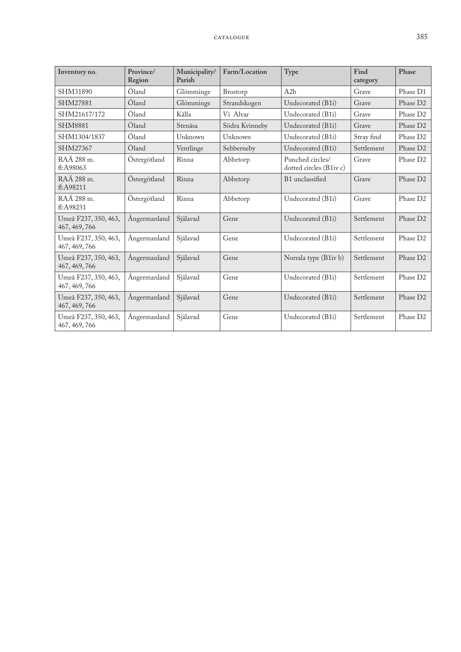| Inventory no.                         | Province/<br>Region | Municipality/<br>Parish | Farm/Location  | Type                                        | Find<br>category | Phase                |
|---------------------------------------|---------------------|-------------------------|----------------|---------------------------------------------|------------------|----------------------|
| SHM31890                              | Öland               | Glömminge               | Brostorp       | A2b                                         | Grave            | Phase D1             |
| SHM27881                              | Öland               | Glömminge               | Strandskogen   | Undecorated (B1i)                           | Grave            | Phase D <sub>2</sub> |
| SHM21617/172                          | Öland               | Källa                   | Vi Alvar       | Undecorated (B1i)                           | Grave            | Phase D <sub>2</sub> |
| <b>SHM8881</b>                        | Öland               | Stenåsa                 | Södra Kvinneby | Undecorated (B1i)                           | Grave            | Phase D <sub>2</sub> |
| SHM1304/1837                          | Öland               | Unknown                 | Unknown        | Undecorated (B1i)                           | Stray find       | Phase D <sub>2</sub> |
| SHM27367                              | Öland               | Ventlinge               | Sebberneby     | Undecorated (B1i)                           | Settlement       | Phase D <sub>2</sub> |
| RAÄ 288 m.<br>fl:A98063               | Ostergötland        | Rinna                   | Abbetorp       | Punched circles/<br>dotted circles (B1iv c) | Grave            | Phase D <sub>2</sub> |
| RAÄ 288 m.<br>fl:A98211               | Östergötland        | Rinna                   | Abbetorp       | B1 unclassified                             | Grave            | Phase D <sub>2</sub> |
| RAÄ 288 m.<br>fl:A98231               | Östergötland        | Rinna                   | Abbetorp       | Undecorated (B1i)                           | Grave            | Phase D <sub>2</sub> |
| Umeå F237, 350, 463,<br>467, 469, 766 | Angermanland        | Själavad                | Gene           | Undecorated (B1i)                           | Settlement       | Phase D <sub>2</sub> |
| Umeå F237, 350, 463,<br>467, 469, 766 | Ångermanland        | Själavad                | Gene           | Undecorated (B1i)                           | Settlement       | Phase D <sub>2</sub> |
| Umeå F237, 350, 463,<br>467, 469, 766 | Ångermanland        | Själavad                | Gene           | Norrala type (B1iv b)                       | Settlement       | Phase D <sub>2</sub> |
| Umeå F237, 350, 463,<br>467, 469, 766 | Ångermanland        | Själavad                | Gene           | Undecorated (B1i)                           | Settlement       | Phase D <sub>2</sub> |
| Umeå F237, 350, 463,<br>467, 469, 766 | Ångermanland        | Själavad                | Gene           | Undecorated (B1i)                           | Settlement       | Phase D <sub>2</sub> |
| Umeå F237, 350, 463,<br>467, 469, 766 | Angermanland        | Själavad                | Gene           | Undecorated (B1i)                           | Settlement       | Phase D <sub>2</sub> |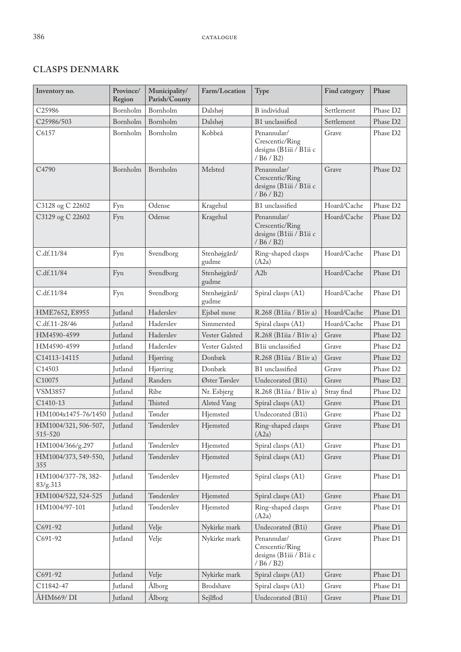# **CLASPS DENMARK**

| Inventory no.                   | Province/<br>Region | Municipality/<br>Parish/County | Farm/Location         | Type                                                                    | Find category | Phase                |
|---------------------------------|---------------------|--------------------------------|-----------------------|-------------------------------------------------------------------------|---------------|----------------------|
| C <sub>25986</sub>              | Bornholm            | Bornholm                       | Dalshøj               | <b>B</b> individual                                                     | Settlement    | Phase D <sub>2</sub> |
| C25986/503                      | Bornholm            | Bornholm                       | Dalshøj               | B1 unclassified                                                         | Settlement    | Phase D <sub>2</sub> |
| C6157                           | Bornholm            | Bornholm                       | Kobbeå                | Penannular/<br>Crescentic/Ring<br>designs (B1iii / B1ii c<br>/ B6 / B2) | Grave         | Phase D <sub>2</sub> |
| C4790                           | Bornholm            | Bornholm                       | Melsted               | Penannular/<br>Crescentic/Ring<br>designs (B1iii / B1ii c<br>/ B6 / B2) | Grave         | Phase D2             |
| C3128 og C 22602                | Fyn                 | Odense                         | Kragehul              | B1 unclassified                                                         | Hoard/Cache   | Phase D <sub>2</sub> |
| C3129 og C 22602                | Fyn                 | Odense                         | Kragehul              | Penannular/<br>Crescentic/Ring<br>designs (B1iii / B1ii c<br>/ B6 / B2) | Hoard/Cache   | Phase D2             |
| C.df.11/84                      | Fyn                 | Svendborg                      | Stenhøjgård/<br>gudme | Ring-shaped clasps<br>(A2a)                                             | Hoard/Cache   | Phase D1             |
| C.df.11/84                      | Fyn                 | Svendborg                      | Stenhøjgård/<br>gudme | A2b                                                                     | Hoard/Cache   | Phase D1             |
| C.df.11/84                      | Fyn                 | Svendborg                      | Stenhøjgård/<br>gudme | Spiral clasps (A1)                                                      | Hoard/Cache   | Phase D1             |
| HME7652, E8955                  | Jutland             | Haderslev                      | Ejsbøl mose           | R.268 (B1iia / B1iv a)                                                  | Hoard/Cache   | Phase D1             |
| C.df.11-28/46                   | Jutland             | Haderslev                      | Simmersted            | Spiral clasps (A1)                                                      | Hoard/Cache   | Phase D1             |
| HM4590-4599                     | Jutland             | Hadersley                      | Vester Galsted        | R.268 (B1iia / B1iv a)                                                  | Grave         | Phase D2             |
| HM4590-4599                     | <b>Jutland</b>      | Haderslev                      | Vester Galsted        | B1ii unclassified                                                       | Grave         | Phase D <sub>2</sub> |
| C14113-14115                    | Jutland             | Hjørring                       | Donbæk                | R.268 (B1iia / B1iv a)                                                  | Grave         | Phase D <sub>2</sub> |
| C14503                          | Jutland             | Hjørring                       | Donbæk                | B1 unclassified                                                         | Grave         | Phase D <sub>2</sub> |
| C10075                          | Jutland             | Randers                        | Øster Tørslev         | Undecorated (B1i)                                                       | Grave         | Phase D <sub>2</sub> |
| VSM3857                         | Jutland             | Ribe                           | Nr. Esbjerg           | R.268 (B1iia / B1iv a)                                                  | Stray find    | Phase D <sub>2</sub> |
| C1410-13                        | Jutland             | Thisted                        | Alsted Vang           | Spiral clasps (A1)                                                      | Grave         | Phase D1             |
| HM1004x1475-76/1450             | Jutland             | Tønder                         | Hjemsted              | Undecorated (B1i)                                                       | Grave         | Phase D <sub>2</sub> |
| HM1004/321, 506-507,<br>515-520 | Jutland             | Tønderslev                     | Hjemsted              | Ring-shaped clasps<br>(A2a)                                             | Grave         | Phase D1             |
| HM1004/366/g.297                | Jutland             | Tønderslev                     | Hjemsted              | Spiral clasps (A1)                                                      | Grave         | Phase D1             |
| HM1004/373, 549-550,<br>355     | Jutland             | Tønderslev                     | Hjemsted              | Spiral clasps (A1)                                                      | Grave         | Phase D1             |
| HM1004/377-78, 382-<br>83/g.313 | Jutland             | Tønderslev                     | Hjemsted              | Spiral clasps (A1)                                                      | Grave         | Phase D1             |
| HM1004/522, 524-525             | Jutland             | Tønderslev                     | Hjemsted              | Spiral clasps (A1)                                                      | Grave         | Phase D1             |
| HM1004/97-101                   | Jutland             | Tønderslev                     | Hjemsted              | Ring-shaped clasps<br>(A2a)                                             | Grave         | Phase D1             |
| C691-92                         | Jutland             | Velje                          | Nykirke mark          | Undecorated (B1i)                                                       | Grave         | Phase D1             |
| C691-92                         | Jutland             | Velje                          | Nykirke mark          | Penannular/<br>Crescentic/Ring<br>designs (B1iii / B1ii c<br>/ B6 / B2) | Grave         | Phase D1             |
| C691-92                         | Jutland             | Velje                          | Nykirke mark          | Spiral clasps (A1)                                                      | Grave         | Phase D1             |
| C11842-47                       | Jutland             | Ålborg                         | Brodshave             | Spiral clasps (A1)                                                      | Grave         | Phase D1             |
| ÅHM669/ DI                      | Jutland             | Ålborg                         | Sejlflod              | Undecorated (B1i)                                                       | Grave         | Phase D1             |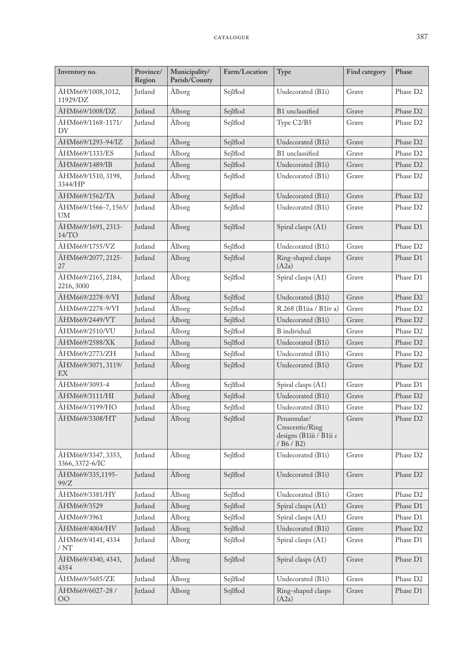| Inventory no.                         | Province/<br>Region | Municipality/<br>Parish/County | Farm/Location | Type                                                                    | Find category | Phase                |
|---------------------------------------|---------------------|--------------------------------|---------------|-------------------------------------------------------------------------|---------------|----------------------|
| ÅHM669/1008,1012,<br>11929/DZ         | Jutland             | Ålborg                         | Sejlflod      | Undecorated (B1i)                                                       | Grave         | Phase D <sub>2</sub> |
| ÅHM669/1008/DZ                        | Jutland             | Ålborg                         | Sejlflod      | B1 unclassified                                                         | Grave         | Phase D <sub>2</sub> |
| ÅHM669/1168-1171/<br>DY               | Jutland             | Ålborg                         | Sejlflod      | Type C2/B5                                                              | Grave         | Phase D <sub>2</sub> |
| ÅHM669/1293-94/IZ                     | Jutland             | Ålborg                         | Sejlflod      | Undecorated (B1i)                                                       | Grave         | Phase D <sub>2</sub> |
| ÅHM669/1333/ES                        | Jutland             | Ålborg                         | Sejlflod      | B1 unclassified                                                         | Grave         | Phase D <sub>2</sub> |
| ÅHM669/1489/IB                        | Jutland             | Ålborg                         | Sejlflod      | Undecorated (B1i)                                                       | Grave         | Phase D <sub>2</sub> |
| ÅHM669/1510, 3198,<br>3344/HP         | Jutland             | Ålborg                         | Sejlflod      | Undecorated (B1i)                                                       | Grave         | Phase D <sub>2</sub> |
| ÅHM669/1562/TA                        | Jutland             | Ålborg                         | Sejlflod      | Undecorated (B1i)                                                       | Grave         | Phase D <sub>2</sub> |
| ÅHM669/1566-7, 1565/<br><b>UM</b>     | Jutland             | Ålborg                         | Sejlflod      | Undecorated (B1i)                                                       | Grave         | Phase D <sub>2</sub> |
| ÅHM669/1691, 2313-<br>14/TO           | Jutland             | Ålborg                         | Sejlflod      | Spiral clasps (A1)                                                      | Grave         | Phase D1             |
| ÅHM669/1755/VZ                        | Jutland             | Ålborg                         | Sejlflod      | Undecorated (B1i)                                                       | Grave         | Phase D <sub>2</sub> |
| ÅHM669/2077, 2125-<br>27              | Jutland             | Ålborg                         | Sejlflod      | Ring-shaped clasps<br>(A2a)                                             | Grave         | Phase D1             |
| ÅHM669/2165, 2184,<br>2216, 3000      | Jutland             | Ålborg                         | Sejlflod      | Spiral clasps (A1)                                                      | Grave         | Phase D1             |
| ÅHM669/2278-9/VI                      | Jutland             | Ålborg                         | Sejlflod      | Undecorated (B1i)                                                       | Grave         | Phase D <sub>2</sub> |
| ÅHM669/2278-9/VI                      | Jutland             | Ålborg                         | Sejlflod      | R.268 (B1iia / B1iv a)                                                  | Grave         | Phase D <sub>2</sub> |
| ÅHM669/2449/VT                        | Jutland             | Ålborg                         | Sejlflod      | Undecorated (B1i)                                                       | Grave         | Phase D <sub>2</sub> |
| ÅHM669/2510/VU                        | Jutland             | Ålborg                         | Sejlflod      | B individual                                                            | Grave         | Phase D <sub>2</sub> |
| ÅHM669/2588/XK                        | Jutland             | Ålborg                         | Sejlflod      | Undecorated (B1i)                                                       | Grave         | Phase D <sub>2</sub> |
| ÅHM669/2773/ZH                        | Jutland             | Ålborg                         | Sejlflod      | Undecorated (B1i)                                                       | Grave         | Phase D2             |
| ÅHM669/3071, 3119/<br>EX              | Jutland             | Ålborg                         | Sejlflod      | Undecorated (B1i)                                                       | Grave         | Phase D <sub>2</sub> |
| ÅHM669/3093-4                         | Jutland             | Ålborg                         | Sejlflod      | Spiral clasps (A1)                                                      | Grave         | Phase D1             |
| ÅHM669/3111/HI                        | Jutland             | Ålborg                         | Sejlflod      | Undecorated (B1i)                                                       | Grave         | Phase D <sub>2</sub> |
| ÅHM669/3199/HO                        | Jutland             | Ålborg                         | Sejlflod      | Undecorated (B1i)                                                       | Grave         | Phase D <sub>2</sub> |
| ÅHM669/3308/HT                        | Jutland             | Ålborg                         | Sejlflod      | Penannular/<br>Crescentic/Ring<br>designs (B1iii / B1ii c<br>/ B6 / B2) | Grave         | Phase D2             |
| ÅHM669/3347, 3353,<br>3366, 3372-6/IC | Jutland             | Ålborg                         | Sejlflod      | Undecorated (B1i)                                                       | Grave         | Phase D <sub>2</sub> |
| ÅHM669/335,1195-<br>99/Z              | Jutland             | Ålborg                         | Sejlflod      | Undecorated (B1i)                                                       | Grave         | Phase D <sub>2</sub> |
| ÅHM669/3381/HY                        | Jutland             | Ålborg                         | Sejlflod      | Undecorated (B1i)                                                       | Grave         | Phase D <sub>2</sub> |
| ÅHM669/3529                           | Jutland             | Ålborg                         | Sejlflod      | Spiral clasps (A1)                                                      | Grave         | Phase D1             |
| ÅHM669/3961                           | Jutland             | Ålborg                         | Sejlflod      | Spiral clasps (A1)                                                      | Grave         | Phase D1             |
| ÅHM669/4004/HV                        | Jutland             | Ålborg                         | Sejlflod      | Undecorated (B1i)                                                       | Grave         | Phase D <sub>2</sub> |
| ÅHM669/4141, 4334<br>/NT              | Jutland             | Ålborg                         | Sejlflod      | Spiral clasps (A1)                                                      | Grave         | Phase D1             |
| ÅHM669/4340, 4343,<br>4354            | Jutland             | Ålborg                         | Sejlflod      | Spiral clasps (A1)                                                      | Grave         | Phase D1             |
| ÅHM669/5685/ZE                        | Jutland             | Ålborg                         | Sejlflod      | Undecorated (B1i)                                                       | Grave         | Phase D <sub>2</sub> |
| ÅHM669/6027-28 /<br>00                | Jutland             | Ålborg                         | Sejlflod      | Ring-shaped clasps<br>(A2a)                                             | Grave         | Phase D1             |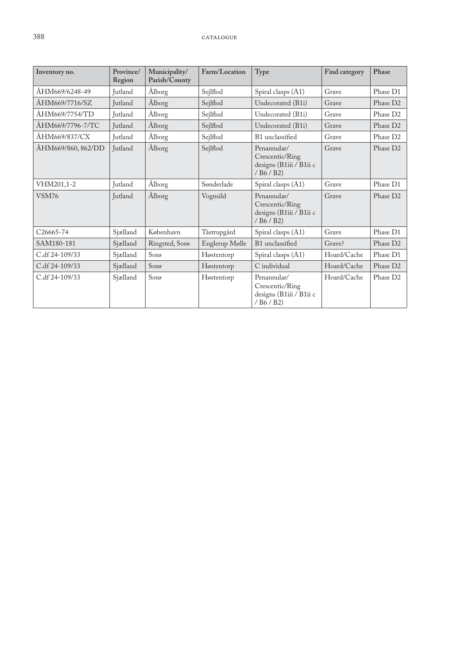| Inventory no.          | Province/<br>Region | Municipality/<br>Parish/County | Farm/Location  | Type                                                                                                   | Find category | Phase                |
|------------------------|---------------------|--------------------------------|----------------|--------------------------------------------------------------------------------------------------------|---------------|----------------------|
| ÅHM669/6248-49         | <b>Jutland</b>      | Ålborg                         | Sejlflod       | Spiral clasps (A1)                                                                                     | Grave         | Phase D1             |
| ÅHM669/7716/SZ         | Jutland             | Ålborg                         | Sejlflod       | Undecorated (B1i)                                                                                      | Grave         | Phase D <sub>2</sub> |
| ÅHM669/7754/TD         | Jutland             | Ålborg                         | Sejlflod       | Undecorated (B1i)                                                                                      | Grave         | Phase D <sub>2</sub> |
| ÅHM669/7796-7/TC       | <b>Jutland</b>      | Ålborg                         | Sejlflod       | Undecorated (B1i)                                                                                      | Grave         | Phase D2             |
| ÅHM669/837/CX          | <b>Jutland</b>      | Ålborg                         | Sejlflod       | B1 unclassified                                                                                        | Grave         | Phase D <sub>2</sub> |
| ÅHM669/860, 862/DD     | Jutland             | Ålborg                         | Sejlflod       | Penannular/<br>Crescentic/Ring<br>designs (B1iii / B1ii c<br>/ B6 / B2)                                | Grave         | Phase D <sub>2</sub> |
| VHM201,1-2             | <b>Jutland</b>      | Ålborg                         | Sønderlade     | Spiral clasps (A1)                                                                                     | Grave         | Phase D1             |
| VSM76                  | <b>Jutland</b>      | Ålborg                         | Vognsild       | Penannular/<br>Crescentic/Ring<br>designs (B1iii / B1ii c<br>$/$ B <sub>6</sub> $/$ B <sub>2</sub> $)$ | Grave         | Phase D <sub>2</sub> |
| C <sub>26665</sub> -74 | Sjælland            | København                      | Tåstrupgård    | Spiral clasps (A1)                                                                                     | Grave         | Phase D1             |
| SAM180-181             | Sjælland            | Ringsted, Sorø                 | Englerup Mølle | B1 unclassified                                                                                        | Grave?        | Phase D <sub>2</sub> |
| C.df 24-109/33         | Sjælland            | Sorø                           | Høstentorp     | Spiral clasps (A1)                                                                                     | Hoard/Cache   | Phase D1             |
| C.df 24-109/33         | Sjælland            | Sorø                           | Høstentorp     | C individual                                                                                           | Hoard/Cache   | Phase D <sub>2</sub> |
| C.df 24-109/33         | Sjælland            | Sorø                           | Høstentorp     | Penannular/<br>Crescentic/Ring<br>designs (B1iii / B1ii c<br>/B6/B2)                                   | Hoard/Cache   | Phase D <sub>2</sub> |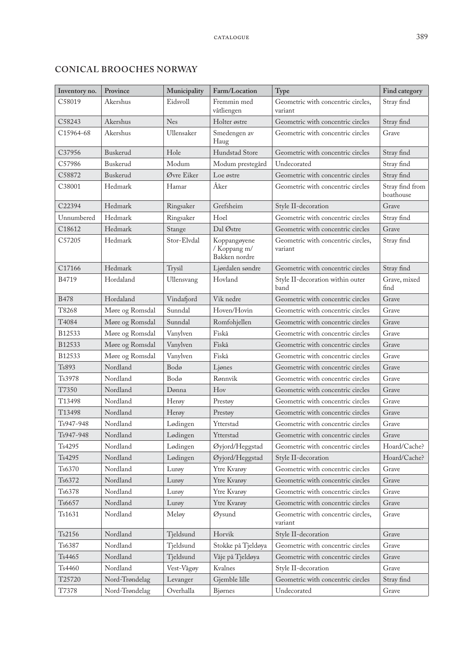| Inventory no.      | Province        | Municipality | Farm/Location                                 | Type                                          | Find category                |
|--------------------|-----------------|--------------|-----------------------------------------------|-----------------------------------------------|------------------------------|
| C58019             | Akershus        | Eidsvoll     | Fremmin med<br>våtliengen                     | Geometric with concentric circles,<br>variant | Stray find                   |
| C58243             | Akershus        | <b>Nes</b>   | Holter østre                                  | Geometric with concentric circles             | Stray find                   |
| C15964-68          | Akershus        | Ullensaker   | Smedengen av<br>Haug                          | Geometric with concentric circles             | Grave                        |
| C37956             | Buskerud        | Hole         | Hundstad Store                                | Geometric with concentric circles             | Stray find                   |
| C57986             | Buskerud        | Modum        | Modum prestegård                              | Undecorated                                   | Stray find                   |
| C58872             | Buskerud        | Øvre Eiker   | Loe østre                                     | Geometric with concentric circles             | Stray find                   |
| C38001             | Hedmark         | Hamar        | Åker                                          | Geometric with concentric circles             | Stray find from<br>boathouse |
| C22394             | Hedmark         | Ringsaker    | Grefsheim                                     | Style II-decoration                           | Grave                        |
| Unnumbered         | Hedmark         | Ringsaker    | Hoel                                          | Geometric with concentric circles             | Stray find                   |
| C18612             | Hedmark         | Stange       | Dal Østre                                     | Geometric with concentric circles             | Grave                        |
| C57205             | Hedmark         | Stor-Elvdal  | Koppangøyene<br>/ Koppang m/<br>Bakken nordre | Geometric with concentric circles,<br>variant | Stray find                   |
| C <sub>17166</sub> | Hedmark         | Trysil       | Ljørdalen søndre                              | Geometric with concentric circles             | Stray find                   |
| B4719              | Hordaland       | Ullensvang   | Hovland                                       | Style II-decoration within outer<br>band      | Grave, mixed<br>find         |
| <b>B478</b>        | Hordaland       | Vindafjord   | Vik nedre                                     | Geometric with concentric circles             | Grave                        |
| T8268              | Møre og Romsdal | Sunndal      | Hoven/Hovin                                   | Geometric with concentric circles             | Grave                        |
| T4084              | Møre og Romsdal | Sunndal      | Romfohjellen                                  | Geometric with concentric circles             | Grave                        |
| B12533             | Møre og Romsdal | Vanylven     | Fiskå                                         | Geometric with concentric circles             | Grave                        |
| B12533             | Møre og Romsdal | Vanylven     | Fiskå                                         | Geometric with concentric circles             | Grave                        |
| B12533             | Møre og Romsdal | Vanylven     | Fiskå                                         | Geometric with concentric circles             | Grave                        |
| Ts893              | Nordland        | Bodø         | Ljønes                                        | Geometric with concentric circles             | Grave                        |
| Ts3978             | Nordland        | Bodø         | Rønnvik                                       | Geometric with concentric circles             | Grave                        |
| T7350              | Nordland        | Dønna        | Hov                                           | Geometric with concentric circles             | Grave                        |
| T13498             | Nordland        | Herøy        | Prestøy                                       | Geometric with concentric circles             | Grave                        |
| T13498             | Nordland        | Herøy        | Prestøy                                       | Geometric with concentric circles             | Grave                        |
| Ts947-948          | Nordland        | Lødingen     | Ytterstad                                     | Geometric with concentric circles             | Grave                        |
| Ts947-948          | Nordland        | Lødingen     | Ytterstad                                     | Geometric with concentric circles             | Grave                        |
| Ts4295             | Nordland        | Lødingen     | Øyjord/Heggstad                               | Geometric with concentric circles             | Hoard/Cache?                 |
| Ts4295             | Nordland        | Lødingen     | Øyjord/Heggstad                               | Style II-decoration                           | Hoard/Cache?                 |
| Ts6370             | Nordland        | Lurøy        | Ytre Kvarøy                                   | Geometric with concentric circles             | Grave                        |
| Ts6372             | Nordland        | Lurøy        | Ytre Kvarøy                                   | Geometric with concentric circles             | Grave                        |
| Ts6378             | Nordland        | Lurøy        | Ytre Kvarøy                                   | Geometric with concentric circles             | Grave                        |
| Ts6657             | Nordland        | Lurøy        | Ytre Kvarøy                                   | Geometric with concentric circles             | Grave                        |
| Ts1631             | Nordland        | Meløy        | Øysund                                        | Geometric with concentric circles,<br>variant | Grave                        |
| Ts2156             | Nordland        | Tjeldsund    | Horvik                                        | Style II-decoration                           | Grave                        |
| Ts6387             | Nordland        | Tjeldsund    | Stokke på Tjeldøya                            | Geometric with concentric circles             | Grave                        |
| Ts4465             | Nordland        | Tjeldsund    | Våje på Tjeldøya                              | Geometric with concentric circles             | Grave                        |
| Ts4460             | Nordland        | Vest-Vågøy   | Kvalnes                                       | Style II-decoration                           | Grave                        |
| T25720             | Nord-Trøndelag  | Levanger     | Gjemble lille                                 | Geometric with concentric circles             | Stray find                   |
| T7378              | Nord-Trøndelag  | Overhalla    | Bjørnes                                       | Undecorated                                   | Grave                        |

## **CONICAL BROOCHES NORWAY**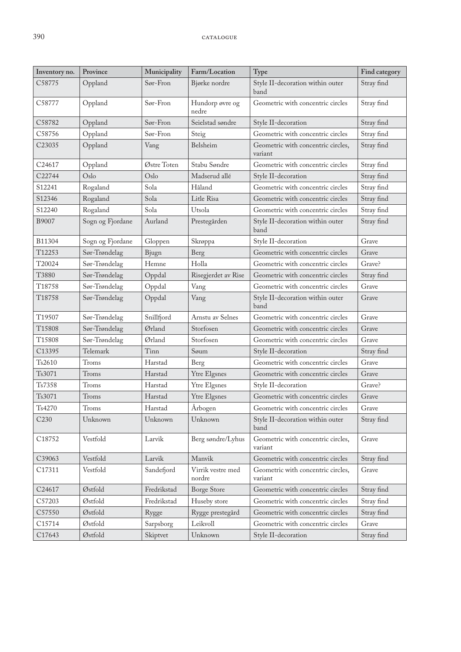| Inventory no.      | Province         | Municipality | Farm/Location               | Type                                          | Find category |
|--------------------|------------------|--------------|-----------------------------|-----------------------------------------------|---------------|
| C58775             | Oppland          | Sør-Fron     | Bjørke nordre               | Style II-decoration within outer<br>band      | Stray find    |
| C58777             | Oppland          | Sør-Fron     | Hundorp øvre og<br>nedre    | Geometric with concentric circles             | Stray find    |
| C58782             | Oppland          | Sør-Fron     | Seielstad søndre            | Style II-decoration                           | Stray find    |
| C58756             | Oppland          | Sør-Fron     | Steig                       | Geometric with concentric circles             | Stray find    |
| C <sub>23035</sub> | Oppland          | Vang         | Belsheim                    | Geometric with concentric circles,<br>variant | Stray find    |
| C24617             | Oppland          | Østre Toten  | Stabu Søndre                | Geometric with concentric circles             | Stray find    |
| C22744             | Oslo             | Oslo         | Madserud allé               | Style II-decoration                           | Stray find    |
| S12241             | Rogaland         | Sola         | Håland                      | Geometric with concentric circles             | Stray find    |
| S12346             | Rogaland         | Sola         | Litle Risa                  | Geometric with concentric circles             | Stray find    |
| S12240             | Rogaland         | Sola         | Utsola                      | Geometric with concentric circles             | Stray find    |
| B9007              | Sogn og Fjordane | Aurland      | Prestegården                | Style II-decoration within outer<br>band      | Stray find    |
| B11304             | Sogn og Fjordane | Gloppen      | Skrøppa                     | Style II-decoration                           | Grave         |
| T12253             | Sør-Trøndelag    | Bjugn        | Berg                        | Geometric with concentric circles             | Grave         |
| T20024             | Sør-Trøndelag    | Hemne        | Holla                       | Geometric with concentric circles             | Grave?        |
| T3880              | Sør-Trøndelag    | Oppdal       | Risegjerdet av Rise         | Geometric with concentric circles             | Stray find    |
| T18758             | Sør-Trøndelag    | Oppdal       | Vang                        | Geometric with concentric circles             | Grave         |
| T18758             | Sør-Trøndelag    | Oppdal       | Vang                        | Style II-decoration within outer<br>band      | Grave         |
| T19507             | Sør-Trøndelag    | Snillfjord   | Arnstu av Selnes            | Geometric with concentric circles             | Grave         |
| T15808             | Sør-Trøndelag    | Ørland       | Storfosen                   | Geometric with concentric circles             | Grave         |
| T15808             | Sør-Trøndelag    | Ørland       | Storfosen                   | Geometric with concentric circles             | Grave         |
| C13395             | Telemark         | Tinn         | Søum                        | Style II-decoration                           | Stray find    |
| Ts2610             | Troms            | Harstad      | Berg                        | Geometric with concentric circles             | Grave         |
| Ts3071             | Troms            | Harstad      | Ytre Elgsnes                | Geometric with concentric circles             | Grave         |
| Ts7358             | Troms            | Harstad      | Ytre Elgsnes                | Style II-decoration                           | Grave?        |
| Ts3071             | Troms            | Harstad      | Ytre Elgsnes                | Geometric with concentric circles             | Grave         |
| Ts4270             | Troms            | Harstad      | Årbogen                     | Geometric with concentric circles             | Grave         |
| C <sub>230</sub>   | Unknown          | Unknown      | Unknown                     | Style II-decoration within outer<br>band      | Stray find    |
| C18752             | Vestfold         | Larvik       | Berg søndre/Lyhus           | Geometric with concentric circles,<br>variant | Grave         |
| C39063             | Vestfold         | Larvik       | Manvik                      | Geometric with concentric circles             | Stray find    |
| C17311             | Vestfold         | Sandefjord   | Virrik vestre med<br>nordre | Geometric with concentric circles,<br>variant | Grave         |
| C24617             | Østfold          | Fredrikstad  | <b>Borge Store</b>          | Geometric with concentric circles             | Stray find    |
| C57203             | Østfold          | Fredrikstad  | Huseby store                | Geometric with concentric circles             | Stray find    |
| C57550             | Østfold          | Rygge        | Rygge prestegård            | Geometric with concentric circles             | Stray find    |
| C15714             | Østfold          | Sarpsborg    | Leikvoll                    | Geometric with concentric circles             | Grave         |
| C17643             | Østfold          | Skiptvet     | Unknown                     | Style II-decoration                           | Stray find    |